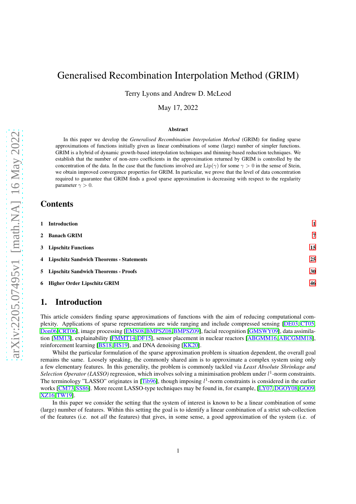# Generalised Recombination Interpolation Method (GRIM)

Terry Lyons and Andrew D. McLeod

May 17, 2022

#### Abstract

In this paper we develop the *Generalised Recombination Interpolation Method* (GRIM) for finding sparse approximations of functions initially given as linear combinations of some (large) number of simpler functions. GRIM is a hybrid of dynamic growth-based interpolation techniques and thinning-based reduction techniques. We establish that the number of non-zero coefficients in the approximation returned by GRIM is controlled by the concentration of the data. In the case that the functions involved are Lip( $\gamma$ ) for some  $\gamma > 0$  in the sense of Stein, we obtain improved convergence properties for GRIM. In particular, we prove that the level of data concentration required to guarantee that GRIM finds a good sparse approximation is decreasing with respect to the regularity parameter  $\gamma > 0$ .

# **Contents**

| 1 Introduction                             |    |
|--------------------------------------------|----|
| 2 Banach GRIM                              | 7  |
| 3 Lipschitz Functions                      | 15 |
| 4 Lipschitz Sandwich Theorems - Statements | 25 |
| 5 Lipschitz Sandwich Theorems - Proofs     | 30 |
| 6 Higher Order Lipschitz GRIM              | 46 |

# <span id="page-0-0"></span>1. Introduction

This article considers finding sparse approximations of functions with the aim of reducing computational complexity. Applications of sparse representations are wide ranging and include compressed sensing [\[DE03,](#page-64-0) [CT05,](#page-64-1) [Don06,](#page-64-2)[CRT06\]](#page-64-3), image processing [\[EMS08,](#page-64-4)[BMPSZ08,](#page-63-0)[BMPSZ09\]](#page-63-1), facial recognition [\[GMSWY09\]](#page-64-5), data assimilation [\[MM13\]](#page-65-0), explainability [\[FMMT14,](#page-64-6) [DF15\]](#page-64-7), sensor placement in nuclear reactors [\[ABGMM16,](#page-63-2) [ABCGMM18\]](#page-63-3), reinforcement learning [\[BS18,](#page-64-8)[HS19\]](#page-64-9), and DNA denoising [\[KK20\]](#page-64-10).

Whilst the particular formulation of the sparse approximation problem is situation dependent, the overall goal remains the same. Loosely speaking, the commonly shared aim is to approximate a complex system using only a few elementary features. In this generality, the problem is commonly tackled via *Least Absolute Shrinkage and* Selection Operator (LASSO) regression, which involves solving a minimisation problem under  $l^1$ -norm constraints. The terminology "LASSO" originates in [\[Tib96\]](#page-65-1), though imposing  $l^1$ -norm constraints is considered in the earlier works [\[CM73,](#page-64-11) [SS86\]](#page-65-2). More recent LASSO-type techniques may be found in, for example, [\[LY07,](#page-65-3) [DGOY08,](#page-64-12) [GO09,](#page-64-13) [XZ16,](#page-65-4)[TW19\]](#page-65-5).

In this paper we consider the setting that the system of interest is known to be a linear combination of some (large) number of features. Within this setting the goal is to identify a linear combination of a strict sub-collection of the features (i.e. not *all* the features) that gives, in some sense, a good approximation of the system (i.e. of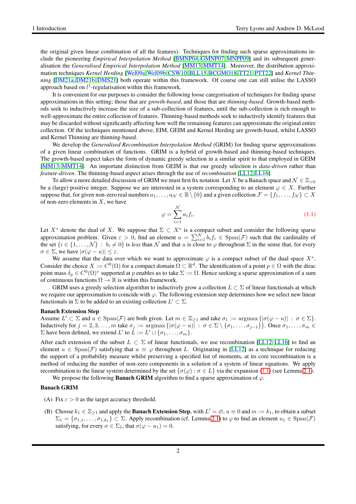the original given linear combination of all the features). Techniques for finding such sparse approximations include the pioneering *Empirical Interpolation Method* [\[BMNP04,](#page-63-4) [GMNP07,](#page-64-14) [MNPP09\]](#page-65-6) and its subsequent generalisation the *Generalised Empirical Interpolation Method* [\[MM13,](#page-65-0) [MMT14\]](#page-65-7). Moreover, the distribution approximation techniques *Kernel Herding* [\[Wel09a,](#page-65-8) [Wel09b,](#page-65-9) [CSW10,](#page-64-15) [BLL15,](#page-63-5) [BCGMO18,](#page-64-16) [TT21,](#page-65-10) [PTT22\]](#page-65-11) and *Kernel Thinning* [\[DM21a,](#page-64-17) [DM21b,](#page-64-18) [DMS21\]](#page-64-19) both operate within this framework. Of course one can still utilise the LASSO approach based on  $l^1$ -regularisation within this framework.

It is convenient for our purposes to consider the following loose categorisation of techniques for finding sparse approximations in this setting; those that are *growth-based*, and those that are *thinning-based*. Growth-based methods seek to inductively increase the size of a sub-collection of features, until the sub-collection is rich enough to well-approximate the entire collection of features. Thinning-based methods seek to inductively identify features that may be discarded without significantly affecting how well the remaining features can approximate the original entire collection. Of the techniques mentioned above, EIM, GEIM and Kernel Herding are growth-based, whilst LASSO and Kernel Thinning are thinning-based.

We develop the *Generalised Recombination Interpolation Method* (GRIM) for finding sparse approximations of a given linear combination of functions. GRIM is a hybrid of growth-based and thinning-based techniques. The growth-based aspect takes the form of dynamic greedy selection in a similar spirit to that employed in GEIM [\[MM13,](#page-65-0) [MMT14\]](#page-65-7). An important distinction from GEIM is that our greedy selection is *data-driven* rather than *feature-driven*. The thinning-based aspect arises through the use of *recombination* [\[LL12,](#page-65-12)[LL16\]](#page-65-13).

To allow a more detailed discussion of GRIM we must first fix notation. Let X be a Banach space and  $\mathcal{N} \in \mathbb{Z}_{>0}$ be a (large) positive integer. Suppose we are interested in a system corresponding to an element  $\varphi \in X$ . Further suppose that, for given non-zero real numbers  $a_1, \ldots, a_\mathcal{N} \in \mathbb{R} \setminus \{0\}$  and a given collection  $\mathcal{F} = \{f_1, \ldots, f_\mathcal{N}\} \subset X$ of non-zero elements in  $X$ , we have

<span id="page-1-0"></span>
$$
\varphi = \sum_{i=1}^{N} a_i f_i.
$$
\n(1.1)

Let  $X^*$  denote the dual of X. We suppose that  $\Sigma \subset X^*$  is a compact subset and consider the following sparse approximation problem. Given  $\varepsilon > 0$ , find an element  $u = \sum_{i=1}^{N} b_i f_i \in \text{Span}(\mathcal{F})$  such that the cardinality of the set  $\{i \in \{1,\ldots,N\} : b_i \neq 0\}$  is *less* than N and that u is close to  $\varphi$  throughout  $\Sigma$  in the sense that, for every  $\sigma \in \Sigma$ , we have  $|\sigma(\varphi - u)| \leq \varepsilon$ .

We assume that the data over which we want to approximate  $\varphi$  is a compact subset of the dual space  $X^*$ . Consider the choice  $X := C^0(\Omega)$  for a compact domain  $\Omega \subset \mathbb{R}^d$ . The identification of a point  $p \in \Omega$  with the dirac point mass  $\delta_p \in C^0(\Omega)^*$  supported at p enables us to take  $\Sigma := \Omega$ . Hence seeking a sparse approximation of a sum of continuous functions  $\Omega \to \mathbb{R}$  is within this framework.

GRIM uses a greedy selection algorithm to inductively grow a collection  $L \subset \Sigma$  of linear functionals at which we require our approximation to coincide with  $\varphi$ . The following extension step determines how we select new linear functionals in  $\Sigma$  to be added to an existing collection  $L' \subset \Sigma$ .

#### Banach Extension Step

Assume  $L' \subset \Sigma$  and  $u \in \text{Span}(\mathcal{F})$  are both given. Let  $m \in \mathbb{Z}_{\geq 1}$  and take  $\sigma_1 := \arg \max \{ |\sigma(\varphi - u)| : \sigma \in \Sigma \}.$ Inductively for  $j = 2, 3, \ldots, m$  take  $\sigma_j := \argmax \{ |\sigma(\varphi - u)| : \sigma \in \Sigma \setminus \{\sigma_1, \ldots, \sigma_{j-1}\} \}$ . Once  $\sigma_1, \ldots, \sigma_m \in$  $\Sigma$  have been defined, we extend  $L'$  to  $L := L' \cup \{\sigma_1, \ldots, \sigma_m\}.$ 

After each extension of the subset  $L \subset \Sigma$  of linear functionals, we use recombination [\[LL12,](#page-65-12) [LL16\]](#page-65-13) to find an element  $u \in Span(\mathcal{F})$  satisfying that  $u \equiv \varphi$  throughout L. Originating in [\[LL12\]](#page-65-12) as a technique for reducing the support of a probability measure whilst preserving a specified list of moments, at its core recombination is a method of reducing the number of non-zero components in a solution of a system of linear equations. We apply recombination to the linear system determined by the set { $\sigma(\varphi): \sigma \in L$ } via the expansion [\(1.1\)](#page-1-0) (see Lemma [2.1\)](#page-7-0).

We propose the following **Banach GRIM** algorithm to find a sparse approximation of  $\varphi$ .

#### <span id="page-1-1"></span>Banach GRIM

- (A) Fix  $\varepsilon > 0$  as the target accuracy threshold.
- (B) Choose  $k_1 \in \mathbb{Z}_{\geq 1}$  and apply the **Banach Extension Step**, with  $L' = \emptyset$ ,  $u \equiv 0$  and  $m := k_1$ , to obtain a subset  $\Sigma_1 = \{\sigma_{1,1},\ldots,\sigma_{1,k_1}\}\subset \Sigma$ . Apply recombination (cf. Lemma [2.1\)](#page-7-0) to  $\varphi$  to find an element  $u_1 \in \text{Span}(\mathcal{F})$ satisfying, for every  $\sigma \in \Sigma_1$ , that  $\sigma(\varphi - u_1) = 0$ .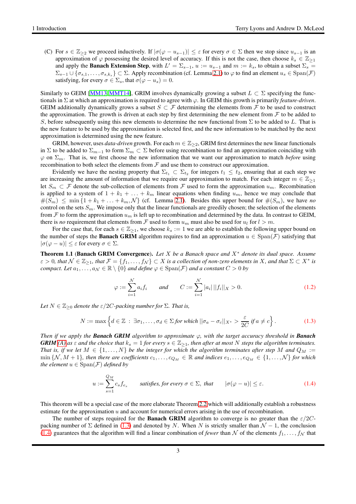(C) For  $s \in \mathbb{Z}_{\geq 2}$  we proceed inductively. If  $|\sigma(\varphi - u_{s-1})| \leq \varepsilon$  for every  $\sigma \in \Sigma$  then we stop since  $u_{s-1}$  is an approximation of  $\varphi$  possessing the desired level of accuracy. If this is not the case, then choose  $k_s \in \mathbb{Z}_{\geq 1}$ and apply the **Banach Extension Step**, with  $L' = \sum_{s=1}^{\infty} u_i = u_{s-1}$  and  $m := k_s$ , to obtain a subset  $\sum_s =$  $\Sigma_{s-1} \cup \{\sigma_{s,1},\ldots,\sigma_{s,k_s}\}\subset \Sigma$ . Apply recombination (cf. Lemma [2.1\)](#page-7-0) to  $\varphi$  to find an element  $u_s \in \text{Span}(\mathcal{F})$ satisfying, for every  $\sigma \in \Sigma_s$ , that  $\sigma(\varphi - u_s) = 0$ .

Similarly to GEIM [\[MM13,](#page-65-0) [MMT14\]](#page-65-7), GRIM involves dynamically growing a subset  $L \subset \Sigma$  specifying the functionals in  $\Sigma$  at which an approximation is required to agree with  $\varphi$ . In GEIM this growth is primarily *feature-driven*. GEIM additionally dynamically grows a subset  $S \subset \mathcal{F}$  determining the elements from  $\mathcal{F}$  to be used to construct the approximation. The growth is driven at each step by first determining the new element from  $\mathcal F$  to be added to S, before subsequently using this new elements to determine the new functional from  $\Sigma$  to be added to L. That is the new feature to be used by the approximation is selected first, and the new information to be matched by the next approximation is determined using the new feature.

GRIM, however, uses *data-driven* growth. For each  $m \in \mathbb{Z}_{\geq 2}$ , GRIM first determines the new linear functionals in Σ to be added to  $\Sigma_{m-1}$  to form  $\Sigma_m \subset \Sigma$  before using recombination to find an approximation coinciding with  $\varphi$  on  $\Sigma_m$ . That is, we first choose the new information that we want our approximation to match *before* using recombination to both select the elements from  $\mathcal F$  and use them to construct our approximation.

Evidently we have the nesting property that  $\Sigma_{t_1} \subset \Sigma_{t_2}$  for integers  $t_1 \leq t_2$ , ensuring that at each step we are increasing the amount of information that we require our approximation to match. For each integer  $m \in \mathbb{Z}_{\geq 1}$ let  $S_m \subset \mathcal{F}$  denote the sub-collection of elements from  $\mathcal{F}$  used to form the approximation  $u_m$ . Recombination is applied to a system of  $1 + k_1 + \ldots + k_m$  linear equations when finding  $u_m$ , hence we may conclude that  $\#(S_m) \leq \min\{1 + k_1 + \ldots + k_m, \mathcal{N}\}\$  (cf. Lemma [2.1\)](#page-7-0). Besides this upper bound for  $\#(S_m)$ , we have *no* control on the sets  $S_m$ . We impose only that the linear functionals are greedily chosen; the selection of the elements from  $F$  to form the approximation  $u_m$  is left up to recombination and determined by the data. In contrast to GEIM, there is *no* requirement that elements from F used to form  $u_m$  must also be used for  $u_l$  for  $l > m$ .

For the case that, for each  $s \in \mathbb{Z}_{\geq 1}$ , we choose  $k_s := 1$  we are able to establish the following upper bound on the number of steps the **Banach GRIM** algorithm requires to find an approximation  $u \in Span(\mathcal{F})$  satisfying that  $|\sigma(\varphi - u)| \leq \varepsilon$  for every  $\sigma \in \Sigma$ .

<span id="page-2-3"></span>Theorem 1.1 (Banach GRIM Convergence). *Let* X *be a Banach space and* X<sup>∗</sup> *denote its dual space. Assume*  $\varepsilon > 0$ , that  $\mathcal{N} \in \mathbb{Z}_{\geq 1}$ , that  $\mathcal{F} = \{f_1, \ldots, f_N\} \subset X$  is a collection of non-zero elements in X, and that  $\Sigma \subset X^*$  is *compact. Let*  $a_1, \ldots, a_\mathcal{N} \in \mathbb{R} \setminus \{0\}$  *and define*  $\varphi \in \text{Span}(\mathcal{F})$  *and a constant*  $C > 0$  *by* 

<span id="page-2-2"></span>
$$
\varphi := \sum_{i=1}^{N} a_i f_i \quad \text{and} \quad C := \sum_{i=1}^{N} |a_i| ||f_i||_X > 0. \tag{1.2}
$$

*Let*  $N \in \mathbb{Z}_{\geq 0}$  *denote the*  $\epsilon/2C$ *-packing number for*  $\Sigma$ *. That is,* 

<span id="page-2-0"></span>
$$
N := \max\left\{d \in \mathbb{Z} \;:\; \exists \sigma_1, \ldots, \sigma_d \in \Sigma \text{ for which } ||\sigma_a - \sigma_c||_{X^*} > \frac{\varepsilon}{2C} \text{ if } a \neq c\right\}.
$$
 (1.3)

*Then if we apply the Banach GRIM algorithm to approximate*  $\varphi$ *, with the target accuracy threshold in Banach GRIM* [\(A\)](#page-1-1) as  $\varepsilon$  and the choice that  $k_s = 1$  for every  $s \in \mathbb{Z}_{\geq 1}$ , then after at most N steps the algorithm terminates. *That is, if we let*  $M \in \{1, \ldots, N\}$  *be the integer for which the algorithm terminates after step* M and  $Q_M :=$ min  $\{N, M+1\}$ , then there are coefficients  $c_1, \ldots, c_{Q_M} \in \mathbb{R}$  and indices  $e_1, \ldots, e_{Q_M} \in \{1, \ldots, N\}$  for which *the element*  $u \in Span(F)$  *defined by* 

<span id="page-2-1"></span>
$$
u := \sum_{s=1}^{Q_M} c_s f_{e_s} \qquad \text{satisfies, for every } \sigma \in \Sigma, \text{ that } \qquad |\sigma(\varphi - u)| \le \varepsilon. \tag{1.4}
$$

This theorem will be a special case of the more elaborate Theorem [2.2](#page-8-0) which will additionally establish a robustness estimate for the approximation  $u$  and account for numerical errors arising in the use of recombination.

The number of steps required for the **Banach GRIM** algorithm to converge is no greater than the  $\epsilon/2C$ packing number of  $\Sigma$  defined in [\(1.3\)](#page-2-0) and denoted by N. When N is strictly smaller than  $\mathcal{N} - 1$ , the conclusion [\(1.4\)](#page-2-1) guarantees that the algorithm will find a linear combination of *fewer* than N of the elements  $f_1, \ldots, f_N$  that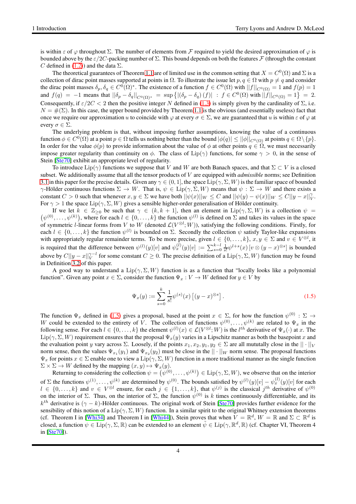is within  $\varepsilon$  of  $\varphi$  throughout  $\Sigma$ . The number of elements from F required to yield the desired approximation of  $\varphi$  is bounded above by the  $\varepsilon/2C$ -packing number of  $\Sigma$ . This bound depends on both the features  $\mathcal F$  (through the constant C defined in [\(1.2\)](#page-2-2)) and the data  $\Sigma$ .

The theoretical guarantees of Theorem [1.1](#page-2-3) are of limited use in the common setting that  $X = C^0(\Omega)$  and  $\Sigma$  is a collection of dirac point masses supported at points in  $\Omega$ . To illustrate the issue let p,  $q \in \Omega$  with  $p \neq q$  and consider the dirac point masses  $\delta_p, \delta_q \in C^0(\Omega)^*$ . The existence of a function  $f \in C^0(\Omega)$  with  $||f||_{C^0(\Omega)} = 1$  and  $f(p) = 1$ and  $f(q) = -1$  means that  $||\delta_p - \delta_q||_{C^0(\Omega)^*} = \sup \{ |(\delta_p - \delta_q)(f)| : f \in C^0(\Omega) \text{ with } ||f||_{C^0(\Omega)} = 1 \} = 2.$ Consequently, if  $\varepsilon/2C < 2$  then the positive integer N defined in [\(1.3\)](#page-2-0) is simply given by the cardinality of  $\Sigma$ , i.e.  $N = \#(\Sigma)$ . In this case, the upper bound provided by Theorem [1.1](#page-2-3) is the obvious (and essentially useless) fact that once we require our approximation u to coincide with  $\varphi$  at every  $\sigma \in \Sigma$ , we are guaranteed that u is within  $\varepsilon$  of  $\varphi$  at every  $\sigma \in \Sigma$ .

The underlying problem is that, without imposing further assumptions, knowing the value of a continuous function  $\phi \in C^0(\Omega)$  at a point  $p \in \Omega$  tells us nothing better than the bound  $|\phi(q)| \le ||\phi||_{C^0(\Omega)}$  at points  $q \in \Omega \setminus \{p\}.$ In order for the value  $\phi(p)$  to provide information about the value of  $\phi$  at other points  $q \in \Omega$ , we must necessarily impose greater regularity than continuity on  $\phi$ . The class of Lip( $\gamma$ ) functions, for some  $\gamma > 0$ , in the sense of Stein [\[Ste70\]](#page-65-14) exhibit an appropriate level of regularity.

To introduce  $\text{Lip}(\gamma)$  functions we suppose that V and W are both Banach spaces, and that  $\Sigma \subset V$  is a closed subset. We additionally assume that all the tensor products of V are equipped with *admissible* norms; see Definition [3.1](#page-14-1) in this paper for the precise details. Given any  $\gamma \in (0, 1]$ , the space Lip $(\gamma, \Sigma, W)$  is the familiar space of bounded  $\gamma$ -Hölder continuous functions  $\Sigma \to W$ . That is,  $\psi \in \text{Lip}(\gamma, \Sigma, W)$  means that  $\psi : \Sigma \to W$  and there exists a constant  $C > 0$  such that whenever  $x, y \in \Sigma$  we have both  $||\psi(x)||_W \leq C$  and  $||\psi(y) - \psi(x)||_W \leq C||y - x||_V^{\gamma}$ . For  $\gamma > 1$  the space Lip( $\gamma$ ,  $\Sigma$ , W) gives a sensible higher-order generalisation of Hölder continuity.

 $(\psi^{(0)}, \dots, \psi^{(k)})$ , where for each  $l \in \{0, \dots, k\}$  the function  $\psi^{(l)}$  is defined on  $\Sigma$  and takes its values in the space If we let  $k \in \mathbb{Z}_{\geq 0}$  be such that  $\gamma \in (k, k + 1]$ , then an element in  $\text{Lip}(\gamma, \Sigma, W)$  is a collection  $\psi =$ of symmetric l-linear forms from V to W (denoted  $\mathcal{L}(V^{\otimes l}; W)$ ), satisfying the following conditions. Firstly, for each  $l \in \{0, \ldots, k\}$  the function  $\psi^{(l)}$  is bounded on  $\Sigma$ . Secondly the collection  $\psi$  satisfy Taylor-like expansions with appropriately regular remainder terms. To be more precise, given  $l \in \{0, \ldots, k\}$ ,  $x, y \in \Sigma$  and  $v \in V^{\otimes l}$ , it is required that the difference between  $\psi^{(l)}(y)[v]$  and  $\psi^{(l)}_x(y)[v] := \sum_{s=0}^{k-l} \frac{1}{s!} \psi^{l+s}(x) \left[ v \otimes (y-x)^{\otimes s} \right]$  is bounded above by  $C||y-x||_V^{\gamma-l}$  for some constant  $C \ge 0$ . The precise definition of a  $\text{Lip}(\gamma, \Sigma, W)$  function may be found in Definition [3.2](#page-14-2) of this paper.

A good way to understand a  $\text{Lip}(\gamma, \Sigma, W)$  function is as a function that "locally looks like a polynomial" function". Given any point  $x \in \Sigma$ , consider the function  $\Psi_x : V \to W$  defined for  $y \in V$  by

<span id="page-3-0"></span>
$$
\Psi_x(y) := \sum_{s=0}^k \frac{1}{s!} \psi^{(s)}(x) \left[ (y-x)^{\otimes s} \right].
$$
\n(1.5)

The function  $\Psi_x$  defined in [\(1.5\)](#page-3-0) gives a proposal, based at the point  $x \in \Sigma$ , for how the function  $\psi^{(0)} : \Sigma \to \Sigma$ W could be extended to the entirety of V. The collection of functions  $\psi^{(0)}, \dots, \psi^{(k)}$  are related to  $\Psi_x$  in the following sense. For each  $l \in \{0, \ldots, k\}$  the element  $\psi^{(l)}(x) \in \mathcal{L}(V^{\otimes l}; W)$  is the  $l^{th}$  derivative of  $\Psi_x(\cdot)$  at x. The  $\text{Lip}(\gamma, \Sigma, W)$  requirement ensures that the proposal  $\Psi_x(y)$  varies in a Lipschitz manner as both the basepoint x and the evaluation point y vary across  $\Sigma$ . Loosely, if the points  $x_1, x_2, y_1, y_2 \in \Sigma$  are all mututally close in the  $|| \cdot ||_V$ norm sense, then the values  $\Psi_{x_1}(y_1)$  and  $\Psi_{x_2}(y_2)$  must be close in the  $||\cdot||_W$  norm sense. The proposal functions  $\Psi_x$  for points  $x \in \Sigma$  enable one to view a  $\text{Lip}(\gamma, \Sigma, W)$  function in a more traditional manner as the single function  $\Sigma \times \Sigma \rightarrow W$  defined by the mapping  $(x, y) \mapsto \Psi_x(y)$ .

Returning to considering the collection  $\psi = (\psi^{(0)}, \dots, \psi^{(k)}) \in \text{Lip}(\gamma, \Sigma, W)$ , we observe that on the interior of  $\Sigma$  the functions  $\psi^{(1)}, \dots, \psi^{(k)}$  are determined by  $\psi^{(0)}$ . The bounds satisfied by  $\psi^{(l)}(y)[v] - \psi^{(l)}_x(y)[v]$  for each  $l \in \{0,\ldots,k\}$  and  $v \in V^{\otimes l}$  ensure, for each  $j \in \{1,\ldots,k\}$ , that  $\psi^{(j)}$  is the classical  $j^{th}$  derivative of  $\psi^{(0)}$ on the interior of  $\Sigma$ . Thus, on the interior of  $\Sigma$ , the function  $\psi^{(0)}$  is k times continuously differentiable, and its  $k^{th}$  derivative is  $(\gamma - k)$ -Hölder continuous. The original work of Stein [\[Ste70\]](#page-65-14) provides further evidence for the sensibility of this notion of a  $\text{Lip}(\gamma, \Sigma, W)$  function. In a similar spirit to the original Whitney extension theorems (cf. Theorem I in [\[Whi34\]](#page-65-15) and Theorem I in [\[Whi44\]](#page-65-16)), Stein proves that when  $V = \mathbb{R}^d$ ,  $W = \mathbb{R}$  and  $\Sigma \subset \mathbb{R}^d$  is closed, a function  $\psi \in \text{Lip}(\gamma, \Sigma, \mathbb{R})$  can be extended to an element  $\tilde{\psi} \in \text{Lip}(\gamma, \mathbb{R}^d, \mathbb{R})$  (cf. Chapter VI, Theorem 4 in [\[Ste70\]](#page-65-14)).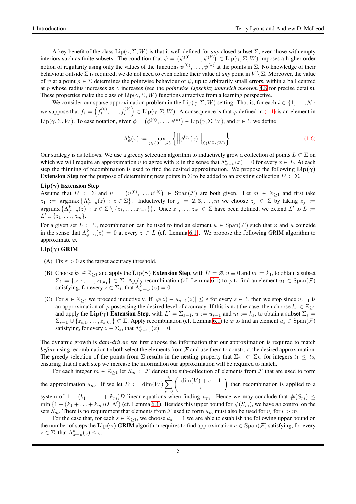A key benefit of the class  $\text{Lip}(\gamma, \Sigma, W)$  is that it well-defined for *any* closed subset  $\Sigma$ , even those with empty interiors such as finite subsets. The condition that  $\psi = (\psi^{(0)}, \dots, \psi^{(k)}) \in \text{Lip}(\gamma, \Sigma, W)$  imposes a higher order notion of regularity using only the values of the functions  $\psi^{(0)}, \dots, \psi^{(k)}$  at the points in  $\Sigma$ . No knowledge of their behaviour outside  $\Sigma$  is required; we do not need to even define their value at *any* point in  $V \setminus \Sigma$ . Moreover, the value of  $\psi$  at a point  $p \in \Sigma$  determines the pointwise behaviour of  $\psi$ , up to arbitrarily small errors, within a ball centred at p whose radius increases as γ increases (see the *pointwise Lipschitz sandwich theorem* [4.8](#page-27-0) for precise details). These properties make the class of  $\text{Lip}(\gamma, \Sigma, W)$  functions attractive from a learning perspective.

We consider our sparse approximation problem in the  $\text{Lip}(\gamma, \Sigma, W)$  setting. That is, for each  $i \in \{1, \ldots, \mathcal{N}\}\$ we suppose that  $f_i = \left(f_i^{(0)}, \ldots, f_i^{(k)}\right) \in \text{Lip}(\gamma, \Sigma, W)$ . A consequence is that  $\varphi$  defined in [\(1.1\)](#page-1-0) is an element in  $\text{Lip}(\gamma, \Sigma, W)$ . To ease notation, given  $\phi = (\phi^{(0)}, \dots, \phi^{(k)}) \in \text{Lip}(\gamma, \Sigma, W)$ , and  $x \in \Sigma$  we define

$$
\Lambda_{\phi}^{k}(x) := \max_{j \in \{0, \dots, k\}} \left\{ \left| \left| \phi^{(j)}(x) \right| \right|_{\mathcal{L}(V^{\otimes j}; W)} \right\}.
$$
\n(1.6)

Our strategy is as follows. We use a greedy selection algorithm to inductively grow a collection of points  $L \subset \Sigma$  on which we will require an approximation u to agree with  $\varphi$  in the sense that  $\Lambda_{\varphi-u}^k(x) = 0$  for every  $x \in L$ . At each step the thinning of recombination is used to find the desired approximation. We propose the following  $\text{Lip}(\gamma)$ **Extension Step** for the purpose of determining new points in  $\Sigma$  to be added to an existing collection  $L' \subset \Sigma$ .

#### $Lip(\gamma)$  Extension Step

Assume that  $L' \subset \Sigma$  and  $u = (u^{(0)}, \ldots, u^{(k)}) \in \text{Span}(\mathcal{F})$  are both given. Let  $m \in \mathbb{Z}_{\geq 1}$  and first take  $z_1 := \argmax \left\{ \Lambda_{\varphi-u}^k(z) : z \in \Sigma \right\}$ . Inductively for  $j = 2, 3, ..., m$  we choose  $z_j \in \Sigma$  by taking  $z_j :=$  $\argmax \left\{ \Lambda_{\varphi-u}^k(z) : z \in \Sigma \setminus \{z_1, \ldots, z_{j-1}\} \right\}$ . Once  $z_1, \ldots, z_m \in \Sigma$  have been defined, we extend  $L'$  to  $L :=$  $L' \cup \{z_1, \ldots, z_m\}.$ 

For a given set  $L \subset \Sigma$ , recombination can be used to find an element  $u \in Span(\mathcal{F})$  such that  $\varphi$  and u coincide in the sense that  $\Lambda_{\varphi-u}^k(z) = 0$  at every  $z \in L$  (cf. Lemma [6.1\)](#page-46-0). We propose the following GRIM algorithm to approximate  $\varphi$ .

#### <span id="page-4-0"></span> $\text{Lip}(\gamma)$  GRIM

- (A) Fix  $\varepsilon > 0$  as the target accuracy threshold.
- (B) Choose  $k_1 \in \mathbb{Z}_{\geq 1}$  and apply the  $\text{Lip}(\gamma)$  Extension Step, with  $L' = \emptyset$ ,  $u \equiv 0$  and  $m := k_1$ , to obtain a subset  $\Sigma_1 = \{z_{1,1}, \ldots, z_{1,k_1}\} \subset \Sigma$ . Apply recombination (cf. Lemma [6.1\)](#page-46-0) to  $\varphi$  to find an element  $u_1 \in \text{Span}(\mathcal{F})$ satisfying, for every  $z \in \Sigma_1$ , that  $\Lambda_{\varphi-u_1}^k(z) = 0$ .
- (C) For  $s \in \mathbb{Z}_{\geq 2}$  we proceed inductively. If  $|\varphi(z) u_{s-1}(z)| \leq \varepsilon$  for every  $z \in \Sigma$  then we stop since  $u_{s-1}$  is an approximation of  $\varphi$  possessing the desired level of accuracy. If this is not the case, then choose  $k_s \in \mathbb{Z}_{\geq 1}$ and apply the  $\text{Lip}(\gamma)$  Extension Step, with  $L' = \sum_{s=1}^{\infty} u_i = u_{s-1}$  and  $m := k_s$ , to obtain a subset  $\Sigma_s =$  $\Sigma_{s-1} \cup \{z_{s,1},\ldots,z_{s,k_s}\} \subset \Sigma$ . Apply recombination (cf. Lemma [6.1\)](#page-46-0) to  $\varphi$  to find an element  $u_s \in \text{Span}(\mathcal{F})$ satisfying, for every  $z \in \Sigma_s$ , that  $\Lambda_{\varphi-u_s}^k(z) = 0$ .

The dynamic growth is *data-driven*; we first choose the information that our approximation is required to match *before* using recombination to both select the elements from  $F$  and use them to construct the desired approximation. The greedy selection of the points from  $\Sigma$  results in the nesting property that  $\Sigma_{t_1} \subset \Sigma_{t_2}$  for integers  $t_1 \le t_2$ , ensuring that at each step we increase the information our approximation will be required to match.

For each integer  $m \in \mathbb{Z}_{\geq 1}$  let  $S_m \subset \mathcal{F}$  denote the sub-collection of elements from  $\mathcal{F}$  that are used to form

the approximation  $u_m$ . If we let  $D := \dim(W) \sum$ k  $s=0$  $\int \dim(V) + s - 1$ s  $\int$  then recombination is applied to a system of  $1 + (k_1 + \ldots + k_m)D$  linear equations when finding  $u_m$ . Hence we may conclude that  $\#(S_m) \leq$ 

 $\min\{1 + (k_1 + \ldots + k_m)D, \mathcal{N}\}\$  (cf. Lemma [6.1\)](#page-46-0). Besides this upper bound for  $\#(S_m)$ , we have *no* control on the sets  $S_m$ . There is no requirement that elements from F used to form  $u_m$  must also be used for  $u_l$  for  $l > m$ .

For the case that, for each  $s \in \mathbb{Z}_{\geq 1}$ , we choose  $k_s := 1$  we are able to establish the following upper bound on the number of steps the  $\text{Lip}(\gamma)$  GRIM algorithm requires to find approximation  $u \in \text{Span}(\mathcal{F})$  satisfying, for every  $z \in \Sigma$ , that  $\Lambda^k_{\varphi-u}(z) \leq \varepsilon$ .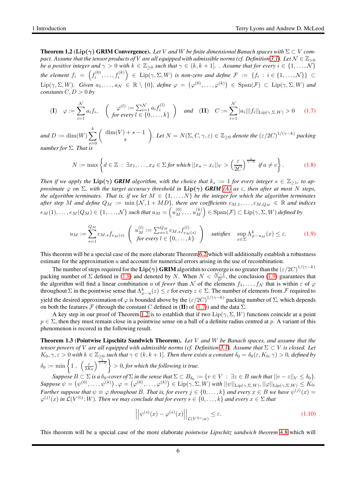<span id="page-5-3"></span>**Theorem 1.2** (Lip( $\gamma$ ) GRIM Convergence). Let V and W be finite dimensional Banach spaces with  $\Sigma \subset V$  com*pact. Assume that the tensor products of* V *are all equipped with admissible norms (cf. Definition* [3.1\)](#page-14-1)*.* Let  $\mathcal{N} \in \mathbb{Z}_{>0}$ *be a positive integer and*  $\gamma > 0$  *with*  $k \in \mathbb{Z}_{\geq 0}$  *such that*  $\gamma \in (k, k + 1]$ *. Assume that for every*  $i \in \{1, ..., N\}$ the element  $f_i \;=\; \left(f_i^{(0)},\ldots,f_i^{(k)}\right) \;\in\; \operatorname{Lip}(\gamma,\Sigma,W)$  is non-zero and define  $\mathcal{F} \;:=\; \{f_i \,:\, i\in\{1,\ldots,\mathcal{N}\}\} \;\subset\;$  $\text{Lip}(\gamma, \Sigma, W)$ *.* Given  $a_1, \ldots, a_\mathcal{N} \in \mathbb{R} \setminus \{0\}$ *, define*  $\varphi = (\varphi^{(0)}, \ldots, \varphi^{(k)}) \in \text{Span}(\mathcal{F}) \subset \text{Lip}(\gamma, \Sigma, W)$  and *constants*  $C, D > 0$  *by* 

<span id="page-5-2"></span>
$$
\textbf{(I)} \quad \varphi := \sum_{i=1}^{N} a_i f_i, \quad \left( \begin{array}{c} \varphi^{(l)} := \sum_{i=1}^{N} a_i f_i^{(l)} \\ \text{for every } l \in \{0, \dots, k\} \end{array} \right) \quad \text{and} \quad \textbf{(II)} \quad C := \sum_{i=1}^{N} |a_i| ||f_i||_{\text{Lip}(\gamma, \Sigma, W)} > 0 \tag{1.7}
$$

*and*  $D := \dim(W) \sum$ k  $s=0$  $\int \dim(V) + s - 1$ s *. Let*  $N = N(\Sigma, C, \gamma, \varepsilon) \in \mathbb{Z}_{\geq 0}$  *denote the*  $(\varepsilon/2C)^{1/(\gamma - k)}$  *packing number for* Σ*. That is*

<span id="page-5-0"></span>
$$
N := \max\left\{d \in \mathbb{Z} \;:\; \exists x_1, \ldots, x_d \in \Sigma \text{ for which } ||x_a - x_c||_V > \left(\frac{\varepsilon}{2C}\right)^{\frac{1}{\gamma - k}} \text{ if } a \neq c\right\}.
$$
 (1.8)

*Then if we apply the*  $\text{Lip}(\gamma)$  *GRIM* algorithm, with the choice that  $k_s := 1$  for every integer  $s \in \mathbb{Z}_{\geq 1}$ , to ap*proximate*  $\varphi$  *on*  $\Sigma$ *, with the target accuracy threshold in*  $\text{Lip}(\gamma)$  *GRIM* [\(A\)](#page-4-0) *as*  $\varepsilon$ *, then after at most* N *steps, the algorithm terminates. That is, if we let*  $M \in \{1, \ldots, N\}$  *be the integer for which the algorithm terminates*  $a$ *fter step* M *and define*  $Q_M := \min\{N, 1 + M_D\}$ *, there are coefficients*  $c_{M,1}, \ldots, c_{M,Q_M} \in \mathbb{R}$  *and indices*  $e_M(1), \ldots, e_M(Q_M) \in \{1, \ldots, \mathcal{N}\}$  such that  $u_M = \left(u_M^{(0)}, \ldots u_M^{(k)}\right)$  $\binom{(k)}{M} \in \text{Span}(\mathcal{F}) \subset \text{Lip}(\gamma, \Sigma, W)$  *defined by* 

<span id="page-5-1"></span>
$$
u_M := \sum_{s=1}^{Q_M} c_{M,s} f_{e_M(s)} \begin{pmatrix} u_M^{(l)} := \sum_{s=1}^{Q_M} c_{M,s} f_{e_M(s)}^{(l)} \\ \text{for every } l \in \{0, \dots, k\} \end{pmatrix} \text{ satisfies } \sup_{x \in \Sigma} \Lambda_{\varphi - u_M}^k(x) \le \varepsilon. \tag{1.9}
$$

This theorem will be a special case of the more elaborate Theorem [6.2](#page-50-0) which will additionally establish a robustness estimate for the approximation u and account for numerical errors arising in the use of recombination.

The number of steps required for the  ${\rm Lip}(\gamma)$  GRIM algorithm to converge is no greater than the  $(\varepsilon/2C)^{1/(\gamma-k)}$ packing number of  $\Sigma$  defined in [\(1.8\)](#page-5-0) and denoted by N. When  $N < \frac{N-1}{D}$ , the conclusion [\(1.9\)](#page-5-1) guarantees that the algorithm will find a linear combination u of *fewer* than N of the elements  $f_1, \ldots, f_N$  that is within  $\varepsilon$  of  $\varphi$ throughout  $\Sigma$  in the pointwise sense that  $\Lambda_{\varphi-u}^k(z)\leq \varepsilon$  for every  $z\in\Sigma$ . The number of elements from  ${\mathcal F}$  required to yield the desired approximation of  $\varphi$  is bounded above by the  $(\varepsilon/2C)^{1/(\gamma-k)}$  packing number of  $\Sigma$ , which depends on both the features F (through the constant C defined in (II) of [\(1.7\)](#page-5-2)) and the data  $\Sigma$ .

A key step in our proof of Theorem [1.2](#page-5-3) is to establish that if two  $\text{Lip}(\gamma, \Sigma, W)$  functions coincide at a point  $p \in \Sigma$ , then they must remain close in a pointwise sense on a ball of a definite radius centred at p. A variant of this phenomenon is recored in the following result.

<span id="page-5-5"></span>Theorem 1.3 (Pointwise Lipschitz Sandwich Theorem). *Let* V *and* W *be Banach spaces, and assume that the tensor powers of V* are all equipped with admissible norms (cf. Definition [3.1\)](#page-14-1). Assume that  $\Sigma \subset V$  *is closed. Let*  $K_0, \gamma, \varepsilon > 0$  with  $k \in \mathbb{Z}_{\geq 0}$  such that  $\gamma \in (k, k + 1]$ . Then there exists a constant  $\delta_0 = \delta_0(\varepsilon, K_0, \gamma) > 0$ , defined by  $\delta_0:=\min\left\{1\ ,\ \left(\frac{\varepsilon}{2K_0}\right)^{\frac{1}{\gamma-k}}\right\}>0,$  for which the following is true.

 $Suppose B \subset \Sigma$  *is a*  $\delta_0$ -cover of  $\Sigma$  *in the sense that*  $\Sigma \subset B_{\delta_0} := \{v \in V : \exists z \in B \text{ such that } ||v - z||_V \leq \delta_0\}.$  $\mathit{Suppose}\ \psi=\left(\psi^{(0)},\ldots,\psi^{(k)}\right), \varphi=\left(\varphi^{(0)},\ldots,\varphi^{(k)}\right)\in \mathrm{Lip}(\gamma,\Sigma,W) \text{ with } ||\psi||_{\mathrm{Lip}(\gamma,\Sigma,W)}, ||\varphi||_{\mathrm{Lip}(\gamma,\Sigma,W)}\leq K_0.$ *Further suppose that*  $\psi \equiv \varphi$  *throughout* B. That is, for every  $j \in \{0, \ldots, k\}$  and every  $x \in B$  *we have*  $\psi^{(j)}(x) =$  $\varphi^{(j)}(x)$  *in*  $\mathcal{L}(V^{\otimes j}; W)$ *. Then we may conclude that for every*  $s \in \{0, \ldots, k\}$  *and every*  $x \in \Sigma$  *that* 

<span id="page-5-4"></span>
$$
\left| \left| \psi^{(s)}(x) - \varphi^{(s)}(x) \right| \right|_{\mathcal{L}(V^{\otimes s};w)} \leq \varepsilon. \tag{1.10}
$$

This theorem will be a special case of the more elaborate *pointwise Lipschitz sandwich theorem* [4.8](#page-27-0) which will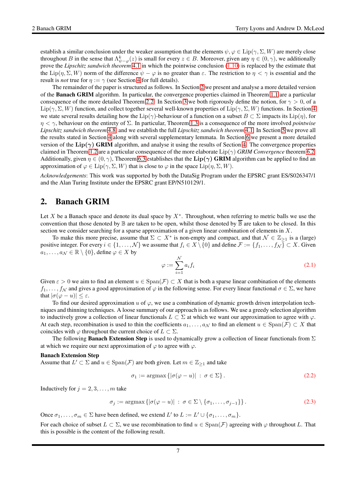establish a similar conclusion under the weaker assumption that the elements  $\psi, \varphi \in \text{Lip}(\gamma, \Sigma, W)$  are merely close throughout B in the sense that  $\Lambda_{\psi-\varphi}^k(z)$  is small for every  $z \in B$ . Moreover, given any  $\eta \in (0, \gamma)$ , we additionally prove the *Lipschitz sandwich theorem* [4.1](#page-25-0) in which the pointwise conclusion [\(1.10\)](#page-5-4) is replaced by the estimate that the Lip( $\eta$ ,  $\Sigma$ , W) norm of the difference  $\psi - \varphi$  is no greater than  $\varepsilon$ . The restriction to  $\eta < \gamma$  is essential and the result is *not* true for  $\eta := \gamma$  (see Section [4](#page-24-0) for full details).

The remainder of the paper is structured as follows. In Section [2](#page-6-0) we present and analyse a more detailed version of the Banach GRIM algorithm. In particular, the convergence properties claimed in Theorem [1.1](#page-2-3) are a particular consequence of the more detailed Theorem [2.2.](#page-8-0) In Section [3](#page-14-0) we both rigorously define the notion, for  $\gamma > 0$ , of a Lip( $\gamma$ ,  $\Sigma$ , W) function, and collect together several well-known properties of Lip( $\gamma$ ,  $\Sigma$ , W) functions. In Section [4](#page-24-0) we state several results detailing how the Lip( $\gamma$ )-behaviour of a function on a subset  $B \subset \Sigma$  impacts its Lip( $\eta$ ), for η < γ, behaviour on the entirety of Σ. In particular, Theorem [1.3](#page-5-5) is a consequence of the more involved *pointwise Lipschitz sandwich theorem* [4.8,](#page-27-0) and we establish the full *Lipschitz sandwich theorem* [4.1.](#page-25-0) In Section [5](#page-29-0) we prove all the results stated in Section [4](#page-24-0) along with several supplementary lemmata. In Section [6](#page-45-0) we present a more detailed version of the  $\text{Lip}(\gamma)$  GRIM algorithm, and analyse it using the results of Section [4.](#page-24-0) The convergence properties claimed in Theorem [1.2](#page-5-3) are a particular consequence of the more elaborate Lip(γ) *GRIM Convergence* theorem [6.2.](#page-50-0) Additionally, given  $\eta \in (0, \gamma)$ , Theorem [6.3](#page-52-0) establishes that the Lip( $\gamma$ ) GRIM algorithm can be applied to find an approximation of  $\varphi \in \text{Lip}(\gamma, \Sigma, W)$  that is close to  $\varphi$  in the space  $\text{Lip}(\eta, \Sigma, W)$ .

*Acknowledgements*: This work was supported by both the DataSig Program under the EPSRC grant ES/S026347/1 and the Alan Turing Institute under the EPSRC grant EP/N510129/1.

# <span id="page-6-0"></span>2. Banach GRIM

Let X be a Banach space and denote its dual space by  $X^*$ . Throughout, when referring to metric balls we use the convention that those denoted by  $\mathbb B$  are taken to be open, whilst those denoted by  $\overline{\mathbb B}$  are taken to be closed. In this section we consider searching for a sparse approximation of a given linear combination of elements in  $X$ .

To make this more precise, assume that  $\Sigma \subset X^*$  is non-empty and compact, and that  $\mathcal{N} \in \mathbb{Z}_{\geq 1}$  is a (large) positive integer. For every  $i \in \{1, \ldots, N\}$  we assume that  $f_i \in X \setminus \{0\}$  and define  $\mathcal{F} := \{f_1, \ldots, f_N\} \subset X$ . Given  $a_1, \ldots, a_\mathcal{N} \in \mathbb{R} \setminus \{0\}$ , define  $\varphi \in X$  by

$$
\varphi := \sum_{i=1}^{N} a_i f_i \tag{2.1}
$$

Given  $\varepsilon > 0$  we aim to find an element  $u \in \text{Span}(\mathcal{F}) \subset X$  that is both a sparse linear combination of the elements  $f_1, \ldots, f_N$  and gives a good approximation of  $\varphi$  in the following sense. For every linear functional  $\sigma \in \Sigma$ , we have that  $|\sigma(\varphi - u)| \leq \varepsilon$ .

To find our desired approximation u of  $\varphi$ , we use a combination of dynamic growth driven interpolation techniques and thinning techniques. A loose summary of our approach is as follows. We use a greedy selection algorithm to inductively grow a collection of linear functionals  $L \subset \Sigma$  at which we want our approximation to agree with  $\varphi$ . At each step, recombination is used to thin the coefficients  $a_1, \ldots, a_N$  to find an element  $u \in Span(\mathcal{F}) \subset X$  that coincides with  $\varphi$  throughout the current choice of  $L \subset \Sigma$ .

The following **Banach Extension Step** is used to dynamically grow a collection of linear functionals from  $\Sigma$ at which we require our next approximation of  $\varphi$  to agree with  $\varphi$ .

#### Banach Extension Step

Assume that  $L' \subset \Sigma$  and  $u \in \text{Span}(\mathcal{F})$  are both given. Let  $m \in \mathbb{Z}_{\geq 1}$  and take

$$
\sigma_1 := \operatorname{argmax} \left\{ |\sigma(\varphi - u)| \, : \, \sigma \in \Sigma \right\}.
$$
\n
$$
(2.2)
$$

Inductively for  $j = 2, 3, \ldots, m$  take

$$
\sigma_j := \operatorname{argmax} \left\{ |\sigma(\varphi - u)| \, : \, \sigma \in \Sigma \setminus \{ \sigma_1, \dots, \sigma_{j-1} \} \right\}.
$$
 (2.3)

Once  $\sigma_1, \ldots, \sigma_m \in \Sigma$  have been defined, we extend  $L'$  to  $L := L' \cup \{\sigma_1, \ldots, \sigma_m\}.$ 

For each choice of subset  $L \subset \Sigma$ , we use recombination to find  $u \in \text{Span}(\mathcal{F})$  agreeing with  $\varphi$  throughout L. That this is possible is the content of the following result.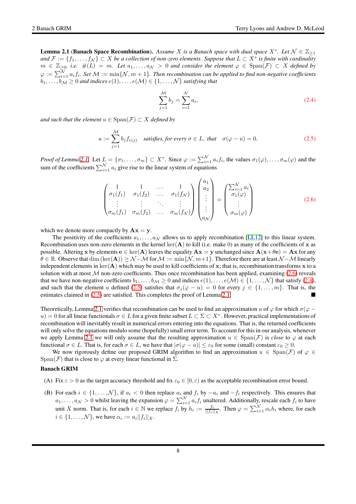<span id="page-7-0"></span>**Lemma 2.1 (Banach Space Recombination).** Assume X is a Banach space with dual space  $X^*$ . Let  $\mathcal{N} \in \mathbb{Z}_{\geq 1}$ *and*  $\mathcal{F} := \{f_1, \ldots, f_N\}$  ⊂ X *be a collection of non-zero elements. Suppose that*  $L \subset X^*$  *is finite with cardinality*  $m \in \mathbb{Z}_{\geq 0}$ , i.e.  $\#(L) = m$ . Let  $a_1, \ldots, a_\mathcal{N} > 0$  and consider the element  $\varphi \in \text{Span}(\mathcal{F}) \subset X$  defined by  $\varphi := \sum_{i=1}^{\mathcal{N}} a_i f_i$ . Set  $\mathcal{M} := \min\{\mathcal{N}, m+1\}$ . Then recombination can be applied to find non-negative coefficients  $b_1, \ldots, b_{\mathcal{M}} \geq 0$  and indices  $e(1), \ldots, e(\mathcal{M}) \in \{1, \ldots, \mathcal{N}\}\$  satisfying that

<span id="page-7-2"></span>
$$
\sum_{j=1}^{M} b_j = \sum_{i=1}^{N} a_i,
$$
\n(2.4)

*and such that the element*  $u \in \text{Span}(\mathcal{F}) \subset X$  *defined by* 

<span id="page-7-3"></span>
$$
u := \sum_{j=1}^{M} b_j f_{e(j)}
$$
 satisfies, for every  $\sigma \in L$ , that  $\sigma(\varphi - u) = 0$ . (2.5)

*Proof of Lemma [2.1.](#page-7-0)* Let  $L = {\sigma_1, \ldots, \sigma_m} \subset X^*$ . Since  $\varphi := \sum_{i=1}^N a_i f_i$ , the values  $\sigma_1(\varphi), \ldots, \sigma_m(\varphi)$  and the sum of the coefficients  $\sum_{i=1}^{N} a_i$  give rise to the linear system of equations

<span id="page-7-1"></span>
$$
\begin{pmatrix}\n1 & 1 & \cdots & 1 \\
\sigma_1(f_1) & \sigma_1(f_2) & \cdots & \sigma_1(f_N) \\
\vdots & \vdots & \ddots & \vdots \\
\sigma_m(f_1) & \sigma_m(f_2) & \cdots & \sigma_m(f_N)\n\end{pmatrix}\n\begin{pmatrix}\na_1 \\
a_2 \\
\vdots \\
\vdots \\
a_N\n\end{pmatrix}\n=\n\begin{pmatrix}\n\sum_{i=1}^N a_i \\
\sigma_1(\varphi) \\
\vdots \\
\sigma_m(\varphi)\n\end{pmatrix}
$$
\n(2.6)

which we denote more compactly by  $\mathbf{A}\mathbf{x} = \mathbf{y}$ .

The positivity of the coefficients  $a_1, \ldots, a_N$  allows us to apply recombination [\[LL12\]](#page-65-12) to this linear system. Recombination uses non-zero elements in the kernel ker( $A$ ) to kill (i.e. make 0) as many of the coefficients of x as possible. Altering x by elements  $e \in \text{ker}(A)$  leaves the equality  $Ax = y$  unchanged since  $A(x + \theta e) = Ax$  for any  $\theta \in \mathbb{R}$ . Observe that dim (ker(A)) >  $\mathcal{N}-\mathcal{M}$  for  $\mathcal{M} := \min\{\mathcal{N}, m+1\}$ . Therefore there are at least  $\mathcal{N}-\mathcal{M}$  linearly independent elements in  $\ker(A)$  which may be used to kill coefficients of x; that is, recombination transforms x to a solution with at most  $M$  non-zero coefficients. Thus once recombination has been applied, examining  $(2.6)$  reveals that we have non-negative coefficients  $b_1, \ldots, b_{\mathcal{M}} \geq 0$  and indices  $e(1), \ldots, e(\mathcal{M}) \in \{1, \ldots, \mathcal{N}\}\$  that satisfy [\(2.4\)](#page-7-2), and such that the element u defined [\(2.5\)](#page-7-3) satisfies that  $\sigma_j(\varphi - u) = 0$  for every  $j \in \{1, ..., m\}$ . That is, the estimates claimed in (2.5) are satisfied. This completes the proof of Lemma 2.1 estimates claimed in  $(2.5)$  are satisfied. This completes the proof of Lemma [2.1.](#page-7-0)

Theoretically, Lemma [2.1](#page-7-0) verifies that recombination can be used to find an approximation u of  $\varphi$  for which  $\sigma(\varphi$ u) = 0 for all linear functionals  $\sigma \in L$  for a given finite subset  $L \subset \Sigma \subset X^*$ . However, practical implementations of recombination will inevitably result in numerical errors entering into the equations. That is, the returned coefficients will only solve the equations modulo some (hopefully) small error term. To account for this in our analysis, whenever we apply Lemma [2.1](#page-7-0) we will only assume that the resulting approximation  $u \in Span(\mathcal{F})$  is *close* to  $\varphi$  at each functional  $\sigma \in L$ . That is, for each  $\sigma \in L$ , we have that  $|\sigma(\varphi - u)| \leq \varepsilon_0$  for some (small) constant  $\varepsilon_0 \geq 0$ .

We now rigorously define our proposed GRIM algorithm to find an approximation  $u \in Span(\mathcal{F})$  of  $\varphi \in$ Span(F) that is close to  $\varphi$  at every linear functional in  $\Sigma$ .

#### <span id="page-7-4"></span>Banach GRIM

- <span id="page-7-6"></span>(A) Fix  $\varepsilon > 0$  as the target accuracy threshold and fix  $\varepsilon_0 \in [0, \varepsilon)$  as the acceptable recombination error bound.
- <span id="page-7-5"></span>(B) For each  $i \in \{1, \ldots, \mathcal{N}\}\$ , if  $a_i < 0$  then replace  $a_i$  and  $f_i$  by  $-a_i$  and  $-f_i$  respectively. This ensures that  $a_1, \ldots, a_\mathcal{N} > 0$  whilst leaving the expansion  $\varphi = \sum_{i=1}^N a_i f_i$  unaltered. Additionally, rescale each  $f_i$  to have unit X norm. That is, for each  $i \in \mathbb{N}$  we replace  $f_i$  by  $h_i := \frac{f_i}{||f_i||_X}$ . Then  $\varphi = \sum_{i=1}^N \alpha_i h_i$  where, for each  $i \in \{1, \ldots, \mathcal{N}\},$  we have  $\alpha_i := a_i ||f_i||_X$ .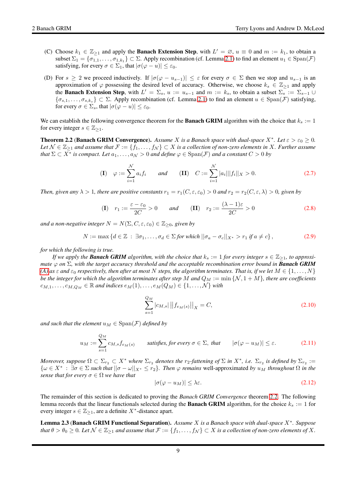- (C) Choose  $k_1 \in \mathbb{Z}_{\geq 1}$  and apply the **Banach Extension Step**, with  $L' = \emptyset$ ,  $u \equiv 0$  and  $m := k_1$ , to obtain a subset  $\Sigma_1 = \{\sigma_{1,1}, \ldots, \sigma_{1,k_1}\} \subset \Sigma$ . Apply recombination (cf. Lemma [2.1\)](#page-7-0) to find an element  $u_1 \in \text{Span}(\mathcal{F})$ satisfying, for every  $\sigma \in \Sigma_1$ , that  $|\sigma(\varphi - u)| \leq \varepsilon_0$ .
- <span id="page-8-1"></span>(D) For  $s \ge 2$  we proceed inductively. If  $|\sigma(\varphi - u_{s-1})| \le \varepsilon$  for every  $\sigma \in \Sigma$  then we stop and  $u_{s-1}$  is an approximation of  $\varphi$  possessing the desired level of accuracy. Otherwise, we choose  $k_s \in \mathbb{Z}_{\geq 1}$  and apply the **Banach Extension Step**, with  $L' = \Sigma_s$ ,  $u := u_{s-1}$  and  $m := k_s$ , to obtain a subset  $\Sigma_s := \Sigma_{s-1} \cup$  ${\sigma_{s,1}, \ldots, \sigma_{s,k_s}} \subset \Sigma$ . Apply recombination (cf. Lemma [2.1\)](#page-7-0) to find an element  $u \in Span(\mathcal{F})$  satisfying, for every  $\sigma \in \Sigma_s$ , that  $|\sigma(\varphi - u)| \leq \varepsilon_0$ .

We can establish the following convergence theorem for the **Banach GRIM** algorithm with the choice that  $k_s := 1$ for every integer  $s \in \mathbb{Z}_{\geq 1}$ .

<span id="page-8-0"></span>**Theorem 2.2 (Banach GRIM Convergence).** Assume X is a Banach space with dual-space  $X^*$ . Let  $\varepsilon > \varepsilon_0 \ge 0$ . *Let*  $\mathcal{N} \in \mathbb{Z}_{\geq 1}$  *and assume that*  $\mathcal{F} := \{f_1, \ldots, f_\mathcal{N}\} \subset X$  *is a collection of non-zero elements in* X*. Further assume that*  $\Sigma \subset X^*$  *is compact. Let*  $a_1, \ldots, a_\mathcal{N} > 0$  *and define*  $\varphi \in \text{Span}(\mathcal{F})$  *and a constant*  $C > 0$  *by* 

(I) 
$$
\varphi := \sum_{i=1}^{N} a_i f_i
$$
 and (II)  $C := \sum_{i=1}^{N} |a_i|| |f_i||_X > 0.$  (2.7)

*Then, given any*  $\lambda > 1$ *, there are positive constants*  $r_1 = r_1(C, \varepsilon, \varepsilon_0) > 0$  *and*  $r_2 = r_2(C, \varepsilon, \lambda) > 0$ *, given by* 

$$
\text{(I)} \quad r_1 := \frac{\varepsilon - \varepsilon_0}{2C} > 0 \qquad \text{and} \qquad \text{(II)} \quad r_2 := \frac{(\lambda - 1)\varepsilon}{2C} > 0 \tag{2.8}
$$

*and a non-negative integer*  $N = N(\Sigma, C, \varepsilon, \varepsilon_0) \in \mathbb{Z}_{\geq 0}$ , given by

$$
N := \max\left\{d \in \mathbb{Z} \;:\; \exists \sigma_1, \ldots, \sigma_d \in \Sigma \text{ for which } ||\sigma_a - \sigma_c||_{X^*} > r_1 \text{ if } a \neq c\right\},\tag{2.9}
$$

*for which the following is true.*

*If we apply the Banach GRIM algorithm, with the choice that*  $k_s := 1$  *for every integer*  $s \in \mathbb{Z}_{\geq 1}$ *, to approximate* ϕ *on* Σ*, with the target accuracy threshold and the acceptable recombination error bound in Banach GRIM [\(A\)](#page-7-4)* as  $\varepsilon$  and  $\varepsilon_0$  *respectively, then after at most* N *steps, the algorithm terminates. That is, if we let*  $M \in \{1, \ldots, N\}$ *be the integer for which the algorithm terminates after step* M and  $Q_M := \min \{N, 1 + M\}$ *, there are coefficients*  $c_{M,1}, \ldots, c_{M,Q_M} \in \mathbb{R}$  and indices  $e_M(1), \ldots, e_M(Q_M) \in \{1, \ldots, N\}$  with

<span id="page-8-3"></span>
$$
\sum_{s=1}^{Q_M} |c_{M,s}| ||f_{e_M(s)}||_X = C,
$$
\n(2.10)

*and such that the element*  $u_M \in \text{Span}(\mathcal{F})$  *defined by* 

<span id="page-8-4"></span>
$$
u_M := \sum_{s=1}^{Q_M} c_{M,s} f_{e_M(s)} \qquad \text{satisfies, for every } \sigma \in \Sigma, \text{ that } \qquad |\sigma(\varphi - u_M)| \le \varepsilon. \tag{2.11}
$$

*Moreover, suppose*  $\Omega \subset \Sigma_{r_2} \subset X^*$  *where*  $\Sigma_{r_2}$  *denotes the*  $r_2$ -fattening of  $\Sigma$  *in*  $X^*$ *, i.e.*  $\Sigma_{r_2}$  *is defined by*  $\Sigma_{r_2} :=$  $\{\omega \in X^* : \exists \sigma \in \Sigma \text{ such that } ||\sigma - \omega||_{X^*} \leq r_2\}$ . Then  $\varphi$  remains well-approximated by  $u_M$  throughout  $\Omega$  in the *sense that for every*  $\sigma \in \Omega$  *we have that* 

<span id="page-8-5"></span>
$$
|\sigma(\varphi - u_M)| \le \lambda \varepsilon. \tag{2.12}
$$

The remainder of this section is dedicated to proving the *Banach GRIM Convergence* theorem [2.2.](#page-8-0) The following lemma records that the linear functionals selected during the **Banach GRIM** algorithm, for the choice  $k_s := 1$  for every integer  $s \in \mathbb{Z}_{\geq 1}$ , are a definite  $X^*$ -distance apart.

<span id="page-8-2"></span>Lemma 2.3 (Banach GRIM Functional Separation). *Assume* X *is a Banach space with dual-space* X<sup>∗</sup> *. Suppose that*  $\theta > \theta_0 \geq 0$ . Let  $\mathcal{N} \in \mathbb{Z}_{\geq 1}$  and assume that  $\mathcal{F} := \{f_1, \ldots, f_{\mathcal{N}}\} \subset X$  is a collection of non-zero elements of X.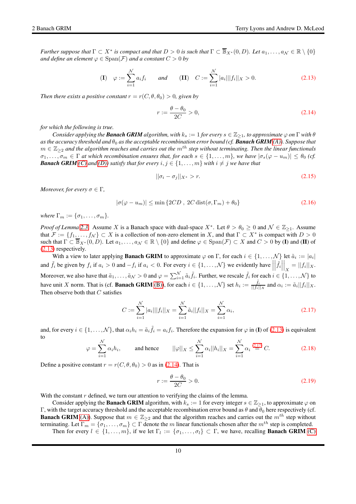*Further suppose that*  $\Gamma \subset X^*$  *is compact and that*  $D > 0$  *is such that*  $\Gamma \subset \overline{\mathbb{B}}_{X^*}(0, D)$ *. Let*  $a_1, \ldots, a_\mathcal{N} \in \mathbb{R} \setminus \{0\}$ *and define an element*  $\varphi \in \text{Span}(\mathcal{F})$  *and a constant*  $C > 0$  *by* 

<span id="page-9-0"></span>
$$
\textbf{(I)} \quad \varphi := \sum_{i=1}^{N} a_i f_i \qquad \text{and} \qquad \textbf{(II)} \quad C := \sum_{i=1}^{N} |a_i| ||f_i||_X > 0. \tag{2.13}
$$

*Then there exists a positive constant*  $r = r(C, \theta, \theta_0) > 0$ *, given by* 

<span id="page-9-2"></span>
$$
r := \frac{\theta - \theta_0}{2C} > 0,\tag{2.14}
$$

*for which the following is true.*

*Consider applying the Banach GRIM algorithm, with*  $k_s := 1$  *for every*  $s \in \mathbb{Z}_{>1}$ *, to approximate*  $\varphi$  *on*  $\Gamma$  *with*  $\theta$ *as the accuracy threshold and*  $\theta_0$  *as the acceptable recombination error bound (cf. Banach GRIM [\(A\)\)](#page-7-4). Suppose that*  $m \in \mathbb{Z}_{\geq 2}$  and the algorithm reaches and carries out the  $m^{th}$  step without terminating. Then the linear functionals  $\sigma_1, \ldots, \sigma_m \in \Gamma$  at which recombination ensures that, for each  $s \in \{1, \ldots, m\}$ , we have  $|\sigma_s(\varphi - u_m)| \leq \theta_0$  (cf. *Banach GRIM [\(C\)](#page-7-5)* and *(D))* satisfy that for every  $i, j \in \{1, ..., m\}$  with  $i \neq j$  we have that

<span id="page-9-5"></span>
$$
\|\sigma_i - \sigma_j\|_{X^*} > r. \tag{2.15}
$$

*Moreover, for every*  $\sigma \in \Gamma$ *,* 

<span id="page-9-4"></span>
$$
|\sigma(\varphi - u_m)| \le \min\left\{2CD\,,\,2C\,\text{dist}(\sigma,\Gamma_m) + \theta_0\right\} \tag{2.16}
$$

*where*  $\Gamma_m := {\sigma_1, \ldots, \sigma_m}$ *.* 

*Proof of Lemma* [2.3.](#page-8-2) Assume X is a Banach space with dual-space  $X^*$ . Let  $\theta > \theta_0 \ge 0$  and  $\mathcal{N} \in \mathbb{Z}_{\ge 1}$ . Assume that  $\mathcal{F} := \{f_1, \ldots, f_N\} \subset X$  is a collection of non-zero element in X, and that  $\Gamma \subset X^*$  is compact with  $D > 0$ such that  $\Gamma \subset \overline{\mathbb{B}}_{X^*}(0, D)$ . Let  $a_1, \ldots, a_\mathcal{N} \in \mathbb{R} \setminus \{0\}$  and define  $\varphi \in \text{Span}(\mathcal{F}) \subset X$  and  $C > 0$  by (I) and (II) of [\(2.13\)](#page-9-0) respectively.

With a view to later applying **Banach GRIM** to approximate  $\varphi$  on  $\Gamma$ , for each  $i \in \{1, \ldots, \mathcal{N}\}$  let  $\tilde{a}_i := |a_i|$ and  $\tilde{f}_i$  be given by  $f_i$  if  $a_i > 0$  and  $-f_i$  if  $a_i < 0$ . For every  $i \in \{1, ..., \mathcal{N}\}$  we evidently have  $\left\|\tilde{f}_i\right\|_X = ||f_i||_X$ .  $\vert\vert$ '' $\vert\vert$ Moreover, we also have that  $\tilde{a}_1, \ldots, \tilde{a}_N > 0$  and  $\varphi = \sum_{i=1}^N \tilde{a}_i \tilde{f}_i$ . Further, we rescale  $\tilde{f}_i$  for each  $i \in \{1, \ldots, N\}$  to have unit X norm. That is (cf. **Banach GRIM** [\(B\)\)](#page-7-6), for each  $i \in \{1, ..., \mathcal{N}\}\$  set  $h_i := \frac{\tilde{f}_i}{||f_i||_X}$  and  $\alpha_i := \tilde{a}_i||f_i||_X$ . Then observe both that  $C$  satisfies

<span id="page-9-1"></span>
$$
C := \sum_{i=1}^{N} |a_i|| |f_i||_X = \sum_{i=1}^{N} \tilde{a}_i ||f_i||_X = \sum_{i=1}^{N} \alpha_i,
$$
\n(2.17)

and, for every  $i \in \{1, ..., \mathcal{N}\}\$ , that  $\alpha_i h_i = \tilde{a}_i \tilde{f}_i = a_i f_i$ . Therefore the expansion for  $\varphi$  in (I) of [\(2.13\)](#page-9-0) is equivalent to

<span id="page-9-3"></span>
$$
\varphi = \sum_{i=1}^{N} \alpha_i h_i, \quad \text{and hence} \quad ||\varphi||_X \le \sum_{i=1}^{N} \alpha_i ||h_i||_X = \sum_{i=1}^{N} \alpha_i \stackrel{(2.17)}{=} C. \quad (2.18)
$$

Define a positive constant  $r = r(C, \theta, \theta_0) > 0$  as in [\(2.14\)](#page-9-2). That is

<span id="page-9-6"></span>
$$
r := \frac{\theta - \theta_0}{2C} > 0. \tag{2.19}
$$

With the constant  $r$  defined, we turn our attention to verifying the claims of the lemma.

Consider applying the **Banach GRIM** algorithm, with  $k_s := 1$  for every integer  $s \in \mathbb{Z}_{\geq 1}$ , to approximate  $\varphi$  on Γ, with the target accuracy threshold and the acceptable recombination error bound as  $\theta$  and  $\theta_0$  here respectively (cf. **Banach GRIM** [\(A\)\)](#page-7-4). Suppose that  $m \in \mathbb{Z}_{\geq 2}$  and that the algorithm reaches and carries out the  $m^{th}$  step without terminating. Let  $\Gamma_m = \{\sigma_1, \ldots, \sigma_m\} \subset \Gamma$  denote the m linear functionals chosen after the m<sup>th</sup> step is completed. Then for every  $l \in \{1, ..., m\}$ , if we let  $\Gamma_l := \{\sigma_1, ..., \sigma_l\} \subset \Gamma$ , we have, recalling **Banach GRIM** [\(C\)](#page-7-5)

10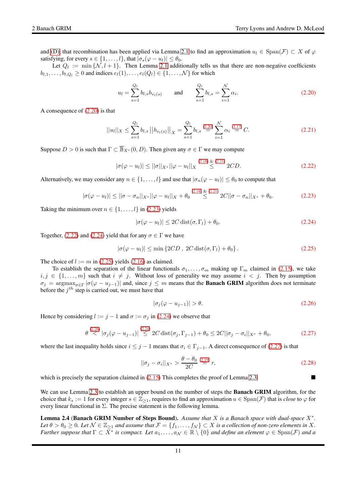and [\(D\),](#page-8-1) that recombination has been applied via Lemma [2.1](#page-7-0) to find an approximation  $u_l \in Span(\mathcal{F}) \subset X$  of  $\varphi$ satisfying, for every  $s \in \{1, \ldots, l\}$ , that  $|\sigma_s(\varphi - u_l)| \leq \theta_0$ .

Let  $Q_l := \min \{N, l + 1\}$ . Then Lemma [2.1](#page-7-0) additionally tells us that there are non-negative coefficients  $b_{l,1}, \ldots, b_{l,Q_l} \geq 0$  and indices  $e_l(1), \ldots, e_l(Q_l) \in \{1, \ldots, \mathcal{N}\}\)$  for which

<span id="page-10-0"></span>
$$
u_{l} = \sum_{s=1}^{Q_{l}} b_{l,s} h_{e_{l}(s)} \quad \text{and} \quad \sum_{s=1}^{Q_{l}} b_{l,s} = \sum_{i=1}^{N} \alpha_{i}.
$$
 (2.20)

A consequence of [\(2.20\)](#page-10-0) is that

<span id="page-10-1"></span>
$$
||u_l||_X \le \sum_{s=1}^{Q_l} b_{l,s} ||h_{e_l(s)}||_X = \sum_{s=1}^{Q_l} b_{l,s} \stackrel{(2.20)}{=} \sum_{i=1}^{\mathcal{N}} \alpha_i \stackrel{(2.17)}{=} C. \tag{2.21}
$$

Suppose  $D > 0$  is such that  $\Gamma \subset \overline{\mathbb{B}}_{X^*}(0, D)$ . Then given any  $\sigma \in \Gamma$  we may compute

<span id="page-10-3"></span>
$$
|\sigma(\varphi - u_l)| \le ||\sigma||_{X^*} ||\varphi - u_l||_X \stackrel{(2.18) \& (2.21)}{\leq} 2CD. \tag{2.22}
$$

Alternatively, we may consider any  $n \in \{1, \ldots, l\}$  and use that  $|\sigma_n(\varphi - u_l)| \leq \theta_0$  to compute that

<span id="page-10-2"></span>
$$
|\sigma(\varphi - u_l)| \le ||\sigma - \sigma_n||_{X^*} ||\varphi - u_l||_X + \theta_0 \stackrel{(2.18) \& (2.21)}{\leq} 2C||\sigma - \sigma_n||_{X^*} + \theta_0. \tag{2.23}
$$

Taking the minimum over  $n \in \{1, \ldots, l\}$  in [\(2.23\)](#page-10-2) yields

<span id="page-10-4"></span>
$$
|\sigma(\varphi - u_l)| \le 2C \operatorname{dist}(\sigma, \Gamma_l) + \theta_0. \tag{2.24}
$$

Together, [\(2.22\)](#page-10-3) and [\(2.24\)](#page-10-4) yield that for any  $\sigma \in \Gamma$  we have

<span id="page-10-5"></span>
$$
|\sigma(\varphi - u_l)| \le \min\left\{2CD\,,\ 2C\,\text{dist}(\sigma,\Gamma_l) + \theta_0\right\}.\tag{2.25}
$$

The choice of  $l := m$  in [\(2.25\)](#page-10-5) yields [\(2.16\)](#page-9-4) as claimed.

To establish the separation of the linear functionals  $\sigma_1, \ldots, \sigma_m$  making up  $\Gamma_m$  claimed in [\(2.15\)](#page-9-5), we take  $i, j \in \{1, \ldots, m\}$  such that  $i \neq j$ . Without loss of generality we may assume  $i < j$ . Then by assumption  $\sigma_j = \argmax_{\sigma \in \Gamma} |\sigma(\varphi - u_{j-1})|$  and, since  $j \leq m$  means that the **Banach GRIM** algorithm does not terminate before the  $j^{th}$  step is carried out, we must have that

<span id="page-10-6"></span>
$$
|\sigma_j(\varphi - u_{j-1})| > \theta. \tag{2.26}
$$

Hence by considering  $l := j - 1$  and  $\sigma := \sigma_j$  in [\(2.24\)](#page-10-4) we observe that

<span id="page-10-7"></span>
$$
\theta \stackrel{(2.26)}{<} |\sigma_j(\varphi - u_{j-1})| \stackrel{(2.24)}{\leq} 2C \operatorname{dist}(\sigma_j, \Gamma_{j-1}) + \theta_0 \leq 2C ||\sigma_j - \sigma_i||_{X^*} + \theta_0,
$$
\n(2.27)

where the last inequality holds since  $i \leq j - 1$  means that  $\sigma_i \in \Gamma_{j-1}$ . A direct consequence of [\(2.27\)](#page-10-7) is that

$$
||\sigma_j - \sigma_i||_{X^*} > \frac{\theta - \theta_0}{2C} \stackrel{(2.19)}{=} r,
$$
\n(2.28)

which is precisely the separation claimed in  $(2.15)$  This completes the proof of Lemma [2.3.](#page-8-2)

We can use Lemma [2.3](#page-8-2) to establish an upper bound on the number of steps the **Banach GRIM** algorithm, for the choice that  $k_s := 1$  for every integer  $s \in \mathbb{Z}_{\geq 1}$ , requires to find an approximation  $u \in \text{Span}(\mathcal{F})$  that is *close* to  $\varphi$  for every linear functional in  $\Sigma$ . The precise statement is the following lemma.

<span id="page-10-8"></span>**Lemma 2.4 (Banach GRIM Number of Steps Bound).** Assume that  $X$  is a Banach space with dual-space  $X^*$ . *Let*  $\theta > \theta_0 \geq 0$ *. Let*  $\mathcal{N} \in \mathbb{Z}_{\geq 1}$  *and assume that*  $\mathcal{F} = \{f_1, \ldots, f_N\} \subset X$  *is a collection of non-zero elements in* X*. Further suppose that*  $\Gamma \subset \overline{X}^*$  *is compact. Let*  $a_1, \ldots, a_\mathcal{N} \in \mathbb{R} \setminus \{0\}$  *and define an element*  $\varphi \in \text{Span}(\mathcal{F})$  *and a*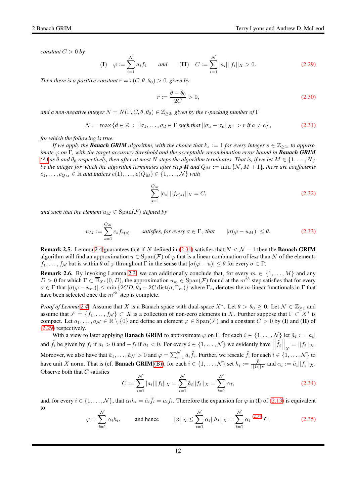*constant*  $C > 0$  *by* 

<span id="page-11-1"></span>
$$
\text{(I)} \quad \varphi := \sum_{i=1}^{N} a_i f_i \qquad \text{and} \qquad \text{(II)} \quad C := \sum_{i=1}^{N} |a_i| ||f_i||_X > 0. \tag{2.29}
$$

*Then there is a positive constant*  $r = r(C, \theta, \theta_0) > 0$ *, given by* 

$$
r := \frac{\theta - \theta_0}{2C} > 0,\tag{2.30}
$$

*and a non-negative integer*  $N = N(\Gamma, C, \theta, \theta_0) \in \mathbb{Z}_{\geq 0}$ , given by the r-packing number of  $\Gamma$ 

<span id="page-11-0"></span>
$$
N := \max\left\{d \in \mathbb{Z} \;:\; \exists \sigma_1, \ldots, \sigma_d \in \Gamma \text{ such that } ||\sigma_a - \sigma_c||_{X^*} > r \text{ if } a \neq c\right\},\tag{2.31}
$$

*for which the following is true.*

*If we apply the Banach GRIM algorithm, with the choice that*  $k_s := 1$  *for every integer*  $s \in \mathbb{Z}_{\geq 1}$ *, to approximate* ϕ *on* Γ*, with the target accuracy threshold and the acceptable recombination error bound in Banach GRIM*  $(A)$  *as*  $\theta$  *and*  $\theta_0$  *respectively, then after at most* N *steps the algorithm terminates. That is, if we let*  $M \in \{1, \ldots, N\}$ *be the integer for which the algorithm terminates after step M* and  $Q_M := \min \{N, M + 1\}$ , there are coefficients  $c_1, \ldots, c_{Q_M} \in \mathbb{R}$  and indices  $e(1), \ldots, e(Q_M) \in \{1, \ldots, \mathcal{N}\}\$  with

<span id="page-11-4"></span>
$$
\sum_{s=1}^{Q_M} |c_s| ||f_{e(s)}||_X = C,\tag{2.32}
$$

*and such that the element*  $u_M \in \text{Span}(\mathcal{F})$  *defined by* 

<span id="page-11-3"></span>
$$
u_M := \sum_{s=1}^{Q_M} c_s f_{e(s)} \qquad \text{satisfies, for every } \sigma \in \Gamma, \text{ that } \qquad |\sigma(\varphi - u_M)| \le \theta. \tag{2.33}
$$

**Remark 2.5.** Lemma [2.4](#page-10-8) guarantees that if N defined in [\(2.31\)](#page-11-0) satisfies that  $N < N - 1$  then the **Banach GRIM** algorithm will find an approximation  $u \in Span(\mathcal{F})$  of  $\varphi$  that is a linear combination of *less* than N of the elements  $f_1, \ldots, f_N$  but is within  $\theta$  of  $\varphi$  throughout  $\Gamma$  in the sense that  $|\sigma(\varphi - u)| \leq \theta$  for every  $\sigma \in \Gamma$ .

**Remark 2.6.** By invoking Lemma [2.3,](#page-8-2) we can additionally conclude that, for every  $m \in \{1, ..., M\}$  and any  $D > 0$  for which  $\Gamma \subset \overline{\mathbb{B}}_{X^*}(0, D)$ , the approximation  $u_m \in \text{Span}(\mathcal{F})$  found at the  $m^{th}$  step satisfies that for every  $\sigma \in \Gamma$  that  $|\sigma(\varphi - u_m)| \le \min \{2CD, \theta_0 + 2C \operatorname{dist}(\sigma, \Gamma_m)\}\$  where  $\Gamma_m$  denotes the m-linear functionals in  $\Gamma$  that have been selected once the  $m^{th}$  step is complete.

*Proof of Lemma* [2.4.](#page-10-8) Assume that X is a Banach space with dual-space  $X^*$ . Let  $\theta > \theta_0 \ge 0$ . Let  $\mathcal{N} \in \mathbb{Z}_{\ge 1}$  and assume that  $\mathcal{F} = \{f_1, \ldots, f_N\} \subset X$  is a collection of non-zero elements in X. Further suppose that  $\Gamma \subset X^*$  is compact. Let  $a_1, \ldots, a_\mathcal{N} \in \mathbb{R} \setminus \{0\}$  and define an element  $\varphi \in \text{Span}(\mathcal{F})$  and a constant  $C > 0$  by (I) and (II) of [\(2.29\)](#page-11-1) respectively.

With a view to later applying **Banach GRIM** to approximate  $\varphi$  on  $\Gamma$ , for each  $i \in \{1, \ldots, N\}$  let  $\tilde{a}_i := |a_i|$ and  $\tilde{f}_i$  be given by  $f_i$  if  $a_i > 0$  and  $-f_i$  if  $a_i < 0$ . For every  $i \in \{1, ..., \mathcal{N}\}\$  we evidently have  $\left| \tilde{f}_i \right|$  $\Big|_X = ||f_i||_X.$ Moreover, we also have that  $\tilde{a}_1, \ldots, \tilde{a}_N > 0$  and  $\varphi = \sum_{i=1}^N \tilde{a}_i \tilde{f}_i$ . Further, we rescale  $\tilde{f}_i$  for each  $i \in \{1, \ldots, N\}$  to have unit X norm. That is (cf. **Banach GRIM** [\(B\)\)](#page-7-6), for each  $i \in \{1, ..., \mathcal{N}\}\$  set  $h_i := \frac{\tilde{f}_i}{||f_i||_X}$  and  $\alpha_i := \tilde{a}_i||f_i||_X$ . Observe both that  $C$  satisfies

<span id="page-11-2"></span>
$$
C := \sum_{i=1}^{N} |a_i|| |f_i||_X = \sum_{i=1}^{N} \tilde{a}_i ||f_i||_X = \sum_{i=1}^{N} \alpha_i,
$$
\n(2.34)

and, for every  $i \in \{1, ..., \mathcal{N}\}\$ , that  $\alpha_i h_i = \tilde{a}_i \tilde{f}_i = a_i f_i$ . Therefore the expansion for  $\varphi$  in (I) of [\(2.13\)](#page-9-0) is equivalent to

$$
\varphi = \sum_{i=1}^{N} \alpha_i h_i, \quad \text{and hence} \quad ||\varphi||_X \le \sum_{i=1}^{N} \alpha_i ||h_i||_X = \sum_{i=1}^{N} \alpha_i \stackrel{(2.34)}{=} C. \quad (2.35)
$$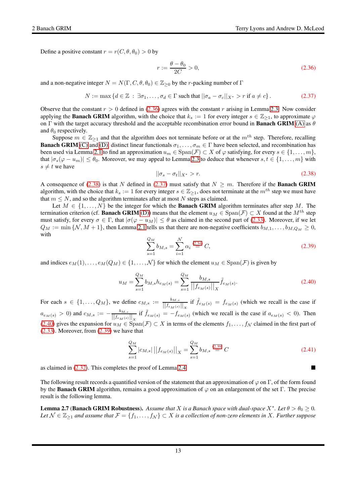Define a positive constant  $r = r(C, \theta, \theta_0) > 0$  by

<span id="page-12-0"></span>
$$
r := \frac{\theta - \theta_0}{2C} > 0,\tag{2.36}
$$

and a non-negative integer  $N = N(\Gamma, C, \theta, \theta_0) \in \mathbb{Z}_{\geq 0}$  by the r-packing number of  $\Gamma$ 

<span id="page-12-2"></span>
$$
N := \max\left\{d \in \mathbb{Z} \;:\; \exists \sigma_1, \ldots, \sigma_d \in \Gamma \text{ such that } ||\sigma_a - \sigma_c||_{X^*} > r \text{ if } a \neq c\right\}.
$$
 (2.37)

Observe that the constant  $r > 0$  defined in [\(2.36\)](#page-12-0) agrees with the constant r arising in Lemma [2.3.](#page-8-2) Now consider applying the **Banach GRIM** algorithm, with the choice that  $k_s := 1$  for every integer  $s \in \mathbb{Z}_{\geq 1}$ , to approximate  $\varphi$ on Γ with the target accuracy threshold and the acceptable recombination error bound in **Banach GRIM** [\(A\)](#page-7-4) as  $\theta$ and  $\theta_0$  respectively.

Suppose  $m \in \mathbb{Z}_{\geq 1}$  and that the algorithm does not terminate before or at the  $m^{th}$  step. Therefore, recalling **Banach GRIM** [\(C\)](#page-7-5) and [\(D\),](#page-8-1) distinct linear functionals  $\sigma_1, \ldots, \sigma_m \in \Gamma$  have been selected, and recombination has been used via Lemma [2.1](#page-7-0) to find an approximation  $u_m \in \text{Span}(\mathcal{F}) \subset X$  of  $\varphi$  satisfying, for every  $s \in \{1, \ldots, m\}$ , that  $|\sigma_s(\varphi - u_m)| \leq \theta_0$ . Moreover, we may appeal to Lemma [2.3](#page-8-2) to deduce that whenever  $s, t \in \{1, ..., m\}$  with  $s \neq t$  we have

<span id="page-12-1"></span>
$$
\|\sigma_s - \sigma_t\|_{X^*} > r. \tag{2.38}
$$

A consequence of [\(2.38\)](#page-12-1) is that N defined in [\(2.37\)](#page-12-2) must satisfy that  $N \geq m$ . Therefore if the **Banach GRIM** algorithm, with the choice that  $k_s := 1$  for every integer  $s \in \mathbb{Z}_{\geq 1}$ , does not terminate at the  $m^{th}$  step we must have that  $m \leq N$ , and so the algorithm terminates after at most N steps as claimed.

Let  $M \in \{1, \ldots, N\}$  be the integer for which the **Banach GRIM** algorithm terminates after step M. The termination criterion (cf. **Banach GRIM** [\(D\)\)](#page-8-1) means that the element  $u_M \in \text{Span}(\mathcal{F}) \subset X$  found at the  $M^{th}$  step must satisfy, for every  $\sigma \in \Gamma$ , that  $|\sigma(\varphi - u_M)| \leq \theta$  as claimed in the second part of [\(2.33\)](#page-11-3). Moreover, if we let  $Q_M := \min \{N, M+1\}$ , then Lemma [2.1](#page-7-0) tells us that there are non-negative coefficients  $b_{M,1}, \ldots, b_{M,Q_M} \geq 0$ , with

<span id="page-12-4"></span>
$$
\sum_{s=1}^{Q_M} b_{M,s} = \sum_{i=1}^{N} \alpha_i \stackrel{(2.34)}{=} C,\tag{2.39}
$$

and indices  $e_M(1), \ldots, e_M(Q_M) \in \{1, \ldots, \mathcal{N}\}\)$  for which the element  $u_M \in \text{Span}(\mathcal{F})$  is given by

<span id="page-12-3"></span>
$$
u_M = \sum_{s=1}^{Q_M} b_{M,s} h_{e_M(s)} = \sum_{s=1}^{Q_M} \frac{b_{M,s}}{||f_{e_M(s)}||_X} \tilde{f}_{e_M(s)}.
$$
\n(2.40)

For each  $s \in \{1, \ldots, Q_M\}$ , we define  $c_{M,s} := \frac{b_{M,s}}{||f_{f_{s,s}(s)}||}$  $\frac{b_{M,s}}{||f_{e_M(s)}||_X}$  if  $\tilde{f}_{e_M(s)} = f_{e_M(s)}$  (which we recall is the case if  $a_{e_M(s)} > 0$ ) and  $c_{M,s} := -\frac{b_{M,s}}{||f_{e_M(s)}||}$  $\frac{b_{M,s}}{||f_{e_M(s)}||_X}$  if  $\tilde{f}_{e_M(s)} = -f_{e_M(s)}$  (which we recall is the case if  $a_{e_M(s)} < 0$ ). Then [\(2.40\)](#page-12-3) gives the expansion for  $u_M \in \text{Span}(\mathcal{F}) \subset X$  in terms of the elements  $f_1, \ldots, f_N$  claimed in the first part of [\(2.33\)](#page-11-3). Moreover, from [\(2.39\)](#page-12-4) we have that

$$
\sum_{s=1}^{Q_M} |c_{M,s}| \left| \left| f_{e_M(s)} \right| \right|_X = \sum_{s=1}^{Q_M} b_{M,s} \stackrel{(2.39)}{=} C \tag{2.41}
$$

as claimed in [\(2.32\)](#page-11-4). This completes the proof of Lemma [2.4.](#page-10-8)

The following result records a quantified version of the statement that an approximation of  $\varphi$  on  $\Gamma$ , of the form found by the **Banach GRIM** algorithm, remains a good approximation of  $\varphi$  on an enlargement of the set Γ. The precise result is the following lemma.

<span id="page-12-5"></span>**Lemma 2.7 (Banach GRIM Robustness).** Assume that X is a Banach space with dual-space  $X^*$ . Let  $\theta > \theta_0 \ge 0$ . *Let*  $\mathcal{N}$  ∈  $\mathbb{Z}_{\geq 1}$  *and assume that*  $\mathcal{F} = \{f_1, \ldots, f_N\}$  ⊂ X *is a collection of non-zero elements in* X. Further suppose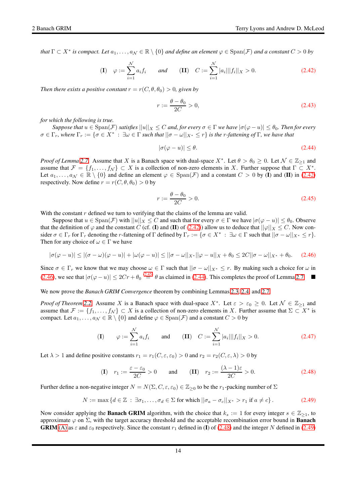*that*  $\Gamma \subset X^*$  *is compact. Let*  $a_1, \ldots, a_\mathcal{N} \in \mathbb{R} \setminus \{0\}$  *and define an element*  $\varphi \in \text{Span}(\mathcal{F})$  *and a constant*  $C > 0$  *by* 

<span id="page-13-0"></span>(I) 
$$
\varphi := \sum_{i=1}^{N} a_i f_i
$$
 and (II)  $C := \sum_{i=1}^{N} |a_i|| |f_i||_X > 0.$  (2.42)

*Then there exists a positive constant*  $r = r(C, \theta, \theta_0) > 0$ , given by

$$
r := \frac{\theta - \theta_0}{2C} > 0,\tag{2.43}
$$

*for which the following is true.*

*Suppose that*  $u \in \text{Span}(\mathcal{F})$  *satisfies*  $||u||_X \leq C$  *and, for every*  $\sigma \in \Gamma$  *we have*  $|\sigma(\varphi - u)| \leq \theta_0$ *. Then for every*  $\sigma \in \Gamma_r$ , where  $\Gamma_r := \{ \sigma \in X^* \; : \; \exists \omega \in \Gamma \text{ such that } ||\sigma - \omega||_{X^*} \leq r \}$  is the r-fattening of  $\Gamma$ , we have that

<span id="page-13-3"></span>
$$
|\sigma(\varphi - u)| \le \theta. \tag{2.44}
$$

*Proof of Lemma* [2.7.](#page-12-5) Assume that X is a Banach space with dual-space  $X^*$ . Let  $\theta > \theta_0 \ge 0$ . Let  $\mathcal{N} \in \mathbb{Z}_{\ge 1}$  and assume that  $\mathcal{F} = \{f_1, \ldots, f_N\} \subset X$  is a collection of non-zero elements in X. Further suppose that  $\Gamma \subset X^*$ . Let  $a_1, \ldots, a_\mathcal{N} \in \mathbb{R} \setminus \{0\}$  and define an element  $\varphi \in \text{Span}(\mathcal{F})$  and a constant  $C > 0$  by (I) and (II) in [\(2.42\)](#page-13-0) respectively. Now define  $r = r(C, \theta, \theta_0) > 0$  by

<span id="page-13-2"></span>
$$
r := \frac{\theta - \theta_0}{2C} > 0. \tag{2.45}
$$

With the constant  $r$  defined we turn to verifying that the claims of the lemma are valid.

Suppose that  $u \in \text{Span}(\mathcal{F})$  with  $||u||_X \leq C$  and such that for every  $\sigma \in \Gamma$  we have  $|\sigma(\varphi - u)| \leq \theta_0$ . Observe that the definition of  $\varphi$  and the constant C (cf. (I) and (II) of [\(2.42\)](#page-13-0)) allow us to deduce that  $||\varphi||_X \leq C$ . Now consider  $\sigma \in \Gamma_r$  for  $\Gamma_r$  denoting the r-fattening of  $\Gamma$  defined by  $\Gamma_r := \{ \sigma \in X^* : \exists \omega \in \Gamma \text{ such that } ||\sigma - \omega||_{X^*} \leq r \}.$ Then for any choice of  $\omega \in \Gamma$  we have

<span id="page-13-1"></span>
$$
|\sigma(\varphi - u)| \le |(\sigma - \omega)(\varphi - u)| + |\omega(\varphi - u)| \le ||\sigma - \omega||_{X^*} ||\varphi - u||_X + \theta_0 \le 2C||\sigma - \omega||_{X^*} + \theta_0.
$$
 (2.46)

Since  $\sigma \in \Gamma_r$  we know that we may choose  $\omega \in \Gamma$  such that  $||\sigma - \omega||_{X^*} \leq r$ . By making such a choice for  $\omega$  in [\(2.46\)](#page-13-1), we see that  $|\sigma(\varphi - u)| \le 2Cr + \theta_0 \stackrel{(2.45)}{=} \theta$  $|\sigma(\varphi - u)| \le 2Cr + \theta_0 \stackrel{(2.45)}{=} \theta$  $|\sigma(\varphi - u)| \le 2Cr + \theta_0 \stackrel{(2.45)}{=} \theta$  as claimed in [\(2.44\)](#page-13-3). This completes the proof of Lemma [2.7.](#page-12-5)

We now prove the *Banach GRIM Convergence* theorem by combining Lemmas [2.3,](#page-8-2) [2.4,](#page-10-8) and [2.7.](#page-12-5)

*Proof of Theorem* [2.2.](#page-8-0) Assume X is a Banach space with dual-space  $X^*$ . Let  $\varepsilon > \varepsilon_0 \geq 0$ . Let  $\mathcal{N} \in \mathbb{Z}_{\geq 1}$  and assume that  $\mathcal{F} := \{f_1, \ldots, f_{\mathcal{N}}\} \subset X$  is a collection of non-zero elements in X. Further assume that  $\Sigma \subset X^*$  is compact. Let  $a_1, \ldots, a_\mathcal{N} \in \mathbb{R} \setminus \{0\}$  and define  $\varphi \in \text{Span}(\mathcal{F})$  and a constant  $C > 0$  by

(I) 
$$
\varphi := \sum_{i=1}^{N} a_i f_i
$$
 and (II)  $C := \sum_{i=1}^{N} |a_i|| |f_i||_X > 0.$  (2.47)

Let  $\lambda > 1$  and define positive constants  $r_1 = r_1(C, \varepsilon, \varepsilon_0) > 0$  and  $r_2 = r_2(C, \varepsilon, \lambda) > 0$  by

<span id="page-13-4"></span>
$$
\text{(I)} \quad r_1 := \frac{\varepsilon - \varepsilon_0}{2C} > 0 \qquad \text{and} \qquad \text{(II)} \quad r_2 := \frac{(\lambda - 1)\varepsilon}{2C} > 0. \tag{2.48}
$$

Further define a non-negative integer  $N = N(\Sigma, C, \varepsilon, \varepsilon_0) \in \mathbb{Z}_{\geq 0}$  to be the  $r_1$ -packing number of  $\Sigma$ 

<span id="page-13-5"></span>
$$
N := \max \left\{ d \in \mathbb{Z} \; : \; \exists \sigma_1, \dots, \sigma_d \in \Sigma \text{ for which } ||\sigma_a - \sigma_c||_{X^*} > r_1 \text{ if } a \neq c \right\}.
$$
 (2.49)

Now consider applying the **Banach GRIM** algorithm, with the choice that  $k_s := 1$  for every integer  $s \in \mathbb{Z}_{\geq 1}$ , to approximate  $\varphi$  on  $\Sigma$ , with the target accuracy threshold and the acceptable recombination error bound in **Banach GRIM** [\(A\)](#page-7-4) as  $\varepsilon$  and  $\varepsilon_0$  respectively. Since the constant  $r_1$  defined in (I) of [\(2.48\)](#page-13-4) and the integer N defined in [\(2.49\)](#page-13-5)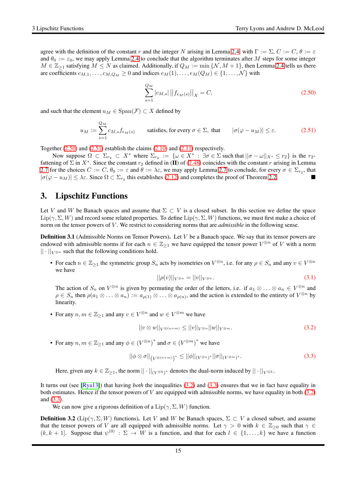agree with the definition of the constant r and the integer N arising in Lemma [2.4,](#page-10-8) with  $\Gamma := \Sigma, C := C, \theta := \varepsilon$ and  $\theta_0 := \varepsilon_0$ , we may apply Lemma [2.4](#page-10-8) to conclude that the algorithm terminates after M steps for some integer  $M \in \mathbb{Z}_{\geq 1}$  satisfying  $M \leq N$  as claimed. Additionally, if  $Q_M := \min \{ \mathcal{N}, M + 1 \}$ , then Lemma [2.4](#page-10-8) tells us there are coefficients  $c_{M,1}, \ldots, c_{M,Q_M} \geq 0$  and indices  $e_M(1), \ldots, e_M(Q_M) \in \{1, \ldots, N\}$  with

<span id="page-14-3"></span>
$$
\sum_{s=1}^{Q_M} |c_{M,s}| ||f_{e_M(s)}||_X = C,
$$
\n(2.50)

and such that the element  $u_M \in \text{Span}(\mathcal{F}) \subset X$  defined by

<span id="page-14-4"></span>
$$
u_M := \sum_{s=1}^{Q_M} c_{M,s} f_{e_M(s)} \qquad \text{satisfies, for every } \sigma \in \Sigma, \text{ that } \qquad |\sigma(\varphi - u_M)| \le \varepsilon. \tag{2.51}
$$

Together  $(2.50)$  and  $(2.51)$  establish the claims  $(2.10)$  and  $(2.11)$  respectively.

Now suppose  $\Omega \subset \Sigma_{r_2} \subset X^*$  where  $\Sigma_{r_2} := \{ \omega \in X^* : \exists \sigma \in \Sigma \text{ such that } ||\sigma - \omega||_{X^*} \leq r_2 \}$  is the  $r_2$ fattening of  $\Sigma$  in  $X^*$ . Since the constant  $r_2$  defined in (II) of [\(2.48\)](#page-13-4) coincides with the constant r arising in Lemma [2.7](#page-12-5) for the choices  $C := C$ ,  $\theta_0 := \varepsilon$  and  $\theta := \lambda \varepsilon$ , we may apply Lemma [2.7](#page-12-5) to conclude, for every  $\sigma \in \Sigma_{r_2}$ , that  $|\sigma(\varphi - u_M)| \leq \lambda \varepsilon$ . Since  $\Omega \subset \Sigma_{r_2}$  this establishes [\(2.12\)](#page-8-5) and completes the proof of Theorem [2.2.](#page-8-0)

# <span id="page-14-0"></span>3. Lipschitz Functions

Let V and W be Banach spaces and assume that  $\Sigma \subset V$  is a closed subset. In this section we define the space  $\text{Lip}(\gamma, \Sigma, W)$  and record some related properties. To define  $\text{Lip}(\gamma, \Sigma, W)$  functions, we must first make a choice of norm on the tensor powers of V . We restrict to considering norms that are *admissible* in the following sense.

<span id="page-14-1"></span>**Definition 3.1** (Admissible Norms on Tensor Powers). Let  $V$  be a Banach space. We say that its tensor powers are endowed with admissible norms if for each  $n \in \mathbb{Z}_{\geq 1}$  we have equipped the tensor power  $V^{\otimes n}$  of V with a norm  $|| \cdot ||_{V^{\otimes n}}$  such that the following conditions hold.

• For each  $n \in \mathbb{Z}_{\geq 1}$  the symmetric group  $S_n$  acts by isometries on  $V^{\otimes n}$ , i.e. for any  $\rho \in S_n$  and any  $v \in V^{\otimes n}$ we have

$$
||\rho(v)||_{V^{\otimes n}} = ||v||_{V^{\otimes n}}.
$$
\n(3.1)

The action of  $S_n$  on  $V^{\otimes n}$  is given by permuting the order of the letters, i.e. if  $a_1 \otimes \ldots \otimes a_n \in V^{\otimes n}$  and  $\rho \in S_n$  then  $\rho(a_1 \otimes \ldots \otimes a_n) := a_{\rho(1)} \otimes \ldots \otimes a_{\rho(n)}$ , and the action is extended to the entirety of  $V^{\otimes n}$  by linearity.

• For any  $n, m \in \mathbb{Z}_{\geq 1}$  and any  $v \in V^{\otimes n}$  and  $w \in V^{\otimes m}$  we have

<span id="page-14-5"></span>
$$
||v \otimes w||_{V^{\otimes (n+m)}} \le ||v||_{V^{\otimes n}} ||w||_{V^{\otimes m}}.
$$
\n(3.2)

• For any  $n, m \in \mathbb{Z}_{\geq 1}$  and any  $\phi \in (V^{\otimes n})^*$  and  $\sigma \in (V^{\otimes m})^*$  we have

<span id="page-14-6"></span>
$$
\left| \left| \phi \otimes \sigma \right| \right|_{\left( V^{\otimes (n+m)} \right)^*} \leq \left| \left| \phi \right| \right|_{\left( V^{\otimes n} \right)^*} \left| \left| \sigma \right| \right|_{\left( V^{\otimes m} \right)^*}.
$$
\n(3.3)

Here, given any  $k \in \mathbb{Z}_{\geq 1}$ , the norm  $|| \cdot ||_{(V^{\otimes k})^*}$  denotes the dual-norm induced by  $|| \cdot ||_{V^{\otimes k}}$ .

It turns out (see [\[Rya13\]](#page-65-17)) that having *both* the inequalities [\(3.2\)](#page-14-5) and [\(3.3\)](#page-14-6) ensures that we in fact have equality in both estimates. Hence if the tensor powers of V are equipped with admissible norms, we have equality in both  $(3.2)$ and [\(3.3\)](#page-14-6).

We can now give a rigorous definition of a  $\text{Lip}(\gamma, \Sigma, W)$  function.

<span id="page-14-2"></span>**Definition 3.2** (Lip( $\gamma$ ,  $\Sigma$ , W) functions). Let V and W be Banach spaces,  $\Sigma \subset V$  a closed subset, and assume that the tensor powers of V are all equipped with admissible norms. Let  $\gamma > 0$  with  $k \in \mathbb{Z}_{\geq 0}$  such that  $\gamma \in$  $(k, k + 1]$ . Suppose that  $\psi^{(0)} : \Sigma \to W$  is a function, and that for each  $l \in \{1, ..., k\}$  we have a function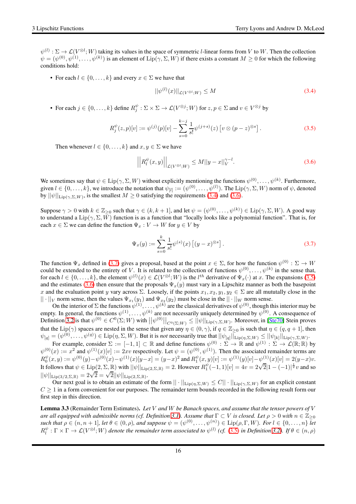$\psi^{(l)} : \Sigma \to \mathcal{L}(V^{\otimes l}; W)$  taking its values in the space of symmetric l-linear forms from V to W. Then the collection  $\psi = (\psi^{(0)}, \psi^{(1)}, \dots, \psi^{(k)})$  is an element of  $\text{Lip}(\gamma, \Sigma, W)$  if there exists a constant  $M \ge 0$  for which the following conditions hold:

• For each  $l \in \{0, \ldots, k\}$  and every  $x \in \Sigma$  we have that

<span id="page-15-0"></span>
$$
||\psi^{(l)}(x)||_{\mathcal{L}(V^{\otimes l};W)} \leq M\tag{3.4}
$$

• For each  $j \in \{0, \ldots, k\}$  define  $R_j^{\psi}: \Sigma \times \Sigma \to \mathcal{L}(V^{\otimes j}; W)$  for  $z, p \in \Sigma$  and  $v \in V^{\otimes j}$  by

<span id="page-15-3"></span>
$$
R_j^{\psi}(z, p)[v] := \psi^{(j)}(p)[v] - \sum_{s=0}^{k-j} \frac{1}{s!} \psi^{(j+s)}(z) \left[ v \otimes (p-z)^{\otimes s} \right]. \tag{3.5}
$$

Then whenever  $l \in \{0, \ldots, k\}$  and  $x, y \in \Sigma$  we have

<span id="page-15-1"></span>
$$
\left| \left| R_l^{\psi}(x, y) \right| \right|_{\mathcal{L}(V^{\otimes l}; W)} \le M ||y - x||_V^{\gamma - l}.
$$
\n(3.6)

We sometimes say that  $\psi \in \text{Lip}(\gamma, \Sigma, W)$  without explicitly mentioning the functions  $\psi^{(0)}, \dots, \psi^{(k)}$ . Furthermore, given  $l \in \{0, \ldots, k\}$ , we introduce the notation that  $\psi_{[l]} := (\psi^{(0)}, \ldots, \psi^{(l)})$ . The  $\text{Lip}(\gamma, \Sigma, W)$  norm of  $\psi$ , denoted by  $||\psi||_{\text{Lip}(\gamma,\Sigma,W)}$ , is the smallest  $M \geq 0$  satisfying the requirements [\(3.4\)](#page-15-0) and [\(3.6\)](#page-15-1).

Suppose  $\gamma > 0$  with  $k \in \mathbb{Z}_{\geq 0}$  such that  $\gamma \in (k, k + 1]$ , and let  $\psi = (\psi^{(0)}, \dots, \psi^{(k)}) \in \text{Lip}(\gamma, \Sigma, W)$ . A good way to understand a  $\text{Lip}(\gamma, \Sigma, W)$  function is as a function that "locally looks like a polynomial function". That is, for each  $x \in \Sigma$  we can define the function  $\Psi_x : V \to W$  for  $y \in V$  by

<span id="page-15-2"></span>
$$
\Psi_x(y) := \sum_{s=0}^k \frac{1}{s!} \psi^{(s)}(x) \left[ (y-x)^{\otimes s} \right].
$$
\n(3.7)

The function  $\Psi_x$  defined in [\(3.7\)](#page-15-2) gives a proposal, based at the point  $x \in \Sigma$ , for how the function  $\psi^{(0)} : \Sigma \to W$ could be extended to the entirety of V. It is related to the collection of functions  $\psi^{(0)}, \dots, \psi^{(k)}$  in the sense that, for each  $l \in \{0, ..., k\}$ , the element  $\psi^{(l)}(x) \in \mathcal{L}(V^{\otimes l}; W)$  is the  $l^{th}$  derivative of  $\Psi_x(\cdot)$  at x. The expansions [\(3.5\)](#page-15-3) and the estimates [\(3.6\)](#page-15-1) then ensure that the proposals  $\Psi_x(y)$  must vary in a Lipschitz manner as both the basepoint x and the evaluation point y vary across  $\Sigma$ . Loosely, if the points  $x_1, x_2, y_1, y_2 \in \Sigma$  are all mututally close in the  $|| \cdot ||_V$  norm sense, then the values  $\Psi_{x_1}(y_1)$  and  $\Psi_{x_2}(y_2)$  must be close in the  $|| \cdot ||_W$  norm sense.

On the interior of  $\Sigma$  the functions  $\psi^{(1)},\ldots,\psi^{(k)}$  are the classical derivatives of  $\psi^{(0)}$ , though this interior may be empty. In general, the functions  $\psi^{(1)}, \ldots, \psi^{(k)}$  are not necessarily uniquely determined by  $\psi^{(0)}$ . A consequence of Definition [3.2](#page-14-2) is that  $\psi^{(0)} \in C^0(\Sigma; W)$  with  $||\psi^{(0)}||_{C^0(\Sigma; W)} \le ||\psi||_{\text{Lip}(\gamma, \Sigma, W)}$ . Moreover, in [\[Ste70\]](#page-65-14) Stein proves that the Lip( $\gamma$ ) spaces are nested in the sense that given any  $\eta \in (0, \gamma)$ , if  $q \in \mathbb{Z}_{\geq 0}$  is such that  $\eta \in (q, q + 1]$ , then  $\psi_{[q]} = (\psi^{(0)}, \dots, \psi^{(q)}) \in \text{Lip}(\eta, \Sigma, W)$ . But it is *not* necessarily true that  $||\psi_{[q]}||_{\text{Lip}(\eta, \Sigma, W)} \le ||\psi_{[k]}||_{\text{Lip}(\gamma, \Sigma, W)}$ .

For example, consider  $\Sigma := [-1,1] \subset \mathbb{R}$  and define functions  $\psi^{(0)} : \Sigma \to \mathbb{R}$  and  $\psi^{(1)} : \Sigma \to \mathcal{L}(\mathbb{R};\mathbb{R})$  by  $\psi^{(0)}(x) := x^2$  and  $\psi^{(1)}(x)[v] := 2xv$  respectively. Let  $\psi = (\psi^{(0)}, \psi^{(1)})$ . Then the associated remainder terms are  $R_0^{\psi}(x,y):=\psi^{(0)}(y)-\psi^{(0)}(x)-\psi^{(1)}(x)[y-x]=(y-x)^2\text{ and }R_1^{\psi}(x,y)[v]:=\psi^{(1)}(y)[v]-\psi^{(1)}_-(x)[v]=2(y-x)v.$ It follows that  $\psi \in \text{Lip}(2, \Sigma, \mathbb{R})$  with  $||\psi||_{\text{Lip}(2, \Sigma, \mathbb{R})} = 2$ . However  $R_1^{\psi}(-1, 1)[v] = 4v = 2\sqrt{2}|1 - (-1)|^{\frac{1}{2}}v$  and so  $||\psi||_{\text{Lip}(3/2,\Sigma,\mathbb{R})} = 2\sqrt{2} = \sqrt{2}||\psi||_{\text{Lip}(2,\Sigma,\mathbb{R})}.$ 

Our next goal is to obtain an estimate of the form  $|| \cdot ||_{\text{Lip}(\eta,\Sigma,W)} \leq C|| \cdot ||_{\text{Lip}(\gamma,\Sigma,W)}$  for an explicit constant  $C \geq 1$  in a form convenient for our purposes. The remainder term bounds recorded in the following result form our first step in this direction.

<span id="page-15-4"></span>Lemma 3.3 (Remainder Term Estimates). *Let* V *and* W *be Banach spaces, and assume that the tensor powers of* V *are all equipped with admissible norms (cf. Definition* [3.1\)](#page-14-1). Assume that  $\Gamma \subset V$  *is closed. Let*  $\rho > 0$  *with*  $n \in \mathbb{Z}_{\geq 0}$  $\mathsf{such that}\ \rho\in(n,n+1],\ \mathsf{let}\ \theta\in(0,\rho)\text{, and suppose}\ \psi=(\psi^{(0)},\ldots,\psi^{(n)})\in\mathrm{Lip}(\rho,\Gamma,W)\text{.}\ \mathsf{For}\ l\in\{0,\ldots,n\}\ \mathsf{let}$  $R_l^{\psi}: \Gamma \times \Gamma \to \mathcal{L}(V^{\otimes l}; W)$  denote the remainder term associated to  $\psi^{(l)}$  (cf. [\(3.5\)](#page-15-3) in Definition [3.2\)](#page-14-2). If  $\theta \in (n, \rho)$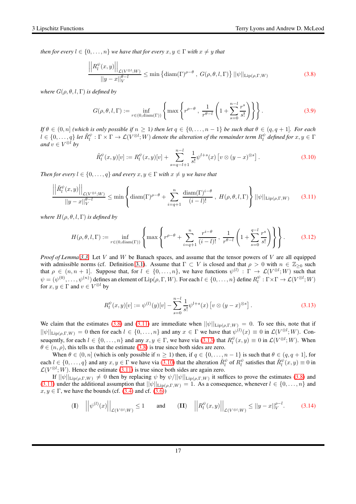*then for every*  $l \in \{0, \ldots, n\}$  *we have that for every*  $x, y \in \Gamma$  *with*  $x \neq y$  *that* 

<span id="page-16-0"></span>
$$
\frac{\left| \left| R_l^{\psi}(x,y) \right| \right|_{\mathcal{L}(V^{\otimes l};W)}}{\left| |y-x| \right|_V^{\theta-l}} \le \min \left\{ \operatorname{diam}(\Gamma)^{\rho-\theta}, G(\rho,\theta,l,\Gamma) \right\} ||\psi||_{\operatorname{Lip}(\rho,\Gamma,W)} \tag{3.8}
$$

*where*  $G(\rho, \theta, l, \Gamma)$  *is defined by* 

$$
G(\rho, \theta, l, \Gamma) := \inf_{r \in (0, \text{diam}(\Gamma))} \left\{ \max \left\{ r^{\rho - \theta}, \frac{1}{r^{\theta - l}} \left( 1 + \sum_{s=0}^{n-l} \frac{r^s}{s!} \right) \right\} \right\}.
$$
 (3.9)

*If*  $\theta \in (0, n]$  *(which is only possible if*  $n \geq 1$ *) then let*  $q \in \{0, \ldots, n-1\}$  *be such that*  $\theta \in (q, q+1]$ *. For each*  $l \in \{0,\ldots,q\}$  let  $\tilde{R}^{\psi}_l : \Gamma \times \Gamma \to \mathcal{L}(V^{\otimes l};W)$  denote the alteration of the remainder term  $R^{\psi}_l$  defined for  $x, y \in \Gamma$ *and*  $v \in V^{\otimes l}$  *by* 

<span id="page-16-3"></span>
$$
\tilde{R}_l^{\psi}(x,y)[v] := R_l^{\psi}(x,y)[v] + \sum_{s=q-l+1}^{n-l} \frac{1}{s!} \psi^{l+s}(x) \left[ v \otimes (y-x)^{\otimes s} \right]. \tag{3.10}
$$

*Then for every*  $l \in \{0, \ldots, q\}$  *and every*  $x, y \in \Gamma$  *with*  $x \neq y$  *we have that* 

<span id="page-16-1"></span>
$$
\frac{\left| \left| \tilde{R}_l^{\psi}(x,y) \right| \right|_{\mathcal{L}(V^{\otimes l};W)}}{\left| \left| y - x \right| \right|_{V}^{\theta - l}} \le \min \left\{ \operatorname{diam}(\Gamma)^{\rho - \theta} + \sum_{i=q+1}^{n} \frac{\operatorname{diam}(\Gamma)^{i-\theta}}{(i-l)!}, H(\rho, \theta, l, \Gamma) \right\} \left| \left| \psi \right| \right|_{\operatorname{Lip}(\rho, \Gamma, W)} \tag{3.11}
$$

*where*  $H(\rho, \theta, l, \Gamma)$  *is defined by* 

<span id="page-16-5"></span>
$$
H(\rho, \theta, l, \Gamma) := \inf_{r \in (0, \text{diam}(\Gamma))} \left\{ \max \left\{ r^{\rho - \theta} + \sum_{i=q+1}^{n} \frac{r^{i-\theta}}{(i-l)!}, \frac{1}{r^{\theta - l}} \left( 1 + \sum_{s=0}^{q-l} \frac{r^s}{s!} \right) \right\} \right\}.
$$
 (3.12)

*Proof of Lemma [3.3.](#page-15-4)* Let V and W be Banach spaces, and assume that the tensor powers of V are all equipped with admissible norms (cf. Definition [3.1\)](#page-14-1). Assume that  $\Gamma \subset V$  is closed and that  $\rho > 0$  with  $n \in \mathbb{Z}_{\geq 0}$  such that  $\rho \in (n, n + 1]$ . Suppose that, for  $l \in \{0, ..., n\}$ , we have functions  $\psi^{(l)} : \Gamma \to \mathcal{L}(V^{\otimes l}; W)$  such that  $\psi = (\psi^{(0)}, \dots, \psi^{(n)})$  defines an element of  $\text{Lip}(\rho, \Gamma, W)$ . For each  $l \in \{0, \dots, n\}$  define  $R_l^{\psi}: \Gamma \times \Gamma \to \mathcal{L}(V^{\otimes l}; W)$ for  $x, y \in \Gamma$  and  $v \in V^{\otimes l}$  by

<span id="page-16-2"></span>
$$
R_l^{\psi}(x, y)[v] := \psi^{(l)}(y)[v] - \sum_{s=0}^{n-l} \frac{1}{s!} \psi^{l+s}(x) \left[ v \otimes (y-x)^{\otimes s} \right]. \tag{3.13}
$$

We claim that the estimates [\(3.8\)](#page-16-0) and [\(3.11\)](#page-16-1) are immediate when  $||\psi||_{\text{Lip}(\rho,\Gamma,W)} = 0$ . To see this, note that if  $||\psi||_{\text{Lip}(\rho,\Gamma,W)} = 0$  then for each  $l \in \{0,\ldots,n\}$  and any  $x \in \Gamma$  we have that  $\psi^{(l)}(x) \equiv 0$  in  $\mathcal{L}(V^{\otimes l}; W)$ . Conseuqently, for each  $l \in \{0, ..., n\}$  and any  $x, y \in \Gamma$ , we have via [\(3.13\)](#page-16-2) that  $R_l^{\psi}(x, y) \equiv 0$  in  $\mathcal{L}(V^{\otimes l}; W)$ . When  $\theta \in (n, \rho)$ , this tells us that the estimate [\(3.8\)](#page-16-0) is true since both sides are zero.

When  $\theta \in (0, n]$  (which is only possible if  $n \ge 1$ ) then, if  $q \in \{0, \ldots, n-1\}$  is such that  $\theta \in (q, q + 1]$ , for each  $l \in \{0, \ldots, q\}$  and any  $x, y \in \Gamma$  we have via [\(3.10\)](#page-16-3) that the alteration  $\tilde{R}^{\psi}_l$  of  $R^{\psi}_l$  satisfies that  $\tilde{R}^{\psi}_l(x, y) \equiv 0$  in  $\mathcal{L}(V^{\otimes l}; W)$ . Hence the estimate [\(3.11\)](#page-16-1) is true since both sides are again zero.

If  $||\psi||_{\text{Lip}(\rho,\Gamma,W)} \neq 0$  then by replacing  $\psi$  by  $\psi/||\psi||_{\text{Lip}(\rho,\Gamma,W)}$  it suffices to prove the estimates [\(3.8\)](#page-16-0) and [\(3.11\)](#page-16-1) under the additional assumption that  $||\psi||_{\text{Lip}(\rho,\Gamma,W)} = 1$ . As a consequence, whenever  $l \in \{0,\ldots,n\}$  and  $x, y \in \Gamma$ , we have the bounds (cf. [\(3.4\)](#page-15-0) and cf. [\(3.6\)](#page-15-1))

<span id="page-16-4"></span>
$$
\textbf{(I)} \quad \left| \left| \psi^{(l)}(x) \right| \right|_{\mathcal{L}(V^{\otimes l};W)} \le 1 \qquad \text{and} \qquad \textbf{(II)} \quad \left| \left| R_l^{\psi}(x,y) \right| \right|_{\mathcal{L}(V^{\otimes l};W)} \le ||y-x||_V^{\rho-l}.\tag{3.14}
$$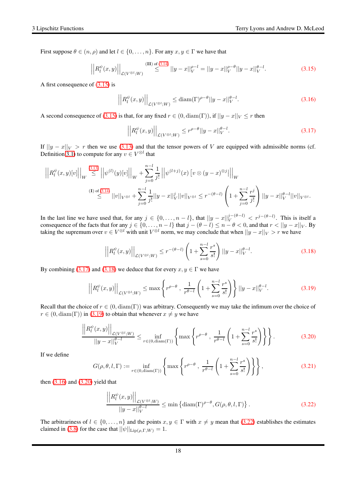First suppose  $\theta \in (n, \rho)$  and let  $l \in \{0, \ldots, n\}$ . For any  $x, y \in \Gamma$  we have that

<span id="page-17-0"></span>
$$
\left| \left| R_l^{\psi}(x,y) \right| \right|_{\mathcal{L}(V^{\otimes l};W)} \stackrel{\text{(II) of (3.14)}}{\leq} ||y-x||_V^{\rho-l} = ||y-x||_V^{\rho-\theta} ||y-x||_V^{\theta-l}.
$$
\n(3.15)

A first consequence of [\(3.15\)](#page-17-0) is

<span id="page-17-4"></span>
$$
\left| \left| R_l^{\psi}(x, y) \right| \right|_{\mathcal{L}(V^{\otimes l}; W)} \leq \text{diam}(\Gamma)^{\rho - \theta} ||y - x||_V^{\theta - l}.
$$
\n(3.16)

A second consequence of [\(3.15\)](#page-17-0) is that, for any fixed  $r \in (0, \text{diam}(\Gamma)),$  if  $||y - x||_V \leq r$  then

<span id="page-17-1"></span>
$$
\left| \left| R_l^{\psi}(x, y) \right| \right|_{\mathcal{L}(V^{\otimes l}; W)} \le r^{\rho - \theta} ||y - x||_V^{\theta - l}.
$$
\n(3.17)

If  $||y - x||_V > r$  then we use [\(3.13\)](#page-16-2) and that the tensor powers of V are equipped with admissible norms (cf. Definition [3.1\)](#page-14-1) to compute for any  $v \in V^{\otimes l}$  that

$$
\left| \left| R_l^{\psi}(x, y)[v] \right| \right|_W \stackrel{(3.13)}{\leq} \left| \left| \psi^{(l)}(y)[v] \right| \right|_W + \sum_{j=0}^{n-l} \frac{1}{j!} \left| \left| \psi^{(l+j)}(x) \left[ v \otimes (y-x)^{\otimes j} \right] \right| \right|_W
$$
  
\n(I) of (3.14)  
\n
$$
\leq (1 + \sum_{j=0}^{n-l} \frac{1}{j!} ||y-x||_V^j ||v||_{V^{\otimes l}} \leq r^{-(\theta-l)} \left( 1 + \sum_{j=0}^{n-l} \frac{r^j}{j!} \right) ||y-x||_V^{\theta-l} ||v||_{V^{\otimes l}}.
$$

In the last line we have used that, for any  $j \in \{0, ..., n-l\}$ , that  $||y-x||_V^{j-(\theta-l)} < r^{j-(\theta-l)}$ . This is itself a consequence of the facts that for any  $j \in \{0, ..., n - l\}$  that  $j - (\theta - l) \le n - \theta < 0$ , and that  $r < ||y - x||_V$ . By taking the supremum over  $v \in V^{\otimes l}$  with unit  $V^{\otimes l}$  norm, we may conclude that when  $||y - x||_V > r$  we have

<span id="page-17-2"></span>
$$
\left| \left| R_l^{\psi}(x, y) \right| \right|_{\mathcal{L}(V^{\otimes l}; W)} \le r^{-(\theta - l)} \left( 1 + \sum_{s=0}^{n-l} \frac{r^s}{s!} \right) ||y - x||_V^{\theta - l}.
$$
 (3.18)

By combining [\(3.17\)](#page-17-1) and [\(3.18\)](#page-17-2) we deduce that for every  $x, y \in \Gamma$  we have

$$
\left| R_l^{\psi}(x, y) \right| \Big|_{\mathcal{L}(V^{\otimes l}; W)} \le \max \left\{ r^{\rho - \theta} \, , \, \frac{1}{r^{\theta - l}} \left( 1 + \sum_{s=0}^{n-l} \frac{r^s}{s!} \right) \right\} \left| |y - x| \right|_{V}^{\theta - l}.
$$

Recall that the choice of  $r \in (0, \text{diam}(\Gamma))$  was arbitrary. Consequently we may take the infimum over the choice of  $r \in (0, \text{diam}(\Gamma))$  in [\(3.19\)](#page-17-3) to obtain that whenever  $x \neq y$  we have

$$
\frac{R_l^{\psi}(x,y)}{||y-x||_V^{\theta-l}} \le \inf_{r \in (0,\text{diam}(\Gamma))} \left\{ \max \left\{ r^{\rho-\theta} , \frac{1}{r^{\theta-l}} \left( 1 + \sum_{s=0}^{n-l} \frac{r^s}{s!} \right) \right\} \right\}.
$$
 (3.20)

If we define

$$
G(\rho, \theta, l, \Gamma) := \inf_{r \in (0, \text{diam}(\Gamma))} \left\{ \max \left\{ r^{\rho - \theta}, \frac{1}{r^{\theta - l}} \left( 1 + \sum_{s=0}^{n-l} \frac{r^s}{s!} \right) \right\} \right\},\tag{3.21}
$$

then  $(3.16)$  and  $(3.20)$  yield that

<span id="page-17-3"></span> $\overline{\phantom{a}}$  $\overline{\phantom{a}}$  $\overline{\phantom{a}}$ 

<span id="page-17-5"></span> $\overline{\phantom{a}}$  $\overline{\phantom{a}}$  $\overline{a}$  $\overline{\phantom{a}}$  $\overline{\phantom{a}}$  $\overline{\phantom{a}}$ 

<span id="page-17-6"></span>
$$
\frac{\left| \left| R_l^{\psi}(x,y) \right| \right|_{\mathcal{L}(V^{\otimes l};W)}}{\left| |y-x| \right|_V^{\theta-l}} \le \min \left\{ \operatorname{diam}(\Gamma)^{\rho-\theta}, G(\rho,\theta,l,\Gamma) \right\}. \tag{3.22}
$$

The arbitrariness of  $l \in \{0, \ldots, n\}$  and the points  $x, y \in \Gamma$  with  $x \neq y$  mean that [\(3.22\)](#page-17-6) establishes the estimates claimed in [\(3.8\)](#page-16-0) for the case that  $||\psi||_{\text{Lip}(\rho,\Gamma,W)} = 1$ .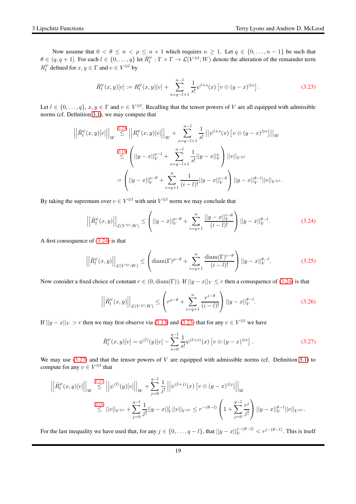Now assume that  $0 < \theta \le n < \rho \le n + 1$  which requires  $n \ge 1$ . Let  $q \in \{0, ..., n - 1\}$  be such that  $\theta \in (q, q + 1]$ . For each  $l \in \{0, ..., q\}$  let  $\tilde{R}_l^{\psi} : \Gamma \times \Gamma \to \mathcal{L}(V^{\otimes l}; W)$  denote the alteration of the remainder term  $R_l^{\psi}$  defined for  $x, y \in \Gamma$  and  $v \in V^{\otimes l}$  by

<span id="page-18-0"></span>
$$
\tilde{R}_l^{\psi}(x,y)[v] := R_l^{\psi}(x,y)[v] + \sum_{s=q-l+1}^{n-l} \frac{1}{s!} \psi^{l+s}(x) \left[ v \otimes (y-x)^{\otimes s} \right]. \tag{3.23}
$$

Let  $l \in \{0, ..., q\}, x, y \in \Gamma$  and  $v \in V^{\otimes l}$ . Recalling that the tensor powers of V are all equipped with admissible norms (cf. Definition [3.1\)](#page-14-1), we may compute that

$$
\left| \left| \tilde{R}_{l}^{\psi}(x,y)[v] \right| \right|_{W} \stackrel{(3.23)}{\leq} \left| \left| R_{l}^{\psi}(x,y)[v] \right| \right|_{W} + \sum_{s=q-l+1}^{n-l} \frac{1}{s!} \left| \left| \psi^{l+s}(x) \left[ v \otimes (y-x)^{\otimes s} \right] \right| \right|_{W}
$$
  

$$
\stackrel{(3.14)}{\leq} \left( \left| |y-x| \right|_{V}^{\rho-l} + \sum_{s=q-l+1}^{n-l} \frac{1}{s!} \left| |y-x| \right|_{V}^{\psi} \right) \left| |v| \right|_{V^{\otimes l}}
$$
  

$$
= \left( \left| |y-x| \right|_{V}^{\rho-\theta} + \sum_{i=q+1}^{n} \frac{1}{(i-l)!} \left| |y-x| \right|_{V}^{i-\theta} \right) \left| |y-x| \right|_{V}^{\rho-l} \left| |v| \right|_{V^{\otimes l}}.
$$

By taking the supremum over  $v \in V^{\otimes l}$  with unit  $V^{\otimes l}$  norm we may conclude that

<span id="page-18-1"></span>
$$
\left| \left| \tilde{R}_l^{\psi}(x,y) \right| \right|_{\mathcal{L}(V^{\otimes l};W)} \leq \left( ||y-x||_V^{\rho-\theta} + \sum_{i=q+1}^n \frac{||y-x||_V^{i-\theta}}{(i-l)!} \right) ||y-x||_V^{\theta-l}.
$$
 (3.24)

A first consequence of  $(3.24)$  is that

<span id="page-18-4"></span>
$$
\left| \left| \tilde{R}_l^{\psi}(x,y) \right| \right|_{\mathcal{L}(V^{\otimes l};W)} \leq \left( \operatorname{diam}(\Gamma)^{\rho-\theta} + \sum_{i=q+1}^n \frac{\operatorname{diam}(\Gamma)^{i-\theta}}{(i-l)!} \right) ||y-x||_V^{\theta-l}.
$$
 (3.25)

Now consider a fixed choice of constant  $r \in (0, \text{diam}(\Gamma))$ . If  $||y - x||_V \leq r$  then a consequence of [\(3.24\)](#page-18-1) is that

<span id="page-18-3"></span>
$$
\left| \left| \tilde{R}_l^{\psi}(x, y) \right| \right|_{\mathcal{L}(V^{\otimes l}; W)} \le \left( r^{\rho - \theta} + \sum_{i=q+1}^n \frac{r^{i-\theta}}{(i-l)!} \right) ||y - x||_V^{\theta - l}.
$$
 (3.26)

If  $||y - x||_V > r$  then we may first observe via [\(3.13\)](#page-16-2) and [\(3.23\)](#page-18-0) that for any  $v \in V^{\otimes l}$  we have

<span id="page-18-2"></span>
$$
\tilde{R}_l^{\psi}(x,y)[v] = \psi^{(l)}(y)[v] - \sum_{s=0}^{q-l} \frac{1}{s!} \psi^{(l+s)}(x) \left[ v \otimes (y-x)^{\otimes s} \right]. \tag{3.27}
$$

We may use  $(3.27)$  and that the tensor powers of V are equipped with admissible norms (cf. Definition [3.1\)](#page-14-1) to compute for any  $v \in V^{\otimes l}$  that

$$
\left| \left| \tilde{R}^{\psi}_{l}(x, y)[v] \right| \right|_{W} \stackrel{(3.27)}{\leq} \left| \left| \psi^{(l)}(y)[v] \right| \right|_{W} + \sum_{j=0}^{q-l} \frac{1}{j!} \left| \left| \psi^{(l+j)}(x)[v \otimes (y-x)^{\otimes j}] \right| \right|_{W}
$$
  

$$
\stackrel{(3.14)}{\leq} ||v||_{V^{\otimes l}} + \sum_{j=0}^{q-l} \frac{1}{j!} ||y-x||_{V}^{j} ||v||_{V^{\otimes l}} \leq r^{-(\theta-l)} \left( 1 + \sum_{j=0}^{q-l} \frac{r^{j}}{j!} \right) ||y-x||_{V}^{\theta-l} ||v||_{V^{\otimes l}}.
$$

For the last inequality we have used that, for any  $j \in \{0, \ldots, q - l\}$ , that  $||y - x||_V^{j-(\theta-l)} < r^{j-(\theta-l)}$ . This is itself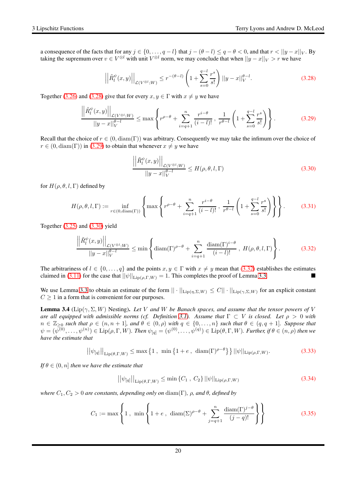a consequence of the facts that for any  $j \in \{0, \ldots, q - l\}$  that  $j - (\theta - l) \le q - \theta < 0$ , and that  $r < ||y - x||_V$ . By taking the supremum over  $v \in V^{\otimes l}$  with unit  $V^{\otimes l}$  norm, we may conclude that when  $||y - x||_V > r$  we have

<span id="page-19-0"></span>
$$
\left| \left| \tilde{R}_l^{\psi}(x, y) \right| \right|_{\mathcal{L}(V^{\otimes l}; W)} \le r^{-(\theta - l)} \left( 1 + \sum_{s=0}^{q-l} \frac{r^s}{s!} \right) ||y - x||_V^{\theta - l}.
$$
 (3.28)

Together [\(3.26\)](#page-18-3) and [\(3.28\)](#page-19-0) give that for every  $x, y \in \Gamma$  with  $x \neq y$  we have

<span id="page-19-1"></span>
$$
\frac{\left\| \tilde{R}_l^{\psi}(x,y) \right\|_{\mathcal{L}(V^{\otimes l};W)}}{\left\| y-x \right\|_{V}^{\theta-l}} \le \max \left\{ r^{\rho-\theta} + \sum_{i=q+1}^{n} \frac{r^{i-\theta}}{(i-l)!}, \frac{1}{r^{\theta-l}} \left( 1 + \sum_{s=0}^{q-l} \frac{r^s}{s!} \right) \right\}.
$$
 (3.29)

Recall that the choice of  $r \in (0, \text{diam}(\Gamma))$  was arbitrary. Consequently we may take the infimum over the choice of  $r \in (0, \text{diam}(\Gamma))$  in [\(3.29\)](#page-19-1) to obtain that whenever  $x \neq y$  we have

<span id="page-19-2"></span>
$$
\frac{\left| \left| \tilde{R}_l^{\psi}(x,y) \right| \right|_{\mathcal{L}(V^{\otimes l};W)}}{\left| |y-x| \right|_{V}^{\theta-l}} \le H(\rho,\theta,l,\Gamma) \tag{3.30}
$$

for  $H(\rho, \theta, l, \Gamma)$  defined by

$$
H(\rho, \theta, l, \Gamma) := \inf_{r \in (0, \text{diam}(\Gamma))} \left\{ \max \left\{ r^{\rho - \theta} + \sum_{i=q+1}^{n} \frac{r^{i-\theta}}{(i-l)!} , \frac{1}{r^{\theta - l}} \left( 1 + \sum_{s=0}^{q-l} \frac{r^s}{s!} \right) \right\} \right\}.
$$
 (3.31)

Together  $(3.25)$  and  $(3.30)$  yield

<span id="page-19-3"></span>
$$
\frac{\left\|\tilde{R}_l^{\psi}(x,y)\right\|_{\mathcal{L}(V^{\otimes l};W)}}{\left\|y-x\right\|_{V}^{\theta-l}} \leq \min\left\{\mathrm{diam}(\Gamma)^{\rho-\theta} + \sum_{i=q+1}^{n} \frac{\mathrm{diam}(\Gamma)^{i-\theta}}{(i-l)!}, H(\rho,\theta,l,\Gamma)\right\}.
$$
(3.32)

The arbitrariness of  $l \in \{0, ..., q\}$  and the points  $x, y \in \Gamma$  with  $x \neq y$  mean that [\(3.32\)](#page-19-3) establishes the estimates claimed in (3.11) for the case that  $||\psi||_{\text{Hence}}$   $\Gamma$  W) = 1. This completes the proof of Lemma 3.3. claimed in [\(3.11\)](#page-16-1) for the case that  $||\psi||_{\text{Lip}(\rho,\Gamma,W)} = 1$ . This completes the proof of Lemma [3.3.](#page-15-4)

We use Lemma [3.3](#page-15-4) to obtain an estimate of the form  $|| \cdot ||_{\text{Lip}(\eta,\Sigma,W)} \leq C || \cdot ||_{\text{Lip}(\gamma,\Sigma,W)}$  for an explicit constant  $C \geq 1$  in a form that is convenient for our purposes.

<span id="page-19-7"></span>**Lemma 3.4** ( $\text{Lip}(\gamma, \Sigma, W)$  Nesting). Let V and W be Banach spaces, and assume that the tensor powers of V *are all equipped with admissible norms (cf. Definition* [3.1\)](#page-14-1)*. Assume that*  $\Gamma \subset V$  *is closed. Let*  $\rho > 0$  *with*  $n \in \mathbb{Z}_{\geq 0}$  *such that*  $\rho \in (n, n + 1]$ *, and*  $\theta \in (0, \rho)$  *with*  $q \in \{0, \ldots, n\}$  *such that*  $\theta \in (q, q + 1]$ *. Suppose that*  $\psi = (\psi^{(0)}, \dots, \psi^{(n)}) \in \text{Lip}(\rho, \Gamma, W)$ *. Then*  $\psi_{[q]} = (\psi^{(0)}, \dots, \psi^{(q)}) \in \text{Lip}(\theta, \Gamma, W)$ *. Further, if*  $\theta \in (n, \rho)$  *then we have the estimate that*

<span id="page-19-4"></span>
$$
\left| |\psi_{[q]}| \right|_{\text{Lip}(\theta,\Gamma,W)} \leq \max\left\{ 1 \ , \ \min\left\{ 1 + e \ , \ \text{diam}(\Gamma)^{\rho-\theta} \right\} \right\} ||\psi||_{\text{Lip}(\rho,\Gamma,W)}.\tag{3.33}
$$

*If*  $\theta \in (0, n]$  *then we have the estimate that* 

<span id="page-19-5"></span>
$$
||\psi_{[q]}||_{\text{Lip}(\theta,\Gamma,W)} \le \min \left\{ C_1 \, , \, C_2 \right\} ||\psi||_{\text{Lip}(\rho,\Gamma,W)} \tag{3.34}
$$

*where*  $C_1, C_2 > 0$  *are constants, depending only on* diam(Γ),  $\rho$ , and  $\theta$ , defined by

<span id="page-19-6"></span>
$$
C_1 := \max\left\{1, \min\left\{1 + e, \ \operatorname{diam}(\Sigma)^{\rho-\theta} + \sum_{j=q+1}^n \frac{\operatorname{diam}(\Gamma)^{j-\theta}}{(j-q)!}\right\}\right\}
$$
(3.35)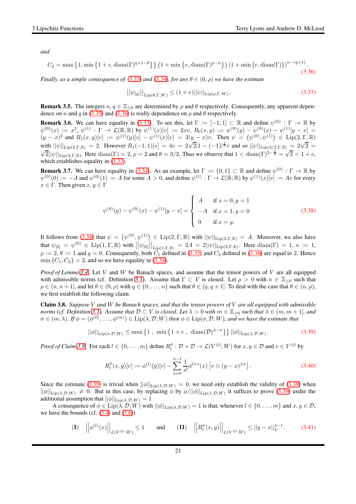*and*

<span id="page-20-0"></span>
$$
C_2 = \max\left\{1, \min\left\{1 + e, \operatorname{diam}(\Gamma)^{q+1-\theta}\right\}\right\} \left(1 + \min\left\{e, \operatorname{diam}(\Gamma)^{\rho-n}\right\}\right) \left(1 + \min\left\{e, \operatorname{diam}(\Gamma)\right\}\right)^{n-(q+1)}.\tag{3.36}
$$

*Finally, as a simple consequence of* [\(3.33\)](#page-19-4) *and* [\(3.34\)](#page-19-5)*, for any*  $\theta \in (0, \rho)$  *we have the estimate* 

<span id="page-20-6"></span>
$$
\left| |\psi_{[q]}| \right|_{\text{Lip}(\theta,\Gamma,W)} \le (1+e) ||\psi||_{\text{Lip}(\rho,\Gamma,W)}.
$$
\n(3.37)

**Remark 3.5.** The integers  $n, q \in \mathbb{Z}_{\geq 0}$  are determined by  $\rho$  and  $\theta$  respectively. Consequently, any apparent depen-dence on n and q in [\(3.35\)](#page-19-6) and [\(3.36\)](#page-20-0) is really dependence on  $\rho$  and  $\theta$  respectively.

**Remark 3.6.** We can have equality in [\(3.33\)](#page-19-4). To see this, let  $\Gamma := [-1,1] \subset \mathbb{R}$  and define  $\psi^{(0)} : \Gamma \to \mathbb{R}$  by  $\psi^{(0)}(x) := x^2, \, \psi^{(1)} : \Gamma \to \mathcal{L}(\mathbb{R}; \mathbb{R})$  by  $\psi^{(1)}(x)[v] := 2xv, R_0(x, y) := \psi^{(0)}(y) - \psi^{(0)}(x) - \psi^{(1)}[y - x] =$  $(y-x)^2$  and  $R_1(x,y)[v] := \psi^{(1)}(y)[v] - \psi^{(1)}(x)[v] = 2(y-x)v$ . Then  $\psi = (\psi^{(0)}, \psi^{(1)}) \in \text{Lip}(2,\Gamma,\mathbb{R})$ with  $||\psi||_{\text{Lip}(2,\Gamma,\mathbb{R})} = 2$ . However  $R_1(-1,1)[v] = 4v = 2\sqrt{2}|1-(-1)|^{\frac{1}{2}}v$  and so  $||\psi||_{\text{Lip}(3/2,\Gamma,\mathbb{R})} = 2\sqrt{2} =$  $\sqrt{2}$ || $\psi$ ||<sub>Lip(2,Γ,R)</sub>. Here diam(Γ) = 2,  $\rho = 2$  and  $\theta = 3/2$ . Thus we observe that  $1 < \text{diam}(\Gamma)^{2-\frac{3}{2}} = \sqrt{2} < 1 + e$ , which establishes equality in  $(3.33)$ .

**Remark 3.7.** We can have equality in [\(3.34\)](#page-19-5). As an example, let  $\Gamma := \{0, 1\} \subset \mathbb{R}$  and define  $\psi^{(0)} : \Gamma \to \mathbb{R}$  by  $\psi^{(0)}(0) := -A$  and  $\psi^{(0)}(1) := A$  for some  $A > 0$ , and define  $\psi^{(1)} : \Gamma \to \mathcal{L}(\mathbb{R}; \mathbb{R})$  by  $\psi^{(1)}(x)[v] := Av$  for every  $x \in \Gamma$ . Then given  $x, y \in \Gamma$ 

<span id="page-20-1"></span>
$$
\psi^{(0)}(y) - \psi^{(0)}(x) - \psi^{(1)}[y - x] = \begin{cases}\nA & \text{if } x = 0, y = 1 \\
-A & \text{if } x = 1, y = 0 \\
0 & \text{if } x = y.\n\end{cases}
$$
\n(3.38)

It follows from [\(3.38\)](#page-20-1) that  $\psi = (\psi^{(0)}, \psi^{(1)}) \in \text{Lip}(2, \Gamma, \mathbb{R})$  with  $||\psi||_{\text{Lip}(2,\Gamma,\mathbb{R})} = A$ . Moreover, we also have that  $\psi_{[0]} = \psi^{(0)} \in \text{Lip}(1, \Gamma, \mathbb{R})$  with  $||\psi_{[0]}||_{\text{Lip}(1, \Gamma, \mathbb{R})} = 2A = 2||\psi||_{\text{Lip}(2, \Gamma, \mathbb{R})}$ . Here  $\text{diam}(\Gamma) = 1$ ,  $n := 1$ ,  $\rho := 2$ ,  $\theta := 1$  and  $q = 0$ . Consequently, both  $C_1$  defined in [\(3.35\)](#page-19-6) and  $C_2$  defined in [\(3.36\)](#page-20-0) are equal to 2. Hence  $\min \{C_1, C_2\} = 2$ , and so we have equality in [\(3.34\)](#page-19-5).

*Proof of Lemma [3.4.](#page-19-7)* Let V and W be Banach spaces, and assume that the tensor powers of V are all equipped with admissible norms (cf. Definition [3.1\)](#page-14-1). Assume that  $\Gamma \subset V$  is closed. Let  $\rho > 0$  with  $n \in \mathbb{Z}_{\geq 0}$  such that  $\rho \in (n, n+1]$ , and let  $\theta \in (0, \rho)$  with  $q \in \{0, \ldots, n\}$  such that  $\theta \in (q, q+1]$ . To deal with the case that  $\theta \in (n, \rho)$ , we first establish the following claim.

<span id="page-20-2"></span>Claim 3.8. *Suppose* V *and* W *be Banach spaces, and that the tensor powers of* V *are all equipped with admissible norms (cf. Definition* [3.1\)](#page-14-1). Assume that  $D \subset V$  is closed. Let  $\lambda > 0$  with  $m \in \mathbb{Z}_{\geq 0}$  such that  $\lambda \in (m, m + 1]$ , and  $\sigma \in (m, \lambda)$ . If  $\phi = (\phi^{(0)}, \dots, \phi^{(m)}) \in \text{Lip}(\lambda, \mathcal{D}, W)$  then  $\phi \in \text{Lip}(\sigma, \mathcal{D}, W)$ , and we have the estimate that

<span id="page-20-3"></span>
$$
||\phi||_{\text{Lip}(\sigma,\mathcal{D},W)} \le \max\left\{1\,,\,\min\left\{1+e\,,\,\dim(\mathcal{D})^{\lambda-\sigma}\right\}\right\} ||\phi||_{\text{Lip}(\lambda,\mathcal{D},W)}.\tag{3.39}
$$

*Proof of Claim* [3.8.](#page-20-2) For each  $l \in \{0, ..., m\}$  define  $R_l^{\phi} : \mathcal{D} \times \mathcal{D} \to \mathcal{L}(V^{\otimes l}; W)$  for  $x, y \in \mathcal{D}$  and  $v \in V^{\otimes l}$  by

<span id="page-20-4"></span>
$$
R_l^{\phi}(x, y)[v] := \phi^{(l)}(y)[v] - \sum_{s=0}^{n-l} \frac{1}{s!} \phi^{l+s}(x) \left[ v \otimes (y-x)^{\otimes s} \right]. \tag{3.40}
$$

Since the estimate [\(3.39\)](#page-20-3) is trivial when  $||\phi||_{\text{Lip}(\lambda,\mathcal{D},W)} = 0$ , we need only establish the validity of (3.39) when  $||\phi||_{\text{Lip}(\lambda,\mathcal{D},W)} \neq 0$ . But in this case, by replacing  $\phi$  by  $\phi/||\phi||_{\text{Lip}(\lambda,\mathcal{D},W)}$  it suffices to prove [\(3.39\)](#page-20-3) under the additional assumption that  $||\phi||_{\text{Lip}(\lambda,\mathcal{D},W)} = 1$ 

A consequence of  $\phi \in \text{Lip}(\lambda, \mathcal{D}, W)$  with  $||\phi||_{\text{Lip}(\lambda, \mathcal{D}, W)} = 1$  is that, whenever  $l \in \{0, ..., m\}$  and  $x, y \in \mathcal{D}$ , we have the bounds (cf.  $(3.4)$  and  $(3.6)$ )

<span id="page-20-5"></span>
$$
\textbf{(I)} \quad \left| \left| \phi^{(l)}(x) \right| \right|_{\mathcal{L}(V^{\otimes l};W)} \le 1 \qquad \text{and} \qquad \textbf{(II)} \quad \left| \left| R_l^{\phi}(x,y) \right| \right|_{\mathcal{L}(V^{\otimes l};W)} \le ||y-x||_V^{\lambda-l}. \tag{3.41}
$$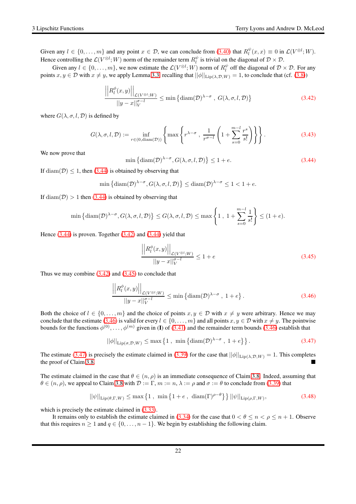Given any  $l \in \{0, \ldots, m\}$  and any point  $x \in \mathcal{D}$ , we can conclude from [\(3.40\)](#page-20-4) that  $R_l^{\psi}(x, x) \equiv 0$  in  $\mathcal{L}(V^{\otimes l}; W)$ . Hence controlling the  $\mathcal{L}(V^{\otimes l}; W)$  norm of the remainder term  $R_l^{\psi}$  is trivial on the diagonal of  $\mathcal{D} \times \mathcal{D}$ .

Given any  $l \in \{0, ..., m\}$ , we now estimate the  $\mathcal{L}(V^{\otimes l}; W)$  norm of  $R_l^{\psi}$  off the diagonal of  $\mathcal{D} \times \mathcal{D}$ . For any points  $x, y \in \mathcal{D}$  with  $x \neq y$ , we apply Lemma [3.3,](#page-15-4) recalling that  $||\phi||_{\text{Lip}(\lambda, \mathcal{D}, W)} = 1$ , to conclude that (cf. [\(3.8\)](#page-16-0))

<span id="page-21-1"></span>
$$
\frac{\left| \left| R_l^{\phi}(x,y) \right| \right|_{\mathcal{L}(V^{\otimes l};W)}}{\left| |y-x| \right|_V^{\sigma-l}} \le \min \left\{ \text{diam}(\mathcal{D})^{\lambda-\sigma}, G(\lambda,\sigma,l,\mathcal{D}) \right\}
$$
\n(3.42)

where  $G(\lambda, \sigma, l, \mathcal{D})$  is defined by

$$
G(\lambda, \sigma, l, \mathcal{D}) := \inf_{r \in (0, \text{diam}(\mathcal{D}))} \left\{ \max \left\{ r^{\lambda - \sigma}, \frac{1}{r^{\sigma - l}} \left( 1 + \sum_{s=0}^{m-l} \frac{r^s}{s!} \right) \right\} \right\}.
$$
 (3.43)

We now prove that

<span id="page-21-0"></span>
$$
\min\left\{\mathrm{diam}(\mathcal{D})^{\lambda-\sigma}, G(\lambda,\sigma,l,\mathcal{D})\right\} \le 1+e. \tag{3.44}
$$

If diam( $\mathcal{D}$ )  $\leq$  1, then [\(3.44\)](#page-21-0) is obtained by observing that

$$
\min\left\{\mathrm{diam}(\mathcal{D})^{\lambda-\sigma}, G(\lambda,\sigma,l,\mathcal{D})\right\} \leq \mathrm{diam}(\mathcal{D})^{\lambda-\sigma} \leq 1 < 1 + e.
$$

If  $\text{diam}(\mathcal{D}) > 1$  then [\(3.44\)](#page-21-0) is obtained by observing that

$$
\min\left\{\mathrm{diam}(\mathcal{D})^{\lambda-\sigma}, G(\lambda,\sigma,l,\mathcal{D})\right\} \leq G(\lambda,\sigma,l,\mathcal{D}) \leq \max\left\{1, 1+\sum_{s=0}^{m-l} \frac{1}{s!}\right\} \leq (1+e).
$$

Hence  $(3.44)$  is proven. Together  $(3.42)$  and  $(3.44)$  yield that

<span id="page-21-2"></span>
$$
\frac{\left| \left| R_l^{\phi}(x, y) \right| \right|_{\mathcal{L}(V^{\otimes l}; W)}}{\left| |y - x| \right|_{V}^{\sigma - l}} \le 1 + e \tag{3.45}
$$

Thus we may combine  $(3.42)$  and  $(3.45)$  to conclude that

<span id="page-21-3"></span>
$$
\frac{\left| \left| R_l^{\phi}(x, y) \right| \right|_{\mathcal{L}(V^{\otimes l}; W)}}{\left| |y - x| \right|_{V}^{\sigma - l}} \le \min \left\{ \operatorname{diam}(D)^{\lambda - \sigma}, 1 + e \right\}.
$$
\n(3.46)

Both the choice of  $l \in \{0, \ldots, m\}$  and the choice of points  $x, y \in \mathcal{D}$  with  $x \neq y$  were arbitrary. Hence we may conclude that the estimate [\(3.46\)](#page-21-3) is valid for every  $l \in \{0, \ldots, m\}$  and all points  $x, y \in \mathcal{D}$  with  $x \neq y$ . The pointwise bounds for the functions  $\phi^{(0)}, \ldots, \phi^{(m)}$  given in (I) of [\(3.41\)](#page-20-5) and the remainder term bounds [\(3.46\)](#page-21-3) establish that

<span id="page-21-4"></span>
$$
||\phi||_{\text{Lip}(\sigma,\mathcal{D},W)} \leq \max\left\{1\,,\,\,\min\left\{\text{diam}(\mathcal{D})^{\lambda-\sigma}\,,\,1+e\right\}\right\}.\tag{3.47}
$$

The estimate [\(3.47\)](#page-21-4) is precisely the estimate claimed in [\(3.39\)](#page-20-3) for the case that  $||\phi||_{\text{Lip}(\lambda,\mathcal{D},W)} = 1$ . This completes the proof of Claim 3.8 the proof of Claim [3.8.](#page-20-2)

The estimate claimed in the case that  $\theta \in (n, \rho)$  is an immediate consequence of Claim [3.8.](#page-20-2) Indeed, assuming that  $\theta \in (n, \rho)$ , we appeal to Claim [3.8](#page-20-2) with  $\mathcal{D} := \Gamma$ ,  $m := n, \lambda := \rho$  and  $\sigma := \theta$  to conclude from [\(3.39\)](#page-20-3) that

$$
||\psi||_{\text{Lip}(\theta,\Gamma,W)} \le \max\left\{1\,,\,\min\left\{1+e\,,\,\dim(\Gamma)^{\rho-\theta}\right\}\right\} ||\psi||_{\text{Lip}(\rho,\Gamma,W)},\tag{3.48}
$$

which is precisely the estimate claimed in  $(3.33)$ .

It remains only to establish the estimate claimed in [\(3.34\)](#page-19-5) for the case that  $0 < \theta \le n < \rho \le n + 1$ . Observe that this requires  $n \geq 1$  and  $q \in \{0, \ldots, n-1\}$ . We begin by establishing the following claim.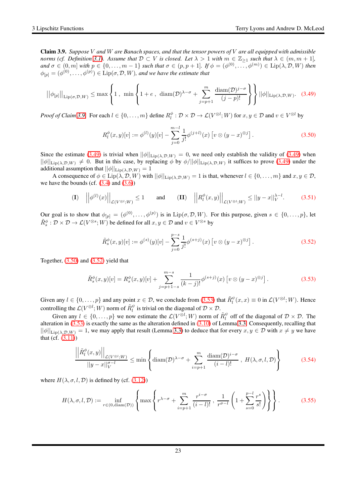<span id="page-22-0"></span>Claim 3.9. *Suppose* V *and* W *are Banach spaces, and that the tensor powers of* V *are all equipped with admissible norms (cf. Definition* [3.1\)](#page-14-1)*.* Assume that  $D \subset V$  is closed. Let  $\lambda > 1$  with  $m \in \mathbb{Z}_{\geq 1}$  such that  $\lambda \in (m, m + 1]$ *,*  $\alpha$  and  $\sigma \in (0, m]$  with  $p \in \{0, \ldots, m-1\}$  such that  $\sigma \in (p, p+1]$ . If  $\phi = (\phi^{(0)}, \ldots, \phi^{(m)}) \in \text{Lip}(\lambda, \mathcal{D}, W)$  then  $\phi_{[p]} = (\phi^{(0)}, \dots, \phi^{(p)}) \in \text{Lip}(\sigma, \mathcal{D}, W)$ *, and we have the estimate that* 

<span id="page-22-1"></span>
$$
||\phi_{[p]}||_{\text{Lip}(\sigma,\mathcal{D},W)} \leq \max\left\{1\,,\,\,\min\left\{1+e\,,\,\,\text{diam}(\mathcal{D})^{\lambda-\sigma}+\sum_{j=p+1}^{m}\frac{\text{diam}(\mathcal{D})^{j-\sigma}}{(j-p)!}\right\}\right\}||\phi||_{\text{Lip}(\lambda,\mathcal{D},W)}.\tag{3.49}
$$

*Proof of Claim* [3.9.](#page-22-0) For each  $l \in \{0, ..., m\}$  define  $R_l^{\phi} : \mathcal{D} \times \mathcal{D} \to \mathcal{L}(V^{\otimes l}; W)$  for  $x, y \in \mathcal{D}$  and  $v \in V^{\otimes l}$  by

<span id="page-22-2"></span>
$$
R_l^{\phi}(x, y)[v] := \phi^{(l)}(y)[v] - \sum_{j=0}^{m-l} \frac{1}{j!} \phi^{(j+l)}(x) \left[ v \otimes (y-x)^{\otimes j} \right]. \tag{3.50}
$$

Since the estimate [\(3.49\)](#page-22-1) is trivial when  $||\phi||_{\text{Lip}(\lambda,\mathcal{D},W)} = 0$ , we need only establish the validity of (3.49) when  $||\phi||_{\text{Lip}(\lambda,\mathcal{D},W)} \neq 0$ . But in this case, by replacing  $\phi$  by  $\phi/||\phi||_{\text{Lip}(\lambda,\mathcal{D},W)}$  it suffices to prove [\(3.49\)](#page-22-1) under the additional assumption that  $||\phi||_{\text{Lip}(\lambda,\mathcal{D},W)} = 1$ 

A consequence of  $\phi \in \text{Lip}(\lambda, \mathcal{D}, W)$  with  $||\phi||_{\text{Lip}(\lambda, \mathcal{D}, W)} = 1$  is that, whenever  $l \in \{0, ..., m\}$  and  $x, y \in \mathcal{D}$ , we have the bounds (cf.  $(3.4)$  and  $(3.6)$ )

<span id="page-22-6"></span>
$$
\textbf{(I)} \quad \left| \left| \phi^{(l)}(x) \right| \right|_{\mathcal{L}(V^{\otimes l};W)} \le 1 \qquad \text{and} \qquad\n \textbf{(II)} \quad \left| \left| R_l^{\phi}(x,y) \right| \right|_{\mathcal{L}(V^{\otimes l};W)} \le ||y-x||_V^{\lambda-l}.\n \tag{3.51}
$$

Our goal is to show that  $\phi_{[p]} = (\phi^{(0)}, \dots, \phi^{(p)})$  is in  $\text{Lip}(\sigma, \mathcal{D}, W)$ . For this purpose, given  $s \in \{0, \dots, p\}$ , let  $\tilde{R}_s^{\phi}: \mathcal{D} \times \mathcal{D} \to \mathcal{L}(V^{\otimes s}; W)$  be defined for all  $x, y \in \mathcal{D}$  and  $v \in V^{\otimes s}$  by

<span id="page-22-3"></span>
$$
\tilde{R}_s^{\phi}(x, y)[v] := \phi^{(s)}(y)[v] - \sum_{j=0}^{p-s} \frac{1}{j!} \phi^{(s+j)}(x) \left[ v \otimes (y-x)^{\otimes j} \right]. \tag{3.52}
$$

Together,  $(3.50)$  and  $(3.52)$  yield that

<span id="page-22-4"></span>
$$
\tilde{R}_s^{\phi}(x,y)[v] = R_s^{\phi}(x,y)[v] + \sum_{j=p+1-s}^{m-s} \frac{1}{(k-j)!} \phi^{(s+j)}(x) \left[ v \otimes (y-x)^{\otimes j} \right]. \tag{3.53}
$$

Given any  $l \in \{0, \ldots, p\}$  and any point  $x \in \mathcal{D}$ , we conclude from [\(3.53\)](#page-22-4) that  $\tilde{R}_l^{\psi}(x, x) \equiv 0$  in  $\mathcal{L}(V^{\otimes l}; W)$ . Hence controlling the  $\mathcal{L}(V^{\otimes l}; W)$  norm of  $\tilde{R}^{\psi}_l$  is trivial on the diagonal of  $\mathcal{D} \times \mathcal{D}$ .

Given any  $l \in \{0, \ldots, p\}$  we now estimate the  $\mathcal{L}(V^{\otimes l}; W)$  norm of  $\tilde{R}_l^{\psi}$  off of the diagonal of  $\mathcal{D} \times \mathcal{D}$ . The alteration in  $(3.53)$  is exactly the same as the alteration defined in  $(3.10)$  of Lemma [3.3.](#page-15-4) Consequently, recalling that  $||\phi||_{\text{Lip}(\lambda,\mathcal{D},W)} = 1$ , we may apply that result (Lemma [3.3\)](#page-15-4) to deduce that for every  $x, y \in \mathcal{D}$  with  $x \neq y$  we have that  $(cf. (3.11))$  $(cf. (3.11))$  $(cf. (3.11))$ 

<span id="page-22-5"></span>
$$
\frac{\left| \left| \tilde{R}_l^{\phi}(x,y) \right| \right|_{\mathcal{L}(V^{\otimes l};W)}}{\left| |y-x| \right|_V^{\sigma-l}} \le \min \left\{ \operatorname{diam}(\mathcal{D})^{\lambda-\sigma} + \sum_{i=p+1}^m \frac{\operatorname{diam}(\mathcal{D})^{i-\sigma}}{(i-l)!}, H(\lambda,\sigma,l,\mathcal{D}) \right\} \tag{3.54}
$$

where  $H(\lambda, \sigma, l, \mathcal{D})$  is defined by (cf. [\(3.12\)](#page-16-5))

$$
H(\lambda, \sigma, l, \mathcal{D}) := \inf_{r \in (0, \text{diam}(\mathcal{D}))} \left\{ \max \left\{ r^{\lambda - \sigma} + \sum_{i=p+1}^{m} \frac{r^{i-\sigma}}{(i-l)!}, \frac{1}{r^{\sigma-l}} \left( 1 + \sum_{s=0}^{p-l} \frac{r^s}{s!} \right) \right\} \right\}.
$$
 (3.55)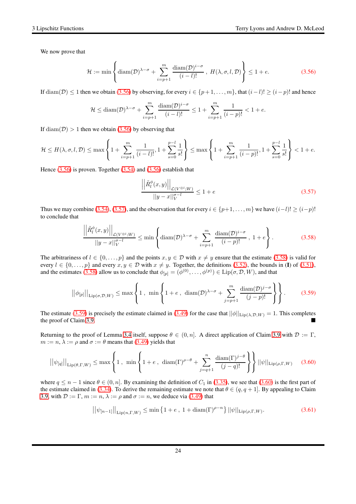We now prove that

<span id="page-23-0"></span>
$$
\mathcal{H} := \min \left\{ \operatorname{diam}(\mathcal{D})^{\lambda - \sigma} + \sum_{i=p+1}^{m} \frac{\operatorname{diam}(\mathcal{D})^{i-\sigma}}{(i-l)!}, H(\lambda, \sigma, l, \mathcal{D}) \right\} \le 1 + e. \tag{3.56}
$$

If  $\text{diam}(\mathcal{D}) \leq 1$  then we obtain [\(3.56\)](#page-23-0) by observing, for every  $i \in \{p+1,\ldots,m\}$ , that  $(i-l)! \geq (i-p)!$  and hence

$$
\mathcal{H} \leq \text{diam}(\mathcal{D})^{\lambda-\sigma} + \sum_{i=p+1}^{m} \frac{\text{diam}(\mathcal{D})^{i-\sigma}}{(i-l)!} \leq 1 + \sum_{i=p+1}^{m} \frac{1}{(i-p)!} < 1+e.
$$

If  $\text{diam}(\mathcal{D}) > 1$  then we obtain [\(3.56\)](#page-23-0) by observing that

$$
\mathcal{H} \leq H(\lambda, \sigma, l, \mathcal{D}) \leq \max \left\{ 1 + \sum_{i=p+1}^{m} \frac{1}{(i-l)!}, 1 + \sum_{s=0}^{p-l} \frac{1}{s!} \right\} \leq \max \left\{ 1 + \sum_{i=p+1}^{m} \frac{1}{(i-p)!}, 1 + \sum_{s=0}^{p-l} \frac{1}{s!} \right\} < 1 + e.
$$

Hence  $(3.56)$  is proven. Together  $(3.54)$  and  $(3.56)$  establish that

<span id="page-23-1"></span>
$$
\frac{\left| \left| \tilde{R}_l^{\phi}(x, y) \right| \right|_{\mathcal{L}(V^{\otimes l}; W)}}{\left| |y - x| \right|_{V}^{\sigma - l}} \le 1 + e \tag{3.57}
$$

Thus we may combine [\(3.54\)](#page-22-5), [\(3.57\)](#page-23-1), and the observation that for every  $i \in \{p+1,\ldots,m\}$  we have  $(i-l)! \geq (i-p)!$ to conclude that

<span id="page-23-2"></span>
$$
\frac{\left| \left| \tilde{R}_l^{\phi}(x,y) \right| \right|_{\mathcal{L}(V^{\otimes l};W)}}{\left| \left| y - x \right| \right|_{V}^{\sigma-l}} \leq \min \left\{ \operatorname{diam}(\mathcal{D})^{\lambda-\sigma} + \sum_{i=p+1}^{m} \frac{\operatorname{diam}(\mathcal{D})^{i-\sigma}}{(i-p)!}, 1+e \right\}.
$$
 (3.58)

The arbitrariness of  $l \in \{0, \ldots, p\}$  and the points  $x, y \in \mathcal{D}$  with  $x \neq y$  ensure that the estimate [\(3.58\)](#page-23-2) is valid for every  $l \in \{0, \ldots, p\}$  and every  $x, y \in \mathcal{D}$  with  $x \neq y$ . Together, the definitions [\(3.52\)](#page-22-3), the bounds in (I) of [\(3.51\)](#page-22-6), and the estimates [\(3.58\)](#page-23-2) allow us to conclude that  $\phi_{[p]} = (\phi^{(0)}, \dots, \phi^{(p)}) \in \text{Lip}(\sigma, \mathcal{D}, W)$ , and that

<span id="page-23-3"></span>
$$
||\phi_{[p]}||_{\text{Lip}(\sigma,\mathcal{D},W)} \leq \max\left\{1\,,\,\,\min\left\{1+e\,,\,\,\text{diam}(\mathcal{D})^{\lambda-\sigma}+\sum_{j=p+1}^{m}\frac{\text{diam}(\mathcal{D})^{j-\sigma}}{(j-p)!}\right\}\right\}.
$$
 (3.59)

The estimate [\(3.59\)](#page-23-3) is precisely the estimate claimed in [\(3.49\)](#page-22-1) for the case that  $||\phi||_{\text{Lip}(\lambda,\mathcal{D},W)} = 1$ . This completes the proof of Claim [3.9.](#page-22-0)

Returning to the proof of Lemma [3.4](#page-19-7) itself, suppose  $\theta \in (0, n]$ . A direct application of Claim [3.9](#page-22-0) with  $\mathcal{D} := \Gamma$ ,  $m := n, \lambda := \rho$  and  $\sigma := \theta$  means that [\(3.49\)](#page-22-1) yields that

<span id="page-23-4"></span>
$$
\left| |\psi_{[q]}| \right|_{\text{Lip}(\theta,\Gamma,W)} \leq \max \left\{ 1, \min \left\{ 1 + e, \ \operatorname{diam}(\Gamma)^{\rho-\theta} + \sum_{j=q+1}^{n} \frac{\operatorname{diam}(\Gamma)^{j-\theta}}{(j-q)!} \right\} \right\} ||\psi||_{\text{Lip}(\rho,\Gamma,W)} \tag{3.60}
$$

where  $q \leq n-1$  since  $\theta \in (0, n]$ . By examining the definition of  $C_1$  in [\(3.35\)](#page-19-6), we see that [\(3.60\)](#page-23-4) is the first part of the estimate claimed in [\(3.34\)](#page-19-5). To derive the remaining estimate we note that  $\theta \in (q, q + 1]$ . By appealing to Claim [3.9,](#page-22-0) with  $\mathcal{D} := \Gamma$ ,  $m := n$ ,  $\lambda := \rho$  and  $\sigma := n$ , we deduce via [\(3.49\)](#page-22-1) that

<span id="page-23-5"></span>
$$
||\psi_{[n-1]}||_{\text{Lip}(n,\Gamma,W)} \le \min\left\{1+e\,,\ 1+\text{diam}(\Gamma)^{\rho-n}\right\} ||\psi||_{\text{Lip}(\rho,\Gamma,W)}.\tag{3.61}
$$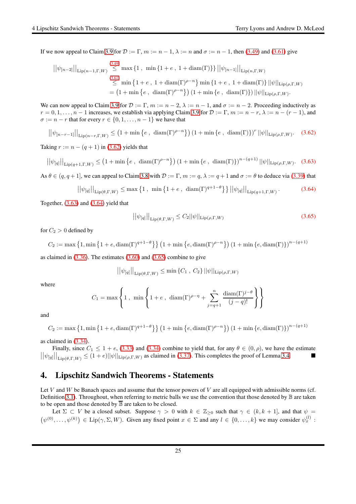If we now appeal to Claim [3.9](#page-22-0) for  $\mathcal{D} := \Gamma$ ,  $m := n - 1$ ,  $\lambda := n$  and  $\sigma := n - 1$ , then [\(3.49\)](#page-22-1) and [\(3.61\)](#page-23-5) give

$$
\begin{aligned} \left| |\psi_{[n-2]}| \right|_{\text{Lip}(n-1,\Gamma,W)} &\stackrel{(3.49)}{\leq} \max \left\{ 1 \; , \; \min \left\{ 1 + e \; , \; 1 + \text{diam}(\Gamma) \right\} \right\} \left| |\psi_{[n-1]}| \right|_{\text{Lip}(n,\Gamma,W)} \\ &\stackrel{(3.61)}{\leq} \min \left\{ 1 + e \; , \; 1 + \text{diam}(\Gamma)^{\rho-n} \right\} \min \left\{ 1 + e \; , \; 1 + \text{diam}(\Gamma) \right\} \left| |\psi| \right|_{\text{Lip}(\rho,\Gamma,W)} \\ &= \left( 1 + \min \left\{ e \; , \; \text{diam}(\Gamma)^{\rho-n} \right\} \right) \left( 1 + \min \left\{ e \; , \; \text{diam}(\Gamma) \right\} \right) \left| |\psi| \right|_{\text{Lip}(\rho,\Gamma,W)}. \end{aligned}
$$

We can now appeal to Claim [3.9](#page-22-0) for  $\mathcal{D} := \Gamma$ ,  $m := n - 2$ ,  $\lambda := n - 1$ , and  $\sigma := n - 2$ . Proceeding inductively as  $r = 0, 1, \ldots, n - 1$  increases, we establish via applying Claim [3.9](#page-22-0) for  $\mathcal{D} := \Gamma$ ,  $m := n - r$ ,  $\lambda := n - (r - 1)$ , and  $\sigma := n - r$  that for every  $r \in \{0, 1, \ldots, n - 1\}$  we have that

<span id="page-24-1"></span> $||\psi_{[n-r-1]}||_{\text{Lip}(n-r,\Gamma,W)} \leq (1+\min\{e\,,\,\dim(\Gamma)^{\rho-n}\}) (1+\min\{e\,,\,\dim(\Gamma)\})^r ||\psi||_{\text{Lip}(\rho,\Gamma,W)}.$  (3.62)

Taking  $r := n - (q + 1)$  in [\(3.62\)](#page-24-1) yields that

<span id="page-24-2"></span>
$$
\left| |\psi_{[q]}| \right|_{\text{Lip}(q+1,\Gamma,W)} \le (1 + \min\left\{ e \,, \, \text{diam}(\Gamma)^{\rho-n} \right\} \left( 1 + \min\left\{ e \,, \, \text{diam}(\Gamma) \right\} \right)^{n - (q+1)} \left| |\psi| \right|_{\text{Lip}(\rho,\Gamma,W)}. \tag{3.63}
$$

As  $\theta \in (q, q+1]$ , we can appeal to Claim [3.8](#page-20-2) with  $\mathcal{D} := \Gamma$ ,  $m := q$ ,  $\lambda := q+1$  and  $\sigma := \theta$  to deduce via [\(3.39\)](#page-20-3) that

<span id="page-24-3"></span>
$$
\left| |\psi_{[q]}| \right|_{\text{Lip}(\theta,\Gamma,W)} \leq \max\left\{ 1 \ , \ \min\left\{ 1 + e \ , \ \text{diam}(\Gamma)^{q+1-\theta} \right\} \right\} \left| |\psi_{[q]}| \right|_{\text{Lip}(q+1,\Gamma,W)}.
$$
 (3.64)

Together,  $(3.63)$  and  $(3.64)$  yield that

<span id="page-24-4"></span>
$$
\left| |\psi_{[q]}| \right|_{\text{Lip}(\theta,\Gamma,W)} \le C_2 ||\psi||_{\text{Lip}(\rho,\Gamma,W)} \tag{3.65}
$$

for  $C_2 > 0$  defined by

$$
C_2 := \max\left\{1, \min\left\{1 + e, \operatorname{diam}(\Gamma)^{q+1-\theta}\right\}\right\} \left(1 + \min\left\{e, \operatorname{diam}(\Gamma)^{\rho-n}\right\}\right) \left(1 + \min\left\{e, \operatorname{diam}(\Gamma)\right\}\right)^{n-(q+1)}
$$

as claimed in  $(3.36)$ . The estimates  $(3.60)$  and  $(3.65)$  combine to give

$$
||\psi_{[q]}||_{\text{Lip}(\theta,\Gamma,W)} \leq \min \left\{C_1, C_2\right\} ||\psi||_{\text{Lip}(\rho,\Gamma,W)}
$$

where

$$
C_1 = \max\left\{1, \min\left\{1+e, \dim(\Gamma)^{\rho-\eta} + \sum_{j=q+1}^n \frac{\dim(\Gamma)^{j-\theta}}{(j-q)!}\right\}\right\}
$$

and

$$
C_2 := \max\left\{1, \min\left\{1 + e, \operatorname{diam}(\Gamma)^{q+1-\theta}\right\}\right\} \left(1 + \min\left\{e, \operatorname{diam}(\Gamma)^{\rho-n}\right\}\right) \left(1 + \min\left\{e, \operatorname{diam}(\Gamma)\right\}\right)^{n-(q+1)}
$$

as claimed in [\(3.34\)](#page-19-5).

Finally, since  $C_1 \le 1 + e$ , [\(3.33\)](#page-19-4) and [\(3.34\)](#page-19-5) combine to yield that, for any  $\theta \in (0, \rho)$ , we have the estimate  $|S_1|$  $||\psi_{[q]}||_{\text{Lip}(\theta,\Gamma,W)} \leq (1+e)||\psi||_{\text{Lip}(\rho,\Gamma,W)}$  as claimed in [\(3.37\)](#page-20-6). This completes the proof of Lemma [3.4.](#page-19-7)

# <span id="page-24-0"></span>4. Lipschitz Sandwich Theorems - Statements

Let V and W be Banach spaces and assume that the tensor powers of V are all equipped with admissible norms (cf. Definition [3.1\)](#page-14-1). Throughout, when referring to metric balls we use the convention that those denoted by  $\mathbb B$  are taken to be open and those denoted by  $\overline{B}$  are taken to be closed.

Let  $\Sigma \subset V$  be a closed subset. Suppose  $\gamma > 0$  with  $k \in \mathbb{Z}_{\geq 0}$  such that  $\gamma \in (k, k + 1]$ , and that  $\psi =$  $(\psi^{(0)}, \dots, \psi^{(k)}) \in \text{Lip}(\gamma, \Sigma, W)$ . Given any fixed point  $x \in \Sigma$  and any  $l \in \{0, \dots, k\}$  we may consider  $\psi_x^{(l)}$ :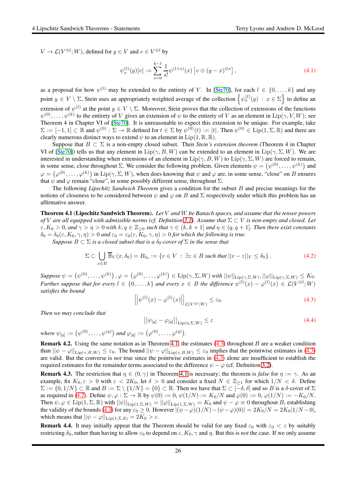$V \to \mathcal{L}(V^{\otimes l}; W)$ , defined for  $y \in V$  and  $v \in V^{\otimes l}$  by

$$
\psi_x^{(l)}(y)[v] := \sum_{s=0}^{k-l} \frac{1}{s!} \psi^{(l+s)}(x) \left[ v \otimes (y-x)^{\otimes s} \right],\tag{4.1}
$$

as a proposal for how  $\psi^{(l)}$  may be extended to the entirety of V. In [\[Ste70\]](#page-65-14), for each  $l \in \{0, \ldots, k\}$  and any point  $y \in V \setminus \Sigma$ , Stein uses an appropriately weighted average of the collection  $\left\{\psi_x^{(l)}(y) : x \in \Sigma\right\}$  to define an extension of  $\psi^{(l)}$  at the point  $y \in V \setminus \Sigma$ . Moreover, Stein proves that the collection of extensions of the functions  $\psi^{(0)}, \ldots, \psi^{(k)}$  to the entirety of V gives an extension of  $\psi$  to the entirety of V as an element in  $\text{Lip}(\gamma, V, W)$ ; see Theorem 4 in Chapter VI of [\[Ste70\]](#page-65-14). It is unreasonable to expect this extension to be unique. For example, take  $\Sigma := [-1,1] \subset \mathbb{R}$  and  $\psi^{(0)} : \Sigma \to \mathbb{R}$  defined for  $t \in \Sigma$  by  $\psi^{(0)}(t) := |t|$ . Then  $\psi^{(0)} \in \text{Lip}(1,\Sigma,\mathbb{R})$  and there are clearly numerous distinct ways to extend  $\psi$  to an element in Lip(1, R, R).

Suppose that  $B \subset \Sigma$  is a non-empty closed subset. Then *Stein's extension theorem* (Theorem 4 in Chapter VI of [\[Ste70\]](#page-65-14)) tells us that any element in  $\text{Lip}(\gamma, B, W)$  can be extended to an element in  $\text{Lip}(\gamma, \Sigma, W)$ . We are interested in understanding when extensions of an element in  $\text{Lip}(\gamma, B, W)$  to  $\text{Lip}(\gamma, \Sigma, W)$  are forced to remain, in some sense, close throughout  $\Sigma$ . We consider the following problem. Given elements  $\psi = (\psi^{(0)}, \dots, \psi^{(k)})$  and  $\varphi = (\varphi^{(0)}, \dots, \varphi^{(k)})$  in  $\text{Lip}(\gamma, \Sigma, W)$ , when does knowing that  $\psi$  and  $\varphi$  are, in some sense, "close" on B ensures that  $\psi$  and  $\varphi$  remain "close", in some possibly different sense, throughout  $\Sigma$ .

The following *Lipschitz Sandwich Theorem* gives a condition for the subset B and precise meanings for the notions of closeness to be considered between  $\psi$  and  $\varphi$  on B and  $\Sigma$  respectively under which this problem has an affirmative answer.

<span id="page-25-0"></span>Theorem 4.1 (Lipschitz Sandwich Theorem). *Let* V *and* W *be Banach spaces, and assume that the tensor powers of* V are all equipped with admissible norms (cf. Definition [3.1\)](#page-14-1). Assume that  $\Sigma \subset V$  *is non-empty and closed. Let*  $\varepsilon, K_0 > 0$ , and  $\gamma > \eta > 0$  with  $k, q \in \mathbb{Z}_{\geq 0}$  such that  $\gamma \in (k, k+1]$  and  $\eta \in (q, q+1]$ . Then there exist constants  $\delta_0 = \delta_0(\varepsilon, K_0, \gamma, \eta) > 0$  and  $\varepsilon_0 = \varepsilon_0(\varepsilon, \overline{K}_0, \gamma, \eta) > 0$  for which the following is true.

*Suppose*  $B \subset \Sigma$  *is a closed subset that is a*  $\delta_0$ -cover of  $\Sigma$  *in the sense that* 

<span id="page-25-2"></span>
$$
\Sigma \subset \bigcup_{x \in B} \overline{\mathbb{B}}_V(x, \delta_0) = B_{\delta_0} := \{ v \in V \, : \, \exists z \in B \text{ such that } ||v - z||_V \le \delta_0 \} \,.
$$

 $\mathit{Suppose}\ \psi=\left(\psi^{(0)},\ldots,\psi^{(k)}\right), \varphi=\left(\varphi^{(0)},\ldots,\varphi^{(k)}\right)\in \mathrm{Lip}(\gamma,\Sigma,W) \text{ with } ||\psi||_{\mathrm{Lip}(\gamma,\Sigma,W)}, ||\varphi||_{\mathrm{Lip}(\gamma,\Sigma,W)}\leq K_0.$ *Further suppose that for every*  $l \in \{0, ..., k\}$  and every  $x \in B$  the difference  $\psi^{(l)}(x) - \varphi^{(l)}(x) \in \mathcal{L}(V^{\otimes l}; W)$ *satisfies the bound*

<span id="page-25-1"></span>
$$
\left| \left| \psi^{(l)}(x) - \varphi^{(l)}(x) \right| \right|_{\mathcal{L}(V^{\otimes l}; W)} \leq \varepsilon_0. \tag{4.3}
$$

*Then we may conclude that*

<span id="page-25-4"></span>
$$
\left| |\psi_{[q]} - \varphi_{[q]}| \right|_{\text{Lip}(\eta, \Sigma, W)} \le \varepsilon \tag{4.4}
$$

 $\text{where } \psi_{[q]} := (\psi^{(0)}, \dots, \psi^{(q)}) \text{ and } \varphi_{[q]} := (\varphi^{(0)}, \dots, \varphi^{(q)}).$ 

**Remark 4.2.** Using the same notation as in Theorem [4.1,](#page-25-0) the estimates  $(4.3)$  throughout B are a weaker condition than  $||\psi - \varphi||_{\text{Lip}(\gamma,B,W)} \leq \varepsilon_0$ . The bound  $||\psi - \varphi||_{\text{Lip}(\gamma,B,W)} \leq \varepsilon_0$  implies that the pointwise estimates in [\(4.3\)](#page-25-1) are valid. But the converse is *not* true since the pointwise estimates in [\(4.3\)](#page-25-1) alone are insufficient to establish the required estimates for the remainder terms associated to the difference  $\psi - \varphi$  (cf. Definition [3.2\)](#page-14-2).

**Remark 4.3.** The restriction that  $\eta \in (0, \gamma)$  in Theorem [4.1](#page-25-0) is necessary; the theorem is *false* for  $\eta := \gamma$ . As an example, fix  $K_0, \varepsilon > 0$  with  $\varepsilon < 2K_0$ , let  $\delta > 0$  and consider a fixed  $N \in \mathbb{Z}_{\geq 1}$  for which  $1/N < \delta$ . Define  $\Sigma := \{0, 1/N\} \subset \mathbb{R}$  and  $B := \Sigma \setminus \{1/N\} = \{0\} \subset \mathbb{R}$ . Then we have that  $\Sigma \subset [-\delta, \delta]$  and so B is a  $\delta$ -cover of  $\Sigma$ as required in [\(4.2\)](#page-25-2). Define  $\psi, \varphi : \Sigma \to \mathbb{R}$  by  $\psi(0) := 0$ ,  $\psi(1/N) := K_0/N$  and  $\varphi(0) := 0$ ,  $\varphi(1/N) := -K_0/N$ . Then  $\psi, \varphi \in \text{Lip}(1, \Sigma, \mathbb{R})$  with  $||\psi||_{\text{Lip}(1, \Sigma, W)} = ||\varphi||_{\text{Lip}(1, \Sigma, W)} = K_0$  and  $\psi - \varphi \equiv 0$  throughout B, establishing the validity of the bounds [\(4.3\)](#page-25-1) for any  $\varepsilon_0 \ge 0$ . However  $|(\psi - \varphi)(1/N) - (\psi - \varphi)(0)| = 2K_0/N = 2K_0|1/N - 0|$ , which means that  $||\psi - \varphi||_{\text{Lip}(1,\Sigma,\mathbb{R})} = 2K_0 > \varepsilon$ .

<span id="page-25-3"></span>**Remark 4.4.** It may initially appear that the Theorem should be valid for any fixed  $\varepsilon_0$  with  $\varepsilon_0 < \varepsilon$  by suitably restricting  $\delta_0$ , rather than having to allow  $\varepsilon_0$  to depend on  $\varepsilon$ ,  $K_0$ ,  $\gamma$  and  $\eta$ . But this is *not* the case. If we only assume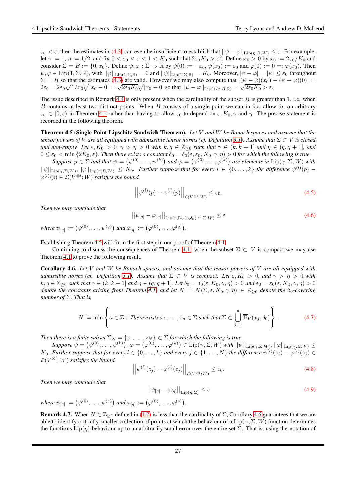$\varepsilon_0 < \varepsilon$ , then the estimates in [\(4.3\)](#page-25-1) can even be insufficient to establish that  $||\psi - \varphi||_{\text{Lip}(\eta, B, W)} \leq \varepsilon$ . For example, let  $\gamma:=1, \eta:=1/2,$  and fix  $0<\varepsilon_0<\varepsilon<1< K_0$  such that  $2\varepsilon_0K_0>\varepsilon^2.$  Define  $x_0>0$  by  $x_0:=2\varepsilon_0/K_0$  and consider  $\Sigma = B := \{0, x_0\}$ . Define  $\psi, \varphi : \Sigma \to \mathbb{R}$  by  $\psi(0) := -\varepsilon_0$ ,  $\psi(x_0) := \varepsilon_0$  and  $\varphi(0) := 0 =: \varphi(x_0)$ . Then  $\psi, \varphi \in \text{Lip}(1, \Sigma, \mathbb{R})$ , with  $||\varphi||_{\text{Lip}(1, \Sigma, \mathbb{R})} = 0$  and  $||\psi||_{\text{Lip}(1, \Sigma, \mathbb{R})} = K_0$ . Moreover,  $|\psi - \varphi| = |\psi| \le \varepsilon_0$  throughout  $\Sigma = B$  so that the estimates [\(4.3\)](#page-25-1) are valid. However we may also compute that  $|(\psi - \varphi)(x_0) - (\psi - \varphi)(0)| =$  $2\varepsilon_0 = 2\varepsilon_0 \sqrt{1/x_0} \sqrt{|x_0 - 0|} = \sqrt{2\varepsilon_0 K_0} \sqrt{|x_0 - 0|}$  so that  $||\psi - \varphi||_{\text{Lip}(1/2, B, \mathbb{R})} = \sqrt{2\varepsilon_0 K_0} > \varepsilon$ .

The issue described in Remark [4.4](#page-25-3) is only present when the cardinality of the subset  $B$  is greater than 1, i.e. when B contains at least two distinct points. When B consists of a single point we can in fact allow for an arbitrary  $\varepsilon_0 \in [0, \varepsilon)$  in Theorem [4.1](#page-25-0) rather than having to allow  $\varepsilon_0$  to depend on  $\varepsilon$ ,  $K_0$ ,  $\gamma$  and  $\eta$ . The precise statement is recorded in the following theorem.

<span id="page-26-0"></span>Theorem 4.5 (Single-Point Lipschitz Sandwich Theorem). *Let* V *and* W *be Banach spaces and assume that the tensor powers of V* are all equipped with admissible tensor norms (cf. Definition [3.1\)](#page-14-1). Assume that  $\Sigma \subset V$  *is closed and non-empty.* Let  $\varepsilon, K_0 > 0$ ,  $\gamma > \eta > 0$  with  $k, q \in \mathbb{Z}_{\geq 0}$  such that  $\gamma \in (k, k + 1]$  *and*  $\eta \in (q, q + 1]$ *, and*  $0 \leq \varepsilon_0 < \min\{2K_0, \varepsilon\}$ . Then there exists a constant  $\delta_0 = \delta_0(\varepsilon, \varepsilon_0, K_0, \gamma, \eta) > 0$  for which the following is true.

 $Suppose \ p \in \Sigma$  and that  $\psi = (\psi^{(0)}, \ldots, \psi^{(k)})$  and  $\varphi = (\varphi^{(0)}, \ldots, \varphi^{(k)})$  are elements in  $\text{Lip}(\gamma, \Sigma, W)$  with  $||\psi||_{\text{Lip}(\gamma,\Sigma,W)}, ||\varphi||_{\text{Lip}(\gamma,\Sigma,W)} \leq K_0$ . Further suppose that for every  $l \in \{0,\ldots,k\}$  the difference  $\psi^{(l)}(p)$  –  $\varphi^{(l)}(p) \in \mathcal{L}(V^{\otimes l}; W)$  satisfies the bound

$$
\left| \left| \psi^{(l)}(p) - \varphi^{(l)}(p) \right| \right|_{\mathcal{L}(V^{\otimes l};W)} \leq \varepsilon_0. \tag{4.5}
$$

*Then we may conclude that*

<span id="page-26-4"></span>
$$
\left| |\psi_{[q]} - \varphi_{[q]}| \right|_{\text{Lip}(\eta, \overline{\mathbb{B}}_V(p, \delta_0) \cap \Sigma, W)} \le \varepsilon \tag{4.6}
$$

 $\text{where } \psi_{[q]} := (\psi^{(0)}, \dots, \psi^{(q)}) \text{ and } \varphi_{[q]} := (\varphi^{(0)}, \dots, \varphi^{(q)}).$ 

Establishing Theorem [4.5](#page-26-0) will form the first step in our proof of Theorem [4.1.](#page-25-0)

Continuing to discuss the consequences of Theorem [4.1,](#page-25-0) when the subset  $\Sigma \subset V$  is compact we may use Theorem [4.1](#page-25-0) to prove the following result.

<span id="page-26-2"></span>Corollary 4.6. *Let* V *and* W *be Banach spaces, and assume that the tensor powers of* V *are all equipped with admissible norms (cf. Definition* [3.1\)](#page-14-1). Assume that  $\Sigma \subset V$  *is compact. Let*  $\varepsilon, K_0 > 0$ *, and*  $\gamma > \eta > 0$  *with*  $k, q \in \mathbb{Z}_{\geq 0}$  such that  $\gamma \in (k, k+1]$  and  $\eta \in (q, q+1]$ . Let  $\delta_0 = \delta_0(\varepsilon, K_0, \gamma, \eta) > 0$  and  $\varepsilon_0 = \varepsilon_0(\varepsilon, K_0, \gamma, \eta) > 0$ *denote the constants arising from Theorem [4.1,](#page-25-0) and let*  $N = N(\Sigma, \varepsilon, K_0, \gamma, \eta) \in \mathbb{Z}_{\geq 0}$  *denote the*  $\delta_0$ -covering *number of* Σ*. That is,*

<span id="page-26-1"></span>
$$
N := \min \left\{ a \in \mathbb{Z} : \text{ There exists } x_1, \dots, x_a \in \Sigma \text{ such that } \Sigma \subset \bigcup_{j=1}^a \overline{\mathbb{B}}_V(x_j, \delta_0) \right\}.
$$
 (4.7)

*Then there is a finite subset*  $\Sigma_N = \{z_1, \ldots, z_N\} \subset \Sigma$  *for which the following is true.* 

 $\mathit{Suppose}\ \psi=\left(\psi^{(0)},\ldots,\psi^{(k)}\right), \varphi=\left(\varphi^{(0)},\ldots,\varphi^{(k)}\right)\in \mathrm{Lip}(\gamma,\Sigma,W) \text{ with } ||\psi||_{\mathrm{Lip}(\gamma,\Sigma,W)}, ||\varphi||_{\mathrm{Lip}(\gamma,\Sigma,W)} \leq$  $K_0$ . Further suppose that for every  $l \in \{0, \ldots, k\}$  and every  $j \in \{1, \ldots, N\}$  the difference  $\psi^{(l)}(z_j) - \varphi^{(l)}(z_j) \in$  $\mathcal{L}(V^{\otimes l}; W)$  satisfies the bound

$$
\left| \left| \psi^{(l)}(z_j) - \varphi^{(l)}(z_j) \right| \right|_{\mathcal{L}(V^{\otimes l}; W)} \leq \varepsilon_0. \tag{4.8}
$$

*Then we may conclude that*

<span id="page-26-3"></span>
$$
\left| |\psi_{[q]} - \varphi_{[q]}| \right|_{\text{Lip}(\eta, \Sigma)} \le \varepsilon \tag{4.9}
$$

where 
$$
\psi_{[q]} := (\psi^{(0)}, \ldots, \psi^{(q)})
$$
 and  $\varphi_{[q]} := (\varphi^{(0)}, \ldots, \varphi^{(q)})$ .

**Remark 4.7.** When  $N \in \mathbb{Z}_{\geq 1}$  defined in [\(4.7\)](#page-26-1) is less than the cardinality of  $\Sigma$ , Corollary [4.6](#page-26-2) guarantees that we are able to identify a strictly smaller collection of points at which the behaviour of a  $Lip(\gamma, \Sigma, W)$  function determines the functions  $\text{Lip}(\eta)$ -behaviour up to an arbitrarily small error over the entire set  $\Sigma$ . That is, using the notation of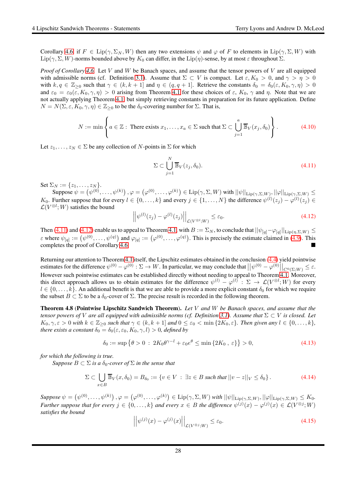Corollary [4.6,](#page-26-2) if  $F \in \text{Lip}(\gamma, \Sigma_N, W)$  then any two extensions  $\psi$  and  $\varphi$  of F to elements in  $\text{Lip}(\gamma, \Sigma, W)$  with Lip( $\gamma$ ,  $\Sigma$ , W)-norms bounded above by  $K_0$  can differ, in the Lip( $\eta$ )-sense, by at most  $\varepsilon$  throughout  $\Sigma$ .

*Proof of Corollary [4.6.](#page-26-2)* Let V and W be Banach spaces, and assume that the tensor powers of V are all equipped with admissible norms (cf. Definition [3.1\)](#page-14-1). Assume that  $\Sigma \subset V$  is compact. Let  $\varepsilon, K_0 > 0$ , and  $\gamma > \eta > 0$ with  $k, q \in \mathbb{Z}_{\geq 0}$  such that  $\gamma \in (k, k+1]$  and  $\eta \in (q, q+1]$ . Retrieve the constants  $\delta_0 = \delta_0(\varepsilon, K_0, \gamma, \eta) > 0$ and  $\varepsilon_0 = \varepsilon_0(\varepsilon, K_0, \gamma, \eta) > 0$  arising from Theorem [4.1](#page-25-0) for these choices of  $\varepsilon$ ,  $K_0$ ,  $\gamma$  and  $\eta$ . Note that we are not actually applying Theorem [4.1,](#page-25-0) but simply retrieving constants in preparation for its future application. Define  $N = N(\Sigma, \varepsilon, K_0, \gamma, \eta) \in \mathbb{Z}_{\geq 0}$  to be the  $\delta_0$ -covering number for  $\Sigma$ . That is,

$$
N := \min \left\{ a \in \mathbb{Z} : \text{ There exists } x_1, \dots, x_a \in \Sigma \text{ such that } \Sigma \subset \bigcup_{j=1}^a \overline{\mathbb{B}}_V(x_j, \delta_0) \right\}.
$$
 (4.10)

Let  $z_1, \ldots, z_N \in \Sigma$  be any collection of N-points in  $\Sigma$  for which

<span id="page-27-1"></span>
$$
\Sigma \subset \bigcup_{j=1}^{N} \overline{\mathbb{B}}_V(z_j, \delta_0). \tag{4.11}
$$

Set  $\Sigma_N := \{z_1, \ldots, z_N\}.$ 

 $\mathsf{Suppose}\ \psi=\left(\psi^{(0)},\ldots,\psi^{(k)}\right), \varphi=\left(\varphi^{(0)},\ldots,\varphi^{(k)}\right)\in\mathrm{Lip}(\gamma,\Sigma,W)\ \text{with}\ ||\psi||_{\mathrm{Lip}(\gamma,\Sigma,W)}, ||\varphi||_{\mathrm{Lip}(\gamma,\Sigma,W)}\leq$  $K_0$ . Further suppose that for every  $l \in \{0, \ldots, k\}$  and every  $j \in \{1, \ldots, N\}$  the difference  $\psi^{(l)}(z_j) - \varphi^{(l)}(z_j) \in$  $\mathcal{L}(V^{\otimes l}; W)$  satisfies the bound

<span id="page-27-2"></span>
$$
\left| \left| \psi^{(l)}(z_j) - \varphi^{(l)}(z_j) \right| \right|_{\mathcal{L}(V^{\otimes l}; W)} \leq \varepsilon_0. \tag{4.12}
$$

Then [\(4.11\)](#page-27-1) and [\(4.12\)](#page-27-2) enable us to appeal to Theorem [4.1,](#page-25-0) with  $B := \Sigma_N$ , to conclude that  $||\psi_{[q]} - \varphi_{[q]}||_{\text{Lip}(\eta,\Sigma,W)} \le$  $\varepsilon$  where  $\psi_{[q]} := (\psi^{(0)}, \dots, \psi^{(q)})$  and  $\varphi_{[q]} := (\varphi^{(0)}, \dots, \varphi^{(q)})$ . This is precisely the estimate claimed in [\(4.9\)](#page-26-3). This completes the proof of Corollary [4.6.](#page-26-2)

Returning our attention to Theorem [4.1](#page-25-0) itself, the Lipschitz estimates obtained in the conclusion [\(4.4\)](#page-25-4) yield pointwise estimates for the difference  $\psi^{(0)} - \varphi^{(0)} : \Sigma \to W$ . In particular, we may conclude that  $\left| \left| \psi^{(0)} - \varphi^{(0)} \right| \right|_{C^0(\Sigma;W)} \leq \varepsilon$ . However such pointwise estimates can be established directly without needing to appeal to Theorem [4.1.](#page-25-0) Moreover, this direct approach allows us to obtain estimates for the difference  $\psi^{(l)} - \varphi^{(l)} : \Sigma \to \mathcal{L}(V^{\otimes l}; W)$  for every  $l \in \{0,\ldots,k\}$ . An additional benefit is that we are able to provide a more explicit constant  $\delta_0$  for which we require the subset  $B \subset \Sigma$  to be a  $\delta_0$ -cover of  $\Sigma$ . The precise result is recorded in the following theorem.

<span id="page-27-0"></span>Theorem 4.8 (Pointwise Lipschitz Sandwich Theorem). *Let* V *and* W *be Banach spaces, and assume that the tensor powers of V* are all equipped with admissible norms (cf. Definition [3.1\)](#page-14-1). Assume that  $\Sigma \subset V$  *is closed. Let*  $K_0, \gamma, \varepsilon > 0$  with  $k \in \mathbb{Z}_{\geq 0}$  such that  $\gamma \in (k, k + 1]$  and  $0 \leq \varepsilon_0 < \min\{2K_0, \varepsilon\}$ . Then given any  $l \in \{0, \ldots, k\}$ , *there exists a constant*  $\delta_0 = \delta_0(\epsilon, \epsilon_0, K_0, \gamma, l) > 0$ *, defined by* 

<span id="page-27-4"></span>
$$
\delta_0 := \sup \left\{ \theta > 0 \; : \; 2K_0 \theta^{\gamma - l} + \varepsilon_0 e^{\theta} \le \min \left\{ 2K_0 \, , \, \varepsilon \right\} \right\} > 0,\tag{4.13}
$$

*for which the following is true.*

*Suppose*  $B \subset \Sigma$  *is a*  $\delta_0$ -cover of  $\Sigma$  *in the sense that* 

$$
\Sigma \subset \bigcup_{x \in B} \overline{\mathbb{B}}_V(x, \delta_0) = B_{\delta_0} := \{ v \in V \, : \, \exists z \in B \text{ such that } ||v - z||_V \le \delta_0 \} \, . \tag{4.14}
$$

 $\mathit{Suppose}\ \psi=\left(\psi^{(0)},\ldots,\psi^{(k)}\right), \varphi=\left(\varphi^{(0)},\ldots,\varphi^{(k)}\right)\in \mathrm{Lip}(\gamma,\Sigma,W) \text{ with } ||\psi||_{\mathrm{Lip}(\gamma,\Sigma,W)}, ||\varphi||_{\mathrm{Lip}(\gamma,\Sigma,W)}\leq K_0.$ *Further suppose that for every*  $j \in \{0, ..., k\}$  and every  $x \in B$  the difference  $\psi^{(j)}(x) - \varphi^{(j)}(x) \in \mathcal{L}(V^{\otimes j}; W)$ *satisfies the bound*

<span id="page-27-3"></span>
$$
\left| \left| \psi^{(j)}(x) - \varphi^{(j)}(x) \right| \right|_{\mathcal{L}(V^{\otimes j}; W)} \le \varepsilon_0. \tag{4.15}
$$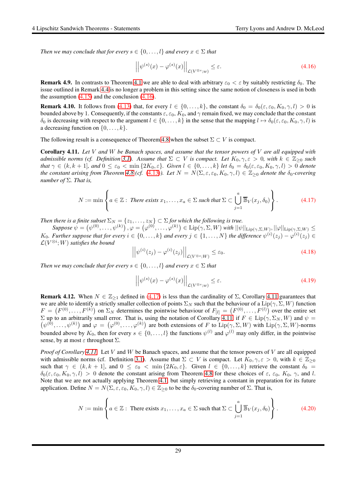*Then we may conclude that for every*  $s \in \{0, \ldots, l\}$  *and every*  $x \in \Sigma$  *that* 

<span id="page-28-0"></span>
$$
\left| \left| \psi^{(s)}(x) - \varphi^{(s)}(x) \right| \right|_{\mathcal{L}(V^{\otimes s};w)} \leq \varepsilon. \tag{4.16}
$$

**Remark 4.9.** In contrasts to Theorem [4.1](#page-25-0) we are able to deal with arbitrary  $\varepsilon_0 < \varepsilon$  by suitably restricting  $\delta_0$ . The issue outlined in Remark [4.4](#page-25-3) is no longer a problem in this setting since the same notion of closeness is used in both the assumption  $(4.15)$  and the conclusion  $(4.16)$ .

**Remark 4.10.** It follows from [\(4.13\)](#page-27-4) that, for every  $l \in \{0, ..., k\}$ , the constant  $\delta_0 = \delta_0(\varepsilon, \varepsilon_0, K_0, \gamma, l) > 0$  is bounded above by 1. Consequently, if the constants  $\varepsilon$ ,  $\varepsilon_0$ ,  $K_0$ , and  $\gamma$  remain fixed, we may conclude that the constant  $\delta_0$  is decreasing with respect to the argument  $l \in \{0, \ldots, k\}$  in the sense that the mapping  $l \mapsto \delta_0(\varepsilon, \varepsilon_0, K_0, \gamma, l)$  is a decreasing function on  $\{0, \ldots, k\}.$ 

The following result is a consequence of Theorem [4.8](#page-27-0) when the subset  $\Sigma \subset V$  is compact.

<span id="page-28-2"></span>Corollary 4.11. *Let* V *and* W *be Banach spaces, and assume that the tensor powers of* V *are all equipped with admissible norms (cf. Definition* [3.1\)](#page-14-1). Assume that  $\Sigma \subset V$  is compact. Let  $K_0, \gamma, \varepsilon > 0$ , with  $k \in \mathbb{Z}_{\geq 0}$  such *that*  $\gamma \in (k, k+1]$ *, and*  $0 \le \varepsilon_0 < \min\{2K_0, \varepsilon\}$ *. Given*  $l \in \{0, \ldots, k\}$  *let*  $\delta_0 = \delta_0(\varepsilon, \varepsilon_0, K_0, \gamma, l) > 0$  *denote the constant arising from Theorem [4.8](#page-27-0)* (*cf.* [\(4.13\)](#page-27-4)). Let  $N = N(\Sigma, \varepsilon, \varepsilon_0, K_0, \gamma, l) \in \mathbb{Z}_{\geq 0}$  denote the  $\delta_0$ -covering *number of* Σ*. That is,*

<span id="page-28-1"></span>
$$
N := \min \left\{ a \in \mathbb{Z} : \text{ There exists } x_1, \dots, x_a \in \Sigma \text{ such that } \Sigma \subset \bigcup_{j=1}^a \overline{\mathbb{B}}_V(x_j, \delta_0) \right\}. \tag{4.17}
$$

*Then there is a finite subset*  $\Sigma_N = \{z_1, \ldots, z_N\} \subset \Sigma$  *for which the following is true.* 

 $\mathit{Suppose}\ \psi=\left(\psi^{(0)},\ldots,\psi^{(k)}\right), \varphi=\left(\varphi^{(0)},\ldots,\varphi^{(k)}\right)\in \mathrm{Lip}(\gamma,\Sigma,W) \text{ with } ||\psi||_{\mathrm{Lip}(\gamma,\Sigma,W)}, ||\varphi||_{\mathrm{Lip}(\gamma,\Sigma,W)} \leq$  $K_0$ . Further suppose that for every  $i \in \{0, \ldots, k\}$  and every  $j \in \{1, \ldots, N\}$  the difference  $\psi^{(i)}(z_j) - \varphi^{(i)}(z_j) \in$  $\mathcal{L}(V^{\otimes i}; W)$  satisfies the bound

$$
\left| \left| \psi^{(i)}(z_j) - \varphi^{(i)}(z_j) \right| \right|_{\mathcal{L}(V^{\otimes s}; W)} \leq \varepsilon_0. \tag{4.18}
$$

*Then we may conclude that for every*  $s \in \{0, \ldots, l\}$  *and every*  $x \in \Sigma$  *that* 

<span id="page-28-3"></span>
$$
\left| \left| \psi^{(s)}(x) - \varphi^{(s)}(x) \right| \right|_{\mathcal{L}(V^{\otimes s};w)} \le \varepsilon. \tag{4.19}
$$

**Remark 4.12.** When  $N \in \mathbb{Z}_{\geq 1}$  defined in [\(4.17\)](#page-28-1) is less than the cardinality of  $\Sigma$ , Corollary [4.11](#page-28-2) guarantees that we are able to identify a strictly smaller collection of points  $\Sigma_N$  such that the behaviour of a  $Lip(\gamma, \Sigma, W)$  function  $F = (F^{(0)}, \ldots, F^{(k)})$  on  $\Sigma_N$  determines the pointwise behaviour of  $F_{[l]} = (F^{(0)}, \ldots, F^{(l)})$  over the entire set  $(\psi^{(0)}, \dots, \psi^{(k)})$  and  $\varphi = (\varphi^{(0)}, \dots, \varphi^{(k)})$  are both extensions of F to  $\text{Lip}(\gamma, \Sigma, W)$  with  $\text{Lip}(\gamma, \Sigma, W)$ -norms  $\Sigma$  up to an arbitrarily small error. That is, using the notation of Corollary [4.11,](#page-28-2) if  $F \in \text{Lip}(\gamma, \Sigma_N, W)$  and  $\psi =$ bounded above by  $K_0$ , then for every  $s \in \{0, \ldots, l\}$  the functions  $\psi^{(l)}$  and  $\varphi^{(l)}$  may only differ, in the pointwise sense, by at most  $\varepsilon$  throughout  $\Sigma$ .

*Proof of Corollary [4.11.](#page-28-2)* Let V and W be Banach spaces, and assume that the tensor powers of V are all equipped with admissible norms (cf. Definition [3.1\)](#page-14-1). Assume that  $\Sigma \subset V$  is compact. Let  $K_0, \gamma, \varepsilon > 0$ , with  $k \in \mathbb{Z}_{\geq 0}$ such that  $\gamma \in (k, k + 1]$ , and  $0 \le \varepsilon_0 < \min\{2K_0, \varepsilon\}$ . Given  $l \in \{0, \ldots, k\}$  retrieve the constant  $\delta_0 =$  $\delta_0(\varepsilon, \varepsilon_0, K_0, \gamma, l) > 0$  denote the constant arising from Theorem [4.8](#page-27-0) for these choices of  $\varepsilon$ ,  $\varepsilon_0$ ,  $K_0$ ,  $\gamma$ , and l. Note that we are not actually applying Theorem [4.1,](#page-25-0) but simply retrieving a constant in preparation for its future application. Define  $N = N(\Sigma, \varepsilon, \varepsilon_0, K_0, \gamma, l) \in \mathbb{Z}_{\geq 0}$  to be the  $\delta_0$ -covering number of  $\Sigma$ . That is,

$$
N := \min \left\{ a \in \mathbb{Z} : \text{ There exists } x_1, \dots, x_a \in \Sigma \text{ such that } \Sigma \subset \bigcup_{j=1}^a \overline{\mathbb{B}}_V(x_j, \delta_0) \right\}.
$$
 (4.20)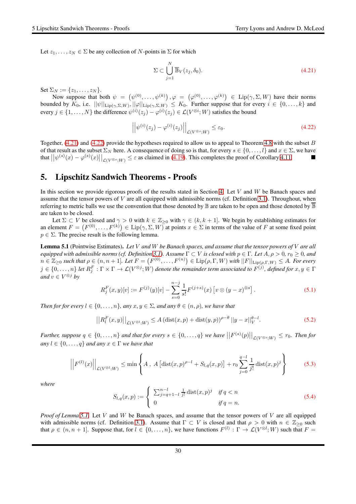Let  $z_1, \ldots, z_N \in \Sigma$  be any collection of N-points in  $\Sigma$  for which

<span id="page-29-1"></span>
$$
\Sigma \subset \bigcup_{j=1}^{N} \overline{\mathbb{B}}_V(z_j, \delta_0). \tag{4.21}
$$

Set  $\Sigma_N := \{z_1, \ldots, z_N\}.$ 

Now suppose that both  $\psi = (\psi^{(0)}, \dots, \psi^{(k)})$ ,  $\varphi = (\varphi^{(0)}, \dots, \varphi^{(k)}) \in \text{Lip}(\gamma, \Sigma, W)$  have their norms bounded by  $K_0$ , i.e.  $||\psi||_{\text{Lip}(\gamma,\Sigma,W)}, ||\varphi||_{\text{Lip}(\gamma,\Sigma,W)} \leq K_0$ . Further suppose that for every  $i \in \{0,\ldots,k\}$  and every  $j \in \{1, ..., N\}$  the difference  $\psi^{(i)}(z_j) - \varphi^{(i)}(z_j) \in \mathcal{L}(V^{\otimes i}; W)$  satisfies the bound

<span id="page-29-2"></span>
$$
\left| \left| \psi^{(i)}(z_j) - \varphi^{(i)}(z_j) \right| \right|_{\mathcal{L}(V^{\otimes s}; W)} \leq \varepsilon_0. \tag{4.22}
$$

Together,  $(4.21)$  and  $(4.22)$  provide the hypotheses required to allow us to appeal to Theorem [4.8](#page-27-0) with the subset B of that result as the subset  $\Sigma_N$  here. A consequence of doing so is that, for every  $s \in \{0, \ldots, l\}$  and  $x \in \Sigma$ , we have that  $||\psi^{(s)}(x) - \varphi^{(s)}(x)||_{\mathcal{L}(V^{\otimes s};W)} \leq \varepsilon$  as claimed in [\(4.19\)](#page-28-3). This completes the proof of Corollary [4.11.](#page-28-2)

# <span id="page-29-0"></span>5. Lipschitz Sandwich Theorems - Proofs

In this section we provide rigorous proofs of the results stated in Section [4.](#page-24-0) Let  $V$  and  $W$  be Banach spaces and assume that the tensor powers of  $V$  are all equipped with admissible norms (cf. Definition [3.1\)](#page-14-1). Throughout, when referring to metric balls we use the convention that those denoted by  $\mathbb B$  are taken to be open and those denoted by  $\overline{\mathbb B}$ are taken to be closed.

Let  $\Sigma \subset V$  be closed and  $\gamma > 0$  with  $k \in \mathbb{Z}_{\geq 0}$  with  $\gamma \in (k, k + 1]$ . We begin by establishing estimates for an element  $F = (F^{(0)}, \ldots, F^{(k)}) \in \text{Lip}(\gamma, \Sigma, W)$  at points  $x \in \Sigma$  in terms of the value of F at some fixed point  $p \in \Sigma$ . The precise result is the following lemma.

<span id="page-29-3"></span>Lemma 5.1 (Pointwise Estimates). *Let* V *and* W *be Banach spaces, and assume that the tensor powers of* V *are all equipped with admissible norms (cf. Definition* [3.1\)](#page-14-1). Assume  $\Gamma \subset V$  *is closed with*  $p \in \Gamma$ *. Let*  $A, \rho > 0, r_0 \ge 0$ *, and*  $n \in \mathbb{Z}_{\geq 0}$  such that  $\rho \in (n, n + 1]$ . Let  $F = (F^{(0)}, \ldots, F^{(n)}) \in \text{Lip}(\rho, \Gamma, W)$  with  $||F||_{\text{Lip}(\rho, \Gamma, W)} \leq A$ . For every  $j\in\{0,\ldots,n\}$  let  $R_j^F:\Gamma\times\Gamma\to\mathcal L(V^{\otimes j};W)$  denote the remainder term associated to  $F^{(j)}$ , defined for  $x,y\in\Gamma$ *and*  $v \in V^{\otimes j}$  *by* 

$$
R_j^F(x, y)[v] := F^{(j)}(y)[v] - \sum_{s=0}^{n-j} \frac{1}{s!} F^{(j+s)}(x) [v \otimes (y-x)^{\otimes s}]. \tag{5.1}
$$

*Then for for every*  $l \in \{0, \ldots, n\}$ *, any*  $x, y \in \Sigma$ *, and any*  $\theta \in (n, \rho)$ *, we have that* 

<span id="page-29-4"></span>
$$
||R_l^F(x,y)||_{\mathcal{L}(V^{\otimes l};W)} \le A \left(\text{dist}(x,p) + \text{dist}(y,p)\right)^{\rho-\theta} ||y-x||_V^{\theta-l}.
$$
 (5.2)

Further, suppose  $q \in \{0,\ldots,n\}$  and that for every  $s \in \{0,\ldots,q\}$  we have  $||F^{(s)}(p)||_{\mathcal{L}(V^{\otimes s};W)} \leq r_0$ . Then for  $any \, l \in \{0, \ldots, q\}$  *and any*  $x \in \Gamma$  *we have that* 

<span id="page-29-6"></span>
$$
\left| \left| F^{(l)}(x) \right| \right|_{\mathcal{L}(V^{\otimes l};W)} \le \min \left\{ A \, , \, A \left[ \text{dist}(x,p)^{\rho-l} + S_{l,q}(x,p) \right] + r_0 \sum_{j=0}^{q-l} \frac{1}{j!} \, \text{dist}(x,p)^j \right\} \tag{5.3}
$$

*where*

<span id="page-29-5"></span>
$$
S_{l,q}(x,p) := \begin{cases} \sum_{j=q+1-l}^{n-l} \frac{1}{j!} \operatorname{dist}(x,p)^j & \text{if } q < n \\ 0 & \text{if } q = n. \end{cases}
$$
 (5.4)

*Proof of Lemma [5.1.](#page-29-3)* Let V and W be Banach spaces, and assume that the tensor powers of V are all equipped with admissible norms (cf. Definition [3.1\)](#page-14-1). Assume that  $\Gamma \subset V$  is closed and that  $\rho > 0$  with  $n \in \mathbb{Z}_{\geq 0}$  such that  $\rho \in (n, n + 1]$ . Suppose that, for  $l \in \{0, ..., n\}$ , we have functions  $F^{(l)} : \Gamma \to \mathcal{L}(V^{\otimes l}; W)$  such that  $F =$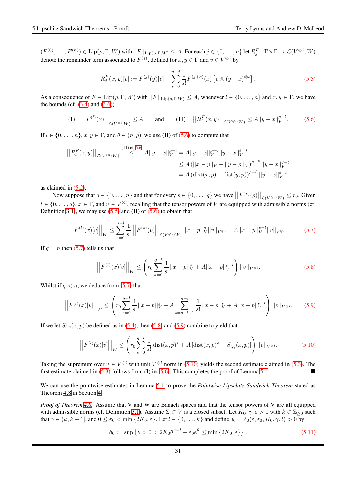$(F^{(0)}, \ldots, F^{(n)}) \in \text{Lip}(\rho, \Gamma, W)$  with  $||F||_{\text{Lip}(\rho, \Gamma, W)} \leq A$ . For each  $j \in \{0, \ldots, n\}$  let  $R_j^F : \Gamma \times \Gamma \to \mathcal{L}(V^{\otimes j}; W)$ denote the remainder term associated to  $F^{(j)}$ , defined for  $x, y \in \Gamma$  and  $v \in V^{\otimes j}$  by

<span id="page-30-1"></span>
$$
R_j^F(x,y)[v] := F^{(j)}(y)[v] - \sum_{s=0}^{n-j} \frac{1}{s!} F^{(j+s)}(x) [v \otimes (y-x)^{\otimes s}]. \tag{5.5}
$$

As a consequence of  $F \in \text{Lip}(\rho, \Gamma, W)$  with  $||F||_{\text{Lip}(\rho, \Gamma, W)} \leq A$ , whenever  $l \in \{0, \ldots, n\}$  and  $x, y \in \Gamma$ , we have the bounds (cf.  $(3.4)$  and  $(3.6)$ )

<span id="page-30-0"></span>
$$
\textbf{(I)} \quad \left| \left| F^{(l)}(x) \right| \right|_{\mathcal{L}(V^{\otimes l}; W)} \le A \qquad \text{and} \qquad \textbf{(II)} \quad \left| \left| R_l^F(x, y) \right| \right|_{\mathcal{L}(V^{\otimes l}; W)} \le A ||y - x||_V^{\rho - l}. \tag{5.6}
$$

If  $l \in \{0, \ldots, n\}, x, y \in \Gamma$ , and  $\theta \in (n, \rho)$ , we use (II) of [\(5.6\)](#page-30-0) to compute that

$$
||R_l^F(x,y)||_{\mathcal{L}(V^{\otimes l};W)} \stackrel{\text{(II) of (5.6)}}{\leq} A||y-x||_V^{\rho-l} = A||y-x||_V^{\rho-\theta}||y-x||_V^{\theta-l}
$$
  
\n
$$
\leq A (||x-p||_V + ||y-p||_V)^{\rho-\theta} ||y-x||_V^{\theta-l}
$$
  
\n
$$
= A (\text{dist}(x,p) + \text{dist}(y,p))^{\rho-\theta} ||y-x||_V^{\theta-l}
$$

as claimed in [\(5.2\)](#page-29-4).

Now suppose that  $q \in \{0, \ldots, n\}$  and that for every  $s \in \{0, \ldots, q\}$  we have  $\left|\left|F^{(s)}(p)\right|\right|_{\mathcal{L}(V^{\otimes s}; W)} \leq r_0$ . Given  $l \in \{0, \ldots, q\}, x \in \Gamma$ , and  $v \in V^{\otimes l}$ , recalling that the tensor powers of V are equipped with admissible norms (cf. Definition [3.1\)](#page-14-1), we may use  $(5.5)$  and  $(II)$  of  $(5.6)$  to obtain that

<span id="page-30-2"></span>
$$
\left| \left| F^{(l)}(x)[v] \right| \right|_{W} \leq \sum_{s=0}^{n-l} \frac{1}{s!} \left| \left| F^{(s)}(p) \right| \right|_{\mathcal{L}(V^{\otimes s};W)} ||x-p||_{V}^{s} ||v||_{V^{\otimes l}} + A||x-p||_{V}^{\rho-l} ||v||_{V^{\otimes l}}.
$$
 (5.7)

If  $q = n$  then [\(5.7\)](#page-30-2) tells us that

<span id="page-30-3"></span>
$$
\left| \left| F^{(l)}(x)[v] \right| \right|_{W} \leq \left( r_{0} \sum_{s=0}^{q-l} \frac{1}{s!} ||x-p||_{V}^{s} + A||x-p||_{V}^{\rho-l} \right) ||v||_{V^{\otimes l}}.
$$
 (5.8)

Whilst if  $q < n$ , we deduce from [\(5.7\)](#page-30-2) that

<span id="page-30-4"></span>
$$
\left| \left| F^{(l)}(x)[v] \right| \right|_{W} \leq \left( r_0 \sum_{s=0}^{q-l} \frac{1}{s!} ||x-p||_{V}^{s} + A \sum_{s=q-l+1}^{n-l} \frac{1}{s!} ||x-p||_{V}^{s} + A||x-p||_{V}^{\rho-l} \right) ||v||_{V^{\otimes l}}.
$$
 (5.9)

If we let  $S_{l,q}(x, p)$  be defined as in [\(5.4\)](#page-29-5), then [\(5.8\)](#page-30-3) and [\(5.9\)](#page-30-4) combine to yield that

<span id="page-30-5"></span>
$$
\left| \left| F^{(l)}(x)[v] \right| \right|_{W} \leq \left( r_0 \sum_{s=0}^{q-l} \frac{1}{s!} \operatorname{dist}(x, p)^s + A \left[ \operatorname{dist}(x, p)^{\rho} + S_{l,q}(x, p) \right] \right) ||v||_{V^{\otimes l}}.
$$
 (5.10)

Taking the supremum over  $v \in V^{\otimes l}$  with unit  $V^{\otimes l}$  norm in [\(5.10\)](#page-30-5) yields the second estimate claimed in [\(5.3\)](#page-29-6). The first estimate claimed in  $(5.3)$  follows from  $(I)$  in  $(5.6)$ . This completes the proof of Lemma [5.1.](#page-29-3)

We can use the pointwise estimates in Lemma [5.1](#page-29-3) to prove the *Pointwise Lipschitz Sandwich Theorem* stated as Theorem [4.8](#page-27-0) in Section [4.](#page-24-0)

*Proof of Theorem [4.8.](#page-27-0)* Assume that V and W are Banach spaces and that the tensor powers of V are all equipped with admissible norms (cf. Definition [3.1\)](#page-14-1). Assume  $\Sigma \subset V$  is a closed subset. Let  $K_0, \gamma, \varepsilon > 0$  with  $k \in \mathbb{Z}_{\geq 0}$  such that  $\gamma \in (k, k + 1]$ , and  $0 \le \varepsilon_0 < \min\{2K_0, \varepsilon\}$ . Let  $l \in \{0, \ldots, k\}$  and define  $\delta_0 = \delta_0(\varepsilon, \varepsilon_0, K_0, \gamma, l) > 0$  by

<span id="page-30-6"></span>
$$
\delta_0 := \sup \left\{ \theta > 0 \; : \; 2K_0 \theta^{\gamma - l} + \varepsilon_0 e^{\theta} \le \min \left\{ 2K_0, \varepsilon \right\} \right\}. \tag{5.11}
$$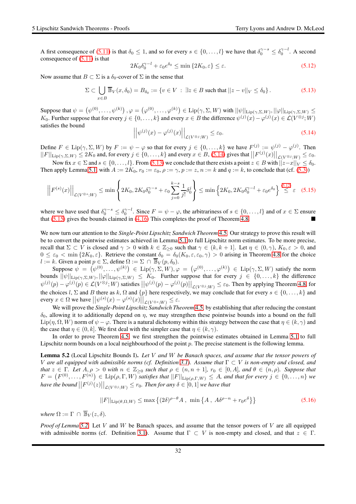A first consequence of [\(5.11\)](#page-30-6) is that  $\delta_0 \le 1$ , and so for every  $s \in \{0, \ldots, l\}$  we have that  $\delta_0^{\gamma-s} \le \delta_0^{\gamma-l}$ . A second consequence of  $(5.11)$  is that

<span id="page-31-2"></span>
$$
2K_0 \delta_0^{\gamma - l} + \varepsilon_0 e^{\delta_0} \le \min\left\{2K_0, \varepsilon\right\} \le \varepsilon. \tag{5.12}
$$

Now assume that  $B \subset \Sigma$  is a  $\delta_0$ -cover of  $\Sigma$  in the sense that

<span id="page-31-1"></span>
$$
\Sigma \subset \bigcup_{x \in B} \overline{\mathbb{B}}_V(x, \delta_0) = B_{\delta_0} := \{ v \in V \, : \, \exists z \in B \text{ such that } ||z - v||_V \le \delta_0 \} \,.
$$

Suppose that  $\psi = (\psi^{(0)}, \dots, \psi^{(k)})$  ,  $\varphi = (\varphi^{(0)}, \dots, \varphi^{(k)}) \in \text{Lip}(\gamma, \Sigma, W)$  with  $||\psi||_{\text{Lip}(\gamma, \Sigma, W)}$ ,  $||\varphi||_{\text{Lip}(\gamma, \Sigma, W)} \leq$  $K_0$ . Further suppose that for every  $j \in \{0, ..., k\}$  and every  $x \in B$  the difference  $\psi^{(j)}(x) - \varphi^{(j)}(x) \in \mathcal{L}(V^{\otimes j}; W)$ satisfies the bound

<span id="page-31-0"></span>
$$
\left| \left| \psi^{(j)}(x) - \varphi^{(j)}(x) \right| \right|_{\mathcal{L}(V^{\otimes j}; W)} \leq \varepsilon_0. \tag{5.14}
$$

Define  $F \in \text{Lip}(\gamma, \Sigma, W)$  by  $F := \psi - \varphi$  so that for every  $j \in \{0, ..., k\}$  we have  $F^{(j)} := \psi^{(j)} - \varphi^{(j)}$ . Then  $||F||_{\text{Lip}(\gamma,\Sigma,W)} \leq 2K_0$  and, for every  $j \in \{0,\ldots,k\}$  and every  $x \in B$ , [\(5.14\)](#page-31-0) gives that  $||F^{(j)}(x)||_{\mathcal{L}(V^{\otimes j};W)} \leq \varepsilon_0$ .

Now fix  $x \in \Sigma$  and  $s \in \{0, \ldots, l\}$ . From [\(5.13\)](#page-31-1) we conclude that there exists a point  $z \in B$  with  $||z-x||_V \le \delta_0$ . Then apply Lemma [5.1,](#page-29-3) with  $A := 2K_0$ ,  $r_0 := \varepsilon_0$ ,  $\rho := \gamma$ ,  $p := z$ ,  $n := k$  and  $q := k$ , to conclude that (cf. [\(5.3\)](#page-29-6))

<span id="page-31-3"></span>
$$
\left|\left|F^{(s)}(x)\right|\right|_{\mathcal{L}(V^{\otimes s};W)} \leq \min\left\{2K_0, 2K_0\delta_0^{\gamma-s} + \varepsilon_0\sum_{j=0}^{k-s}\frac{1}{j!}\delta_0^j\right\} \leq \min\left\{2K_0, 2K_0\delta_0^{\gamma-l} + \varepsilon_0e^{\delta_0}\right\} \stackrel{(5.12)}{\leq} \varepsilon \quad (5.15)
$$

where we have used that  $\delta_0^{\gamma-s} \le \delta_0^{\gamma-l}$ . Since  $F = \psi - \varphi$ , the arbitrariness of  $s \in \{0, \ldots, l\}$  and of  $x \in \Sigma$  ensure that  $(5.15)$  gives the bounds claimed in  $(4.16)$  This completes the proof of Theorem [4.8.](#page-27-0)

We now turn our attention to the *Single-Point Lipschitz Sandwich Theorem* [4.5.](#page-26-0) Our strategy to prove this result will be to convert the pointwise estimates achieved in Lemma [5.1](#page-29-3) to full Lipschitz norm estimates. To be more precise, recall that  $\Sigma \subset V$  is closed and  $\gamma > 0$  with  $k \in \mathbb{Z}_{\geq 0}$  such that  $\gamma \in (k, k + 1]$ . Let  $\eta \in (0, \gamma)$ ,  $K_0, \varepsilon > 0$ , and  $0 \leq \varepsilon_0 < \min\{2K_0, \varepsilon\}$ . Retrieve the constant  $\delta_0 = \delta_0(K_0, \varepsilon, \varepsilon_0, \gamma) > 0$  arising in Theorem [4.8](#page-27-0) for the choice l := k. Given a point  $p \in \Sigma$ , define  $\Omega := \Sigma \cap \overline{\mathbb{B}}_V(p, \delta_0)$ .

Suppose  $\psi = (\psi^{(0)}, \dots, \psi^{(k)}) \in \text{Lip}(\gamma, \Sigma, W), \varphi = (\varphi^{(0)}, \dots, \varphi^{(k)}) \in \text{Lip}(\gamma, \Sigma, W)$  satisfy the norm bounds  $||\psi||_{\text{Lip}(\gamma,\Sigma,W)}, ||\varphi||_{\text{Lip}(\gamma,\Sigma,W)} \leq K_0$ . Further suppose that for every  $j \in \{0,\ldots,k\}$  the difference  $\psi^{(j)}(p) - \varphi^{(j)}(p) \in \mathcal{L}(V^{\otimes j}; W)$  satisfies  $||\psi^{(j)}(p) - \varphi^{(j)}(p)||_{\mathcal{L}(V^{\otimes j}; W)} \leq \varepsilon_0$ . Then by applying Theorem [4.8,](#page-27-0) for the choices l,  $\Sigma$  and B there as k,  $\Omega$  and  $\{p\}$  here respectively, we may conclude that for every  $s \in \{0, \ldots, k\}$  and every  $x \in \Omega$  we have  $||\psi^{(s)}(x) - \varphi^{(s)}(x)||_{\mathcal{L}(V^{\otimes s};W)} \leq \varepsilon$ .

We will prove the *Single-Point Lipschitz Sandwich Theorem* [4.5,](#page-26-0) by establishing that after reducing the constant  $\delta_0$ , allowing it to additionally depend on  $\eta$ , we may strengthen these pointwise bounds into a bound on the full  $\text{Lip}(\eta, \Omega, W)$  norm of  $\psi - \varphi$ . There is a natural dichotomy within this strategy between the case that  $\eta \in (k, \gamma)$  and the case that  $\eta \in (0, k]$ . We first deal with the simpler case that  $\eta \in (k, \gamma)$ .

In order to prove Theorem [4.5,](#page-26-0) we first strengthen the pointwise estimates obtained in Lemma [5.1](#page-29-3) to full Lipschitz norm bounds on a local neighbourhood of the point  $p$ . The precise statement is the following lemma.

<span id="page-31-4"></span>Lemma 5.2 (Local Lipschitz Bounds I). *Let* V *and* W *be Banach spaces, and assume that the tensor powers of* V *are all equipped with admissible norms (cf. Definition [3.1\)](#page-14-1). Assume that* Γ ⊂ V *is non-empty and closed, and that*  $z \in \Gamma$ *. Let*  $A, \rho > 0$  *with*  $n \in \mathbb{Z}_{\geq 0}$  *such that*  $\rho \in (n, n + 1]$ *,*  $r_0 \in [0, A]$ *, and*  $\theta \in (n, \rho)$ *. Suppose that*  $F = (F^{(0)}, \ldots, F^{(n)}) \in \text{Lip}(\rho, \Gamma, W)$  *satisfies that*  $||F||_{\text{Lip}(\rho, \Gamma, W)} \leq A$ *, and that for every*  $j \in \{0, \ldots, n\}$  we have the bound  $||F^{(j)}(z)||_{\mathcal{L}(V^{\otimes j};W)} \leq r_0$ . Then for any  $\delta \in [0,1]$  we have that

<span id="page-31-5"></span>
$$
||F||_{\text{Lip}(\theta,\Omega,W)} \le \max\left\{ (2\delta)^{\rho-\theta} A, \ \min\left\{ A, \ A\delta^{\rho-n} + r_0 e^{\delta} \right\} \right\} \tag{5.16}
$$

*where*  $\Omega := \Gamma \cap \overline{\mathbb{B}}_V(z, \delta)$ *.* 

*Proof of Lemma [5.2.](#page-31-4)* Let V and W be Banach spaces, and assume that the tensor powers of V are all equipped with admissible norms (cf. Definition [3.1\)](#page-14-1). Assume that  $\Gamma \subset V$  is non-empty and closed, and that  $z \in \Gamma$ .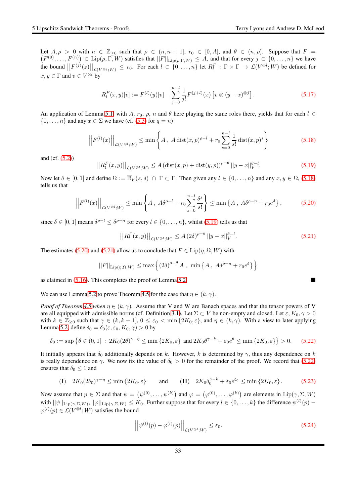$(F^{(0)},...,F^{(n)}) \in \text{Lip}(\rho,\Gamma,W)$  satisfies that  $||F||_{\text{Lip}(\rho,\Gamma,W)} \leq A$ , and that for every  $j \in \{0,...,n\}$  we have Let  $A, \rho > 0$  with  $n \in \mathbb{Z}_{\geq 0}$  such that  $\rho \in (n, n + 1]$ ,  $r_0 \in [0, A]$ , and  $\theta \in (n, \rho)$ . Suppose that  $F =$ the bound  $||F^{(j)}(z)||_{\mathcal{L}(V^{\otimes j};W)} \leq r_0$ . For each  $l \in \{0,\ldots,n\}$  let  $R_l^F : \Gamma \times \Gamma \to \mathcal{L}(V^{\otimes l};W)$  be defined for  $x, y \in \Gamma$  and  $v \in V^{\otimes l}$  by

$$
R_l^F(x, y)[v] := F^{(l)}(y)[v] - \sum_{j=0}^{n-l} \frac{1}{j!} F^{(j+l)}(x) \left[ v \otimes (y-x)^{\otimes j} \right]. \tag{5.17}
$$

An application of Lemma [5.1,](#page-29-3) with A,  $r_0$ ,  $\rho$ ,  $n$  and  $\theta$  here playing the same roles there, yields that for each  $l \in$  $\{0, \ldots, n\}$  and any  $x \in \Sigma$  we have (cf. [\(5.3\)](#page-29-6) for  $q = n$ )

<span id="page-32-0"></span>
$$
\left| \left| F^{(l)}(x) \right| \right|_{\mathcal{L}(V^{\otimes l};W)} \le \min \left\{ A \, , \, A \, \text{dist}(x,p)^{\rho-l} + r_0 \sum_{s=0}^{n-l} \frac{1}{s!} \, \text{dist}(x,p)^s \right\} \tag{5.18}
$$

and (cf. [\(5.2\)](#page-29-4))

<span id="page-32-1"></span>
$$
||R_l^F(x,y)||_{\mathcal{L}(V^{\otimes l};W)} \le A \left(\text{dist}(x,p) + \text{dist}(y,p)\right)^{\rho-\theta} ||y-x||_V^{\theta-l}.
$$
 (5.19)

Now let  $\delta \in [0,1]$  and define  $\Omega := \overline{\mathbb{B}}_V(z,\delta) \cap \Gamma \subset \Gamma$ . Then given any  $l \in \{0,\ldots,n\}$  and any  $x, y \in \Omega$ , [\(5.18\)](#page-32-0) tells us that

<span id="page-32-2"></span>
$$
\left|\left|F^{(l)}(x)\right|\right|_{\mathcal{L}(V^{\otimes l};W)} \leq \min\left\{A\,,\ A\delta^{\rho-l} + r_0\sum_{s=0}^{n-l}\frac{\delta^s}{s!}\right\} \leq \min\left\{A\,,\ A\delta^{\rho-n} + r_0e^{\delta}\right\},\tag{5.20}
$$

since  $\delta \in [0,1]$  means  $\delta^{\rho-l} \leq \delta^{\rho-n}$  for every  $l \in \{0,\ldots,n\}$ , whilst [\(5.19\)](#page-32-1) tells us that

<span id="page-32-3"></span>
$$
\left| \left| R_l^F(x, y) \right| \right|_{\mathcal{L}(V^{\otimes l}; W)} \le A \left( 2\delta \right)^{\rho - \theta} \left| y - x \right|_{V}^{\theta - l}.
$$
\n(5.21)

The estimates [\(5.20\)](#page-32-2) and [\(5.21\)](#page-32-3) allow us to conclude that  $F \in \text{Lip}(\eta, \Omega, W)$  with

$$
||F||_{\text{Lip}(\eta,\Omega,W)} \leq \max \left\{ (2\delta)^{\rho-\theta} A , \min \left\{ A , A\delta^{\rho-n} + r_0 e^{\delta} \right\} \right\}
$$

as claimed in [\(5.16\)](#page-31-5). This completes the proof of Lemma [5.2.](#page-31-4)

We can use Lemma [5.2](#page-31-4) to prove Theorem [4.5](#page-26-0) for the case that  $\eta \in (k, \gamma)$ .

*Proof of Theorem* [4.5](#page-26-0) *when*  $\eta \in (k, \gamma)$ . Assume that V and W are Banach spaces and that the tensor powers of V are all equipped with admissible norms (cf. Definition [3.1\)](#page-14-1). Let  $\Sigma \subset V$  be non-empty and closed. Let  $\varepsilon, K_0, \gamma > 0$ with  $k \in \mathbb{Z}_{\geq 0}$  such that  $\gamma \in (k, k + 1], 0 \leq \varepsilon_0 < \min\{2K_0, \varepsilon\}$ , and  $\eta \in (k, \gamma)$ . With a view to later applying Lemma [5.2,](#page-31-4) define  $\delta_0 = \delta_0(\varepsilon, \varepsilon_0, K_0, \gamma) > 0$  by

<span id="page-32-4"></span>
$$
\delta_0 := \sup \left\{ \theta \in (0,1] \, : \, 2K_0(2\theta)^{\gamma-\eta} \le \min \left\{ 2K_0, \varepsilon \right\} \text{ and } 2K_0 \theta^{\gamma-k} + \varepsilon_0 e^{\theta} \le \min \left\{ 2K_0, \varepsilon \right\} \right\} > 0. \tag{5.22}
$$

It initially appears that  $\delta_0$  additionally depends on k. However, k is determined by  $\gamma$ , thus any dependence on k is really dependence on  $\gamma$ . We now fix the value of  $\delta_0 > 0$  for the remainder of the proof. We record that [\(5.22\)](#page-32-4) ensures that  $\delta_0 \leq 1$  and

<span id="page-32-5"></span>
$$
\text{(I)} \quad 2K_0(2\delta_0)^{\gamma-\eta} \le \min\left\{2K_0, \varepsilon\right\} \qquad \text{and} \qquad \text{(II)} \quad 2K_0\delta_0^{\gamma-k} + \varepsilon_0 e^{\delta_0} \le \min\left\{2K_0, \varepsilon\right\}. \tag{5.23}
$$

Now assume that  $p \in \Sigma$  and that  $\psi = (\psi^{(0)}, \dots, \psi^{(k)})$  and  $\varphi = (\varphi^{(0)}, \dots, \varphi^{(k)})$  are elements in  $\text{Lip}(\gamma, \Sigma, W)$ with  $\|\psi\|_{\text{Lip}(\gamma,\Sigma,W)}, \|\varphi\|_{\text{Lip}(\gamma,\Sigma,W)} \leq K_0$ . Further suppose that for every  $l \in \{0,\ldots,k\}$  the difference  $\psi^{(l)}(p)$  –  $\varphi^{(l)}(p) \in \mathcal{L}(V^{\otimes l}; W)$  satisfies the bound

$$
\left| \left| \psi^{(l)}(p) - \varphi^{(l)}(p) \right| \right|_{\mathcal{L}(V^{\otimes l}; W)} \leq \varepsilon_0. \tag{5.24}
$$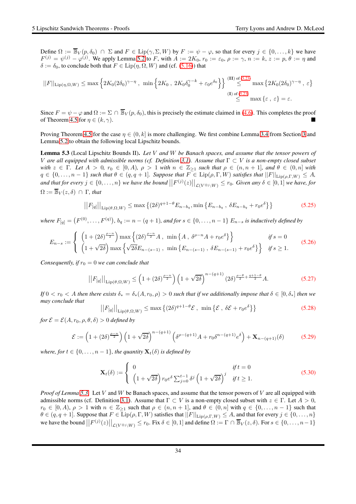Define  $\Omega := \mathbb{B}_V(p, \delta_0) \cap \Sigma$  and  $F \in \text{Lip}(\gamma, \Sigma, W)$  by  $F := \psi - \varphi$ , so that for every  $j \in \{0, \dots, k\}$  we have  $F^{(j)} = \psi^{(j)} - \varphi^{(j)}$ . We apply Lemma [5.2](#page-31-4) to F, with  $A := 2K_0$ ,  $r_0 := \varepsilon_0$ ,  $\rho := \gamma$ ,  $n := k$ ,  $z := p$ ,  $\theta := \eta$  and  $\delta := \delta_0$ , to conclude both that  $F \in \text{Lip}(\eta, \Omega, W)$  and (cf. [\(5.16\)](#page-31-5)) that

$$
||F||_{\text{Lip}(\eta,\Omega,W)} \leq \max \left\{ 2K_0(2\delta_0)^{\gamma-\eta} , \min \left\{ 2K_0 , 2K_0 \delta_0^{\gamma-k} + \varepsilon_0 e^{\delta_0} \right\} \right\} \stackrel{\text{(II) of (5.23)}}{\leq} \max \left\{ 2K_0 (2\delta_0)^{\gamma-\eta} , \varepsilon \right\}
$$
  
(I) of (5.23)  

$$
\stackrel{\text{(I) of (5.23)}}{\leq} \max \left\{ \varepsilon , \varepsilon \right\} = \varepsilon.
$$

Since  $F = \psi - \varphi$  and  $\Omega := \Sigma \cap \overline{\mathbb{B}}_V(p, \delta_0)$ , this is precisely the estimate claimed in [\(4.6\)](#page-26-4). This completes the proof of Theorem [4.5](#page-26-0) for  $\eta \in (k, \gamma)$ .

Proving Theorem [4.5](#page-26-0) for the case  $\eta \in (0, k]$  is more challenging. We first combine Lemma [3.4](#page-19-7) from Section [3](#page-14-0) and Lemma [5.2](#page-31-4) to obtain the following local Lipschitz bounds.

<span id="page-33-0"></span>Lemma 5.3 (Local Lipschitz Bounds II). *Let* V *and* W *be Banach spaces, and assume that the tensor powers of* V are all equipped with admissible norms (cf. Definition [3.1\)](#page-14-1). Assume that  $\Gamma \subset V$  is a non-empty closed subset *with*  $z \in \Gamma$ *. Let*  $A > 0$ *,*  $r_0 \in [0, A)$ *,*  $\rho > 1$  *with*  $n \in \mathbb{Z}_{\geq 1}$  *such that*  $\rho \in (n, n + 1]$ *, and*  $\theta \in (0, n]$  *with*  $q \in \{0,\ldots,n-1\}$  *such that*  $\theta \in (q,q+1]$ *. Suppose that*  $F \in \text{Lip}(\rho,\Gamma,W)$  *satisfies that*  $||F||_{\text{Lip}(\rho,\Gamma,W)} \leq A$ *,* and that for every  $j \in \{0, \ldots, n\}$  we have the bound  $||F^{(j)}(z)||_{\mathcal{L}(V^{\otimes j};W)} \leq r_0$ . Given any  $\delta \in [0,1]$  we have, for  $\Omega := \overline{\mathbb{B}}_V(z, \delta) \cap \Gamma$ , that

<span id="page-33-1"></span>
$$
||F_{[q]}||_{\text{Lip}(\theta,\Omega,W)} \leq \max\left\{ (2\delta)^{q+1-\theta} E_{n-b_q}, \min\left\{ E_{n-b_q}, \delta E_{n-b_q} + r_0 e^{\delta} \right\} \right\}
$$
(5.25)

where  $F_{[q]} = (F^{(0)}, \ldots, F^{(q)}),$   $b_q := n - (q + 1)$ , and for  $s \in \{0, \ldots, n - 1\}$   $E_{n-s}$  is inductively defined by

$$
E_{n-s} := \begin{cases} \left(1 + (2\delta)^{\frac{\rho-n}{2}}\right) \max\left\{(2\delta)^{\frac{\rho-n}{2}} A, \min\left\{A, \delta^{\rho-n} A + r_0 e^{\delta}\right\}\right\} & \text{if } s = 0\\ \left(1 + \sqrt{2\delta}\right) \max\left\{\sqrt{2\delta} E_{n-(s-1)}, \min\left\{E_{n-(s-1)}, \delta E_{n-(s-1)} + r_0 e^{\delta}\right\}\right\} & \text{if } s \ge 1. \end{cases}
$$
(5.26)

*Consequently, if*  $r_0 = 0$  *we can conclude that* 

<span id="page-33-3"></span> $\overline{\phantom{a}}$  $\mid$ 

<span id="page-33-2"></span>
$$
||F_{[q]}||_{\text{Lip}(\theta,\Omega,W)} \le \left(1 + (2\delta)^{\frac{\rho-n}{2}}\right) \left(1 + \sqrt{2\delta}\right)^{n - (q+1)} \left(2\delta\right)^{\frac{\rho-\theta}{2} + \frac{q+1-\theta}{2}} A. \tag{5.27}
$$

*If*  $0 < r_0 < A$  *then there exists*  $\delta_* = \delta_*(A, r_0, \rho) > 0$  *such that if we additionally impose that*  $\delta \in [0, \delta_*]$  *then we may conclude that*

$$
\left|F_{[q]}\right|\Big|_{\text{Lip}(\theta,\Omega,W)} \leq \max\left\{(2\delta)^{q+1-\theta}\mathcal{E}\,,\,\min\left\{\mathcal{E}\,,\,\delta\mathcal{E}+r_0e^{\delta}\right\}\right\} \tag{5.28}
$$

*for*  $\mathcal{E} = \mathcal{E}(A, r_0, \rho, \theta, \delta) > 0$  *defined by* 

<span id="page-33-5"></span>
$$
\mathcal{E} := \left(1 + (2\delta)^{\frac{\rho - n}{2}}\right) \left(1 + \sqrt{2\delta}\right)^{n - (q+1)} \left(\delta^{\rho - (q+1)}A + r_0\delta^{n - (q+1)}e^{\delta}\right) + \mathbf{X}_{n - (q+1)}(\delta) \tag{5.29}
$$

*where, for*  $t \in \{0, \ldots, n-1\}$ *, the quantity*  $\mathbf{X}_t(\delta)$  *is defined by* 

<span id="page-33-4"></span>
$$
\mathbf{X}_{t}(\delta) := \begin{cases} 0 & \text{if } t = 0\\ \left(1 + \sqrt{2\delta}\right) r_{0} e^{\delta} \sum_{j=0}^{t-1} \delta^{j} \left(1 + \sqrt{2\delta}\right)^{j} & \text{if } t \ge 1. \end{cases}
$$
(5.30)

*Proof of Lemma* [5.3.](#page-33-0) Let V and W be Banach spaces, and assume that the tensor powers of V are all equipped with admissible norms (cf. Definition [3.1\)](#page-14-1). Assume that  $\Gamma \subset V$  is a non-empty closed subset with  $z \in \Gamma$ . Let  $A > 0$ ,  $r_0 \in [0, A), \rho > 1$  with  $n \in \mathbb{Z}_{\geq 1}$  such that  $\rho \in (n, n + 1]$ , and  $\theta \in (0, n]$  with  $q \in \{0, \ldots, n - 1\}$  such that  $\theta \in (q, q + 1]$ . Suppose that  $F \in \text{Lip}(\rho, \Gamma, W)$  satisfies that  $||F||_{\text{Lip}(\rho, \Gamma, W)} \leq A$ , and that for every  $j \in \{0, ..., n\}$ we have the bound  $||F^{(j)}(z)||_{\mathcal{L}(V^{\otimes j};W)} \leq r_0$ . Fix  $\delta \in [0,1]$  and define  $\Omega := \Gamma \cap \overline{\mathbb{B}}_V(z,\delta)$ . For  $s \in \{0,\ldots,n-1\}$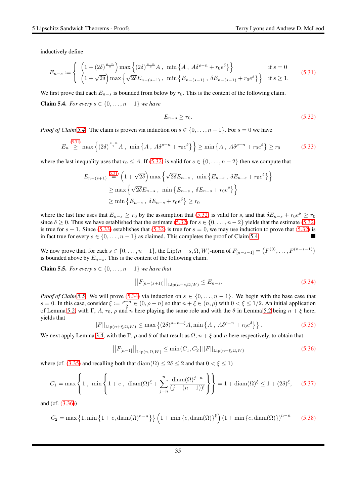inductively define

<span id="page-34-1"></span>
$$
E_{n-s} := \begin{cases} \left(1 + (2\delta)^{\frac{\rho-n}{2}}\right) \max\left\{(2\delta)^{\frac{\rho-n}{2}} A, \min\left\{A, A\delta^{\rho-n} + r_0 e^{\delta}\right\}\right\} & \text{if } s = 0\\ \left(1 + \sqrt{2\delta}\right) \max\left\{\sqrt{2\delta} E_{n-(s-1)}, \min\left\{E_{n-(s-1)}, \delta E_{n-(s-1)} + r_0 e^{\delta}\right\}\right\} & \text{if } s \ge 1. \end{cases}
$$
(5.31)

<span id="page-34-0"></span>We first prove that each  $E_{n-s}$  is bounded from below by  $r_0$ . This is the content of the following claim. **Claim 5.4.** *For every s* ∈ {0, . . . , *n* − 1} *we have* 

<span id="page-34-2"></span>
$$
E_{n-s} \ge r_0. \tag{5.32}
$$

*Proof of Claim [5.4.](#page-34-0)* The claim is proven via induction on  $s \in \{0, \ldots, n-1\}$ . For  $s = 0$  we have

<span id="page-34-3"></span>
$$
E_n \stackrel{(5.31)}{\geq} \max \left\{ (2\delta)^{\frac{\rho-n}{2}} A \,, \, \min \left\{ A \,, \, A\delta^{\rho-n} + r_0 e^{\delta} \right\} \right\} \geq \min \left\{ A \,, \, A\delta^{\rho-n} + r_0 e^{\delta} \right\} \geq r_0 \tag{5.33}
$$

where the last inequality uses that  $r_0 \leq A$ . If [\(5.32\)](#page-34-2) is valid for  $s \in \{0, \ldots, n-2\}$  then we compute that

$$
E_{n-(s+1)} \stackrel{(5.31)}{=} \left(1 + \sqrt{2\delta}\right) \max\left\{\sqrt{2\delta}E_{n-s}, \min\left\{E_{n-s}, \delta E_{n-s} + r_0 e^{\delta}\right\}\right\}
$$

$$
\geq \max\left\{\sqrt{2\delta}E_{n-s}, \min\left\{E_{n-s}, \delta E_{n-s} + r_0 e^{\delta}\right\}\right\}
$$

$$
\geq \min\left\{E_{n-s}, \delta E_{n-s} + r_0 e^{\delta}\right\} \geq r_0
$$

where the last line uses that  $E_{n-s} \ge r_0$  by the assumption that [\(5.32\)](#page-34-2) is valid for s, and that  $\delta E_{n-s} + r_0 e^{\delta} \ge r_0$ since  $\delta \geq 0$ . Thus we have established that the estimate [\(5.32\)](#page-34-2) for  $s \in \{0, \ldots, n-2\}$  yields that the estimate (5.32) is true for  $s + 1$ . Since [\(5.33\)](#page-34-3) establishes that [\(5.32\)](#page-34-2) is true for  $s = 0$ , we may use induction to prove that (5.32) is in fact true for every  $s \in \{0, \ldots, n-1\}$  as claimed. This completes the proof of Claim [5.4.](#page-34-0)

We now prove that, for each  $s \in \{0, \ldots, n-1\}$ , the  $\text{Lip}(n-s, \Omega, W)$ -norm of  $F_{[n-s-1]} = (F^{(0)}, \ldots, F^{(n-s-1)})$ is bounded above by  $E_{n-s}$ . This is the content of the following claim.

<span id="page-34-4"></span>**Claim 5.5.** *For every s* ∈ {0, . . . , *n* − 1} *we have that* 

<span id="page-34-5"></span>
$$
||F_{[n-(s+1)]}||_{\text{Lip}(n-s,\Omega,W)} \le E_{n-s}.\tag{5.34}
$$

*Proof of Claim* [5.5.](#page-34-4) We will prove [\(5.34\)](#page-34-5) via induction on  $s \in \{0, \ldots, n-1\}$ . We begin with the base case that  $s = 0$ . In this case, consider  $\xi := \frac{\rho - n}{2} \in (0, \rho - n)$  so that  $n + \xi \in (n, \rho)$  with  $0 < \xi \le 1/2$ . An initial application of Lemma [5.2,](#page-31-4) with Γ, A,  $r_0$ ,  $\rho$  and n here playing the same role and with the  $\theta$  in Lemma [5.2](#page-31-4) being  $n + \xi$  here, yields that

<span id="page-34-6"></span>
$$
||F||_{\text{Lip}(n+\xi,\Omega,W)} \le \max\left\{ (2\delta)^{\rho-n-\xi} A, \min\left\{ A \, , \, A\delta^{\rho-n} + r_0 e^{\delta} \right\} \right\}. \tag{5.35}
$$

We next apply Lemma [3.4,](#page-19-7) with the Γ,  $\rho$  and  $\theta$  of that result as  $\Omega$ ,  $n + \xi$  and n here respectively, to obtain that

<span id="page-34-7"></span>
$$
||F_{[n-1]}||_{\text{Lip}(n,\Omega,W)} \le \min\{C_1, C_2\} ||F||_{\text{Lip}(n+\xi,\Omega,W)}
$$
\n(5.36)

where (cf. [\(3.35\)](#page-19-6) and recalling both that  $\text{diam}(\Omega) \leq 2\delta \leq 2$  and that  $0 < \xi \leq 1$ )

<span id="page-34-8"></span>
$$
C_1 = \max\left\{1 \,, \ \min\left\{1 + e \,, \ \dim(\Omega)^{\xi} + \sum_{j=n}^{n} \frac{\dim(\Omega)^{j-n}}{(j-(n-1))!} \right\} \right\} = 1 + \dim(\Omega)^{\xi} \le 1 + (2\delta)^{\xi}, \quad (5.37)
$$

and (cf. [\(3.36\)](#page-20-0))

$$
C_2 = \max\left\{1, \min\left\{1 + e, \operatorname{diam}(\Omega)^{n-n}\right\}\right\} \left(1 + \min\left\{e, \operatorname{diam}(\Omega)\right\}^{\xi}\right) \left(1 + \min\left\{e, \operatorname{diam}(\Omega)\right\}\right)^{n-n} \tag{5.38}
$$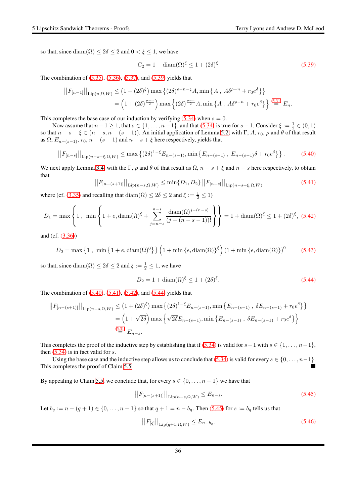so that, since  $\text{diam}(\Omega) \leq 2\delta \leq 2$  and  $0 \leq \xi \leq 1$ , we have

<span id="page-35-0"></span>
$$
C_2 = 1 + \text{diam}(\Omega)^{\xi} \le 1 + (2\delta)^{\xi}
$$
\n(5.39)

The combination of [\(5.35\)](#page-34-6), [\(5.36\)](#page-34-7), [\(5.37\)](#page-34-8), and [\(5.39\)](#page-35-0) yields that

$$
||F_{[n-1]}||_{\text{Lip}(n,\Omega,W)} \le (1 + (2\delta)^{\xi}) \max\left\{ (2\delta)^{\rho-n-\xi} A, \min\left\{ A, A\delta^{\rho-n} + r_0 e^{\delta} \right\} \right\}
$$
  
= 
$$
\left( 1 + (2\delta)^{\frac{\rho-n}{2}} \right) \max\left\{ (2\delta)^{\frac{\rho-n}{2}} A, \min\left\{ A, A\delta^{\rho-n} + r_0 e^{\delta} \right\} \right\} \stackrel{(5.31)}{=} E_n.
$$

This completes the base case of our induction by verifying  $(5.34)$  when  $s = 0$ .

Now assume that  $n-1 \ge 1$ , that  $s \in \{1, ..., n-1\}$ , and that [\(5.34\)](#page-34-5) is true for  $s-1$ . Consider  $\xi := \frac{1}{2} \in (0,1)$ so that  $n - s + \xi \in (n - s, n - (s - 1))$ . An initial application of Lemma [5.2,](#page-31-4) with Γ, A,  $r_0$ ,  $\rho$  and  $\theta$  of that result as  $\Omega$ ,  $E_{n-(s-1)}$ ,  $r_0$ ,  $n-(s-1)$  and  $n-s+\xi$  here respectively, yields that

<span id="page-35-1"></span>
$$
||F_{[n-s]}||_{\text{Lip}(n-s+\xi,\Omega,W)} \leq \max\left\{(2\delta)^{1-\xi}E_{n-(s-1)}, \min\left\{E_{n-(s-1)}, E_{n-(s-1)}\delta + r_0e^{\delta}\right\}\right\}.
$$
 (5.40)

We next apply Lemma [3.4,](#page-19-7) with the Γ,  $\rho$  and  $\theta$  of that result as  $\Omega$ ,  $n - s + \xi$  and  $n - s$  here respectively, to obtain that

<span id="page-35-2"></span>
$$
||F_{[n-(s+1)]}||_{\text{Lip}(n-s,\Omega,W)} \le \min\{D_1, D_2\} ||F_{[n-s]}||_{\text{Lip}(n-s+\xi,\Omega,W)}
$$
(5.41)

where (cf. [\(3.35\)](#page-19-6) and recalling that  $\text{diam}(\Omega) \leq 2\delta \leq 2$  and  $\xi := \frac{1}{2} \leq 1$ )

<span id="page-35-3"></span>
$$
D_1 = \max\left\{1, \min\left\{1 + e, \operatorname{diam}(\Omega)^\xi + \sum_{j=n-s}^{n-s} \frac{\operatorname{diam}(\Omega)^{j-(n-s)}}{(j-(n-s-1))!}\right\}\right\} = 1 + \operatorname{diam}(\Omega)^\xi \le 1 + (2\delta)^\xi, (5.42)
$$

and (cf. [\(3.36\)](#page-20-0))

$$
D_2 = \max\left\{1\,,\,\,\min\left\{1+e,\mathrm{diam}(\Omega)^0\right\}\right\}\left(1+\min\left\{e,\mathrm{diam}(\Omega)\right\}^{\xi}\right)\left(1+\min\left\{e,\mathrm{diam}(\Omega)\right\}\right)^0\tag{5.43}
$$

so that, since  $\text{diam}(\Omega) \leq 2\delta \leq 2$  and  $\xi := \frac{1}{2} \leq 1$ , we have

<span id="page-35-4"></span>
$$
D_2 = 1 + \text{diam}(\Omega)^{\xi} \le 1 + (2\delta)^{\xi}.
$$
 (5.44)

The combination of  $(5.40)$ ,  $(5.41)$ ,  $(5.42)$ , and  $(5.44)$  yields that

$$
||F_{[n-(s+1)]}||_{\text{Lip}(n-s,\Omega,W)} \le (1+(2\delta)^{\xi}) \max\left\{(2\delta)^{1-\xi}E_{n-(s-1)}, \min\left\{E_{n-(s-1)}, \delta E_{n-(s-1)} + r_0 e^{\delta}\right\}\right\}
$$

$$
= \left(1+\sqrt{2\delta}\right) \max\left\{\sqrt{2\delta}E_{n-(s-1)}, \min\left\{E_{n-(s-1)}, \delta E_{n-(s-1)} + r_0 e^{\delta}\right\}\right\}
$$

$$
\stackrel{(5.31)}{=} E_{n-s}.
$$

This completes the proof of the inductive step by establishing that if [\(5.34\)](#page-34-5) is valid for  $s-1$  with  $s \in \{1, \ldots, n-1\}$ , then  $(5.34)$  is in fact valid for s.

Using the base case and the inductive step allows us to conclude that  $(5.34)$  is valid for every  $s \in \{0, \ldots, n-1\}$ . This completes the proof of Claim [5.5.](#page-34-4)

By appealing to Claim [5.5,](#page-34-4) we conclude that, for every  $s \in \{0, \ldots, n-1\}$  we have that

<span id="page-35-5"></span>
$$
||F_{[n-(s+1)]}||_{\text{Lip}(n-s,\Omega,W)} \le E_{n-s}.\tag{5.45}
$$

Let  $b_q := n - (q + 1) \in \{0, ..., n - 1\}$  so that  $q + 1 = n - b_q$ . Then [\(5.45\)](#page-35-5) for  $s := b_q$  tells us that

$$
\left| \left| F_{[q]} \right| \right|_{\text{Lip}(q+1,\Omega,W)} \le E_{n-b_q}.\tag{5.46}
$$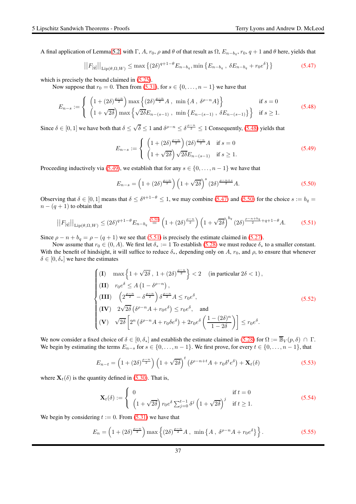A final application of Lemma [5.2,](#page-31-4) with  $\Gamma$ , A,  $r_0$ ,  $\rho$  and  $\theta$  of that result as  $\Omega$ ,  $E_{n-b_q}$ ,  $r_0$ ,  $q+1$  and  $\theta$  here, yields that

<span id="page-36-2"></span>
$$
||F_{[q]}||_{\text{Lip}(\theta,\Omega,W)} \leq \max\left\{ (2\delta)^{q+1-\theta} E_{n-b_q}, \min\left\{ E_{n-b_q}, \delta E_{n-b_q} + r_0 e^{\delta} \right\} \right\}
$$
(5.47)

which is precisely the bound claimed in  $(5.25)$ .

Now suppose that  $r_0 = 0$ . Then from [\(5.31\)](#page-34-1), for  $s \in \{0, \ldots, n-1\}$  we have that

<span id="page-36-0"></span>
$$
E_{n-s} := \begin{cases} \left(1 + (2\delta)^{\frac{\rho - n}{2}}\right) \max\left\{(2\delta)^{\frac{\rho - n}{2}} A, \min\{A, \delta^{\rho - n} A\}\right\} & \text{if } s = 0\\ \left(1 + \sqrt{2\delta}\right) \max\left\{\sqrt{2\delta} E_{n - (s - 1)}, \min\left\{E_{n - (s - 1)}, \delta E_{n - (s - 1)}\right\}\right\} & \text{if } s \ge 1. \end{cases}
$$
(5.48)

Since  $\delta \in [0,1]$  we have both that  $\delta \leq \sqrt{\delta} \leq 1$  and  $\delta^{\rho-n} \leq \delta^{\frac{\rho-n}{2}} \leq 1$  Consequently, [\(5.48\)](#page-36-0) yields that

<span id="page-36-1"></span>
$$
E_{n-s} := \begin{cases} \left(1 + (2\delta)^{\frac{\rho-n}{2}}\right) (2\delta)^{\frac{\rho-n}{2}} A & \text{if } s = 0\\ \left(1 + \sqrt{2\delta}\right) \sqrt{2\delta} E_{n-(s-1)} & \text{if } s \ge 1. \end{cases}
$$
\n
$$
(5.49)
$$

Proceeding inductively via [\(5.49\)](#page-36-1), we establish that for any  $s \in \{0, \ldots, n-1\}$  we have that

<span id="page-36-3"></span>
$$
E_{n-s} = \left(1 + (2\delta)^{\frac{\rho-n}{2}}\right) \left(1 + \sqrt{2\delta}\right)^s \left(2\delta\right)^{\frac{\rho-n+s}{2}} A. \tag{5.50}
$$

Observing that  $\delta \in [0,1]$  means that  $\delta \leq \delta^{q+1-\theta} \leq 1$ , we may combine [\(5.47\)](#page-36-2) and [\(5.50\)](#page-36-3) for the choice  $s := b_q =$  $n - (q + 1)$  to obtain that

<span id="page-36-4"></span>
$$
||F_{[q]}||_{\text{Lip}(\theta,\Omega,W)} \le (2\delta)^{q+1-\theta} E_{n-b_q} \stackrel{(5.50)}{=} \left(1 + (2\delta)^{\frac{\rho-n}{2}}\right) \left(1 + \sqrt{2\delta}\right)^{b_q} (2\delta)^{\frac{\rho-n+b_q}{2}+q+1-\theta} A. \tag{5.51}
$$

Since  $\rho - n + b_q = \rho - (q + 1)$  we see that [\(5.51\)](#page-36-4) is precisely the estimate claimed in [\(5.27\)](#page-33-2).

Now assume that  $r_0 \in (0, A)$ . We first let  $\delta_* := 1$  To establish [\(5.28\)](#page-33-3) we must reduce  $\delta_*$  to a smaller constant. With the benefit of hindsight, it will suffice to reduce  $\delta_*$ , depending only on A,  $r_0$ , and  $\rho$ , to ensure that whenever  $\delta \in [0, \delta_*]$  we have the estimates

<span id="page-36-5"></span>
$$
\begin{cases}\n(\mathbf{I}) & \max\left\{1+\sqrt{2\delta}, 1+(2\delta)^{\frac{\rho-n}{2}}\right\} < 2 \quad (\text{in particular } 2\delta < 1), \\
(\mathbf{II}) & r_0 e^{\delta} \le A\left(1-\delta^{\rho-n}\right), \\
(\mathbf{III}) & \left(2^{\frac{\rho-n}{2}}-\delta^{\frac{\rho-n}{2}}\right)\delta^{\frac{\rho-n}{2}}A \le r_0 e^{\delta}, \\
(\mathbf{IV}) & 2\sqrt{2\delta}\left(\delta^{\rho-n}A+r_0 e^{\delta}\right) \le r_0 e^{\delta}, \quad \text{and} \\
(\mathbf{V}) & \sqrt{2\delta}\left[2^n\left(\delta^{\rho-n}A+r_0\delta e^{\delta}\right)+2r_0 e^{\delta}\left(\frac{1-(2\delta)^n}{1-2\delta}\right)\right] \le r_0 e^{\delta}.\n\end{cases}
$$
\n(5.52)

We now consider a fixed choice of  $\delta \in [0, \delta_*]$  and establish the estimate claimed in [\(5.28\)](#page-33-3) for  $\Omega := \overline{\mathbb{B}}_V(p, \delta) \cap \Gamma$ . We begin by estimating the terms  $E_{n-s}$  for  $s \in \{0, \ldots, n-1\}$ . We first prove, for every  $t \in \{0, \ldots, n-1\}$ , that

<span id="page-36-7"></span>
$$
E_{n-t} = \left(1 + (2\delta)^{\frac{\rho - n}{2}}\right) \left(1 + \sqrt{2\delta}\right)^t \left(\delta^{\rho - n + t} A + r_0 \delta^t e^{\delta}\right) + \mathbf{X}_t(\delta)
$$
\n(5.53)

where  $\mathbf{X}_t(\delta)$  is the quantity defined in [\(5.30\)](#page-33-4). That is,

<span id="page-36-8"></span>
$$
\mathbf{X}_{t}(\delta) := \begin{cases} 0 & \text{if } t = 0\\ \left(1 + \sqrt{2\delta}\right) r_{0} e^{\delta} \sum_{j=0}^{t-1} \delta^{j} \left(1 + \sqrt{2\delta}\right)^{j} & \text{if } t \ge 1. \end{cases}
$$
(5.54)

We begin by considering  $t := 0$ . From [\(5.31\)](#page-34-1) we have that

<span id="page-36-6"></span>
$$
E_n = \left(1 + (2\delta)^{\frac{\rho - n}{2}}\right) \max\left\{(2\delta)^{\frac{\rho - n}{2}}A, \ \min\left\{A, \ \delta^{\rho - n}A + r_0 e^{\delta}\right\}\right\}.
$$
 (5.55)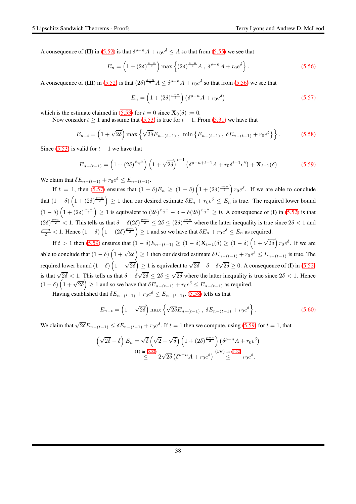A consequence of (II) in [\(5.52\)](#page-36-5) is that  $\delta^{\rho-n}A + r_0e^{\delta} \le A$  so that from [\(5.55\)](#page-36-6) we see that

<span id="page-37-0"></span>
$$
E_n = \left(1 + (2\delta)^{\frac{\rho - n}{2}}\right) \max\left\{(2\delta)^{\frac{\rho - n}{2}} A , \delta^{\rho - n} A + r_0 e^{\delta}\right\}.
$$
 (5.56)

A consequence of (III) in [\(5.52\)](#page-36-5) is that  $(2\delta)^{\frac{\rho-n}{2}}A \leq \delta^{\rho-n}A + r_0e^{\delta}$  so that from [\(5.56\)](#page-37-0) we see that

<span id="page-37-1"></span>
$$
E_n = \left(1 + (2\delta)^{\frac{\rho - n}{2}}\right) \left(\delta^{\rho - n} A + r_0 e^{\delta}\right)
$$
\n
$$
(5.57)
$$

which is the estimate claimed in [\(5.53\)](#page-36-7) for  $t = 0$  since  $\mathbf{X}_0(\delta) := 0$ .

Now consider  $t > 1$  and assume that [\(5.53\)](#page-36-7) is true for  $t - 1$ . From [\(5.31\)](#page-34-1) we have that

<span id="page-37-3"></span>
$$
E_{n-t} = \left(1 + \sqrt{2\delta}\right) \max\left\{\sqrt{2\delta}E_{n-(t-1)}, \min\left\{E_{n-(t-1)}, \delta E_{n-(t-1)} + r_0 e^{\delta}\right\}\right\}.
$$
 (5.58)

Since [\(5.53\)](#page-36-7) is valid for  $t - 1$  we have that

<span id="page-37-2"></span>
$$
E_{n-(t-1)} = \left(1 + (2\delta)^{\frac{\rho-n}{2}}\right) \left(1 + \sqrt{2\delta}\right)^{t-1} \left(\delta^{\rho-n+t-1}A + r_0\delta^{t-1}e^{\delta}\right) + \mathbf{X}_{t-1}(\delta)
$$
(5.59)

We claim that  $\delta E_{n-(t-1)} + r_0 e^{\delta} \le E_{n-(t-1)}$ .

If  $t = 1$ , then [\(5.57\)](#page-37-1) ensures that  $(1 - \delta)E_n \ge (1 - \delta) \left(1 + (2\delta)^{\frac{\rho - n}{2}}\right) r_0 e^{\delta}$ . If we are able to conclude that  $(1 - \delta) \left(1 + (2\delta)^{\frac{\rho - n}{2}}\right) \ge 1$  then our desired estimate  $\delta E_n + r_0 e^{\delta} \le E_n$  is true. The required lower bound  $(1 - \delta) \left(1 + (2\delta)^{\frac{\rho - n}{2}}\right) \ge 1$  is equivalent to  $(2\delta)^{\frac{\rho - n}{2}} - \delta - \delta (2\delta)^{\frac{\rho - n}{2}} \ge 0$ . A consequence of (I) in [\(5.52\)](#page-36-5) is that  $(2\delta)^{\frac{\rho-n}{2}} < 1$ . This tells us that  $\delta + \delta(2\delta)^{\frac{\rho-n}{2}} \leq 2\delta \leq (2\delta)^{\frac{\rho-n}{2}}$  where the latter inequality is true since  $2\delta < 1$  and  $\frac{\rho-n}{2}$  < 1. Hence  $(1-\delta)\left(1+(2\delta)^{\frac{\rho-n}{2}}\right) \geq 1$  and so we have that  $\delta E_n + r_0 e^{\delta} \leq E_n$  as required.

If  $t > 1$  then [\(5.59\)](#page-37-2) ensures that  $(1 - \delta)E_{n-(t-1)} \ge (1 - \delta)\mathbf{X}_{t-1}(\delta) \ge (1 - \delta)\left(1 + \sqrt{2\delta}\right)r_0e^{\delta}$ . If we are able to conclude that  $(1 - \delta) \left(1 + \sqrt{2\delta}\right) \ge 1$  then our desired estimate  $\delta E_{n-(t-1)} + r_0 e^{\delta} \le E_{n-(t-1)}$  is true. The required lower bound  $(1-\delta)\left(1+\sqrt{2\delta}\right)\geq 1$  is equivalent to  $\sqrt{2\delta}-\delta-\delta\sqrt{2\delta}\geq 0.$  A consequence of (I) in [\(5.52\)](#page-36-5) is that  $\sqrt{2\delta}$  < 1. This tells us that  $\delta + \delta\sqrt{2\delta} \le 2\delta \le \sqrt{2\delta}$  where the latter inequality is true since  $2\delta$  < 1. Hence  $(1 - \delta) \left(1 + \sqrt{2\delta}\right) \ge 1$  and so we have that  $\delta E_{n-(t-1)} + r_0 e^{\delta} \le E_{n-(t-1)}$  as required.

Having established that  $\delta E_{n-(t-1)} + r_0 e^{\delta} \le E_{n-(t-1)}$ , [\(5.58\)](#page-37-3) tells us that

<span id="page-37-4"></span>
$$
E_{n-t} = \left(1 + \sqrt{2\delta}\right) \max \left\{ \sqrt{2\delta} E_{n-(t-1)}, \ \delta E_{n-(t-1)} + r_0 e^{\delta} \right\}.
$$
 (5.60)

We claim that  $\sqrt{2\delta}E_{n-(t-1)} \leq \delta E_{n-(t-1)} + r_0e^{\delta}$ . If  $t = 1$  then we compute, using [\(5.59\)](#page-37-2) for  $t = 1$ , that

$$
\left(\sqrt{2\delta} - \delta\right) E_n = \sqrt{\delta} \left(\sqrt{2} - \sqrt{\delta}\right) \left(1 + (2\delta)^{\frac{\rho - n}{2}}\right) \left(\delta^{\rho - n} A + r_0 e^{\delta}\right)
$$
\n
$$
\stackrel{\text{(I) in (5.52)}}{\leq} 2\sqrt{2\delta} \left(\delta^{\rho - n} A + r_0 e^{\delta}\right) \stackrel{\text{(IV) in (5.52)}}{\leq} r_0 e^{\delta}.
$$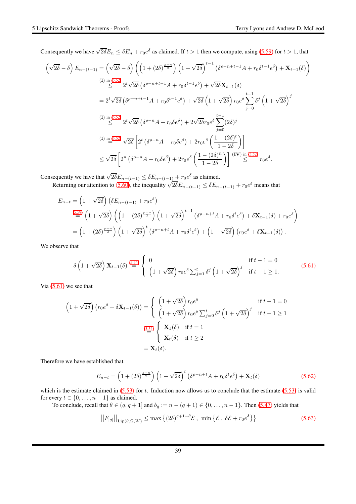Consequently we have  $\sqrt{2\delta}E_n \le \delta E_n + r_0e^{\delta}$  as claimed. If  $t > 1$  then we compute, using [\(5.59\)](#page-37-2) for  $t > 1$ , that

$$
\left(\sqrt{2\delta} - \delta\right) E_{n-(t-1)} = \left(\sqrt{2\delta} - \delta\right) \left(\left(1 + (2\delta)^{\frac{\rho-n}{2}}\right) \left(1 + \sqrt{2\delta}\right)^{t-1} \left(\delta^{\rho-n+t-1}A + r_0\delta^{t-1}e^{\delta}\right) + \mathbf{X}_{t-1}(\delta)\right)
$$
\n
$$
\leq 2^t \sqrt{2\delta} \left(\delta^{\rho-n+t-1}A + r_0\delta^{t-1}e^{\delta}\right) + \sqrt{2\delta}\mathbf{X}_{t-1}(\delta)
$$
\n
$$
= 2^t \sqrt{2\delta} \left(\delta^{\rho-n+t-1}A + r_0\delta^{t-1}e^{\delta}\right) + \sqrt{2\delta} \left(1 + \sqrt{2\delta}\right) r_0 e^{\delta} \sum_{j=0}^{t-1} \delta^j \left(1 + \sqrt{2\delta}\right)^j
$$
\n
$$
\leq 2^t \sqrt{2\delta} \left(\delta^{\rho-n}A + r_0\delta e^{\delta}\right) + 2\sqrt{2\delta} r_0 e^{\delta} \sum_{j=0}^{t-1} (2\delta)^j
$$
\n
$$
\leq 0 \quad \text{(I) in (5.52)} \quad \sqrt{2\delta} \left[2^t \left(\delta^{\rho-n}A + r_0\delta e^{\delta}\right) + 2r_0 e^{\delta} \left(\frac{1 - (2\delta)^t}{1 - 2\delta}\right)\right]
$$
\n
$$
\leq \sqrt{2\delta} \left[2^n \left(\delta^{\rho-n}A + r_0\delta e^{\delta}\right) + 2r_0 e^{\delta} \left(\frac{1 - (2\delta)^n}{1 - 2\delta}\right)\right] \left(\frac{\text{IV}}{\delta}\right) \leq r_0 e^{\delta}.
$$

Consequently we have that  $\sqrt{2\delta}E_{n-(t-1)} \leq \delta E_{n-(t-1)} + r_0e^{\delta}$  as claimed.

Returning our attention to [\(5.60\)](#page-37-4), the inequality  $\sqrt{2\delta}E_{n-(t-1)} \leq \delta E_{n-(t-1)} + r_0e^{\delta}$  means that

$$
E_{n-t} = \left(1 + \sqrt{2\delta}\right) \left(\delta E_{n-(t-1)} + r_0 e^{\delta}\right)
$$
  

$$
\stackrel{(5.59)}{=} \left(1 + \sqrt{2\delta}\right) \left(\left(1 + (2\delta)^{\frac{\rho-n}{2}}\right) \left(1 + \sqrt{2\delta}\right)^{t-1} \left(\delta^{\rho-n+t} A + r_0 \delta^t e^{\delta}\right) + \delta \mathbf{X}_{t-1}(\delta) + r_0 e^{\delta}\right)
$$
  

$$
= \left(1 + (2\delta)^{\frac{\rho-n}{2}}\right) \left(1 + \sqrt{2\delta}\right)^t \left(\delta^{\rho-n+t} A + r_0 \delta^t e^{\delta}\right) + \left(1 + \sqrt{2\delta}\right) \left(r_0 e^{\delta} + \delta \mathbf{X}_{t-1}(\delta)\right).
$$

We observe that

<span id="page-38-0"></span>
$$
\delta\left(1+\sqrt{2\delta}\right)\mathbf{X}_{t-1}(\delta) \stackrel{(5.54)}{=} \begin{cases} 0 & \text{if } t-1=0\\ \left(1+\sqrt{2\delta}\right)r_0e^{\delta}\sum_{j=1}^t \delta^j\left(1+\sqrt{2\delta}\right)^j & \text{if } t-1\geq 1. \end{cases}
$$
(5.61)

Via  $(5.61)$  we see that

$$
\left(1+\sqrt{2\delta}\right)\left(r_0e^{\delta}+\delta\mathbf{X}_{t-1}(\delta)\right) = \begin{cases} \left(1+\sqrt{2\delta}\right)r_0e^{\delta} & \text{if } t-1=0\\ \left(1+\sqrt{2\delta}\right)r_0e^{\delta}\sum_{j=0}^t\delta^j\left(1+\sqrt{2\delta}\right)^j & \text{if } t-1\geq 1 \end{cases}
$$
  

$$
\stackrel{(5.54)}{=} \begin{cases} \mathbf{X}_1(\delta) & \text{if } t=1\\ \mathbf{X}_t(\delta) & \text{if } t\geq 2 \end{cases}
$$
  

$$
= \mathbf{X}_t(\delta).
$$

Therefore we have established that

$$
E_{n-t} = \left(1 + (2\delta)^{\frac{\rho - n}{2}}\right) \left(1 + \sqrt{2\delta}\right)^t \left(\delta^{\rho - n + t} A + r_0 \delta^t e^{\delta}\right) + \mathbf{X}_t(\delta)
$$
\n(5.62)

which is the estimate claimed in  $(5.53)$  for t. Induction now allows us to conclude that the estimate  $(5.53)$  is valid for every  $t \in \{0, \ldots, n-1\}$  as claimed.

To conclude, recall that  $\theta \in (q, q + 1]$  and  $b_q := n - (q + 1) \in \{0, \ldots, n - 1\}$ . Then [\(5.47\)](#page-36-2) yields that

$$
||F_{[q]}||_{\text{Lip}(\theta,\Omega,W)} \leq \max\left\{ (2\delta)^{q+1-\theta} \mathcal{E} \ , \ \min\left\{ \mathcal{E} \ , \ \delta \mathcal{E} + r_0 e^{\delta} \right\} \right\} \tag{5.63}
$$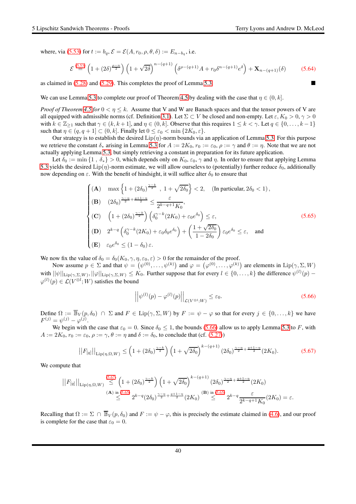where, via [\(5.53\)](#page-36-7) for  $t := b_q$ ,  $\mathcal{E} = \mathcal{E}(A, r_0, \rho, \theta, \delta) := E_{n-b_q}$ , i.e.

$$
\mathcal{E} \stackrel{(5.53)}{=} \left(1 + (2\delta)^{\frac{\rho - n}{2}}\right) \left(1 + \sqrt{2\delta}\right)^{n - (q+1)} \left(\delta^{\rho - (q+1)}A + r_0\delta^{n - (q+1)}e^{\delta}\right) + \mathbf{X}_{n - (q+1)}(\delta) \tag{5.64}
$$

as claimed in [\(5.28\)](#page-33-3) and [\(5.29\)](#page-33-5). This completes the proof of Lemma [5.3.](#page-33-0)

We can use Lemma [5.3](#page-33-0) to complete our proof of Theorem [4.5](#page-26-0) by dealing with the case that  $\eta \in (0, k]$ .

*Proof of Theorem* [4.5](#page-26-0) *for*  $0 < \eta \leq k$ . Assume that V and W are Banach spaces and that the tensor powers of V are all equipped with admissible norms (cf. Definition [3.1\)](#page-14-1). Let  $\Sigma \subset V$  be closed and non-empty. Let  $\varepsilon$ ,  $K_0 > 0$ ,  $\gamma > 0$ with  $k \in \mathbb{Z}_{\geq 1}$  such that  $\gamma \in (k, k+1]$ , and  $\eta \in (0, k]$ . Observe that this requires  $1 \leq k < \gamma$ . Let  $q \in \{0, \ldots, k-1\}$ such that  $\eta \in (q, q + 1] \subset (0, k]$ . Finally let  $0 \le \varepsilon_0 < \min\{2K_0, \varepsilon\}$ .

Our strategy is to establish the desired  $\text{Lip}(\eta)$ -norm bounds via an application of Lemma [5.3.](#page-33-0) For this purpose we retrieve the constant  $\delta_*$  arising in Lemma [5.3](#page-33-0) for  $A := 2K_0$ ,  $r_0 := \varepsilon_0$ ,  $\rho := \gamma$  and  $\theta := \eta$ . Note that we are not actually applying Lemma [5.3,](#page-33-0) but simply retrieving a constant in preparation for its future application.

Let  $\delta_0 := \min\{1, \delta_*\} > 0$ , which depends only on  $K_0, \varepsilon_0, \gamma$  and  $\eta$ . In order to ensure that applying Lemma [5.3](#page-33-0) yields the desired Lip( $\eta$ )-norm estimate, we will allow ourselevs to (potentially) further reduce  $\delta_0$ , additionally now depending on  $\varepsilon$ . With the benefit of hindsight, it will suffice alter  $\delta_0$  to ensure that

<span id="page-39-2"></span>
$$
\begin{cases}\n\left(\mathbf{A}\right) & \max\left\{1+\left(2\delta_{0}\right)^{\frac{\gamma-k}{2}}, 1+\sqrt{2\delta_{0}}\right\} < 2, & \text{(In particular, } 2\delta_{0} < 1), \\
\left(\mathbf{B}\right) & \left(2\delta_{0}\right)^{\frac{\gamma-\eta}{2}+\frac{q+1-\eta}{2}} \leq \frac{\varepsilon}{2^{k-q+1}K_{0}}, \\
\left(\mathbf{C}\right) & \left(1+\left(2\delta_{0}\right)^{\frac{\gamma-k}{2}}\right)\left(\delta_{0}^{\gamma-k}\left(2K_{0}\right)+\varepsilon_{0}e^{\delta_{0}}\right) \leq \varepsilon, \\
\left(\mathbf{D}\right) & 2^{k-q}\left(\delta_{0}^{\gamma-k}\left(2K_{0}\right)+\varepsilon_{0}\delta_{0}e^{\delta_{0}}\right)+\left(\frac{1+\sqrt{2\delta_{0}}}{1-2\delta_{0}}\right)\varepsilon_{0}e^{\delta_{0}} \leq \varepsilon, & \text{and} \\
\left(\mathbf{E}\right) & \varepsilon_{0}e^{\delta_{0}} \leq (1-\delta_{0})\varepsilon.\n\end{cases}
$$
\n(5.65)

We now fix the value of  $\delta_0 = \delta_0(K_0, \gamma, \eta, \varepsilon_0, \varepsilon) > 0$  for the remainder of the proof.

Now assume  $p \in \Sigma$  and that  $\psi = (\psi^{(0)}, \dots, \psi^{(k)})$  and  $\varphi = (\varphi^{(0)}, \dots, \varphi^{(k)})$  are elements in  $\text{Lip}(\gamma, \Sigma, W)$ with  $\|\psi\|_{\text{Lip}(\gamma,\Sigma,W)}, \|\varphi\|_{\text{Lip}(\gamma,\Sigma,W)} \leq K_0$ . Further suppose that for every  $l \in \{0,\ldots,k\}$  the difference  $\psi^{(l)}(p)$  –  $\varphi^{(l)}(p) \in \mathcal{L}(V^{\otimes l}; W)$  satisfies the bound

<span id="page-39-0"></span>
$$
\left| \left| \psi^{(l)}(p) - \varphi^{(l)}(p) \right| \right|_{\mathcal{L}(V^{\otimes l}; W)} \leq \varepsilon_0. \tag{5.66}
$$

Define  $\Omega := \overline{\mathbb{B}}_V(p, \delta_0) \cap \Sigma$  and  $F \in \text{Lip}(\gamma, \Sigma, W)$  by  $F := \psi - \varphi$  so that for every  $j \in \{0, ..., k\}$  we have  $F^{(j)} = \psi^{(j)} - \varphi^{(j)}.$ 

We begin with the case that  $\varepsilon_0 = 0$ . Since  $\delta_0 \le 1$ , the bounds [\(5.66\)](#page-39-0) allow us to apply Lemma [5.3](#page-33-0) to F, with  $A := 2K_0$ ,  $r_0 := \varepsilon_0$ ,  $\rho := \gamma$ ,  $\theta := \eta$  and  $\delta := \delta_0$ , to conclude that (cf. [\(5.27\)](#page-33-2))

<span id="page-39-1"></span>
$$
||F_{[q]}||_{\text{Lip}(\eta,\Omega,W)} \le \left(1 + (2\delta_0)^{\frac{\gamma - k}{2}}\right) \left(1 + \sqrt{2\delta_0}\right)^{k - (q+1)} \left(2\delta_0\right)^{\frac{\gamma - \eta}{2} + \frac{q+1 - \eta}{2}} (2K_0). \tag{5.67}
$$

We compute that

$$
||F_{[q]}||_{\text{Lip}(\eta,\Omega,W)} \stackrel{(5.67)}{\leq} \left(1 + (2\delta_0)^{\frac{\gamma-k}{2}}\right) \left(1 + \sqrt{2\delta_0}\right)^{k - (q+1)} (2\delta_0)^{\frac{\gamma-\eta}{2} + \frac{q+1-\eta}{2}} (2K_0)
$$
\n
$$
\stackrel{(A) \text{ in } (5.65)}{\leq} 2^{k-q} (2\delta_0)^{\frac{\gamma-\eta}{2} + \frac{q+1-\eta}{2}} (2K_0)^{\text{(B) in (5.65)}} \stackrel{(B) \text{ in } (5.65)}{\leq} 2^{k-q} \frac{\varepsilon}{2^{k-q+1} K_0} (2K_0) = \varepsilon.
$$

Recalling that  $\Omega := \Sigma \cap \overline{\mathbb{B}}_V(p, \delta_0)$  and  $F := \psi - \varphi$ , this is precisely the estimate claimed in [\(4.6\)](#page-26-4), and our proof is complete for the case that  $\varepsilon_0 = 0$ .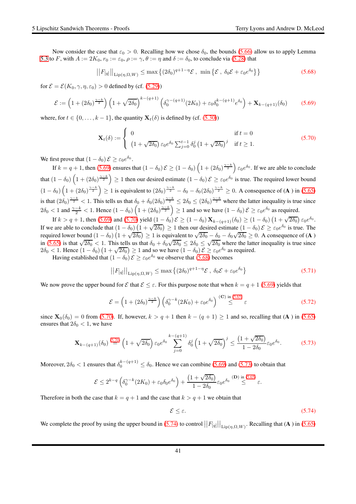Now consider the case that  $\varepsilon_0 > 0$ . Recalling how we chose  $\delta_0$ , the bounds [\(5.66\)](#page-39-0) allow us to apply Lemma [5.3](#page-33-0) to F, with  $A := 2K_0$ ,  $r_0 := \varepsilon_0$ ,  $\rho := \gamma$ ,  $\theta := \eta$  and  $\delta := \delta_0$ , to conclude via [\(5.28\)](#page-33-3) that

<span id="page-40-2"></span>
$$
||F_{[q]}||_{\text{Lip}(\eta,\Omega,W)} \leq \max\left\{ (2\delta_0)^{q+1-\eta} \mathcal{E} \ , \ \min\left\{ \mathcal{E} \ , \ \delta_0 \mathcal{E} + \varepsilon_0 e^{\delta_0} \right\} \right\} \tag{5.68}
$$

for  $\mathcal{E} = \mathcal{E}(K_0, \gamma, \eta, \varepsilon_0) > 0$  defined by (cf. [\(5.29\)](#page-33-5))

<span id="page-40-0"></span>
$$
\mathcal{E} := \left(1 + (2\delta_0)^{\frac{\gamma - k}{2}}\right) \left(1 + \sqrt{2\delta_0}\right)^{k - (q+1)} \left(\delta_0^{\gamma - (q+1)}(2K_0) + \varepsilon_0 \delta_0^{k - (q+1)} e^{\delta_0}\right) + \mathbf{X}_{k - (q+1)}(\delta_0) \tag{5.69}
$$

where, for  $t \in \{0, \ldots, k-1\}$ , the quantity  $\mathbf{X}_t(\delta)$  is defined by (cf. [\(5.30\)](#page-33-4))

<span id="page-40-1"></span>
$$
\mathbf{X}_{t}(\delta) := \begin{cases} 0 & \text{if } t = 0\\ \left(1 + \sqrt{2\delta_0}\right) \varepsilon_0 e^{\delta_0} \sum_{j=0}^{t-1} \delta_0^j \left(1 + \sqrt{2\delta_0}\right)^j & \text{if } t \ge 1. \end{cases}
$$
(5.70)

We first prove that  $(1 - \delta_0)$   $\mathcal{E} \ge \varepsilon_0 e^{\delta_0}$ .

If  $k = q + 1$ , then [\(5.69\)](#page-40-0) ensures that  $(1 - \delta_0)$   $\mathcal{E} \ge (1 - \delta_0) \left(1 + (2\delta_0)^{\frac{\gamma - k}{2}}\right) \varepsilon_0 e^{\delta_0}$ . If we are able to conclude that  $(1-\delta_0)\left(1+(2\delta_0)^{\frac{\gamma-k}{2}}\right)\geq 1$  then our desired estimate  $(1-\delta_0)\,\mathcal{E}\geq\varepsilon_0e^{\delta_0}$  is true. The required lower bound  $(1 - \delta_0) \left(1 + (2\delta_0)^{\frac{\gamma - k}{2}}\right) \ge 1$  is equivalent to  $(2\delta_0)^{\frac{\gamma - k}{2}} - \delta_0 - \delta_0 (2\delta_0)^{\frac{\gamma - k}{2}} \ge 0$ . A consequence of (**A**) in [\(5.65\)](#page-39-2) is that  $(2\delta_0)^{\frac{\gamma-k}{2}} < 1$ . This tells us that  $\delta_0 + \delta_0 (2\delta_0)^{\frac{\gamma-k}{2}} \le 2\delta_0 \le (2\delta_0)^{\frac{\gamma-k}{2}}$  where the latter inequality is true since  $2\delta_0 < 1$  and  $\frac{\gamma - k}{2} < 1$ . Hence  $(1 - \delta_0) \left(1 + (2\delta_0)^{\frac{\gamma - k}{2}}\right) \ge 1$  and so we have  $(1 - \delta_0) \mathcal{E} \ge \varepsilon_0 e^{\delta_0}$  as required.

If  $k > q + 1$ , then [\(5.69\)](#page-40-0) and [\(5.70\)](#page-40-1) yield  $(1 - \delta_0) \mathcal{E} \ge (1 - \delta_0) \mathbf{X}_{k-(q+1)}(\delta_0) \ge (1 - \delta_0) (1 + \sqrt{2\delta_0}) \varepsilon_0 e^{\delta_0}$ . If we are able to conclude that  $(1 - \delta_0) (1 + \sqrt{2\delta_0}) \ge 1$  then our desired estimate  $(1 - \delta_0) \mathcal{E} \ge \varepsilon_0 e^{\delta_0}$  is true. The required lower bound  $(1 - \delta_0)(1 + \sqrt{2\delta_0}) \ge 1$  is equivalent to  $\sqrt{2\delta_0} - \delta_0 - \delta_0\sqrt{2\delta_0} \ge 0$ . A consequence of (A) in [\(5.65\)](#page-39-2) is that  $\sqrt{2\delta_0} < 1$ . This tells us that  $\delta_0 + \delta_0 \sqrt{2\delta_0} \le 2\delta_0 \le \sqrt{2\delta_0}$  where the latter inequality is true since  $2\delta_0 < 1$ . Hence  $(1 - \delta_0) (1 + \sqrt{2\delta_0}) \ge 1$  and so we have  $(1 - \delta_0) \mathcal{E} \ge \varepsilon_0 e^{\delta_0}$  as required.

Having established that  $(1 - \delta_0)$   $\mathcal{E} \ge \varepsilon_0 e^{\delta_0}$  we observe that [\(5.68\)](#page-40-2) becomes

<span id="page-40-5"></span>
$$
||F_{[q]}||_{\text{Lip}(\eta,\Omega,W)} \leq \max\left\{ (2\delta_0)^{q+1-\eta} \mathcal{E}, \ \delta_0 \mathcal{E} + \varepsilon_0 e^{\delta_0} \right\} \tag{5.71}
$$

We now prove the upper bound for  $\mathcal E$  that  $\mathcal E \leq \varepsilon$ . For this purpose note that when  $k = q + 1$  [\(5.69\)](#page-40-0) yields that

$$
\mathcal{E} = \left(1 + (2\delta_0)^{\frac{\gamma - k}{2}}\right) \left(\delta_0^{\gamma - k}(2K_0) + \varepsilon_0 e^{\delta_0}\right) \stackrel{\text{(C) in (5.65)}}{\leq} \varepsilon \tag{5.72}
$$

since  $X_0(\delta_0) = 0$  from [\(5.70\)](#page-40-1). If, however,  $k > q + 1$  then  $k - (q + 1) \ge 1$  and so, recalling that (A) in [\(5.65\)](#page-39-2) ensures that  $2\delta_0 < 1$ , we have

<span id="page-40-3"></span>
$$
\mathbf{X}_{k-(q+1)}(\delta_0) \stackrel{(5.70)}{=} \left(1+\sqrt{2\delta_0}\right) \varepsilon_0 e^{\delta_0} \sum_{j=0}^{k-(q+1)} \delta_0^j \left(1+\sqrt{2\delta_0}\right)^j \le \frac{\left(1+\sqrt{2\delta_0}\right)}{1-2\delta_0} \varepsilon_0 e^{\delta_0}.\tag{5.73}
$$

Moreover,  $2\delta_0 < 1$  ensures that  $\delta_0^{k-(q+1)} \leq \delta_0$ . Hence we can combine [\(5.69\)](#page-40-0) and [\(5.73\)](#page-40-3) to obtain that

$$
\mathcal{E} \leq 2^{k-q} \left( \delta_0^{\gamma-k}(2K_0) + \varepsilon_0 \delta_0 e^{\delta_0} \right) + \frac{\left( 1+ \sqrt{2\delta_0} \right)}{1-2\delta_0} \varepsilon_0 e^{\delta_0} \stackrel{\text{(D) in (5.65)}}{\leq} \varepsilon.
$$

Therefore in both the case that  $k = q + 1$  and the case that  $k > q + 1$  we obtain that

<span id="page-40-4"></span>
$$
\mathcal{E} \le \varepsilon. \tag{5.74}
$$

We complete the proof by using the upper bound in [\(5.74\)](#page-40-4) to control  $||F_{[q]}||_{\text{Lip}(\eta,\Omega,W)}$ . Recalling that (A) in [\(5.65\)](#page-39-2)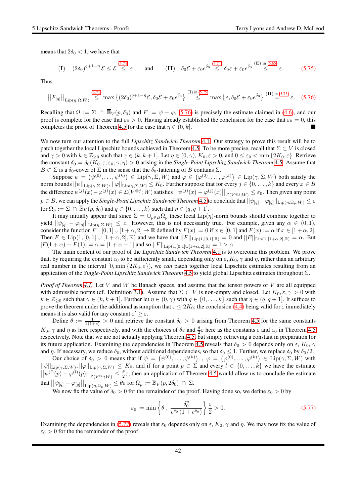means that  $2\delta_0 < 1$ , we have that

<span id="page-41-0"></span>
$$
\text{(I)} \quad (2\delta_0)^{q+1-\eta} \mathcal{E} \le \mathcal{E} \stackrel{(5.74)}{\le} \varepsilon \quad \text{and} \quad \text{(II)} \quad \delta_0 \mathcal{E} + \varepsilon_0 e^{\delta_0} \stackrel{(5.74)}{\le} \delta_0 \varepsilon + \varepsilon_0 e^{\delta_0} \stackrel{\text{(E) in (5.65)}}{\le} \varepsilon. \quad (5.75)
$$

Thus

<span id="page-41-1"></span>
$$
||F_{[q]}||_{\text{Lip}(\eta,\Omega,W)} \stackrel{(5.71)}{\leq} \max\left\{ (2\delta_0)^{q+1-\eta} \mathcal{E}, \delta_0 \mathcal{E} + \varepsilon_0 e^{\delta_0} \right\} \stackrel{(1) \text{ in } (5.75)}{\leq} \max\left\{ \varepsilon, \delta_0 \mathcal{E} + \varepsilon_0 e^{\delta_0} \right\} \stackrel{(II) \text{ in } (5.75)}{\equiv} \varepsilon. \quad (5.76)
$$

Recalling that  $\Omega := \Sigma \cap \overline{\mathbb{B}}_V(p, \delta_0)$  and  $F := \psi - \varphi$ , [\(5.76\)](#page-41-1) is precisely the estimate claimed in [\(4.6\)](#page-26-4), and our proof is complete for the case that  $\varepsilon_0 > 0$ . Having already established the conclusion for the case that  $\varepsilon_0 = 0$ , this completes the proof of Theorem [4.5](#page-26-0) for the case that  $\eta \in (0, k]$ .

We now turn our attention to the full *Lipschitz Sandwich Theorem* [4.1.](#page-25-0) Our strategy to prove this result will be to patch together the local Lipschitz bounds achieved in Theorem [4.5.](#page-26-0) To be more precise, recall that  $\Sigma \subset V$  is closed and  $\gamma > 0$  with  $k \in \mathbb{Z}_{\geq 0}$  such that  $\gamma \in (k, k + 1]$ . Let  $\eta \in (0, \gamma)$ ,  $K_0, \varepsilon > 0$ , and  $0 \leq \varepsilon_0 < \min\{2K_0, \varepsilon\}$ . Retrieve the constant  $\delta_0 = \delta_0(K_0, \varepsilon, \varepsilon_0, \gamma, \eta) > 0$  arising in the *Single-Point Lipschitz Sandwich Theorem* [4.5.](#page-26-0) Assume that  $B \subset \Sigma$  is a  $\delta_0$ -cover of  $\Sigma$  in the sense that the  $\delta_0$ -fattening of B contains  $\Sigma$ .

Suppose  $\psi = (\psi^{(0)}, \dots, \psi^{(k)}) \in \text{Lip}(\gamma, \Sigma, W)$  and  $\varphi \in (\varphi^{(0)}, \dots, \varphi^{(k)}) \in \text{Lip}(\gamma, \Sigma, W)$  both satisfy the norm bounds  $||\psi||_{\text{Lip}(\gamma,\Sigma,W)}, ||\varphi||_{\text{Lip}(\gamma,\Sigma,W)} \leq K_0.$  Further suppose that for every  $j \in \{0,\ldots,k\}$  and every  $x \in B$ the difference  $\psi^{(j)}(x) - \varphi^{(j)}(x) \in \mathcal{L}(V^{\otimes j}; W)$  satisfies  $\left|\left|\psi^{(j)}(x) - \varphi^{(j)}(x)\right|\right|_{\mathcal{L}(V^{\otimes j}; W)} \leq \varepsilon_0$ . Then given any point  $p\in B,$  we can apply the *Single-Point Lipschitz Sandwich Theorem* [4.5](#page-26-0) to conclude that  $||\psi_{[q]} - \varphi_{[q]}||_{\text{Lip}(\eta,\Omega_p,W)} \leq \varepsilon$ for  $\Omega_p := \Sigma \cap \overline{\mathbb{B}}_V(p, \delta_0)$  and  $q \in \{0, \ldots, k\}$  such that  $\eta \in (q, q + 1]$ .

It may initially appear that since  $\Sigma = \bigcup_{p \in B} \Omega_p$  these local Lip( $\eta$ )-norm bounds should combine together to yield  $||\psi_{[q]} - \varphi_{[q]}||_{\text{Lip}(\eta,\Sigma,W)} \leq \varepsilon$ . However, this is not necessarily true. For example, given any  $\alpha \in (0,1)$ , consider the function  $F : [0,1] \cup [1+\alpha,2] \rightarrow \mathbb{R}$  defined by  $F(x) := 0$  if  $x \in [0,1]$  and  $F(x) := \alpha$  if  $x \in [1+\alpha,2]$ . Then  $F \in \text{Lip}(1, [0, 1] \cup [1 + \alpha, 2], \mathbb{R})$  and we have that  $||F||_{\text{Lip}(1, [0, 1], \mathbb{R})} = 0$  and  $||F||_{\text{Lip}(1, [1 + \alpha, 2], \mathbb{R})} = \alpha$ . But  $|F(1+\alpha) - F(1)| = \alpha = |1 + \alpha - 1|$  and so  $||F||_{\text{Lip}(1,[0,1]\cup[1+\alpha,2],\mathbb{R})} = 1 > \alpha$ .

The main content of our proof of the *Lipschitz Sandwich Theorem* [4.1](#page-25-0) is to overcome this problem. We prove that, by requiring the constant  $\varepsilon_0$  to be sufficiently small, depending only on  $\varepsilon$ ,  $K_0$ ,  $\gamma$  and  $\eta$ , rather than an arbitrary real number in the interval  $[0, \min\{2K_0, \varepsilon\}]$ , we *can* patch together local Lipschitz estimates resulting from an application of the *Single-Point Lipschitz Sandwich Theorem* [4.5](#page-26-0) to yield global Lipschitz estimates throughout Σ.

*Proof of Theorem [4.1.](#page-25-0)* Let V and W be Banach spaces, and assume that the tensor powers of V are all equipped with admissible norms (cf. Definition [3.1\)](#page-14-1). Assume that  $\Sigma \subset V$  is non-empty and closed. Let  $K_0, \varepsilon, \gamma > 0$  with  $k \in \mathbb{Z}_{\geq 0}$  such that  $\gamma \in (k, k+1]$ . Further let  $\eta \in (0, \gamma)$  with  $q \in \{0, \ldots, k\}$  such that  $\eta \in (q, q+1]$ . It suffices to prove the theorem under the additional assumption that  $\varepsilon \leq 2K_0$ ; the conclusion [\(4.4\)](#page-25-4) being valid for  $\varepsilon$  immediately means it is also valid for any constant  $\varepsilon' \geq \varepsilon$ .

Define  $\theta := \frac{1}{2(1+e)} > 0$  and retrieve the constant  $\delta_0 > 0$  arising from Theorem [4.5](#page-26-0) for the same constants  $K_0$ ,  $\gamma$  and  $\eta$  as here respectively, and with the choices of  $\theta \varepsilon$  and  $\frac{\theta}{2} \varepsilon$  here as the constants  $\varepsilon$  and  $\varepsilon_0$  in Theorem [4.5](#page-26-0) respectively. Note that we are not actually applying Theorem [4.5,](#page-26-0) but simply retrieving a constant in preparation for its future application. Examining the dependencies in Theorem [4.5](#page-26-0) reveals that  $\delta_0 > 0$  depends only on  $\varepsilon$ ,  $K_0$ ,  $\gamma$ and  $\eta$ . If necessary, we reduce  $\delta_0$ , without additional dependencies, so that  $\delta_0 \leq 1$ . Further, we replace  $\delta_0$  by  $\delta_0/2$ .

Our choice of  $\delta_0 > 0$  means that if  $\psi = (\psi^{(0)}, \dots, \psi^{(k)})$ ,  $\varphi = (\varphi^{(0)}, \dots, \varphi^{(k)}) \in \text{Lip}(\gamma, \Sigma, W)$  with  $||\psi||_{\text{Lip}(\gamma,\Sigma,W)}, ||\varphi||_{\text{Lip}(\gamma,\Sigma,W)} \leq K_0$ , and if for a point  $p \in \Sigma$  and every  $l \in \{0,\ldots,k\}$  we have the estimate  $||\psi^{(l)}(p) - \varphi^{(l)}(p)||_{\mathcal{L}(V^{\otimes l};W)} \leq \frac{\theta}{2}\varepsilon$ , then an application of Theorem [4.5](#page-26-0) would allow us to conclude the estimate  $\text{that } \big|\big|\psi_{[q]}-\varphi_{[q]}\big|\big|_{\text{Lip}(\eta,\Omega_p,W)}\leq\theta\varepsilon \text{ for } \Omega_p:=\overline{\mathbb{B}}_V(p,2\delta_0)\ \cap\ \Sigma.$ 

We now fix the value of  $\delta_0 > 0$  for the remainder of the proof. Having done so, we define  $\varepsilon_0 > 0$  by

<span id="page-41-2"></span>
$$
\varepsilon_0 := \min\left\{\theta \ , \ \frac{\delta_0^{\eta}}{e^{\delta_0} \left(1 + e^{\delta_0}\right)}\right\} \frac{\varepsilon}{2} > 0. \tag{5.77}
$$

Examining the dependencies in [\(5.77\)](#page-41-2) reveals that  $\varepsilon_0$  depends only on  $\varepsilon$ ,  $K_0$ ,  $\gamma$  and  $\eta$ . We may now fix the value of  $\varepsilon_0 > 0$  for the the remainder of the proof.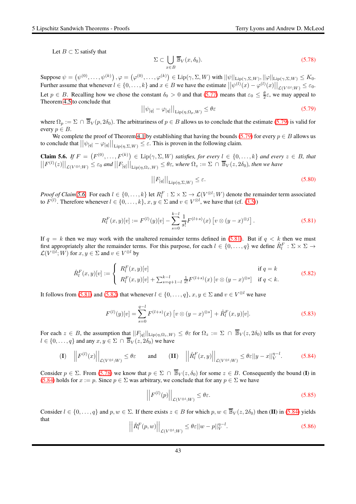Let  $B \subset \Sigma$  satisfy that

<span id="page-42-4"></span>
$$
\Sigma \subset \bigcup_{x \in B} \overline{\mathbb{B}}_V(x, \delta_0). \tag{5.78}
$$

Suppose  $\psi = \left(\psi^{(0)}, \ldots, \psi^{(k)}\right), \varphi = \left(\varphi^{(0)}, \ldots, \varphi^{(k)}\right) \in \mathrm{Lip}(\gamma, \Sigma, W)$  with  $||\psi||_{\mathrm{Lip}(\gamma, \Sigma, W)}, ||\varphi||_{\mathrm{Lip}(\gamma, \Sigma, W)} \leq K_0$ . Further assume that whenever  $l \in \{0, \ldots, k\}$  and  $x \in B$  we have the estimate  $\left|\left|\psi^{(l)}(x) - \varphi^{(l)}(x)\right|\right|_{\mathcal{L}(V^{\otimes l}; W)} \leq \varepsilon_0$ . Let  $p \in B$ . Recalling how we chose the constant  $\delta_0 > 0$  and that  $(5.77)$  means that  $\varepsilon_0 \leq \frac{\theta}{2} \varepsilon$ , we may appeal to Theorem [4.5](#page-26-0) to conclude that

<span id="page-42-0"></span>
$$
\left| |\psi_{[q]} - \varphi_{[q]}| \right|_{\text{Lip}(\eta, \Omega_p, W)} \le \theta \varepsilon \tag{5.79}
$$

where  $\Omega_p := \Sigma \cap \overline{\mathbb{B}}_V(p, 2\delta_0)$ . The arbitrariness of  $p \in B$  allows us to conclude that the estimate [\(5.79\)](#page-42-0) is valid for every  $p \in B$ .

We complete the proof of Theorem [4.1](#page-25-0) by establishing that having the bounds [\(5.79\)](#page-42-0) for every  $p \in B$  allows us to conclude that  $||\psi_{[q]} - \varphi_{[q]}||_{\text{Lip}(\eta,\Sigma,W)} \leq \varepsilon$ . This is proven in the following claim.

<span id="page-42-1"></span>**Claim 5.6.** If  $F = (F^{(0)}, \ldots, F^{(k)}) \in \text{Lip}(\gamma, \Sigma, W)$  satisfies, for every  $l \in \{0, \ldots, k\}$  and every  $z \in B$ , that  $||F^{(l)}(z)||_{\mathcal{L}(V^{\otimes l};W)} \leq \varepsilon_0$  and  $||F_{[q]}||_{\text{Lip}(\eta,\Omega_z,W)} \leq \theta \varepsilon$ , where  $\Omega_z := \Sigma \, \cap \, \overline{\mathbb{B}}_V(z,2\delta_0)$ , then we have

<span id="page-42-9"></span>
$$
||F_{[q]}||_{\text{Lip}(\eta,\Sigma,W)} \le \varepsilon. \tag{5.80}
$$

*Proof of Claim [5.6.](#page-42-1)* For each  $l \in \{0, \ldots, k\}$  let  $R_l^F : \Sigma \times \Sigma \to \mathcal{L}(V^{\otimes l}; W)$  denote the remainder term associated to  $F^{(l)}$ . Therefore whenever  $l \in \{0, \ldots, k\}$ ,  $x, y \in \Sigma$  and  $v \in V^{\otimes l}$ , we have that (cf. [\(3.5\)](#page-15-3))

<span id="page-42-2"></span>
$$
R_l^F(x, y)[v] := F^{(l)}(y)[v] - \sum_{s=0}^{k-l} \frac{1}{s!} F^{(l+s)}(x) \left[ v \otimes (y-x)^{\otimes j} \right]. \tag{5.81}
$$

If  $q = k$  then we may work with the unaltered remainder terms defined in [\(5.81\)](#page-42-2). But if  $q < k$  then we must first appropriately alter the remainder terms. For this purpose, for each  $l \in \{0, \ldots, q\}$  we define  $\hat{R}_l^F : \Sigma \times \Sigma \to$  $\mathcal{L}(V^{\otimes l}; W)$  for  $x, y \in \Sigma$  and  $v \in V^{\otimes l}$  by

<span id="page-42-3"></span>
$$
\hat{R}_l^F(x,y)[v] := \begin{cases} R_l^F(x,y)[v] & \text{if } q = k \\ R_l^F(x,y)[v] + \sum_{s=q+1-l}^{k-l} \frac{1}{s!} F^{(l+s)}(x) \left[ v \otimes (y-x)^{\otimes s} \right] & \text{if } q < k. \end{cases}
$$
\n(5.82)

It follows from [\(5.81\)](#page-42-2) and [\(5.82\)](#page-42-3) that whenever  $l \in \{0, ..., q\}$ ,  $x, y \in \Sigma$  and  $v \in V^{\otimes l}$  we have

<span id="page-42-6"></span>
$$
F^{(l)}(y)[v] = \sum_{s=0}^{q-l} F^{(l+s)}(x) \left[ v \otimes (y-x)^{\otimes s} \right] + \hat{R}_l^F(x,y)[v]. \tag{5.83}
$$

For each  $z \in B$ , the assumption that  $||F_{[q]}||_{\text{Lip}(\eta,\Omega_z,W)} \leq \theta \varepsilon$  for  $\Omega_z := \Sigma \cap \overline{\mathbb{B}}_V(z,2\delta_0)$  tells us that for every  $l \in \{0, \ldots, q\}$  and any  $x, y \in \Sigma \cap \overline{\mathbb{B}}_V(z, 2\delta_0)$  we have

<span id="page-42-5"></span>
$$
\textbf{(I)} \quad \left| \left| F^{(l)}(x) \right| \right|_{\mathcal{L}(V^{\otimes l};W)} \leq \theta \varepsilon \quad \text{and} \quad \textbf{(II)} \quad \left| \left| \hat{R}_l^F(x,y) \right| \right|_{\mathcal{L}(V^{\otimes l};W)} \leq \theta \varepsilon ||y-x||_V^{\eta-l}. \tag{5.84}
$$

Consider  $p \in \Sigma$ . From [\(5.78\)](#page-42-4) we know that  $p \in \Sigma \cap \overline{\mathbb{B}}_V(z, \delta_0)$  for some  $z \in B$ . Consequently the bound (I) in [\(5.84\)](#page-42-5) holds for  $x := p$ . Since  $p \in \Sigma$  was arbitrary, we conclude that for any  $p \in \Sigma$  we have

<span id="page-42-8"></span>
$$
\left| \left| F^{(l)}(p) \right| \right|_{\mathcal{L}(V^{\otimes l};W)} \le \theta \varepsilon. \tag{5.85}
$$

Consider  $l \in \{0, \ldots, q\}$  and  $p, w \in \Sigma$ . If there exists  $z \in B$  for which  $p, w \in \overline{\mathbb{B}}_V(z, 2\delta_0)$  then (II) in [\(5.84\)](#page-42-5) yields that

<span id="page-42-7"></span>
$$
\left| \left| \hat{R}_l^F(p, w) \right| \right|_{\mathcal{L}(V^{\otimes l}; W)} \leq \theta \varepsilon ||w - p||_V^{\eta - l}.
$$
\n(5.86)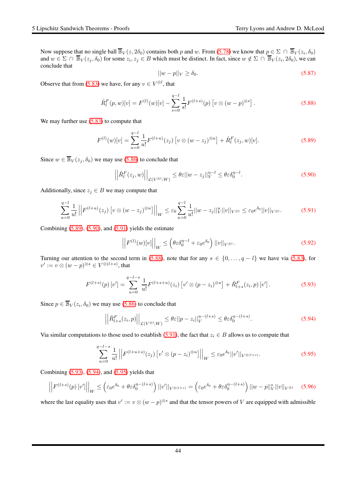Now suppose that no single ball  $\overline{\mathbb{B}}_V(z, 2\delta_0)$  contains both p and w. From [\(5.78\)](#page-42-4) we know that  $p \in \Sigma \cap \overline{\mathbb{B}}_V(z_i, \delta_0)$ and  $w \in \Sigma \cap \overline{\mathbb{B}}_V(z_j, \delta_0)$  for some  $z_i, z_j \in B$  which must be distinct. In fact, since  $w \notin \Sigma \cap \overline{\mathbb{B}}_V(z_i, 2\delta_0)$ , we can conclude that

<span id="page-43-8"></span>
$$
||w - p||_V \ge \delta_0. \tag{5.87}
$$

Observe that from [\(5.83\)](#page-42-6) we have, for any  $v \in V^{\otimes l}$ , that

<span id="page-43-3"></span>
$$
\hat{R}_l^F(p, w)[v] = F^{(l)}(w)[v] - \sum_{s=0}^{q-l} \frac{1}{s!} F^{(l+s)}(p) \left[ v \otimes (w-p)^{\otimes s} \right]. \tag{5.88}
$$

We may further use  $(5.83)$  to compute that

<span id="page-43-0"></span>
$$
F^{(l)}(w)[v] = \sum_{u=0}^{q-l} \frac{1}{u!} F^{(l+u)}(z_j) \left[ v \otimes (w-z_j)^{\otimes u} \right] + \hat{R}_l^F(z_j, w)[v]. \tag{5.89}
$$

Since  $w \in \overline{\mathbb{B}}_V(z_j, \delta_0)$  we may use [\(5.86\)](#page-42-7) to conclude that

<span id="page-43-1"></span>
$$
\left| \left| \hat{R}_l^F(z_j, w) \right| \right|_{\mathcal{L}(V^{\otimes l}; W)} \leq \theta \varepsilon ||w - z_j||_V^{\eta - l} \leq \theta \varepsilon \delta_0^{\eta - l}.
$$
 (5.90)

Additionally, since  $z_j \in B$  we may compute that

<span id="page-43-2"></span>
$$
\sum_{u=0}^{q-l} \frac{1}{u!} \left| \left| F^{(l+u)}(z_j) \left[ v \otimes (w-z_j)^{\otimes u} \right] \right| \right|_W \leq \varepsilon_0 \sum_{u=0}^{q-l} \frac{1}{u!} ||w-z_j||_V^u ||v||_{V^{\otimes l}} \leq \varepsilon_0 e^{\delta_0} ||v||_{V^{\otimes l}}.
$$
 (5.91)

Combining  $(5.89)$ ,  $(5.90)$ , and  $(5.91)$  yields the estimate

<span id="page-43-9"></span>
$$
\left| \left| F^{(l)}(w)[v] \right| \right|_{W} \leq \left( \theta \varepsilon \delta_0^{\eta - l} + \varepsilon_0 e^{\delta_0} \right) ||v||_{V^{\otimes l}}.
$$
\n(5.92)

Turning our attention to the second term in [\(5.88\)](#page-43-3), note that for any  $s \in \{0, \ldots, q - l\}$  we have via [\(5.83\)](#page-42-6), for  $v' := v \otimes (w - p)^{\otimes s} \in V^{\otimes (l+s)}$ , that

<span id="page-43-4"></span>
$$
F^{(l+s)}(p)[v'] = \sum_{u=0}^{q-l-s} \frac{1}{u!} F^{(l+s+u)}(z_i) [v' \otimes (p-z_i)^{\otimes u}] + \hat{R}_{l+s}^F(z_i, p)[v'].
$$
 (5.93)

Since  $p \in \overline{\mathbb{B}}_V(z_i, \delta_0)$  we may use [\(5.86\)](#page-42-7) to conclude that

<span id="page-43-5"></span>
$$
\left| \left| \hat{R}^{F}_{l+s}(z_i, p) \right| \right|_{\mathcal{L}(V^{\otimes l}; W)} \leq \theta \varepsilon ||p - z_i||_V^{\eta - (l+s)} \leq \theta \varepsilon \delta_0^{\eta - (l+s)}.
$$
\n(5.94)

Via similar computations to those used to establish [\(5.91\)](#page-43-2), the fact that  $z_i \in B$  allows us to compute that

<span id="page-43-6"></span>
$$
\sum_{u=0}^{q-l-s} \frac{1}{u!} \left| \left| F^{(l+u+s)}(z_j) \left[ v' \otimes (p-z_i)^{\otimes u} \right] \right| \right|_W \leq \varepsilon_0 e^{\delta_0} ||v'||_{V^{\otimes (l+s)}}.
$$
\n(5.95)

Combining [\(5.93\)](#page-43-4), [\(5.94\)](#page-43-5), and [\(5.95\)](#page-43-6) yields that

<span id="page-43-7"></span>
$$
\left| \left| F^{(l+s)}(p) \left[ v' \right] \right| \right|_{W} \leq \left( \varepsilon_0 e^{\delta_0} + \theta \varepsilon \delta_0^{\eta - (l+s)} \right) ||v'||_{V^{\otimes (l+s)}} = \left( \varepsilon_0 e^{\delta_0} + \theta \varepsilon \delta_0^{\eta - (l+s)} \right) ||w - p||_V^s ||v||_{V^{\otimes l}} \tag{5.96}
$$

where the last equality uses that  $v' := v \otimes (w - p)^{\otimes s}$  and that the tensor powers of V are equipped with admissible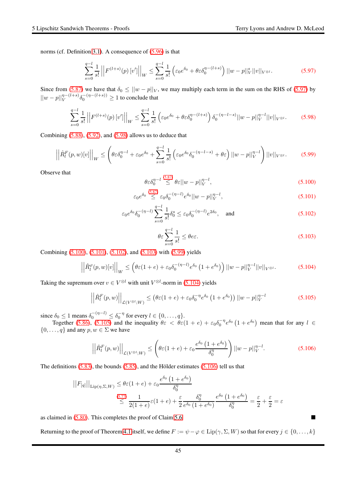norms (cf. Definition [3.1\)](#page-14-1). A consequence of [\(5.96\)](#page-43-7) is that

<span id="page-44-0"></span>
$$
\sum_{s=0}^{q-l} \frac{1}{s!} \left| \left| F^{(l+s)}(p) \left[ v' \right] \right| \right|_W \le \sum_{s=0}^{q-l} \frac{1}{s!} \left( \varepsilon_0 e^{\delta_0} + \theta \varepsilon \delta_0^{\eta - (l+s)} \right) ||w-p||_V^s ||v||_{V^{\otimes l}}.
$$
 (5.97)

Since from [\(5.87\)](#page-43-8) we have that  $\delta_0 \le ||w - p||_V$ , we may multiply each term in the sum on the RHS of [\(5.97\)](#page-44-0) by  $||w-p||_V^{\eta-(l+s)}\delta_0^{-(\eta-(l+s))} \ge 1$  to conclude that

<span id="page-44-1"></span>
$$
\sum_{s=0}^{q-l} \frac{1}{s!} \left| \left| F^{(l+s)}(p) \left[ v' \right] \right| \right|_W \le \sum_{s=0}^{q-l} \frac{1}{s!} \left( \varepsilon_0 e^{\delta_0} + \theta \varepsilon \delta_0^{\eta - (l+s)} \right) \delta_0^{-(\eta - l - s)} ||w - p||_V^{\eta - l} ||v||_{V^{\otimes l}}. \tag{5.98}
$$

Combining  $(5.88)$ ,  $(5.92)$ , and  $(5.98)$  allows us to deduce that

<span id="page-44-6"></span>
$$
\left| \left| \hat{R}_l^F(p, w)[v] \right| \right|_W \le \left( \theta \varepsilon \delta_0^{\eta - l} + \varepsilon_0 e^{\delta_0} + \sum_{s=0}^{q-l} \frac{1}{s!} \left( \varepsilon_0 e^{\delta_0} \delta_0^{-(\eta - l - s)} + \theta \varepsilon \right) ||w - p||_V^{\eta - l} \right) ||v||_{V^{\otimes l}}.\tag{5.99}
$$

Observe that

<span id="page-44-2"></span>
$$
\theta \varepsilon \delta_0^{\eta-l} \stackrel{(5.87)}{\leq} \theta \varepsilon ||w-p||_V^{\eta-l},\tag{5.100}
$$

<span id="page-44-3"></span>
$$
\varepsilon_0 e^{\delta_0} \stackrel{(5.87)}{\leq} \varepsilon_0 \delta_0^{-(\eta - l)} e^{\delta_0} ||w - p||_V^{\eta - l},\tag{5.101}
$$

<span id="page-44-4"></span>
$$
\varepsilon_0 e^{\delta_0} \delta_0^{-(\eta-l)} \sum_{s=0}^{q-l} \frac{1}{s!} \delta_0^s \le \varepsilon_0 \delta_0^{-(\eta-l)} e^{2\delta_0}, \quad \text{and} \tag{5.102}
$$

<span id="page-44-5"></span>
$$
\theta \varepsilon \sum_{s=0}^{q-l} \frac{1}{s!} \le \theta e \varepsilon. \tag{5.103}
$$

Combining [\(5.100\)](#page-44-2), [\(5.101\)](#page-44-3), [\(5.102\)](#page-44-4), and [\(5.103\)](#page-44-5) with [\(5.99\)](#page-44-6) yields

$$
\left| \hat{R}_{l}^{\varphi}(p,w)[v] \right| \Big|_{W} \leq \left( \theta \varepsilon (1+e) + \varepsilon_{0} \delta_{0}^{-(\eta-l)} e^{\delta_{0}} \left( 1 + e^{\delta_{0}} \right) \right) \left| |w-p| \right|_{V}^{\eta-l} ||v||_{V^{\otimes l}}. \tag{5.104}
$$

Taking the supremum over  $v \in V^{\otimes l}$  with unit  $V^{\otimes l}$ -norm in [\(5.104\)](#page-44-7) yields

<span id="page-44-8"></span>
$$
\left| \left| \hat{R}_{l}^{F}(p, w) \right| \right|_{\mathcal{L}(V^{\otimes l}; W)} \leq \left( \theta \varepsilon (1 + e) + \varepsilon_0 \delta_0^{-\eta} e^{\delta_0} \left( 1 + e^{\delta_0} \right) \right) \left| |w - p| \right|_{V}^{\eta - l} \tag{5.105}
$$

since  $\delta_0 \le 1$  means  $\delta_0^{-(\eta-l)} \le \delta_0^{-\eta}$  for every  $l \in \{0, \ldots, q\}.$ 

<span id="page-44-7"></span> $\overline{\phantom{a}}$  $\overline{\phantom{a}}$  $\overline{1}$ 

Together [\(5.86\)](#page-42-7), [\(5.105\)](#page-44-8) and the inequality  $\theta \varepsilon < \theta \varepsilon (1+e) + \varepsilon_0 \delta_0^{-\eta} e^{\delta_0} (1+e^{\delta_0})$  mean that for any  $l \in$  $\{0, \ldots, q\}$  and any  $p, w \in \Sigma$  we have

<span id="page-44-9"></span>
$$
\left| \left| \hat{R}_l^F(p, w) \right| \right|_{\mathcal{L}(V^{\otimes l}; W)} \leq \left( \theta \varepsilon (1 + e) + \varepsilon_0 \frac{e^{\delta_0} \left( 1 + e^{\delta_0} \right)}{\delta_0^{\eta}} \right) \left| |w - p| \right|_V^{\eta - l}.
$$
 (5.106)

The definitions  $(5.83)$ , the bounds  $(5.85)$ , and the Hölder estimates  $(5.106)$  tell us that

$$
||F_{[q]}||_{\text{Lip}(\eta,\Sigma,W)} \leq \theta \varepsilon (1+e) + \varepsilon_0 \frac{e^{\delta_0} (1+e^{\delta_0})}{\delta_0^{\eta}}
$$
  

$$
\leq \frac{(5.77)}{2(1+e)} \varepsilon (1+e) + \frac{\varepsilon}{2} \frac{\delta_0^{\eta}}{e^{\delta_0} (1+e^{\delta_0})} \frac{e^{\delta_0} (1+e^{\delta_0})}{\delta_0^{\eta}} = \frac{\varepsilon}{2} + \frac{\varepsilon}{2} = \varepsilon
$$

as claimed in [\(5.80\)](#page-42-9). This completes the proof of Claim [5.6](#page-42-1)

Returning to the proof of Theorem [4.1](#page-25-0) itself, we define  $F := \psi - \varphi \in \text{Lip}(\gamma, \Sigma, W)$  so that for every  $j \in \{0, \ldots, k\}$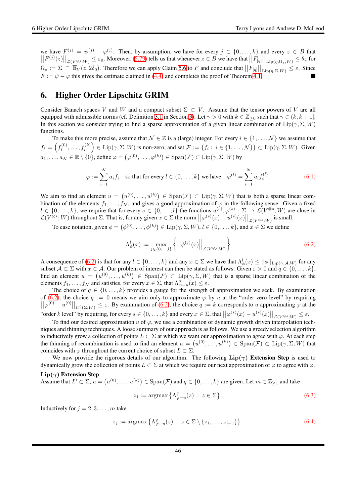we have  $F^{(j)} = \psi^{(j)} - \varphi^{(j)}$ . Then, by assumption, we have for every  $j \in \{0, ..., k\}$  and every  $z \in B$  that  $||F^{(j)}(z)||_{\mathcal{L}(V^{\otimes j};W)} \leq \varepsilon_0$ . Moreover, [\(5.79\)](#page-42-0) tells us that whenever  $z \in B$  we have that  $||F_{[q]}||_{\text{Lip}(\eta,\Omega_z,W)} \leq \theta \varepsilon$  for  $\Omega_z := \Sigma \cap \overline{\mathbb{B}}_V(z, 2\delta_0)$ . Therefore we can apply Claim [5.6](#page-42-1) to F and conclude that  $||F_{[q]}||_{\text{Lip}(\eta, \Sigma, W)} \leq \varepsilon$ . Since  $F := \psi - \varphi$  this gives the estimate claimed in [\(4.4\)](#page-25-4) and completes the proof of Theorem [4.1.](#page-25-0)

# <span id="page-45-0"></span>6. Higher Order Lipschitz GRIM

Consider Banach spaces V and W and a compact subset  $\Sigma \subset V$ . Assume that the tensor powers of V are all equipped with admissible norms (cf. Definition [3.1](#page-14-1) in Section [3\)](#page-14-0). Let  $\gamma > 0$  with  $k \in \mathbb{Z}_{\geq 0}$  such that  $\gamma \in (k, k + 1]$ . In this section we consider trying to find a sparse approximation of a given linear combination of Lip( $\gamma$ ,  $\Sigma$ ,  $W$ ) functions.

To make this more precise, assume that  $\mathcal{N} \in \mathbb{Z}$  is a (large) integer. For every  $i \in \{1, \ldots, \mathcal{N}\}\$ we assume that  $f_i=\left(f_i^{(0)},\ldots,f_i^{(k)}\right)\in \mathrm{Lip}(\gamma,\Sigma,W)$  is non-zero, and set  $\mathcal{F}:=\{f_i:\ i\in\{1,\ldots,\mathcal{N}\}\}\subset \mathrm{Lip}(\gamma,\Sigma,W).$  Given  $a_1,\ldots,a_\mathcal{N}\in\mathbb{R}\setminus\{0\}$ , define  $\varphi=\left(\varphi^{(0)},\ldots,\varphi^{(k)}\right)\in\mathrm{Span}(\mathcal{F})\subset\mathrm{Lip}(\gamma,\Sigma,W)$  by

$$
\varphi := \sum_{i=1}^{N} a_i f_i \quad \text{so that for every } l \in \{0, \dots, k\} \text{ we have } \quad \varphi^{(l)} = \sum_{i=1}^{N} a_i f_i^{(l)}.
$$
 (6.1)

We aim to find an element  $u = (u^{(0)}, \dots, u^{(k)}) \in \text{Span}(\mathcal{F}) \subset \text{Lip}(\gamma, \Sigma, W)$  that is both a sparse linear combination of the elements  $f_1, \ldots, f_N$ , and gives a good approximation of  $\varphi$  in the following sense. Given a fixed  $l \in \{0, \ldots, k\}$ , we require that for every  $s \in \{0, \ldots, l\}$  the functions  $u^{(s)}, \varphi^{(s)} : \Sigma \to \mathcal{L}(V^{\otimes s}; W)$  are close in  $\mathcal{L}(V^{\otimes s}; W)$  throughout  $\Sigma$ . That is, for any given  $x \in \Sigma$  the norm  $||\varphi^{(s)}(x) - u^{(s)}(x)||_{\mathcal{L}(V^{\otimes s}; W)}$  is small.

To ease notation, given  $\phi = (\phi^{(0)}, \dots, \phi^{(k)}) \in \text{Lip}(\gamma, \Sigma, W), l \in \{0, \dots, k\}$ , and  $x \in \Sigma$  we define

<span id="page-45-1"></span>
$$
\Lambda_{\phi}^{l}(x) := \max_{j \in \{0, ..., l\}} \left\{ \left| \left| \phi^{(j)}(x) \right| \right|_{\mathcal{L}(V^{\otimes j}; W)} \right\} \tag{6.2}
$$

A consequence of [\(6.2\)](#page-45-1) is that for any  $l \in \{0, ..., k\}$  and any  $x \in \Sigma$  we have that  $\Lambda_{\phi}^{l}(x) \le ||\phi||_{\text{Lip}(\gamma, \mathcal{A}, W)}$  for any subset  $A \subset \Sigma$  with  $x \in A$ . Our problem of interest can then be stated as follows. Given  $\varepsilon > 0$  and  $q \in \{0, \dots, k\}$ , find an element  $u = (u^{(0)}, \dots, u^{(k)}) \in \text{Span}(\mathcal{F}) \subset \text{Lip}(\gamma, \Sigma, W)$  that is a sparse linear combination of the elements  $f_1, \ldots, f_N$  and satisfies, for every  $x \in \Sigma$ , that  $\Lambda_{\varphi-u}^q(x) \leq \varepsilon$ .

The choice of  $q \in \{0, \ldots, k\}$  provides a gauge for the strength of approximation we seek. By examination of [\(6.2\)](#page-45-1), the choice  $q := 0$  means we aim only to approximate  $\varphi$  by u at the "order zero level" by requiring  $||\varphi^{(0)} - u^{(0)}||_{C^0(\Sigma;W)} \leq \varepsilon$ . By examination of [\(6.2\)](#page-45-1), the choice  $q := k$  corresponds to u approximating  $\varphi$  at the "order k level" by requiring, for every  $s \in \{0, \ldots, k\}$  and every  $x \in \Sigma$ , that  $\left|\left|\varphi^{(s)}(x) - u^{(s)}(x)\right|\right|_{\mathcal{L}(V^{\otimes s};W)} \leq \varepsilon$ .

To find our desired approximation u of  $\varphi$ , we use a combination of dynamic growth driven interpolation techniques and thinning techniques. A loose summary of our approach is as follows. We use a greedy selection algorithm to inductively grow a collection of points  $L \subset \Sigma$  at which we want our approximation to agree with  $\varphi$ . At each step the thinning of recombination is used to find an element  $u = (u^{(0)}, \dots, u^{(k)}) \in \text{Span}(\mathcal{F}) \subset \text{Lip}(\gamma, \Sigma, W)$  that coincides with  $\varphi$  throughout the current choice of subset  $L \subset \Sigma$ .

We now provide the rigorous details of our algorithm. The following  $\text{Lip}(\gamma)$  Extension Step is used to dynamically grow the collection of points  $L \subset \Sigma$  at which we require our next approximation of  $\varphi$  to agree with  $\varphi$ .

### $Lip(\gamma)$  Extension Step

Assume that  $L' \subset \Sigma$ ,  $u = (u^{(0)}, \ldots, u^{(k)}) \in \text{Span}(\mathcal{F})$  and  $q \in \{0, \ldots, k\}$  are given. Let  $m \in \mathbb{Z}_{\geq 1}$  and take

$$
z_1 := \operatorname{argmax} \left\{ \Lambda_{\varphi-u}^q(z) \, : \, z \in \Sigma \right\}.
$$

Inductively for  $j = 2, 3, \ldots, m$  take

$$
z_j := \operatorname{argmax} \left\{ \Lambda_{\varphi-u}^q(z) \, : \, z \in \Sigma \setminus \{z_1, \ldots, z_{j-1}\} \right\}.
$$
 (6.4)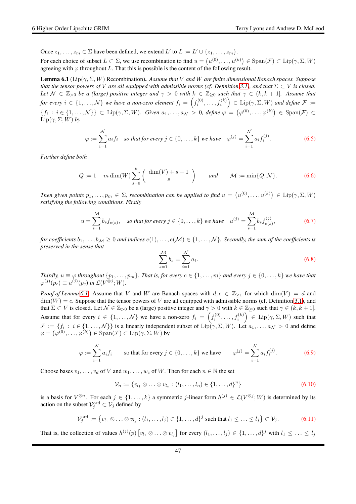Once  $z_1, \ldots, z_m \in \Sigma$  have been defined, we extend L' to  $L := L' \cup \{z_1, \ldots, z_m\}.$ 

For each choice of subset  $L \subset \Sigma$ , we use recombination to find  $u = (u^{(0)}, \dots, u^{(k)}) \in \text{Span}(\mathcal{F}) \subset \text{Lip}(\gamma, \Sigma, W)$ agreeing with  $\varphi$  throughout L. That this is possible is the content of the following result.

<span id="page-46-0"></span>Lemma 6.1 (Lip(γ, Σ, W) Recombination). *Assume that* V *and* W *are finite dimensional Banach spaces. Suppose that the tensor powers of* V are all equipped with admissible norms (cf. Definition [3.1\)](#page-14-1), and that  $\Sigma \subset V$  *is closed. Let*  $\mathcal{N} \in \mathbb{Z}_{>0}$  *be a (large) positive integer and*  $\gamma > 0$  *with*  $k \in \mathbb{Z}_{\geq 0}$  *such that*  $\gamma \in (k, k + 1]$ *. Assume that*  $f$ *or every*  $i \in \{1,\ldots,N\}$  we have a non-zero element  $f_i = \left(f_i^{(0)},\ldots,f_i^{(k)}\right) \in \text{Lip}(\gamma,\Sigma,W)$  and define  $\mathcal{F} :=$  $\{f_i : i \in \{1, \ldots, \mathcal{N}\}\}\subset \text{Lip}(\gamma, \Sigma, W)$ . Given  $a_1, \ldots, a_\mathcal{N} > 0$ , define  $\varphi = (\varphi^{(0)}, \ldots, \varphi^{(k)}) \in \text{Span}(\mathcal{F}) \subset \mathcal{F}$  $\mathrm{Lip}(\gamma, \Sigma, W)$  by

$$
\varphi := \sum_{i=1}^{N} a_i f_i \quad \text{so that for every } j \in \{0, \dots, k\} \text{ we have } \quad \varphi^{(j)} = \sum_{i=1}^{N} a_i f_i^{(j)}.
$$
 (6.5)

*Further define both*

<span id="page-46-1"></span>
$$
Q := 1 + m \dim(W) \sum_{s=0}^{k} \left( \frac{\dim(V) + s - 1}{s} \right) \quad \text{and} \quad \mathcal{M} := \min\{Q, \mathcal{N}\}. \tag{6.6}
$$

Then given points  $p_1, \ldots, p_m \in \Sigma$ , recombination can be applied to find  $u = (u^{(0)}, \ldots, u^{(k)}) \in \text{Lip}(\gamma, \Sigma, W)$ *satisfying the following conditions. Firstly*

<span id="page-46-3"></span>
$$
u = \sum_{s=1}^{M} b_s f_{e(s)}, \quad \text{so that for every } j \in \{0, \dots, k\} \text{ we have } \quad u^{(j)} = \sum_{s=1}^{M} b_s f_{e(s)}^{(j)}, \tag{6.7}
$$

*for coefficients*  $b_1, \ldots, b_M \geq 0$  *and indices*  $e(1), \ldots, e(M) \in \{1, \ldots, N\}$ *. Secondly, the sum of the coefficients is preserved in the sense that*

<span id="page-46-4"></span>
$$
\sum_{s=1}^{M} b_s = \sum_{i=1}^{N} a_i.
$$
\n(6.8)

*Thirdly,*  $u \equiv \varphi$  *throughout*  $\{p_1, \ldots, p_m\}$ *. That is, for every*  $c \in \{1, \ldots, m\}$  *and every*  $j \in \{0, \ldots, k\}$  *we have that*  $\varphi^{(j)}(p_c) \equiv u^{(j)}(p_c)$  in  $\mathcal{L}(V^{\otimes j}; W)$ .

*Proof of Lemma* [6.1.](#page-46-0) Assume that V and W are Banach spaces with  $d, c \in \mathbb{Z}_{\geq 1}$  for which  $\dim(V) = d$  and  $\dim(W) = c$ . Suppose that the tensor powers of V are all equipped with admissible norms (cf. Definition [3.1\)](#page-14-1), and that  $\Sigma \subset V$  is closed. Let  $\mathcal{N} \in \mathbb{Z}_{>0}$  be a (large) positive integer and  $\gamma > 0$  with  $k \in \mathbb{Z}_{\geq 0}$  such that  $\gamma \in (k, k + 1]$ . Assume that for every  $i \in \{1,\ldots,\mathcal{N}\}\$  we have a non-zero  $f_i = \left(f_i^{(0)},\ldots,f_i^{(k)}\right) \in \text{Lip}(\gamma,\Sigma,W)$  such that  $\mathcal{F} := \{f_i : i \in \{1, \ldots, \mathcal{N}\}\}\$ is a linearly independent subset of  $\text{Lip}(\gamma, \Sigma, W)$ . Let  $a_1, \ldots, a_\mathcal{N} > 0$  and define  $\varphi = (\varphi^{(0)}, \dots, \varphi^{(k)}) \in \text{Span}(\mathcal{F}) \subset \text{Lip}(\gamma, \Sigma, W)$  by

<span id="page-46-2"></span>
$$
\varphi := \sum_{i=1}^{N} a_i f_i \qquad \text{so that for every } j \in \{0, \dots, k\} \text{ we have } \qquad \varphi^{(j)} = \sum_{i=1}^{N} a_i f_i^{(j)}.
$$
 (6.9)

Choose bases  $v_1, \ldots, v_d$  of V and  $w_1, \ldots, w_c$  of W. Then for each  $n \in \mathbb{N}$  the set

$$
\mathcal{V}_n := \{v_{l_1} \otimes \ldots \otimes v_{l_n} : (l_1, \ldots, l_n) \in \{1, \ldots, d\}^n\}
$$
\n(6.10)

is a basis for  $V^{\otimes n}$ . For each  $j \in \{1, ..., k\}$  a symmetric j-linear form  $h^{(j)} \in \mathcal{L}(V^{\otimes j}; W)$  is determined by its action on the subset  $\mathcal{V}^{\text{ord}}_j \subset \mathcal{V}_j$  defined by

$$
\mathcal{V}_j^{\text{ord}} := \left\{ v_{l_1} \otimes \ldots \otimes v_{l_j} : (l_1, \ldots, l_j) \in \{1, \ldots, d\}^j \text{ such that } l_1 \leq \ldots \leq l_j \right\} \subset \mathcal{V}_j. \tag{6.11}
$$

That is, the collection of values  $h^{(j)}(p)$   $[v_{l_1} \otimes \ldots \otimes v_{l_j}]$  for every  $(l_1, \ldots, l_j) \in \{1, \ldots, d\}^j$  with  $l_1 \leq \ldots \leq l_j$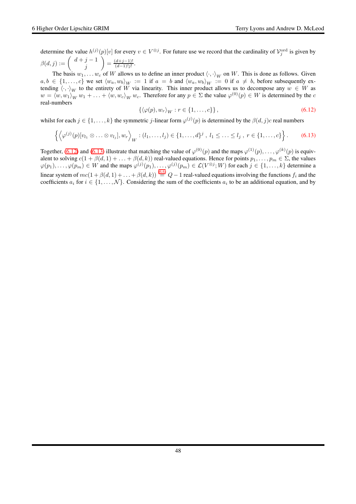determine the value  $h^{(j)}(p)[v]$  for every  $v \in V^{\otimes j}$ . For future use we record that the cardinality of  $\mathcal{V}_j^{\text{ord}}$  is given by  $\beta(d, j) := \left( \begin{array}{c} d+j-1 \end{array} \right)$ j  $= \frac{(d+j-1)!}{(d-1)!j!}$  $\frac{(a+j-1)!}{(d-1)!j!}$ .

The basis  $w_1, \ldots w_c$  of W allows us to define an inner product  $\langle \cdot, \cdot \rangle_W$  on W. This is done as follows. Given  $a, b \in \{1, \ldots, c\}$  we set  $\langle w_a, w_b \rangle_W := 1$  if  $a = b$  and  $\langle w_a, w_b \rangle_W := 0$  if  $a \neq b$ , before subsequently extending  $\langle \cdot, \cdot \rangle_W$  to the entirety of W via linearity. This inner product allows us to decompose any  $w \in W$  as  $w = \langle w, w_1 \rangle_W w_1 + \ldots + \langle w, w_c \rangle_W w_c$ . Therefore for any  $p \in \Sigma$  the value  $\varphi^{(0)}(p) \in W$  is determined by the c real-numbers

<span id="page-47-0"></span>
$$
\{\langle \varphi(p), w_r \rangle_W : r \in \{1, \dots, c\} \},\tag{6.12}
$$

whilst for each  $j \in \{1, ..., k\}$  the symmetric j-linear form  $\varphi^{(j)}(p)$  is determined by the  $\beta(d, j)c$  real numbers

<span id="page-47-1"></span>
$$
\left\{ \left\langle \varphi^{(j)}(p)[v_{l_1} \otimes \ldots \otimes v_{l_j}], w_r \right\rangle_W : (l_1, \ldots, l_j) \in \{1, \ldots, d\}^j, l_1 \leq \ldots \leq l_j, r \in \{1, \ldots, c\} \right\}.
$$
 (6.13)

Together, [\(6.12\)](#page-47-0) and [\(6.13\)](#page-47-1) illustrate that matching the value of  $\varphi^{(0)}(p)$  and the maps  $\varphi^{(1)}(p), \ldots, \varphi^{(k)}(p)$  is equivalent to solving  $c(1 + \beta(d, 1) + \ldots + \beta(d, k))$  real-valued equations. Hence for points  $p_1, \ldots, p_m \in \Sigma$ , the values  $\varphi(p_1), \ldots, \varphi(p_m) \in W$  and the maps  $\varphi^{(j)}(p_1), \ldots, \varphi^{(j)}(p_m) \in \mathcal{L}(V^{\otimes j}; W)$  for each  $j \in \{1, \ldots, k\}$  determine a linear system of  $mc(1+\beta(d,1)+...+\beta(d,k)) \stackrel{(6.6)}{=} Q-1$  $mc(1+\beta(d,1)+...+\beta(d,k)) \stackrel{(6.6)}{=} Q-1$  $mc(1+\beta(d,1)+...+\beta(d,k)) \stackrel{(6.6)}{=} Q-1$  real-valued equations involving the functions  $f_i$  and the coefficients  $a_i$  for  $i \in \{1, ..., N\}$ . Considering the sum of the coefficients  $a_i$  to be an additional equation, and by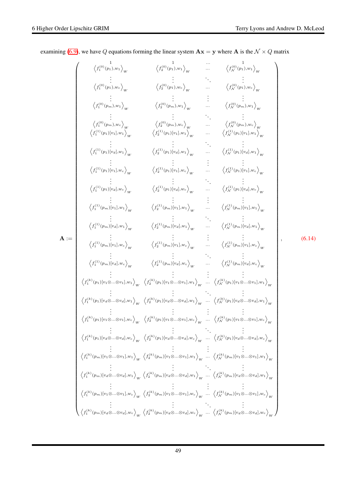<span id="page-48-0"></span>

|        | $\left\langle f_1^{(0)}(p_1), w_1 \right\rangle_{W}$      | $\left\langle f_{2}^{(0)}(p_{1}),_{w1}\right\rangle _{W}$                                                                                                                                                                                                                                                                                                                          | $\ldots \atop \ldots \atop {\leftarrow} \left\langle {f_{\cal N}^{(0)}(p_1),w_1} \right\rangle_W$ |  |        |
|--------|-----------------------------------------------------------|------------------------------------------------------------------------------------------------------------------------------------------------------------------------------------------------------------------------------------------------------------------------------------------------------------------------------------------------------------------------------------|---------------------------------------------------------------------------------------------------|--|--------|
|        | $\left\langle f_1^{(0)}(p_1), w_c \right\rangle_{W}$      | $\left\langle f_{2}^{(0)}(p_{1}), w_{c}\right\rangle _{W}$                                                                                                                                                                                                                                                                                                                         | $\hspace{1.5cm} \hspace{1.5cm} \big\langle f^{(0)}_{\mathcal{N}}(p_1), w_c \big\rangle_{W}$       |  |        |
|        | $\left\langle f_{1}^{(0)}(p_{m}),w_{1}\right\rangle _{W}$ | $\left\langle f_{2}^{(0)}(p_{m}), w_{1}\right\rangle _{W}$                                                                                                                                                                                                                                                                                                                         | $\left\langle f_{\mathcal{N}}^{(0)}(p_m), \! w_1 \right\rangle_W$                                 |  |        |
|        |                                                           | $\begin{array}{ccccc} \left\langle f_1^{(0)}(p_m), w_c \right\rangle_W & \left\langle f_2^{(0)}(p_m), w_c \right\rangle_W & \dots & \left\langle f_N^{(0)}(p_m), w_c \right\rangle_W \\ \left\langle f_1^{(1)}(p_1)[v_1], w_1 \right\rangle_W & \left\langle f_2^{(1)}(p_1)[v_1], w_1 \right\rangle_W & \dots & \left\langle f_N^{(1)}(p_1)[v_1], w_1 \right\rangle_W \end{array}$ |                                                                                                   |  |        |
|        | $\left\langle f_1^{(1)}(p_1)[v_d],w_1\right\rangle_W$     | $\left\langle f_2^{(1)}(p_1)[v_d],w_1 \right\rangle_W \qquad \ldots \qquad \left\langle f_N^{(1)}(p_1)[v_d],w_1 \right\rangle_W$                                                                                                                                                                                                                                                   |                                                                                                   |  |        |
|        | $\left\langle f_1^{(1)}(p_1)[v_1], w_c \right\rangle_{W}$ | $\left\langle f_{2}^{(1)}(p_{1})[v_{1}], w_{c} \right\rangle_{W} \qquad  \qquad \left\langle f_{\mathcal{N}}^{(1)}(p_{1})[v_{1}], w_{c} \right\rangle_{W}$                                                                                                                                                                                                                         |                                                                                                   |  |        |
|        | $\left\langle f_1^{(1)}(p_1)[v_d], w_c \right\rangle_{W}$ | $\left\langle f_2^{(1)}(p_1)[v_d], w_c \right\rangle_W \qquad \ldots \qquad \left\langle f_N^{(1)}(p_1)[v_d], w_c \right\rangle_W$                                                                                                                                                                                                                                                 |                                                                                                   |  |        |
|        |                                                           | $\left\langle f^{(1)}_1(p_m)[v_1], w_1 \right\rangle_W \qquad \qquad \left\langle f^{(1)}_2(p_m)[v_1], w_1 \right\rangle_W \qquad  \qquad \left\langle f^{(1)}_{\mathcal{N}}(p_m)[v_1], w_1 \right\rangle_W$                                                                                                                                                                       |                                                                                                   |  |        |
|        | $\langle f_1^{(1)}(p_m)[v_d], w_1 \rangle$ <sub>W</sub>   | $\overleftrightarrow{\left\langle f^{(1)}_2(p_m)[v_d],w_1 \right\rangle_W} \qquad  \qquad \overleftrightarrow{\left\langle f^{(1)}_{\mathcal{N}}(p_m)[v_d],w_1 \right\rangle_W}$                                                                                                                                                                                                   |                                                                                                   |  |        |
| $A :=$ |                                                           | $\left\langle f^{(1)}_1(p_m)[v_1],w_c\right\rangle_W \qquad \quad \left\langle f^{(1)}_2(p_m)[v_1],w_c\right\rangle_W \qquad  \qquad \left\langle f^{(1)}_N(p_m)[v_1],w_c\right\rangle_W$                                                                                                                                                                                          |                                                                                                   |  | (6.14) |
|        |                                                           | $\left\langle f^{(1)}_1(p_m)[v_d],w_c\right\rangle_W \qquad \quad \left\langle f^{(1)}_2(p_m)[v_d],w_c\right\rangle_W \qquad  \qquad \left\langle f^{(1)}_{\mathcal{N}}(p_m)[v_d],w_c\right\rangle_W$                                                                                                                                                                              |                                                                                                   |  |        |
|        |                                                           | $\left\langle f_1^{(k)}(p_1)[v_1\otimes\otimes v_1],w_1\right\rangle_W\left\langle f_2^{(k)}(p_1)[v_1\otimes\otimes v_1],w_1\right\rangle_W\ \ \dots\ \left\langle f_N^{(k)}(p_1)[v_1\otimes\otimes v_1],w_1\right\rangle_W$                                                                                                                                                       |                                                                                                   |  |        |
|        |                                                           | $\left\langle f^{(k)}_1(p_1)[v_d\otimes\otimes v_d],w_1\right\rangle_W\ \left\langle f^{(k)}_2(p_1)[v_d\otimes\otimes v_d],w_1\right\rangle_W\ \dots\ \left\langle f^{(k)}_{{\cal N}}(p_1)[v_d\otimes\otimes v_d],w_1\right\rangle_W$                                                                                                                                              |                                                                                                   |  |        |
|        |                                                           | $\left\langle f_1^{(k)}(p_1)[v_1\otimes\otimes v_1],w_c\right\rangle_W\quad \left\langle f_2^{(k)}(p_1)[v_1\otimes\otimes v_1],w_c\right\rangle_W\quad \quad \left\langle f_N^{(k)}(p_1)[v_1\otimes\otimes v_1],w_c\right\rangle_W$                                                                                                                                                |                                                                                                   |  |        |
|        |                                                           | $\left\langle f_1^{(k)}(p_1)[v_d\otimes\otimes v_d],w_c\right\rangle_W\text{ }\left\langle f_2^{(k)}(p_1)[v_d\otimes\otimes v_d],w_c\right\rangle_W\text{ }\dots\text{ }\left\langle f_N^{(k)}(p_1)[v_d\otimes\otimes v_d],w_c\right\rangle_W$                                                                                                                                     |                                                                                                   |  |        |
|        |                                                           | $\left\langle f_1^{(k)}(p_m)[v_1\otimes\otimes v_1],w_1\right\rangle_W\left\langle f_2^{(k)}(p_m)[v_1\otimes\otimes v_1],w_1\right\rangle_W\ \dots\ \left\langle f_N^{(k)}(p_m)[v_1\otimes\otimes v_1],w_1\right\rangle_W$                                                                                                                                                         |                                                                                                   |  |        |
|        |                                                           | $\left\langle f^{(k)}_1(p_m)[v_d\otimes\otimes v_d],w_1\right\rangle_W\left\langle f^{(k)}_2(p_m)[v_d\otimes\otimes v_d],w_1\right\rangle_W\ \dots\ \left\langle f^{(k)}_{\mathcal{N}}(p_m)[v_d\otimes\otimes v_d],w_1\right\rangle_W$                                                                                                                                             |                                                                                                   |  |        |
|        |                                                           | $\left\langle f_1^{(k)}(p_m)[v_1\otimes\otimes v_1],w_c\right\rangle_W\ \left\langle f_2^{(k)}(p_m)[v_1\otimes\otimes v_1],w_c\right\rangle_W\ \dots\ \left\langle f_N^{(k)}(p_m)[v_1\otimes\otimes v_1],w_c\right\rangle_W$                                                                                                                                                       |                                                                                                   |  |        |
|        |                                                           | $\left\langle f_1^{(k)}(p_m)[v_d\otimes\otimes v_d],w_c\right\rangle_W\left\langle f_2^{(k)}(p_m)[v_d\otimes\otimes v_d],w_c\right\rangle_W\cdots\ \left\langle f_N^{(k)}(p_m)[v_d\otimes\otimes v_d],w_c\right\rangle_W.$                                                                                                                                                         |                                                                                                   |  |        |

examining [\(6.9\)](#page-46-2), we have Q equations forming the linear system  $\mathbf{A}\mathbf{x} = \mathbf{y}$  where  $\mathbf{A}$  is the  $\mathcal{N} \times \mathbf{Q}$  matrix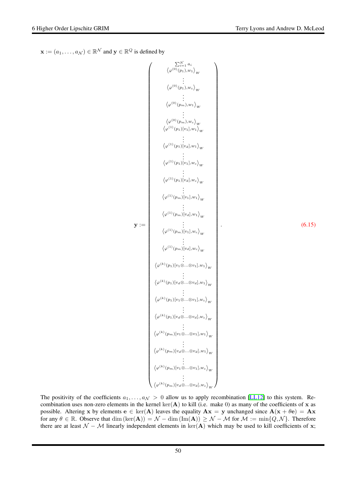$\mathbf{x} := (a_1, \dots, a_{\mathcal{N}}) \in \mathbb{R}^{\mathcal{N}}$  and  $\mathbf{y} \in \mathbb{R}^Q$  is defined by

<span id="page-49-0"></span>
$$
\mathbf{y} := \begin{pmatrix}\n\sum_{i=1}^{N} a_i \\
\langle \varphi^{(0)}(p_1), w_1 \rangle_W \\
\vdots \\
\langle \varphi^{(0)}(p_1), w_c \rangle_W \\
\vdots \\
\langle \varphi^{(0)}(p_m), w_c \rangle_W \\
\langle \varphi^{(1)}(p_1)[v_1], w_1 \rangle_W \\
\vdots \\
\langle \varphi^{(1)}(p_1)[v_2], w_1 \rangle_W \\
\vdots \\
\langle \varphi^{(1)}(p_1)[v_1], w_c \rangle_W \\
\vdots \\
\langle \varphi^{(1)}(p_1)[v_1], w_c \rangle_W \\
\vdots \\
\langle \varphi^{(1)}(p_m)[v_1], w_c \rangle_W \\
\vdots \\
\langle \varphi^{(1)}(p_m)[v_1], w_c \rangle_W \\
\vdots \\
\langle \varphi^{(1)}(p_m)[v_1], w_c \rangle_W \\
\vdots \\
\langle \varphi^{(1)}(p_m)[v_1], w_c \rangle_W \\
\vdots \\
\langle \varphi^{(1)}(p_m)[v_1], w_c \rangle_W \\
\vdots \\
\langle \varphi^{(k)}(p_1)[v_1, w_c \rangle_W \\
\vdots \\
\langle \varphi^{(k)}(p_1)[v_1, w_c \rangle_W \\
\vdots \\
\langle \varphi^{(k)}(p_1)[v_1, w_c \rangle_W \\
\vdots \\
\langle \varphi^{(k)}(p_1)[v_1, w_c \rangle_W \\
\vdots \\
\langle \varphi^{(k)}(p_1)[v_1, w_c \rangle_W \\
\vdots \\
\langle \varphi^{(k)}(p_m)[v_1, w_c \rangle_W]\n\end{pmatrix}
$$
\n
$$
\begin{pmatrix}\n\langle \varphi^{(k)}(p_1)[v_1, w_c, w_1], w_c \rangle_W \\
\vdots \\
\langle \varphi^{(k)}(p_m)[v_1, w_c, w_1], w_c \rangle_W \\
\vdots \\
\langle \varphi^{(k)}(p_m)[v_1, w_c, w_1], w_c \rangle_W \\
\vdots \\
\langle \varphi^{(k)}(p_m)[v_1, w_c, w_2], w_c \rangle_W\n\end{pmatrix}
$$

The positivity of the coefficients  $a_1, \ldots, a_N > 0$  allow us to apply recombination [\[LL12\]](#page-65-12) to this system. Recombination uses non-zero elements in the kernel ker(A) to kill (i.e. make 0) as many of the coefficients of x as possible. Altering x by elements  $e \in \text{ker}(A)$  leaves the equality  $Ax = y$  unchanged since  $A(x + \theta e) = Ax$ for any  $\theta \in \mathbb{R}$ . Observe that  $\dim (\ker(\mathbf{A})) = \mathcal{N} - \dim(\text{Im}(\mathbf{A})) \geq \mathcal{N} - \mathcal{M}$  for  $\mathcal{M} := \min\{Q, \mathcal{N}\}\$ . Therefore there are at least  $\mathcal{N} - \mathcal{M}$  linearly independent elements in ker $(A)$  which may be used to kill coefficients of x;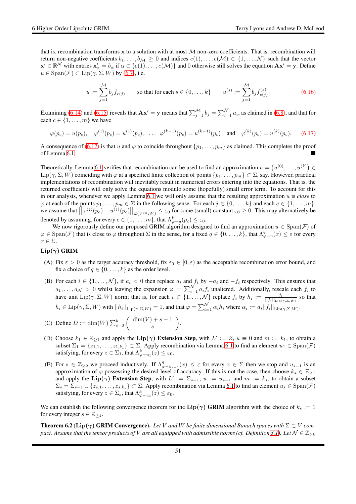that is, recombination transforms x to a solution with at most  $M$  non-zero coefficients. That is, recombination will return non-negative coefficients  $b_1, \ldots, b_{\mathcal{M}} \geq 0$  and indices  $e(1), \ldots, e(\mathcal{M}) \in \{1, \ldots, \mathcal{N}\}\$  such that the vector  $\mathbf{x}' \in \mathbb{R}^{\mathcal{N}}$  with entries  $\mathbf{x}'_{\alpha} = b_{\alpha}$  if  $\alpha \in \{e(1), \dots, e(\mathcal{M})\}$  and 0 otherwise still solves the equation  $\mathbf{A}\mathbf{x}' = \mathbf{y}$ . Define  $u \in \text{Span}(\mathcal{F}) \subset \text{Lip}(\gamma, \Sigma, W)$  by [\(6.7\)](#page-46-3), i.e.

$$
u := \sum_{j=1}^{M} b_j f_{e(j)} \qquad \text{so that for each } s \in \{0, \dots, k\} \qquad u^{(s)} := \sum_{j=1}^{M} b_j f_{e(j)}^{(s)}.
$$
 (6.16)

Examining [\(6.14\)](#page-48-0) and [\(6.15\)](#page-49-0) reveals that  $Ax' = y$  means that  $\sum_{j=1}^{M} b_j = \sum_{i=1}^{N} a_i$ , as claimed in [\(6.8\)](#page-46-4), and that for each  $c \in \{1, \ldots, m\}$  we have

<span id="page-50-1"></span>
$$
\varphi(p_c) = u(p_c), \quad \varphi^{(1)}(p_c) = u^{(1)}(p_c), \quad \dots \quad \varphi^{(k-1)}(p_c) = u^{(k-1)}(p_c) \quad \text{and} \quad \varphi^{(k)}(p_c) = u^{(k)}(p_c). \tag{6.17}
$$

A consequence of [\(6.17\)](#page-50-1) is that u and  $\varphi$  to coincide throughout  $\{p_1, \ldots, p_m\}$  as claimed. This completes the proof of Lemma [6.1.](#page-46-0)

Theoretically, Lemma [6.1](#page-46-0) verifies that recombination can be used to find an approximation  $u = (u^{(0)}, \ldots, u^{(k)}) \in$ Lip( $\gamma, \Sigma, W$ ) coinciding with  $\varphi$  at a specified finite collection of points  $\{p_1, \ldots, p_m\} \subset \Sigma$ , say. However, practical implementations of recombination will inevitably result in numerical errors entering into the equations. That is, the returned coefficients will only solve the equations modulo some (hopefully) small error term. To account for this in our analysis, whenever we apply Lemma [6.1](#page-46-0) we will only assume that the resulting approximation u is *close* to  $\varphi$  at each of the points  $p_1, \ldots, p_m \in \Sigma$  in the following sense. For each  $j \in \{0, \ldots, k\}$  and each  $c \in \{1, \ldots, m\}$ , we assume that  $\left|\left|\varphi^{(j)}(p_c)-u^{(j)}(p_c)\right|\right|_{\mathcal{L}(V^{\otimes l};W)} \leq \varepsilon_0$  for some (small) constant  $\varepsilon_0 \geq 0$ . This may alternatively be denoted by assuming, for every  $c \in \{1, \ldots, m\}$ , that  $\Lambda_{\varphi-u}^k(p_c) \leq \varepsilon_0$ .

We now rigorously define our proposed GRIM algorithm designed to find an approximation  $u \in Span(F)$  of  $\varphi \in \text{Span}(\mathcal{F})$  that is close to  $\varphi$  throughout  $\Sigma$  in the sense, for a fixed  $q \in \{0, \ldots, k\}$ , that  $\Lambda_{\varphi-u}^q(x) \leq \varepsilon$  for every  $x \in \Sigma$ .

#### <span id="page-50-2"></span> $\text{Lip}(\gamma)$  GRIM

- (A) Fix  $\varepsilon > 0$  as the target accuracy threshold, fix  $\varepsilon_0 \in [0, \varepsilon)$  as the acceptable recombination error bound, and fix a choice of  $q \in \{0, \ldots, k\}$  as the order level.
- <span id="page-50-5"></span>(B) For each  $i \in \{1, \ldots, N\}$ , if  $a_i < 0$  then replace  $a_i$  and  $f_i$  by  $-a_i$  and  $-f_i$  respectively. This ensures that  $a_1, \ldots, a_\mathcal{N} > 0$  whilst leaving the expansion  $\varphi = \sum_{i=1}^N a_i f_i$  unaltered. Additionally, rescale each  $f_i$  to have unit  $\text{Lip}(\gamma, \Sigma, W)$  norm; that is, for each  $i \in \{1, ..., \mathcal{N}\}\$ replace  $f_i$  by  $h_i := \frac{f_i}{||f_i||_{\text{Lip}(\gamma, \Sigma, W)}}$  so that  $h_i \in \text{Lip}(\gamma, \Sigma, W)$  with  $||h_i||_{\text{Lip}(\gamma, \Sigma, W)} = 1$ , and that  $\varphi = \sum_{i=1}^{N} \alpha_i h_i$  where  $\alpha_i := a_i ||f_i||_{\text{Lip}(\gamma, \Sigma, W)}$ .

<span id="page-50-6"></span>(C) Define 
$$
D := \dim(W) \sum_{s=0}^{k} \binom{\dim(V) + s - 1}{s}
$$
.

- <span id="page-50-3"></span>(D) Choose  $k_1 \in \mathbb{Z}_{\geq 1}$  and apply the  $\text{Lip}(\gamma)$  Extension Step, with  $L' := \emptyset$ ,  $u \equiv 0$  and  $m := k_1$ , to obtain a subset  $\Sigma_1 = \{z_{1,1}, \ldots, z_{1,k_1}\} \subset \Sigma$ . Apply recombination via Lemma [6.1](#page-46-0) to find an element  $u_1 \in \text{Span}(\mathcal{F})$ satisfying, for every  $z \in \Sigma_1$ , that  $\Lambda_{\varphi-u_1}^k(z) \leq \varepsilon_0$ .
- <span id="page-50-4"></span>(E) For  $s \in \mathbb{Z}_{\geq 2}$  we proceed inductively. If  $\Lambda^q_{\varphi-u_{s-1}}(x) \leq \varepsilon$  for every  $x \in \Sigma$  then we stop and  $u_{s-1}$  is an approximation of  $\varphi$  possessing the desired level of accuracy. If this is not the case, then choose  $k_s \in \mathbb{Z}_{\geq 1}$ and apply the Lip( $\gamma$ ) Extension Step, with  $L' := \sum_{s=1}^{\infty} u_i := u_{s-1}$  and  $m := k_s$ , to obtain a subset  $\Sigma_s = \Sigma_{s-1} \cup \{z_{s,1}, \ldots, z_{s,k_s}\} \subset \Sigma$ . Apply recombination via Lemma [6.1](#page-46-0) to find an element  $u_s \in \text{Span}(\mathcal{F})$ satisfying, for every  $z \in \Sigma_s$ , that  $\Lambda_{\varphi-u_s}^k(z) \leq \varepsilon_0$ .

We can establish the following convergence theorem for the Lip( $\gamma$ ) GRIM algorithm with the choice of  $k_s := 1$ for every integer  $s \in \mathbb{Z}_{\geq 1}$ .

<span id="page-50-0"></span>**Theorem 6.2** (Lip( $\gamma$ ) GRIM Convergence). Let V and W be finite dimensional Banach spaces with  $\Sigma \subset V$  com*pact.* Assume that the tensor products of V are all equipped with admissible norms (cf. Definition [3.1\)](#page-14-1). Let  $\mathcal{N} \in \mathbb{Z}_{>0}$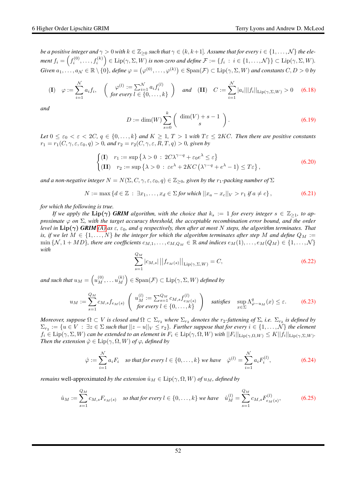*be a positive integer and*  $\gamma > 0$  *with*  $k \in \mathbb{Z}_{\geq 0}$  *such that*  $\gamma \in (k, k+1]$ *. Assume that for every*  $i \in \{1, \ldots, \mathcal{N}\}\$  *the ele* $f_i=\left(f_i^{(0)},\ldots,f_i^{(k)}\right)\in \mathrm{Lip}(\gamma,\Sigma,W)$  is non-zero and define  $\mathcal{F}:=\{f_i\ :\ i\in\{1,\ldots,\mathcal{N}\}\}\subset \mathrm{Lip}(\gamma,\Sigma,W).$  $Given\ a_1,\ldots,a_\mathcal{N}\in\mathbb{R}\setminus\{0\},\ define\ \varphi=\left(\varphi^{(0)},\ldots,\varphi^{(k)}\right)\in\mathrm{Span}(\mathcal{F})\subset\mathrm{Lip}(\gamma,\Sigma,W)\ and\ constants\ C,D>0\ by$ 

$$
\textbf{(I)} \quad \varphi := \sum_{i=1}^{N} a_i f_i, \quad \left( \begin{array}{cc} \varphi^{(l)} := \sum_{i=1}^{N} a_i f_i^{(l)} \\ \text{for every } l \in \{0, \dots, k\} \end{array} \right) \quad \text{and} \quad \textbf{(II)} \quad C := \sum_{i=1}^{N} |a_i| ||f_i||_{\text{Lip}(\gamma, \Sigma, W)} > 0 \quad \text{(6.18)}
$$

*and*

$$
D := \dim(W) \sum_{s=0}^{k} \binom{\dim(V) + s - 1}{s}.
$$
\n(6.19)

*Let*  $0 \le \varepsilon_0 < \varepsilon < 2C$ ,  $q \in \{0, \ldots, k\}$  *and*  $K \ge 1$ ,  $T > 1$  *with*  $T \varepsilon \le 2KC$ *. Then there are positive constants*  $r_1 = r_1(C, \gamma, \varepsilon, \varepsilon_0, q) > 0$ , and  $r_2 = r_2(C, \gamma, \varepsilon, R, T, q) > 0$ , given by

<span id="page-51-1"></span>
$$
\begin{cases}\n(\mathbf{I}) & r_1 := \sup \{ \lambda > 0 : 2C\lambda^{\gamma - q} + \varepsilon_0 e^{\lambda} \le \varepsilon \} \\
(\mathbf{II}) & r_2 := \sup \{ \lambda > 0 : \varepsilon e^{\lambda} + 2KC\left(\lambda^{\gamma - q} + e^{\lambda} - 1\right) \le T\varepsilon \},\n\end{cases}\n\tag{6.20}
$$

*and a non-negative integer*  $N = N(\Sigma, C, \gamma, \varepsilon, \varepsilon_0, q) \in \mathbb{Z}_{\geq 0}$ , given by the  $r_1$ -packing number of  $\Sigma$ 

<span id="page-51-2"></span>
$$
N := \max \{ d \in \mathbb{Z} : \exists x_1, \dots, x_d \in \Sigma \text{ for which } ||x_a - x_c||_V > r_1 \text{ if } a \neq c \},
$$
\n(6.21)

*for which the following is true.*

*If we apply the*  $\text{Lip}(\gamma)$  *GRIM algorithm, with the choice that*  $k_s := 1$  *for every integer*  $s \in \mathbb{Z}_{\geq 1}$ *, to approximate* ϕ *on* Σ*, with the target accuracy threshold, the acceptable recombination error bound, and the order level in*  $\text{Lip}(\gamma)$  *GRIM* [\(A\)](#page-50-2) as  $\varepsilon$ ,  $\varepsilon_0$ , and q respectively, then after at most N steps, the algorithm terminates. That *is, if we let*  $M \in \{1, \ldots, N\}$  *be the integer for which the algorithm terminates after step* M *and define*  $Q_M :=$  $\min \{N, 1 + MD\}$ , there are coefficients  $c_{M,1}, \ldots, c_{M,Q_M} \in \mathbb{R}$  and indices  $e_M(1), \ldots, e_M(Q_M) \in \{1, \ldots, N\}$ *with*

<span id="page-51-3"></span>
$$
\sum_{s=1}^{Q_M} |c_{M,s}| ||f_{e_M(s)}||_{\text{Lip}(\gamma,\Sigma,W)} = C,
$$
\n(6.22)

and such that  $u_M = \left(u_M^{(0)}, \dots u_M^{(k)} \right)$  $\binom{(k)}{M} \in \text{Span}(\mathcal{F}) \subset \text{Lip}(\gamma, \Sigma, W)$  defined by

<span id="page-51-0"></span>
$$
u_M := \sum_{s=1}^{Q_M} c_{M,s} f_{e_M(s)} \begin{pmatrix} u_M^{(l)} := \sum_{s=1}^{Q_M} c_{M,s} f_{e_M(s)}^{(l)} \\ \text{for every } l \in \{0, \dots, k\} \end{pmatrix} \text{ satisfies } \sup_{x \in \Sigma} \Lambda_{\varphi - u_M}^q(x) \le \varepsilon. \tag{6.23}
$$

*Moreover, suppose*  $\Omega \subset V$  *is closed and*  $\Omega \subset \Sigma_{r_2}$  *where*  $\Sigma_{r_2}$  *denotes the*  $r_2$ -fattening of  $\Sigma$ *, i.e.*  $\Sigma_{r_2}$  *is defined by*  $\Sigma_{r_2} := \{u \in V : \exists z \in \Sigma \text{ such that } ||z - u||_V \leq r_2\}$ . Further suppose that for every  $i \in \{1, \dots, N\}$  the element  $f_i \in \text{Lip}(\gamma, \Sigma, W)$  can be extended to an element in  $F_i \in \text{Lip}(\gamma, \Omega, W)$  with  $||F_i||_{\text{Lip}(\gamma, \Omega, W)} \leq K||f_i||_{\text{Lip}(\gamma, \Sigma, W)}$ . *Then the extension*  $\hat{\varphi} \in \text{Lip}(\gamma, \Omega, W)$  *of*  $\varphi$ *, defined by* 

<span id="page-51-4"></span>
$$
\hat{\varphi} := \sum_{i=1}^{N} a_i F_i \quad \text{so that for every } l \in \{0, \dots, k\} \text{ we have } \quad \hat{\varphi}^{(l)} = \sum_{i=1}^{N} a_i F_i^{(l)}, \tag{6.24}
$$

*remains* well-approximated *by the extension*  $\hat{u}_M \in \text{Lip}(\gamma, \Omega, W)$  *of*  $u_M$ , *defined by* 

<span id="page-51-5"></span>
$$
\hat{u}_M := \sum_{s=1}^{Q_M} c_{M,s} F_{e_M(s)} \quad \text{so that for every } l \in \{0, \dots, k\} \text{ we have } \quad \hat{u}_M^{(l)} = \sum_{s=1}^{Q_M} c_{M,s} F_{e_M(s)}^{(l)}, \tag{6.25}
$$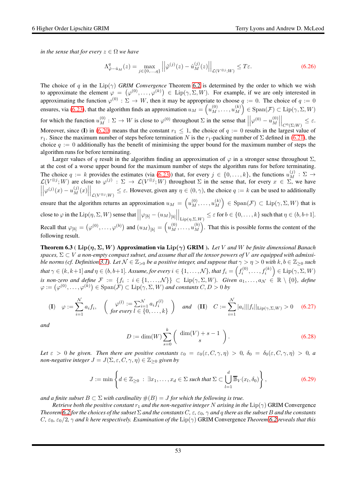*in the sense that for every*  $z \in \Omega$  *we have* 

<span id="page-52-2"></span>
$$
\Lambda_{\hat{\varphi}-\hat{u}_M}^q(z) = \max_{j \in \{0,\dots,q\}} \left| \left| \hat{\varphi}^{(j)}(z) - \hat{u}_M^{(j)}(z) \right| \right|_{\mathcal{L}(V^{\otimes j};W)} \le T\varepsilon. \tag{6.26}
$$

The choice of q in the  $Lip(\gamma)$  *GRIM Convergence* Theorem [6.2](#page-50-0) is determined by the order to which we wish to approximate the element  $\varphi = (\varphi^{(0)}, \dots, \varphi^{(k)}) \in \text{Lip}(\gamma, \Sigma, W)$ . For example, if we are only interested in approximating the function  $\varphi^{(0)} : \Sigma \to W$ , then it may be appropriate to choose  $q := 0$ . The choice of  $q := 0$ ensures, via [\(6.23\)](#page-51-0), that the algorithm finds an approximation  $u_M = \left(u_M^{(0)}, \ldots, u_M^{(k)}\right)$  $\binom{k}{M} \in \text{Span}(\mathcal{F}) \subset \text{Lip}(\gamma, \Sigma, W)$ for which the function  $u_M^{(0)}$ :  $\Sigma \to W$  is close to  $\varphi^{(0)}$  throughout  $\Sigma$  in the sense that  $\Big|$  $\left|\varphi^{(0)}-u_M^{(0)}\right|$  $\begin{bmatrix} 0 \\ M \end{bmatrix}$  $\Big\vert_{C^0(\Sigma; W)}$ ≤ ε. Moreover, since (I) in [\(6.20\)](#page-51-1) means that the constant  $r_1 \leq 1$ , the choice of  $q := 0$  results in the largest value of  $r_1$ . Since the maximum number of steps before termination N is the  $r_1$ -packing number of  $\Sigma$  defined in [\(6.21\)](#page-51-2), the choice  $q := 0$  additionally has the benefit of minimising the upper bound for the maximum number of steps the algorithm runs for before terminating.

Larger values of q result in the algorithm finding an approximation of  $\varphi$  in a stronger sense throughout  $\Sigma$ , at the cost of a worse upper bound for the maximum number of steps the algorithm runs for before terminating. The choice  $q := k$  provides the estimates (via [\(6.23\)](#page-51-0)) that, for every  $j \in \{0, ..., k\}$ , the functions  $u_M^{(j)} : \Sigma \to$  $\mathcal{L}(V^{\otimes j}; W)$  are close to  $\varphi^{(j)} : \Sigma \to \mathcal{L}(V^{\otimes j}; W)$  throughout  $\Sigma$  in the sense that, for every  $x \in \Sigma$ , we have  $\begin{array}{c} \begin{array}{c} \begin{array}{c} \end{array}\\ \begin{array}{c} \end{array} \end{array} \end{array}$  $\left|\varphi^{(j)}(x)-u^{(j)}_M(x)\right|$  $\left| \bigcup_{\mathcal{L}(V^{\otimes j};W)} \leq \varepsilon$ . However, given any  $\eta \in (0,\gamma)$ , the choice  $q := k$  can be used to additionally ensure that the algorithm returns an approximation  $u_M = (u_M^{(0)}, \dots, u_M^{(k)})$  $\binom{k}{M} \in \text{Span}(\mathcal{F}) \subset \text{Lip}(\gamma, \Sigma, W)$  that is close to  $\varphi$  in the  $\mathrm{Lip}(\eta,\Sigma,W)$  sense that  $\Big|$  $\Big|\varphi_{[b]}-(u_M)_{[b]}\Big|$  $\Big|_{\text{Lip}(\eta,\Sigma,W)} \leq \varepsilon \text{ for } b \in \{0,\ldots,k\} \text{ such that } \eta \in (b,b+1].$ Recall that  $\varphi_{[b]} = (\varphi^{(0)}, \dots, \varphi^{(b)})$  and  $(u_M)_{[b]} = (u_M^{(0)}, \dots, u_M^{(b)})$  $\binom{b}{M}$ . That this is possible forms the content of the following result.

<span id="page-52-0"></span>Theorem 6.3 ( Lip(η, Σ, W) Approximation via Lip(γ) GRIM ). *Let* V *and* W *be finite dimensional Banach* spaces,  $\Sigma \subset V$  *a non-empty compact subset, and assume that all the tensor powers of* V *are equipped with admissible norms (cf. Definition* [3.1\)](#page-14-1). Let  $N \in \mathbb{Z}_{>0}$  *be a positive integer, and suppose that*  $\gamma > \eta > 0$  *with*  $k, b \in \mathbb{Z}_{\geq 0}$  *such*  $\textit{that } \gamma \in (k,k+1] \textit{ and } \eta \in (b,b+1] \textit{. Assume, for every } i \in \{1,\ldots,\mathcal{N}\}, \textit{that } f_i = \left(f_i^{(0)},\ldots,f_i^{(k)}\right) \in \mathrm{Lip}(\gamma,\Sigma,W)$ *is non-zero and define*  $\mathcal{F} := \{f_i : i \in \{1, ..., \mathcal{N}\}\}\subset \text{Lip}(\gamma, \Sigma, W)$ *. Given*  $a_1, ..., a_\mathcal{N} \in \mathbb{R} \setminus \{0\}$ *, define*  $\varphi := (\varphi^{(0)}, \dots, \varphi^{(k)}) \in \text{Span}(\mathcal{F}) \subset \text{Lip}(\gamma, \Sigma, W)$  and constants  $C, D > 0$  by

$$
\textbf{(I)} \quad \varphi := \sum_{i=1}^{N} a_i f_i, \quad \left( \begin{array}{c} \varphi^{(l)} := \sum_{i=1}^{N} a_i f_i^{(l)} \\ \text{for every } l \in \{0, \dots, k\} \end{array} \right) \quad \text{and} \quad \textbf{(II)} \quad C := \sum_{i=1}^{N} |a_i| ||f_i||_{\text{Lip}(\gamma, \Sigma, W)} > 0 \quad \text{(6.27)}
$$

*and*

$$
D := \dim(W) \sum_{s=0}^{k} \binom{\dim(V) + s - 1}{s}.
$$
\n(6.28)

*Let*  $\varepsilon > 0$  *be given. Then there are positive constants*  $\varepsilon_0 = \varepsilon_0(\varepsilon, C, \gamma, \eta) > 0$ ,  $\delta_0 = \delta_0(\varepsilon, C, \gamma, \eta) > 0$ , a *non-negative integer*  $J = J(\Sigma, \varepsilon, C, \gamma, \eta) \in \mathbb{Z}_{\geq 0}$  *given by* 

<span id="page-52-1"></span>
$$
J := \min \left\{ d \in \mathbb{Z}_{\geq 0} : \exists x_1, \dots, x_d \in \Sigma \text{ such that } \Sigma \subset \bigcup_{l=1}^d \overline{\mathbb{B}}_V(x_l, \delta_0) \right\},\tag{6.29}
$$

*and a finite subset*  $B \subset \Sigma$  *with cardinality*  $\#(B) = J$  *for which the following is true.* 

*Retrieve both the positive constant*  $r_1$  *and the non-negative integer* N *arising in the*  $Lip(\gamma)$  GRIM Convergence *Theorem* [6.2](#page-50-0) *for the choices of the subset*  $\Sigma$  *and the constants*  $C$ *,*  $\varepsilon$ ,  $\varepsilon$ <sub>0</sub>*,*  $\gamma$  *and q there as the subset*  $B$  *and the constants*  $C, \epsilon_0, \epsilon_0/2, \gamma$  and k here respectively. Examination of the Lip( $\gamma$ ) GRIM Convergence *Theorem* [6.2](#page-50-0) *reveals that this*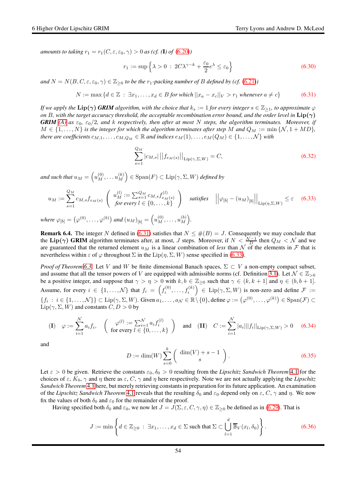*amounts to taking*  $r_1 = r_1(C, \varepsilon, \varepsilon_0, \gamma) > 0$  *as (cf.* (1) of [\(6.20\)](#page-51-1))

<span id="page-53-2"></span>
$$
r_1 := \sup \left\{ \lambda > 0 \; : \; 2C\lambda^{\gamma - k} + \frac{\varepsilon_0}{2} e^{\lambda} \le \varepsilon_0 \right\} \tag{6.30}
$$

*and*  $N = N(B, C, \varepsilon, \varepsilon_0, \gamma) \in \mathbb{Z}_{\geq 0}$  *to be the*  $r_1$ *-packing number of* B *defined by* (*cf.* [\(6.21\)](#page-51-2))

<span id="page-53-0"></span>
$$
N := \max \left\{ d \in \mathbb{Z} \, : \, \exists x_1, \dots, x_d \in B \text{ for which } ||x_a - x_c||_V > r_1 \text{ whenever } a \neq c \right\} \tag{6.31}
$$

*If we apply the*  $\text{Lip}(\gamma)$  *GRIM* algorithm, with the choice that  $k_s := 1$  for every integer  $s \in \mathbb{Z}_{\geq 1}$ , to approximate  $\varphi$ *on* B, with the target accuracy threshold, the acceptable recombination error bound, and the order level in  $\text{Lip}(\gamma)$ *GRIM* [\(A\)](#page-50-2) as  $\varepsilon_0$ ,  $\varepsilon_0/2$ , and k respectively, then after at most N steps, the algorithm terminates. Moreover, if  $M \in \{1, \ldots, N\}$  is the integer for which the algorithm terminates after step M and  $Q_M := \min \{N, 1 + MD\}$ , *there are coefficients*  $c_{M,1}, \ldots, c_{M,Q_M} \in \mathbb{R}$  *and indices*  $e_M(1), \ldots, e_M(Q_M) \in \{1, \ldots, N\}$  *with* 

<span id="page-53-3"></span>
$$
\sum_{s=1}^{Q_M} |c_{M,s}| ||f_{e_M(s)}||_{\text{Lip}(\gamma,\Sigma,W)} = C,\tag{6.32}
$$

and such that  $u_M = \left(u_M^{(0)}, \dots u_M^{(k)} \right)$  $\binom{(k)}{M} \in \text{Span}(F) \subset \text{Lip}(\gamma, \Sigma, W)$  defined by

<span id="page-53-1"></span>
$$
u_M := \sum_{s=1}^{Q_M} c_{M,s} f_{e_M(s)} \left( u_M^{(l)} := \sum_{s=1}^{Q_M} c_{M,s} f_{e_M(s)}^{(l)} \right) \text{ satisfies } ||\varphi_{[b]} - (u_M)_{[b]}||_{\text{Lip}(\eta,\Sigma,W)} \le \varepsilon \quad (6.33)
$$

where  $\varphi_{[b]} = (\varphi^{(0)}, \dots, \varphi^{(b)})$  and  $(u_M)_{[b]} = (u_M^{(0)}, \dots, u_M^{(b)})$  $\binom{(b)}{M}$ .

**Remark 6.4.** The integer N defined in [\(6.31\)](#page-53-0) satisfies that  $N \leq \#(B) = J$ . Consequently we may conclude that the Lip( $\gamma$ ) GRIM algorithm terminates after, at most, J steps. Moreover, if  $N < \frac{N-1}{D}$  then  $Q_M < N$  and we are guaranteed that the returned element  $u_M$  is a linear combination of *less* than N of the elements in F that is nevertheless within  $\varepsilon$  of  $\varphi$  throughout  $\Sigma$  in the Lip( $\eta$ ,  $\Sigma$ ,  $W$ ) sense specified in [\(6.33\)](#page-53-1).

*Proof of Theorem* [6.3.](#page-52-0) Let V and W be finite dimensional Banach spaces,  $\Sigma \subset V$  a non-empty compact subset, and assume that all the tensor powers of V are equipped with admissible norms (cf. Definition [3.1\)](#page-14-1). Let  $\mathcal{N} \in \mathbb{Z}_{>0}$ be a positive integer, and suppose that  $\gamma > \eta > 0$  with  $k, b \in \mathbb{Z}_{\geq 0}$  such that  $\gamma \in (k, k + 1]$  and  $\eta \in (b, b + 1]$ . Assume, for every  $i \in \{1,\ldots,\mathcal{N}\}\$  that  $f_i = \left(f_i^{(0)},\ldots,f_i^{(k)}\right) \in \text{Lip}(\gamma,\Sigma,W)$  is non-zero and define  $\mathcal{F} :=$  $\{f_i : i \in \{1, \ldots, \mathcal{N}\}\} \subset \text{Lip}(\gamma, \Sigma, W)$ . Given  $a_1, \ldots, a_\mathcal{N} \in \mathbb{R} \setminus \{0\}$ , define  $\varphi := \left(\varphi^{(0)}, \ldots, \varphi^{(k)}\right) \in \text{Span}(\mathcal{F}) \subset \varphi^{(k)}$ Lip( $\gamma$ ,  $\Sigma$ ,  $W$ ) and constants  $C, D > 0$  by

<span id="page-53-4"></span>
$$
\textbf{(I)} \quad \varphi := \sum_{i=1}^{N} a_i f_i, \quad \left( \begin{array}{c} \varphi^{(l)} := \sum_{i=1}^{N} a_i f_i^{(l)} \\ \text{for every } l \in \{0, \dots, k\} \end{array} \right) \quad \text{and} \quad \textbf{(II)} \quad C := \sum_{i=1}^{N} |a_i| ||f_i||_{\text{Lip}(\gamma, \Sigma, W)} > 0 \quad \text{(6.34)}
$$

and

$$
D := \dim(W) \sum_{s=0}^{k} \binom{\dim(V) + s - 1}{s}.
$$
\n(6.35)

Let  $\varepsilon > 0$  be given. Retrieve the constants  $\varepsilon_0, \delta_0 > 0$  resulting from the *Lipschitz Sandwich Theorem* [4.1](#page-25-0) for the choices of  $\varepsilon$ ,  $K_0$ ,  $\gamma$  and  $\eta$  there as  $\varepsilon$ ,  $C$ ,  $\gamma$  and  $\eta$  here respectively. Note we are not actually applying the *Lipschitz Sandwich Theorem* [4.1](#page-25-0) here, but merely retrieving constants in preparation for its future application. An examination of the *Lipschitz Sandwich Theorem* [4.1](#page-25-0) reveals that the resulting  $\delta_0$  and  $\varepsilon_0$  depend only on  $\varepsilon$ , C,  $\gamma$  and  $\eta$ . We now fix the values of both  $\delta_0$  and  $\varepsilon_0$  for the remainder of the proof.

Having specified both  $\delta_0$  and  $\varepsilon_0$ , we now let  $J = J(\Sigma, \varepsilon, C, \gamma, \eta) \in \mathbb{Z}_{\geq 0}$  be defined as in [\(6.29\)](#page-52-1). That is

$$
J := \min \left\{ d \in \mathbb{Z}_{\geq 0} : \exists x_1, \dots, x_d \in \Sigma \text{ such that } \Sigma \subset \bigcup_{l=1}^d \overline{\mathbb{B}}_V(x_l, \delta_0) \right\}.
$$
 (6.36)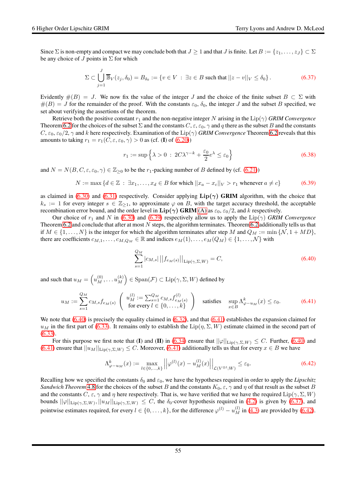Since  $\Sigma$  is non-empty and compact we may conclude both that  $J \ge 1$  and that J is finite. Let  $B := \{z_1, \ldots, z_J\} \subset \Sigma$ be any choice of J points in  $\Sigma$  for which

<span id="page-54-3"></span>
$$
\Sigma \subset \bigcup_{j=1}^J \overline{\mathbb{B}}_V(z_j, \delta_0) = B_{\delta_0} := \{ v \in V \, : \, \exists z \in B \text{ such that } ||z - v||_V \le \delta_0 \} \,.
$$

Evidently  $\#(B) = J$ . We now fix the value of the integer J and the choice of the finite subset  $B \subset \Sigma$  with  $\#(B) = J$  for the remainder of the proof. With the constants  $\varepsilon_0$ ,  $\delta_0$ , the integer J and the subset B specified, we set about verifying the assertions of the theorem.

Retrieve both the positive constant  $r_1$  and the non-negative integer N arising in the  $Lip(\gamma)$  *GRIM Convergence* Theorem [6.2](#page-50-0) for the choices of the subset  $\Sigma$  and the constants  $C, \varepsilon, \varepsilon_0, \gamma$  and q there as the subset B and the constants  $C, \epsilon_0, \epsilon_0/2, \gamma$  and k here respectively. Examination of the Lip( $\gamma$ ) *GRIM Convergence* Theorem [6.2](#page-50-0) reveals that this amounts to taking  $r_1 = r_1(C, \varepsilon, \varepsilon_0, \gamma) > 0$  as (cf. (I) of [\(6.20\)](#page-51-1))

$$
r_1 := \sup \left\{ \lambda > 0 \, : \, 2C\lambda^{\gamma - k} + \frac{\varepsilon_0}{2} e^{\lambda} \le \varepsilon_0 \right\} \tag{6.38}
$$

and  $N = N(B, C, \varepsilon, \varepsilon_0, \gamma) \in \mathbb{Z}_{\geq 0}$  to be the  $r_1$ -packing number of B defined by (cf. [\(6.21\)](#page-51-2))

<span id="page-54-0"></span>
$$
N := \max \left\{ d \in \mathbb{Z} \, : \, \exists x_1, \dots, x_d \in B \text{ for which } ||x_a - x_c||_V > r_1 \text{ whenever } a \neq c \right\}
$$
 (6.39)

as claimed in [\(6.30\)](#page-53-2) and [\(6.31\)](#page-53-0) respectively. Consider applying  $\text{Lip}(\gamma)$  GRIM algorithm, with the choice that  $k_s := 1$  for every integer  $s \in \mathbb{Z}_{\geq 1}$ , to approximate  $\varphi$  on B, with the target accuracy threshold, the acceptable recombination error bound, and the order level in  $\text{Lip}(\gamma)$  GRIM [\(A\)](#page-50-2) as  $\varepsilon_0$ ,  $\varepsilon_0/2$ , and k respectively.

Our choice of  $r_1$  and N in [\(6.30\)](#page-53-2) and [\(6.39\)](#page-54-0) respectively allow us to apply the  $\text{Lip}(\gamma)$  *GRIM Convergence* Theorem [6.2](#page-50-0) and conclude that after at most  $N$  steps, the algorithm terminates. Theorem 6.2 additionally tells us that if  $M \in \{1, \ldots, N\}$  is the integer for which the algorithm terminates after step M and  $Q_M := \min \{N, 1 + MD\}$ , there are coefficients  $c_{M,1}, \ldots, c_{M,Q_M} \in \mathbb{R}$  and indices  $e_M(1), \ldots, e_M(Q_M) \in \{1, \ldots, N\}$  with

<span id="page-54-1"></span>
$$
\sum_{s=1}^{Q_M} |c_{M,s}| ||f_{e_M(s)}||_{\text{Lip}(\gamma,\Sigma,W)} = C,
$$
\n(6.40)

and such that  $u_M = \left(u_M^{(0)}, \ldots u_M^{(k)}\right)$  $\binom{(k)}{M} \in \operatorname{Span}(\mathcal{F}) \subset \operatorname{Lip}(\gamma, \Sigma, W)$  defined by

<span id="page-54-2"></span>
$$
u_M := \sum_{s=1}^{Q_M} c_{M,s} f_{e_M(s)} \begin{pmatrix} u_M^{(l)} := \sum_{s=1}^{Q_M} c_{M,s} f_{e_M(s)}^{(l)} \\ \text{for every } l \in \{0, \dots, k\} \end{pmatrix} \text{ satisfies } \sup_{x \in B} \Lambda_{\varphi - u_M}^k(x) \le \varepsilon_0. \tag{6.41}
$$

We note that  $(6.40)$  is precisely the equality claimed in  $(6.32)$ , and that  $(6.41)$  establishes the expansion claimed for  $u_M$  in the first part of [\(6.33\)](#page-53-1). It remains only to establish the Lip( $\eta$ ,  $\Sigma$ , W) estimate claimed in the second part of [\(6.33\)](#page-53-1).

For this purpose we first note that (I) and (II) in [\(6.34\)](#page-53-4) ensure that  $||\varphi||_{\text{Lip}(\gamma,\Sigma,W)} \leq C$ . Further, [\(6.40\)](#page-54-1) and [\(6.41\)](#page-54-2) ensure that  $||u_M||_{\text{Lip}(\gamma,\Sigma,W)} \leq C$ . Moreover, (6.41) additionally tells us that for every  $x \in B$  we have

<span id="page-54-4"></span>
$$
\Lambda_{\varphi-u_M}^k(x) := \max_{l \in \{0, ..., k\}} \left| \left| \varphi^{(l)}(x) - u_M^{(l)}(x) \right| \right|_{\mathcal{L}(V^{\otimes l}; W)} \le \varepsilon_0. \tag{6.42}
$$

Recalling how we specified the constants  $\delta_0$  and  $\varepsilon_0$ , we have the hypotheses required in order to apply the *Lipschitz Sandwich Theorem* [4.8](#page-27-0) for the choices of the subset B and the constants  $K_0$ ,  $\varepsilon$ ,  $\gamma$  and  $\eta$  of that result as the subset B and the constants C,  $\varepsilon$ ,  $\gamma$  and  $\eta$  here respectively. That is, we have verified that we have the required Lip( $\gamma$ ,  $\Sigma$ , W) bounds  $||\varphi||_{\text{Lip}(\gamma,\Sigma,W)}, ||u_M||_{\text{Lip}(\gamma,\Sigma,W)} \leq C$ , the  $\delta_0$ -cover hypothesis required in [\(4.2\)](#page-25-2) is given by [\(6.37\)](#page-54-3), and pointwise estimates required, for every  $l \in \{0, \ldots, k\}$ , for the difference  $\varphi^{(l)} - u_M^{(l)}$  in [\(4.3\)](#page-25-1) are provided by [\(6.42\)](#page-54-4).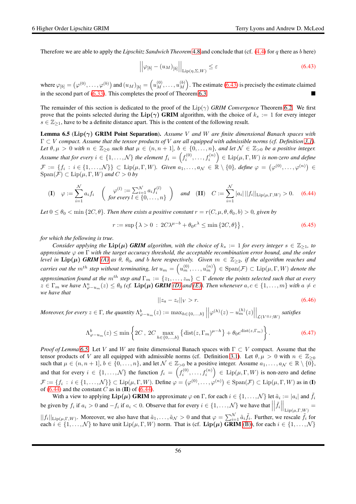Therefore we are able to apply the *Lipschitz Sandwich Theorem* [4.8](#page-27-0) and conclude that (cf. [\(4.4\)](#page-25-4) for q there as b here)

<span id="page-55-0"></span>
$$
\left| \left| \varphi_{[b]} - (u_M)_{[b]} \right| \right|_{\text{Lip}(\eta, \Sigma, W)} \le \varepsilon \tag{6.43}
$$

where  $\varphi_{[b]} = (\varphi^{(0)}, \dots, \varphi^{(b)})$  and  $(u_M)_{[b]} = (u_M^{(0)}, \dots, u_M^{(b)})$  $\binom{b}{M}$ . The estimate [\(6.43\)](#page-55-0) is precisely the estimate claimed in the second part of  $(6.33)$ . This completes the proof of Theorem [6.3.](#page-52-0)

The remainder of this section is dedicated to the proof of the  $\text{Lip}(\gamma)$  *GRIM Convergence* Theorem [6.2.](#page-50-0) We first prove that the points selected during the Lip( $\gamma$ ) GRIM algorithm, with the choice of  $k_s := 1$  for every integer  $s \in \mathbb{Z}_{\geq 1}$ , have to be a definite distance apart. This is the content of the following result.

<span id="page-55-1"></span>Lemma 6.5 (Lip(γ) GRIM Point Separation). *Assume* V *and* W *are finite dimensional Banach spaces with* Γ ⊂ V *compact. Assume that the tensor products of* V *are all equipped with admissible norms (cf. Definition [3.1\)](#page-14-1). Let*  $\theta, \mu > 0$  *with*  $n \in \mathbb{Z}_{\geq 0}$  *such that*  $\mu \in (n, n + 1]$ *,*  $b \in \{0, ..., n\}$ *, and let*  $\mathcal{N} \in \mathbb{Z}_{>0}$  *be a positive integer.* Assume that for every  $i \in \{1,\ldots,N\}$  the element  $f_i = \left(f_i^{(0)},\ldots,f_i^{(n)}\right) \in \mathrm{Lip}(\mu,\Gamma,W)$  is non-zero and define  $\mathcal{F} := \{f_i : i \in \{1, \ldots, \mathcal{N}\}\} \subset \text{Lip}(\mu, \Gamma, W)$ . Given  $a_1, \ldots, a_\mathcal{N} \in \mathbb{R} \setminus \{0\}$ , define  $\varphi = (\varphi^{(0)}, \ldots, \varphi^{(n)}) \in$  $Span(\mathcal{F}) \subset Lip(\mu, \Gamma, W)$  *and*  $C > 0$  *by* 

<span id="page-55-2"></span>
$$
\textbf{(I)} \quad \varphi := \sum_{i=1}^{N} a_i f_i \quad \left( \begin{array}{cc} \varphi^{(l)} := \sum_{i=1}^{N} a_i f_i^{(l)} \\ \text{for every } l \in \{0, \dots, n\} \end{array} \right) \quad \text{and} \quad \textbf{(II)} \quad C := \sum_{i=1}^{N} |a_i| \, ||f_i||_{\text{Lip}(\mu, \Gamma, W)} > 0. \quad \text{(6.44)}
$$

Let  $0 \le \theta_0 < \min\{2C, \theta\}$ *. Then there exists a positive constant*  $r = r(C, \mu, \theta, \theta_0, b) > 0$ *, given by* 

<span id="page-55-5"></span>
$$
r := \sup \left\{ \lambda > 0 \; : \; 2C\lambda^{\mu - b} + \theta_0 e^{\lambda} \le \min \left\{ 2C, \theta \right\} \right\},\tag{6.45}
$$

*for which the following is true.*

*Consider applying the*  $\text{Lip}(\mu)$  *GRIM algorithm, with the choice of*  $k_s := 1$  *for every integer*  $s \in \mathbb{Z}_{\geq 1}$ *, to approximate* ϕ *on* Γ *with the target accuracy threshold, the acceptable recombination error bound, and the order level in*  $\text{Lip}(\mu)$  *GRIM* [\(A\)](#page-50-2) as  $\theta$ ,  $\theta_0$ , and b here respectively. Given  $m \in \mathbb{Z}_{\geq 2}$ , if the algorithm reaches and  $\emph{carries out the $m^{th}$ step without terminating, let $u_m=\left(u_m^{(0)},\ldots,u_m^{(n)}\right)\in \rm{Span}(\mathcal{F})\subset \rm{Lip}(\mu,\Gamma,W)$  denote the *approximation found at the*  $m^{th}$  *step and*  $\Gamma_m := \{z_1, \ldots, z_m\} \subset \Gamma$  *denote the points selected such that at every*  $z \in \Gamma_m$  we have  $\Lambda_{\varphi-u_m}^n(z) \leq \theta_0$  (cf.  $\text{Lip}(\mu)$  GRIM [\(D\)](#page-50-3) and [\(E\)\)](#page-50-4). Then whenever  $a, c \in \{1, \ldots, m\}$  with  $a \neq c$ *we have that*

<span id="page-55-4"></span>
$$
||z_a - z_c||_V > r.
$$
\n(6.46)

*Moreover, for every*  $z \in \Gamma$ *, the quantity*  $\Lambda_{\varphi-u_m}^b(z) := \max_{h \in \{0,...,b\}} \Big|$  $\left|\varphi^{(h)}(z)-u_m^{(h)}(z)\right|$  $\Big|_{\mathcal{L}(V^{\otimes j}; W)}$  satisfies

<span id="page-55-3"></span>
$$
\Lambda_{\varphi-u_m}^b(z) \le \min\left\{2C \,,\ 2C \max_{h \in \{0,\ldots,b\}} \left\{\text{dist}(z,\Gamma_m)^{\mu-h}\right\} + \theta_0 e^{\text{dist}(z,\Gamma_m)}\right\}.\tag{6.47}
$$

*Proof of Lemma* [6.5.](#page-55-1) Let *V* and *W* are finite dimensional Banach spaces with Γ ⊂ *V* compact. Assume that the tensor products of V are all equipped with admissible norms (cf. Definition [3.1\)](#page-14-1). Let  $\theta, \mu > 0$  with  $n \in \mathbb{Z}_{\geq 0}$ such that  $\mu \in (n, n+1], b \in \{0, \ldots, n\}$ , and let  $\mathcal{N} \in \mathbb{Z}_{>0}$  be a positive integer. Assume  $a_1, \ldots, a_\mathcal{N} \in \mathbb{R} \setminus \{0\}$ , and that for every  $i \in \{1,\ldots,N\}$  the function  $f_i = \left(f_i^{(0)},\ldots,f_i^{(n)}\right) \in \text{Lip}(\mu,\Gamma,W)$  is non-zero and define  $\mathcal{F} := \{f_i : i \in \{1, \ldots, \mathcal{N}\}\}\subset \text{Lip}(\mu, \Gamma, W)$ . Define  $\varphi = (\varphi^{(0)}, \ldots, \varphi^{(n)}) \in \text{Span}(\mathcal{F}) \subset \text{Lip}(\mu, \Gamma, W)$  as in (I) of  $(6.44)$  and the constant C as in (II) of  $(6.44)$ .

With a view to applying  $\text{Lip}(\mu)$  GRIM to approximate  $\varphi$  on  $\Gamma$ , for each  $i \in \{1, ..., \mathcal{N}\}\}$  let  $\tilde{a}_i := |a_i|$  and  $\tilde{f}_i$ be given by  $f_i$  if  $a_i > 0$  and  $-f_i$  if  $a_i < 0$ . Observe that for every  $i \in \{1, ..., N\}$  we have that  $\Big|$  $\left| \tilde{f}_i \right|$  $\Big|_{\mathrm{Lip}(\mu,\Gamma,W)}=$  $||f_i||_{\text{Lip}(\mu,\Gamma,W)}$ . Moreover, we also have that  $\tilde{a}_1,\ldots,\tilde{a}_N > 0$  and that  $\varphi = \sum_{i=1}^N \tilde{a}_i \tilde{f}_i$ . Further, we rescale  $\tilde{f}_i$  for each  $i \in \{1, \ldots, \mathcal{N}\}\)$  to have unit  $\text{Lip}(\mu, \Gamma, W)$  norm. That is (cf.  $\text{Lip}(\mu)$  GRIM [\(B\)\)](#page-50-5), for each  $i \in \{1, \ldots, \mathcal{N}\}\$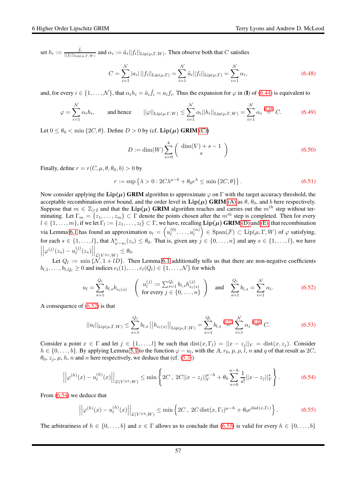set  $h_i := \frac{\tilde{f}_i}{||f_i||_{\text{tric}}}$  $\frac{I_i}{||f_i||_{\text{Lip}(\mu,\Gamma,W)}}$  and  $\alpha_i := \tilde{a}_i||f_i||_{\text{Lip}(\mu,\Gamma,W)}$ . Then observe both that C satisfies

<span id="page-56-0"></span>
$$
C = \sum_{i=1}^{N} |a_i| ||f_i||_{\text{Lip}(\mu,\Gamma)} = \sum_{i=1}^{N} \tilde{a}_i ||f_i||_{\text{Lip}(\mu,\Gamma)} = \sum_{i=1}^{N} \alpha_i,
$$
\n(6.48)

and, for every  $i \in \{1, ..., \mathcal{N}\}\$ , that  $\alpha_i h_i = \tilde{a}_i \tilde{f}_i = a_i f_i$ . Thus the expansion for  $\varphi$  in (I) of [\(6.44\)](#page-55-2) is equivalent to

<span id="page-56-4"></span>
$$
\varphi = \sum_{i=1}^{N} \alpha_i h_i, \qquad \text{and hence} \qquad ||\varphi||_{\text{Lip}(\mu, \Gamma, W)} \le \sum_{i=1}^{N} \alpha_i ||h_i||_{\text{Lip}(\mu, \Gamma, W)} = \sum_{i=1}^{N} \alpha_i \stackrel{(6.48)}{=} C. \tag{6.49}
$$

Let  $0 \le \theta_0 < \min\{2C, \theta\}$ . Define  $D > 0$  by (cf. Lip( $\mu$ ) GRIM [\(C\)\)](#page-50-6)

$$
D := \dim(W) \sum_{s=0}^{k} \left( \frac{\dim(V) + s - 1}{s} \right)
$$
\n
$$
(6.50)
$$

Finally, define  $r = r(C, \mu, \theta, \theta_0, b) > 0$  by

<span id="page-56-6"></span>
$$
r := \sup \left\{ \lambda > 0 : 2C\lambda^{\mu - b} + \theta_0 e^{\lambda} \le \min \left\{ 2C, \theta \right\} \right\}. \tag{6.51}
$$

Now consider applying the Lip $(\mu)$  GRIM algorithm to approximate  $\varphi$  on  $\Gamma$  with the target accuracy threshold, the acceptable recombination error bound, and the order level in  $\text{Lip}(\mu)$  GRIM [\(A\)](#page-50-2) as  $\theta$ ,  $\theta_0$ , and b here respectively. Suppose that  $m \in \mathbb{Z}_{\geq 2}$  and that the  $\text{Lip}(\mu)$  GRIM algorithm reaches and carries out the  $m^{th}$  step without terminating. Let  $\Gamma_m = \{z_1, \ldots, z_m\} \subset \Gamma$  denote the points chosen after the  $m^{th}$  step is completed. Then for every  $l \in \{1,\ldots,m\}$ , if we let  $\Gamma_l := \{z_1,\ldots,z_l\} \subset \Gamma$ , we have, recalling  $\textbf{Lip}(\mu)$  GRIM [\(D\)](#page-50-3) and [\(E\),](#page-50-4) that recombination via Lemma [6.1](#page-46-0) has found an approximation  $u_l = \left(u_l^{(0)}\right)$  $u_l^{(0)}, \ldots, u_l^{(n)}$  $\left(\begin{smallmatrix} (n)\ l\end{smallmatrix}\right)\in \mathrm{Span}(\mathcal{F})\subset \mathrm{Lip}(\mu,\Gamma,W)$  of  $\varphi$  satisfying, for each  $s \in \{1, \ldots, l\}$ , that  $\Lambda_{\varphi-u_l}^n(z_s) \leq \theta_0$ . That is, given any  $j \in \{0, \ldots, n\}$  and any  $s \in \{1, \ldots, l\}$ , we have  $\begin{array}{c} \n\end{array}$  $\left|\varphi^{(j)}(z_s)-u_l^{(j)}\right|$  $\binom{(j)}{l}(z_s)$  $\Big|_{\mathcal{L}(V^{\otimes j};W)} \leq \theta_0.$ 

Let  $Q_l := \min \{N, 1 + lD\}$ . Then Lemma [6.1](#page-46-0) additionally tells us that there are non-negative coefficients  $b_{l,1}, \ldots, b_{l,Q_l} \geq 0$  and indices  $e_l(1), \ldots, e_l(Q_l) \in \{1, \ldots, \mathcal{N}\}\)$  for which

<span id="page-56-1"></span>
$$
u_{l} = \sum_{s=1}^{Q_{l}} b_{l,s} h_{e_{l}(s)} \quad \left( u_{l}^{(j)} := \sum_{s=1}^{Q_{l}} b_{l,s} h_{e_{l}(s)}^{(j)} \right) \quad \text{and} \quad \sum_{s=1}^{Q_{l}} b_{l,s} = \sum_{i=1}^{N} \alpha_{i}.
$$
 (6.52)

A consequence of [\(6.52\)](#page-56-1) is that

<span id="page-56-5"></span>
$$
||u_{l}||_{\text{Lip}(\mu,\Gamma,W)} \leq \sum_{s=1}^{Q_{l}} b_{l,s} ||h_{e_{l}(s)}||_{\text{Lip}(\mu,\Gamma,W)} = \sum_{s=1}^{Q_{l}} b_{l,s} \stackrel{(6.52)}{=} \sum_{i=1}^{N} \alpha_{i} \stackrel{(6.48)}{=} C. \tag{6.53}
$$

Consider a point  $x \in \Gamma$  and let  $j \in \{1, ..., l\}$  be such that  $dist(x, \Gamma_l) = ||x - z_i||_V = dist(x, z_i)$ . Consider  $h \in \{0, \ldots, b\}$ . By applying Lemma [5.1](#page-29-3) to the function  $\varphi - u_l$ , with the A,  $r_0, p, \rho, l, n$  and q of that result as  $2C$ ,  $\theta_0$ ,  $z_j$ ,  $\mu$ ,  $h$ ,  $n$  and  $n$  here respectively, we deduce that (cf. [\(5.3\)](#page-29-6))

<span id="page-56-2"></span>
$$
\left| \left| \varphi^{(h)}(x) - u_l^{(h)}(x) \right| \right|_{\mathcal{L}(V^{\otimes h};W)} \le \min \left\{ 2C \,, \ 2C ||x - z_j||_V^{\mu - h} + \theta_0 \sum_{s=0}^{n - h} \frac{1}{s!} ||x - z_j||_V^s \right\}.
$$

From [\(6.54\)](#page-56-2) we deduce that

<span id="page-56-3"></span>
$$
\left| \left| \varphi^{(h)}(x) - u_l^{(h)}(x) \right| \right|_{\mathcal{L}(V^{\otimes h};W)} \le \min \left\{ 2C \,, \, 2C \operatorname{dist}(x, \Gamma_l)^{\mu - h} + \theta_0 e^{\operatorname{dist}(x, \Gamma_l)} \right\}.
$$
 (6.55)

The arbitrariness of  $h \in \{0, \ldots, b\}$  and  $x \in \Gamma$  allows us to conclude that  $(6.55)$  is valid for every  $h \in \{0, \ldots, b\}$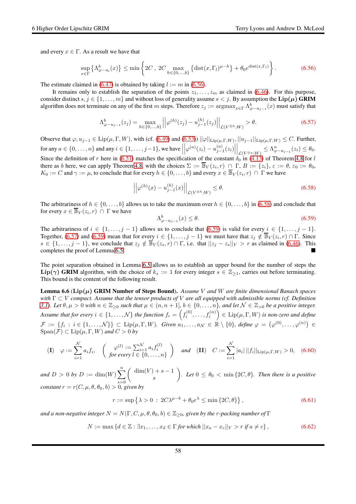and every  $x \in \Gamma$ . As a result we have that

<span id="page-57-0"></span>
$$
\sup_{x \in \Gamma} \left\{ \Lambda_{\varphi - u_l}^b(x) \right\} \le \min \left\{ 2C \, , \, 2C \max_{h \in \{0, \ldots, b\}} \left\{ \text{dist}(x, \Gamma_l)^{\mu - h} \right\} + \theta_0 e^{\text{dist}(x, \Gamma_l)} \right\}. \tag{6.56}
$$

The estimate claimed in  $(6.47)$  is obtained by taking  $l := m$  in  $(6.56)$ .

It remains only to establish the separation of the points  $z_1, \ldots, z_m$  as claimed in [\(6.46\)](#page-55-4). For this purpose, consider distinct  $s, j \in \{1, \ldots, m\}$  and without loss of generality assume  $s < j$ . By assumption the  $\text{Lip}(\mu)$  GRIM algorithm does not terminate on any of the first m steps. Therefore  $z_j := \argmax_{x \in \Gamma} \Lambda_{\varphi-u_{j-1}}^b(x)$  must satisfy that

<span id="page-57-3"></span>
$$
\Lambda_{\varphi-u_{j-1}}^b(z_j) = \max_{h \in \{0, \ldots, b\}} \left| \left| \varphi^{(h)}(z_j) - u_{j-1}^{(h)}(z_j) \right| \right|_{\mathcal{L}(V^{\otimes h}; W)} > \theta. \tag{6.57}
$$

Observe that  $\varphi, u_{j-1} \in \text{Lip}(\mu, \Gamma, W)$ , with (cf. [\(6.49\)](#page-56-4) and [\(6.53\)](#page-56-5))  $||\varphi||_{\text{Lip}(\mu, \Gamma, W)}$ ,  $||u_{j-1}||_{\text{Lip}(\mu, \Gamma, W)} \leq C$ . Further, for any  $a \in \{0, \ldots, n\}$  and any  $i \in \{1, \ldots, j-1\}$ , we have  $\left|\varphi^{(a)}(z_i) - u_{j-1}^{(a)}(z_i)\right|$  $\Big|_{\mathcal{L}(V^{\otimes a};W)} \leq \Lambda_{\varphi-u_{j-1}}^n(z_i) \leq \theta_0.$ Since the definition of r here in [\(6.51\)](#page-56-6) matches the specification of the constant  $\delta_0$  in [\(4.13\)](#page-27-4) of Theorem [4.8](#page-27-0) for l there as b here, we can apply Theore[m4.8,](#page-27-0) with the choices  $\Sigma := \overline{\mathbb{B}}_V(z_i, r) \cap \Gamma$ ,  $B := \{z_i\}$ ,  $\varepsilon := \theta$ ,  $\varepsilon_0 := \theta_0$ ,  $K_0 := C$  and  $\gamma := \mu$ , to conclude that for every  $h \in \{0, \dots, b\}$  and every  $x \in \overline{\mathbb{B}}_V(z_i, r) \cap \Gamma$  we have

<span id="page-57-1"></span>
$$
\left| \left| \varphi^{(h)}(x) - u_{j-1}^{(h)}(x) \right| \right|_{\mathcal{L}(V^{\otimes h};W)} \le \theta. \tag{6.58}
$$

The arbitrariness of  $h \in \{0, \ldots, b\}$  allows us to take the maximum over  $h \in \{0, \ldots, b\}$  in  $(6.58)$  and conclude that for every  $x \in \overline{\mathbb{B}}_V(z_i, r) \cap \Gamma$  we have

<span id="page-57-2"></span>
$$
\Lambda_{\varphi-u_{j-1}}^b(x) \le \theta. \tag{6.59}
$$

The arbitrariness of  $i \in \{1, \ldots, j-1\}$  allows us to conclude that [\(6.59\)](#page-57-2) is valid for every  $i \in \{1, \ldots, j-1\}$ . Together, [\(6.57\)](#page-57-3) and [\(6.59\)](#page-57-2) mean that for every  $i \in \{1, \ldots, j-1\}$  we must have that  $z_j \notin \overline{\mathbb{B}}_V(z_i, r) \cap \Gamma$ . Since  $s \in \{1,\ldots,j-1\}$ , we conclude that  $z_j \notin \overline{\mathbb{B}}_V(z_s,r) \cap \Gamma$ , i.e. that  $||z_j - z_s||_V > r$  as claimed in [\(6.46\)](#page-55-4). This completes the proof of Lemma [6.5.](#page-55-1)

The point separation obtained in Lemma [6.5](#page-55-1) allows us to establish an upper bound for the number of steps the  $\text{Lip}(\gamma)$  GRIM algorithm, with the choice of  $k_s := 1$  for every integer  $s \in \mathbb{Z}_{\geq 1}$ , carries out before terminating. This bound is the content of the following result.

<span id="page-57-4"></span>Lemma 6.6 (Lip(µ) GRIM Number of Steps Bound). *Assume* V *and* W *are finite dimensional Banach spaces with* Γ ⊂ V *compact. Assume that the tensor products of* V *are all equipped with admissible norms (cf. Definition [3.1\)](#page-14-1).* Let  $\theta, \mu > 0$  with  $n \in \mathbb{Z}_{\geq 0}$  such that  $\mu \in (n, n + 1], b \in \{0, \ldots, n\}$ , and let  $\mathcal{N} \in \mathbb{Z}_{> 0}$  be a positive integer. Assume that for every  $i\in\{1,\ldots,N\}$  the function  $f_i=\left(f_i^{(0)},\ldots,f_i^{(n)}\right)\in \mathrm{Lip}(\mu,\Gamma,W)$  is non-zero and define  $\mathcal{F} := \{f_i : i \in \{1, \ldots, \mathcal{N}\}\} \subset \text{Lip}(\mu, \Gamma, W)$ . Given  $a_1, \ldots, a_\mathcal{N} \in \mathbb{R} \setminus \{0\}$ , define  $\varphi = (\varphi^{(0)}, \ldots, \varphi^{(n)}) \in$  $Span(\mathcal{F}) \subset Lip(\mu, \Gamma, W)$  *and*  $C > 0$  *by* 

<span id="page-57-6"></span>
$$
\textbf{(I)} \quad \varphi := \sum_{i=1}^{N} a_i f_i, \quad \left( \begin{array}{c} \varphi^{(l)} := \sum_{i=1}^{N} a_i f_i^{(l)} \\ \text{for every } l \in \{0, \dots, n\} \end{array} \right) \quad \text{and} \quad \textbf{(II)} \quad C := \sum_{i=1}^{N} |a_i| \, ||f_i||_{\text{Lip}(\mu, \Gamma, W)} > 0, \quad \text{(6.60)}
$$

*and*  $D > 0$  *by*  $D := \dim(W) \sum_{n=1}^{n}$  $s=0$  $\int \dim(V) + s - 1$ s *f*. Let  $0 \le \theta_0 < \min\{2C, \theta\}$ *. Then there is a positive constant*  $r = r(C, \mu, \theta, \theta_0, b) > 0$ , given by

<span id="page-57-7"></span>
$$
r := \sup \left\{ \lambda > 0 \; : \; 2C\lambda^{\mu - b} + \theta_0 e^{\lambda} \le \min \left\{ 2C, \theta \right\} \right\},\tag{6.61}
$$

*and a non-negative integer*  $N = N(\Gamma, C, \mu, \theta, \theta_0, b) \in \mathbb{Z}_{\geq 0}$ , given by the r-packing number of  $\Gamma$ 

<span id="page-57-5"></span>
$$
N := \max\left\{d \in \mathbb{Z} : \exists x_1, \dots, x_d \in \Gamma \text{ for which } ||x_a - x_c||_V > r \text{ if } a \neq c\right\},\tag{6.62}
$$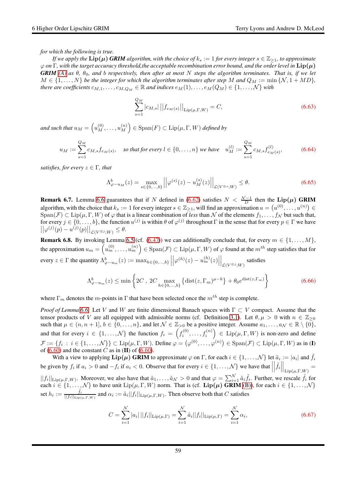*for which the following is true.*

*If we apply the*  $\text{Lip}(\mu)$  *GRIM algorithm, with the choice of*  $k_s := 1$  *for every integer*  $s \in \mathbb{Z}_{\geq 1}$ *, to approximate*  $\varphi$  *on*  $\Gamma$ , with the target accuracy threshold, the acceptable recombination error bound, and the order level in  $\text{Lip}(\mu)$ *GRIM* [\(A\)](#page-50-2) as  $\theta$ ,  $\theta_0$ , and b respectively, then after at most N steps the algorithm terminates. That is, if we let  $M \in \{1, \ldots, N\}$  be the integer for which the algorithm terminates after step M and  $Q_M := \min \{N, 1 + MD\}$ , *there are coefficients*  $c_{M,1}, \ldots, c_{M,Q_M} \in \mathbb{R}$  *and indices*  $e_M(1), \ldots, e_M(Q_M) \in \{1, \ldots, N\}$  *with* 

<span id="page-58-3"></span>
$$
\sum_{s=1}^{Q_M} |c_{M,s}| \left| \left| f_{e_M(s)} \right| \right|_{\text{Lip}(\mu, \Gamma, W)} = C,\tag{6.63}
$$

and such that  $u_M = \left( u_M^{(0)}, \ldots, u_M^{(n)} \right)$  $\binom{m}{M} \in \operatorname{Span}(F) \subset \operatorname{Lip}(\mu,\Gamma,W)$  defined by

<span id="page-58-2"></span>
$$
u_M := \sum_{s=1}^{Q_M} c_{M,s} f_{e_M(s)}, \quad \text{so that for every } l \in \{0, \dots, n\} \text{ we have } \quad u_M^{(l)} := \sum_{s=1}^{Q_M} c_{M,s} f_{e_M(s)}^{(l)}, \tag{6.64}
$$

*satisfies, for every*  $z \in \Gamma$ *, that* 

<span id="page-58-1"></span>
$$
\Lambda_{\varphi-u_M}^b(z) = \max_{s \in \{0, ..., b\}} \left| \left| \varphi^{(s)}(z) - u_M^{(s)}(z) \right| \right|_{\mathcal{L}(V^{\otimes s}; W)} \le \theta. \tag{6.65}
$$

**Remark 6.7.** Lemma [6.6](#page-57-4) guarantees that if N defined in [\(6.62\)](#page-57-5) satisfies  $N < \frac{N-1}{D}$  then the Lip( $\mu$ ) GRIM algorithm, with the choice that  $k_s := 1$  for every integer  $s \in \mathbb{Z}_{\geq 1}$ , will find an approximation  $u = (u^{(0)}, \dots, u^{(n)}) \in \mathbb{Z}_{\geq 1}$  $Span(\mathcal{F}) \subset Lip(\mu, \Gamma, W)$  of  $\varphi$  that is a linear combination of *less* than N of the elements  $f_1, \ldots, f_N$  but such that, for every  $j \in \{0, \ldots, b\}$ , the function  $u^{(j)}$  is within  $\theta$  of  $\varphi^{(j)}$  throughout  $\Gamma$  in the sense that for every  $p \in \Gamma$  we have  $||\varphi^{(j)}(p) - u^{(j)}(p)||_{\mathcal{L}(V^{\otimes j};W)} \leq \theta.$ 

**Remark 6.8.** By invoking Lemma [6.5](#page-55-1) (cf. [\(6.47\)](#page-55-3)) we can additionally conclude that, for every  $m \in \{1, ..., M\}$ , the approximation  $u_m=\left(u_m^{(0)},\ldots,u_m^{(n)}\right)\in \mathrm{Span}(\mathcal{F})\subset \mathrm{Lip}(\mu,\Gamma,W)$  of  $\varphi$  found at the  $m^{th}$  step satisfies that for every  $z \in \Gamma$  the quantity  $\Lambda^b_{\varphi-u_m}(z) := \max_{h \in \{0,...,b\}} \Big|$  $\left|\varphi^{(h)}(z)-u_m^{(h)}(z)\right|$  $\Big|_{\mathcal{L}(V^{\otimes j}; W)}$  satisfies

$$
\Lambda_{\varphi-u_m}^b(z) \le \min\left\{2C \ , \ 2C \max_{h \in \{0,\dots,b\}} \left\{ \text{dist}(z,\Gamma_m)^{\mu-h} \right\} + \theta_0 e^{\text{dist}(z,\Gamma_m)} \right\} \tag{6.66}
$$

where  $\Gamma_m$  denotes the m-points in  $\Gamma$  that have been selected once the  $m^{th}$  step is complete.

*Proof of Lemma* [6.6.](#page-57-4) Let *V* and *W* are finite dimensional Banach spaces with Γ ⊂ *V* compact. Assume that the tensor products of V are all equipped with admissible norms (cf. Definition [3.1\)](#page-14-1). Let  $\theta, \mu > 0$  with  $n \in \mathbb{Z}_{\geq 0}$ such that  $\mu \in (n, n+1], b \in \{0, \ldots, n\}$ , and let  $\mathcal{N} \in \mathbb{Z}_{>0}$  be a positive integer. Assume  $a_1, \ldots, a_\mathcal{N} \in \mathbb{R} \setminus \{0\}$ , and that for every  $i \in \{1,\ldots,N\}$  the function  $f_i = \left(f_i^{(0)},\ldots,f_i^{(n)}\right) \in \text{Lip}(\mu,\Gamma,W)$  is non-zero and define  $\mathcal{F} := \{f_i : i \in \{1, \ldots, \mathcal{N}\}\} \subset \text{Lip}(\mu, \Gamma, W)$ . Define  $\varphi = (\varphi^{(0)}, \ldots, \varphi^{(n)}) \in \text{Span}(\mathcal{F}) \subset \text{Lip}(\mu, \Gamma, W)$  as in (I) of  $(6.60)$  and the constant C as in  $(II)$  of  $(6.60)$ .

With a view to applying  $\text{Lip}(\mu)$  GRIM to approximate  $\varphi$  on  $\Gamma$ , for each  $i \in \{1, ..., \mathcal{N}\}\}$  let  $\tilde{a}_i := |a_i|$  and  $\tilde{f}_i$ be given by  $f_i$  if  $a_i > 0$  and  $-f_i$  if  $a_i < 0$ . Observe that for every  $i \in \{1, ..., N\}$  we have that  $\Big|$  $\left| \tilde{f}_i \right|$  $\Big|_{\mathrm{Lip}(\mu,\Gamma,W)}=$  $||f_i||_{\text{Lip}(\mu,\Gamma,W)}$ . Moreover, we also have that  $\tilde{a}_1,\ldots,\tilde{a}_N > 0$  and that  $\varphi = \sum_{i=1}^N \tilde{a}_i \tilde{f}_i$ . Further, we rescale  $\tilde{f}_i$  for each  $i \in \{1, \ldots, \mathcal{N}\}\)$  to have unit  $\text{Lip}(\mu, \Gamma, W)$  norm. That is (cf.  $\text{Lip}(\mu)$  GRIM [\(B\)\)](#page-50-5), for each  $i \in \{1, \ldots, \mathcal{N}\}\$ set  $h_i := \frac{\tilde{f}_i}{||f_i||_{\text{tric}}}$  $\frac{f_i}{||f_i||_{\text{Lip}(\mu,\Gamma,W)}}$  and  $\alpha_i := \tilde{a}_i||f_i||_{\text{Lip}(\mu,\Gamma,W)}$ . Then observe both that C satisfies

<span id="page-58-0"></span>
$$
C = \sum_{i=1}^{N} |a_i| ||f_i||_{\text{Lip}(\mu, \Gamma)} = \sum_{i=1}^{N} \tilde{a}_i ||f_i||_{\text{Lip}(\mu, \Gamma)} = \sum_{i=1}^{N} \alpha_i,
$$
\n(6.67)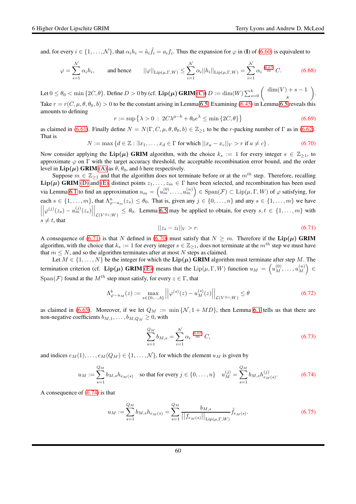and, for every  $i \in \{1, ..., \mathcal{N}\}\$ , that  $\alpha_i h_i = \tilde{a}_i \tilde{f}_i = a_i f_i$ . Thus the expansion for  $\varphi$  in (I) of [\(6.60\)](#page-57-6) is equivalent to

$$
\varphi = \sum_{i=1}^{N} \alpha_i h_i, \qquad \text{and hence} \qquad ||\varphi||_{\text{Lip}(\mu, \Gamma, W)} \le \sum_{i=1}^{N} \alpha_i ||h_i||_{\text{Lip}(\mu, \Gamma, W)} = \sum_{i=1}^{N} \alpha_i \stackrel{(6.67)}{=} C. \tag{6.68}
$$

Let  $0\leq\theta_0<\min{\{2C,\theta\}}.$  Define  $D>0$  by (cf.  $\mathbf{Lip}(\bm\mu)$   $\mathbf{GRIM}\left(\mathbf{C}\right))$   $D:=\dim(W)\sum_{s=0}^k\left(\begin{array}{c} \dim(V)+s-1\ s\end{array}\right)$ s . Take  $r = r(C, \mu, \theta, \theta_0, b) > 0$  to be the constant arising in Lemma [6.5.](#page-55-1) Examining [\(6.45\)](#page-55-5) in Lemma [6.5](#page-55-1) reveals this amounts to defining

$$
r := \sup \left\{ \lambda > 0 \; : \; 2C\lambda^{\mu - b} + \theta_0 e^{\lambda} \le \min \left\{ 2C, \theta \right\} \right\} \tag{6.69}
$$

as claimed in [\(6.61\)](#page-57-7). Finally define  $N = N(\Gamma, C, \mu, \theta, \theta_0, b) \in \mathbb{Z}_{\geq 1}$  to be the r-packing number of  $\Gamma$  as in [\(6.62\)](#page-57-5). That is

<span id="page-59-1"></span>
$$
N := \max\left\{d \in \mathbb{Z} : \exists x_1, \dots, x_d \in \Gamma \text{ for which } ||x_a - x_c||_V > r \text{ if } a \neq c\right\}.
$$
 (6.70)

Now consider applying the Lip( $\mu$ ) GRIM algorithm, with the choice  $k_s := 1$  for every integer  $s \in \mathbb{Z}_{\geq 1}$ , to approximate  $\varphi$  on  $\Gamma$  with the target accuracy threshold, the acceptable recombination error bound, and the order level in  $\text{Lip}(\mu)$  GRIM [\(A\)](#page-50-2) as  $\theta$ ,  $\theta_0$ , and b here respectively.

Suppose  $m \in \mathbb{Z}_{\geq 1}$  and that the algorithm does not terminate before or at the  $m^{th}$  step. Therefore, recalling  $\text{Lip}(\mu)$  GRIM [\(D\)](#page-50-3) and [\(E\),](#page-50-4) distinct points  $z_1, \ldots, z_m \in \Gamma$  have been selected, and recombination has been used via Lemma [6.1](#page-46-0) to find an approximation  $u_m = \left(u_m^{(0)}, \ldots, u_m^{(n)}\right) \in \text{Span}(\mathcal{F}) \subset \text{Lip}(\mu, \Gamma, W)$  of  $\varphi$  satisfying, for each  $s \in \{1, \ldots, m\}$ , that  $\Lambda_{\varphi-u_m}^n(z_s) \leq \theta_0$ . That is, given any  $j \in \{0, \ldots, n\}$  and any  $s \in \{1, \ldots, m\}$  we have  $\begin{array}{c} \begin{array}{c} \begin{array}{c} \end{array}\\ \begin{array}{c} \end{array} \end{array} \end{array}$  $\left|\varphi^{(j)}(z_s)-u_m^{(j)}(z_s)\right|$  $\left| \bigcup_{\mathcal{L}(V^{\otimes j};W)} \leq \theta_0$ . Lemma [6.5](#page-55-1) may be applied to obtain, for every  $s, t \in \{1, \ldots, m\}$  with  $s \neq t$ , that

<span id="page-59-0"></span>
$$
||z_s - z_t||_V > r.
$$
\n(6.71)

A consequence of [\(6.71\)](#page-59-0) is that N defined in [\(6.70\)](#page-59-1) must satisfy that  $N \geq m$ . Therefore if the Lip( $\mu$ ) GRIM algorithm, with the choice that  $k_s := 1$  for every integer  $s \in \mathbb{Z}_{\geq 1}$ , does not terminate at the  $m^{th}$  step we must have that  $m \leq N$ , and so the algorithm terminates after at most N steps as claimed.

Let  $M \in \{1, \ldots, N\}$  be the integer for which the Lip( $\mu$ ) GRIM algorithm must terminate after step M. The termination criterion (cf. Lip( $\mu$ ) GRIM [\(E\)\)](#page-50-4) means that the Lip( $\mu, \Gamma, W$ ) function  $u_M = (u_M^{(0)}, \ldots, u_M^{(n)})$  $\binom{n}{M} \in$ Span(F) found at the  $M^{th}$  step must satisfy, for every  $z \in \Gamma$ , that

$$
\Lambda_{\varphi-u_M}^b(z) := \max_{s \in \{0, ..., b\}} \left| \left| \varphi^{(s)}(z) - u_M^{(s)}(z) \right| \right|_{\mathcal{L}(V^{\otimes s}; W)} \le \theta \tag{6.72}
$$

as claimed in [\(6.65\)](#page-58-1). Moreover, if we let  $Q_M := \min\{N, 1 + MD\}$ , then Lemma [6.1](#page-46-0) tells us that there are non-negative coefficients  $b_{M,1}, \ldots, b_{M,Q_M} \geq 0$ , with

<span id="page-59-4"></span>
$$
\sum_{s=1}^{Q_M} b_{M,s} = \sum_{i=1}^{N} \alpha_i \stackrel{(6.67)}{=} C,
$$
\n(6.73)

and indices  $e_M(1), \ldots, e_M(Q_M) \in \{1, \ldots, \mathcal{N}\}\)$ , for which the element  $u_M$  is given by

<span id="page-59-2"></span>
$$
u_M := \sum_{s=1}^{Q_M} b_{M,s} h_{e_M(s)}
$$
 so that for every  $j \in \{0, ..., n\}$   $u_M^{(j)} = \sum_{s=1}^{Q_M} b_{M,s} h_{e_M(s)}^{(j)}.$  (6.74)

A consequence of [\(6.74\)](#page-59-2) is that

<span id="page-59-3"></span>
$$
u_M := \sum_{s=1}^{Q_M} b_{M,s} h_{e_M(s)} = \sum_{s=1}^{Q_M} \frac{b_{M,s}}{||f_{e_M(s)}||_{\text{Lip}(\mu,\Gamma,W)}} \tilde{f}_{e_M(s)}.
$$
(6.75)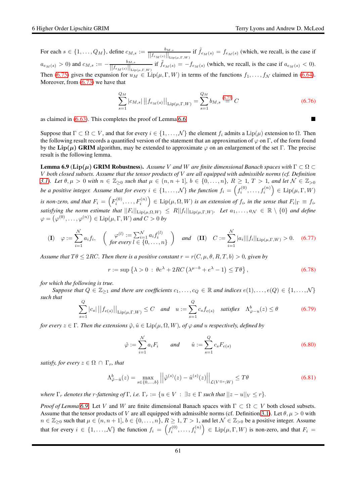For each  $s \in \{1, \ldots, Q_M\}$ , define  $c_{M,s} := \frac{b_{M,s}}{||f_{\epsilon_M(s)}||_{\infty}}$  $\frac{b_{M,s}}{||f_{e_M(s)}||_{\text{Lip}(\mu,\Gamma,W)}}$  if  $\tilde{f}_{e_M(s)} = f_{e_M(s)}$  (which, we recall, is the case if  $a_{e_M(s)} > 0$ ) and  $c_{M,s} := -\frac{b_{M,s}}{||f_{e_M(s)}||}$  $\frac{b_{M,s}}{\left\|f_{e_M(s)}\right\|_{\text{Lip}(\mu,\Gamma,W)}}$  if  $\tilde{f}_{e_M(s)} = -f_{e_M(s)}$  (which, we recall, is the case if  $a_{e_M(s)} < 0$ ). Then [\(6.75\)](#page-59-3) gives the expansion for  $u_M \in \text{Lip}(\mu, \Gamma, W)$  in terms of the functions  $f_1, \ldots, f_N$  claimed in [\(6.64\)](#page-58-2). Moreover, from  $(6.73)$  we have that

$$
\sum_{s=1}^{Q_M} |c_{M,s}| \left| |f_{e_M(s)}| \right|_{\text{Lip}(\mu,\Gamma,W)} = \sum_{s=1}^{Q_M} b_{M,s} \stackrel{(6.73)}{=} C \tag{6.76}
$$

as claimed in [\(6.63\)](#page-58-3). This completes the proof of Lemma [6.6.](#page-57-4)

Suppose that  $\Gamma \subset \Omega \subset V$ , and that for every  $i \in \{1, \ldots, \mathcal{N}\}\$  the element  $f_i$  admits a Lip( $\mu$ ) extension to  $\Omega$ . Then the following result records a quantified version of the statement that an approximation of  $\varphi$  on  $\Gamma$ , of the form found by the Lip( $\mu$ ) GRIM algorithm, may be extended to approximate  $\varphi$  on an enlargement of the set Γ. The precise result is the following lemma.

<span id="page-60-0"></span>**Lemma 6.9** ( $\text{Lip}(\mu)$  GRIM Robustness). Assume V and W are finite dimensional Banach spaces with  $\Gamma \subset \Omega$ V *both closed subsets. Assume that the tensor products of* V *are all equipped with admissible norms (cf. Definition [3.1\)](#page-14-1).* Let  $\theta, \mu > 0$  with  $n \in \mathbb{Z}_{\geq 0}$  such that  $\mu \in (n, n + 1]$ ,  $b \in \{0, \ldots, n\}$ ,  $R \geq 1$ ,  $T > 1$ , and let  $\mathcal{N} \in \mathbb{Z}_{> 0}$ *be a positive integer. Assume that for every*  $i \in \{1,\ldots,N\}$  *the function*  $f_i = \left(f_i^{(0)},\ldots,f_i^{(n)}\right) \in \text{Lip}(\mu,\Gamma,W)$ *is non-zero, and that*  $F_i = \left( F_i^{(0)}, \ldots, F_i^{(n)} \right) \in \text{Lip}(\mu, \Omega, W)$  *is an extension of*  $f_i$ *, in the sense that*  $F_i|_{\Gamma} \equiv f_i$ *,*  $satisfying the norm estimate that$   $||F_i||_{\text{Lip}(\mu,\Omega,W)} \le R||f_i||_{\text{Lip}(\mu,\Gamma,W)}$ . Let  $a_1,\ldots,a_\mathcal{N} \in \mathbb{R}\setminus\{0\}$  and define  $\varphi = (\varphi^{(0)}, \dots, \varphi^{(n)}) \in \operatorname{Lip}(\mu, \Gamma, W)$  and  $C > 0$  by

<span id="page-60-1"></span>
$$
\textbf{(I)} \quad \varphi := \sum_{i=1}^{N} a_i f_i, \quad \left( \begin{array}{c} \varphi^{(l)} := \sum_{i=1}^{N} a_i f_i^{(l)} \\ \text{for every } l \in \{0, \dots, n\} \end{array} \right) \quad \text{and} \quad \textbf{(II)} \quad C := \sum_{i=1}^{N} |a_i| ||f_i||_{\text{Lip}(\mu, \Gamma, W)} > 0. \quad (6.77)
$$

*Assume that*  $T\theta \leq 2RC$ *. Then there is a positive constant*  $r = r(C, \mu, \theta, R, T, b) > 0$ *, given by* 

<span id="page-60-2"></span>
$$
r := \sup \left\{ \lambda > 0 \, : \, \theta e^{\lambda} + 2RC \left( \lambda^{\mu - b} + e^{\lambda} - 1 \right) \le T\theta \right\},\tag{6.78}
$$

*for which the following is true.*

*Suppose that*  $Q \in \mathbb{Z}_{\geq 1}$  *and there are coefficients*  $c_1, \ldots, c_Q \in \mathbb{R}$  *and indices*  $e(1), \ldots, e(Q) \in \{1, \ldots, N\}$ *such that*

$$
\sum_{s=1}^{Q} |c_s| ||f_{e(s)}||_{\text{Lip}(\mu,\Gamma,W)} \leq C \quad \text{and} \quad u := \sum_{s=1}^{Q} c_s f_{e(s)} \quad \text{satisfies} \quad \Lambda_{\varphi-u}^b(z) \leq \theta \tag{6.79}
$$

*for every*  $z \in \Gamma$ *. Then the extensions*  $\hat{\varphi}, \hat{u} \in \text{Lip}(\mu, \Omega, W)$ *, of*  $\varphi$  *and* u *respectively, defined by* 

$$
\hat{\varphi} := \sum_{i=1}^{N} a_i F_i \qquad and \qquad \hat{u} := \sum_{s=1}^{Q} c_s F_{e(s)} \tag{6.80}
$$

*satisfy, for every*  $z \in \Omega \cap \Gamma_r$ *, that* 

<span id="page-60-3"></span>
$$
\Lambda_{\hat{\varphi}-\hat{u}}^b(z) = \max_{s \in \{0, \ldots, b\}} \left| \left| \hat{\varphi}^{(s)}(z) - \hat{u}^{(s)}(z) \right| \right|_{\mathcal{L}(V^{\otimes s}; W)} \le T\theta \tag{6.81}
$$

*where*  $\Gamma_r$  *denotes the r-fattening of*  $\Gamma$ *, i.e.*  $\Gamma_r := \{u \in V : \exists z \in \Gamma \text{ such that } ||z - u||_V \leq r\}.$ 

*Proof of Lemma* [6.9.](#page-60-0) Let V and W are finite dimensional Banach spaces with  $\Gamma \subset \Omega \subset V$  both closed subsets. Assume that the tensor products of V are all equipped with admissible norms (cf. Definition [3.1\)](#page-14-1). Let  $\theta$ ,  $\mu > 0$  with  $n \in \mathbb{Z}_{\geq 0}$  such that  $\mu \in (n, n+1], b \in \{0, \ldots, n\}, R \geq 1, T > 1$ , and let  $\mathcal{N} \in \mathbb{Z}_{> 0}$  be a positive integer. Assume that for every  $i \in \{1, ..., \mathcal{N}\}\$  the function  $f_i = \left(f_i^{(0)}\right)$  $\left( \mathcal{F}_i^{(0)}, \ldots, \mathcal{f}_i^{(n)} \right) \in \text{Lip}(\mu, \Gamma, W)$  is non-zero, and that  $F_i =$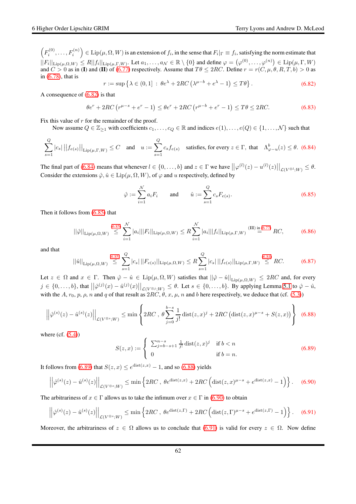$\left(F_i^{(0)}\right)$  $\left( \mathcal{F}_i^{(0)},\ldots,\mathcal{F}_i^{(n)} \right) \in \mathrm{Lip}(\mu,\Omega,W)$  is an extension of  $f_i,$  in the sense that  $F_i|_{\Gamma} \equiv f_i,$  satisfying the norm estimate that  $||F_i||_{\text{Lip}(\mu,\Omega,W)} \le R||f_i||_{\text{Lip}(\mu,\Gamma,W)}$ . Let  $a_1,\ldots,a_\mathcal{N} \in \mathbb{R} \setminus \{0\}$  and define  $\varphi = (\varphi^{(0)},\ldots,\varphi^{(n)}) \in \text{Lip}(\mu,\Gamma,W)$ and  $C > 0$  as in (I) and (II) of [\(6.77\)](#page-60-1) respectively. Assume that  $T\theta \leq 2RC$ . Define  $r = r(C, \mu, \theta, R, T, b) > 0$  as in [\(6.78\)](#page-60-2), that is

<span id="page-61-0"></span>
$$
r := \sup \left\{ \lambda \in (0, 1] \, : \, \theta e^{\lambda} + 2RC \left( \lambda^{\mu - b} + e^{\lambda} - 1 \right) \le T\theta \right\}.
$$

A consequence of [\(6.82\)](#page-61-0) is that

<span id="page-61-7"></span>
$$
\theta e^r + 2RC\left(r^{\mu-s} + e^r - 1\right) \le \theta e^r + 2RC\left(r^{\mu-b} + e^r - 1\right) \le T\theta \le 2RC. \tag{6.83}
$$

Fix this value of  $r$  for the remainder of the proof.

Now assume  $Q \in \mathbb{Z}_{\geq 1}$  with coefficients  $c_1, \ldots, c_Q \in \mathbb{R}$  and indices  $e(1), \ldots, e(Q) \in \{1, \ldots, N\}$  such that

<span id="page-61-1"></span>
$$
\sum_{s=1}^{Q} |c_s| ||f_{e(s)}||_{\text{Lip}(\mu,\Gamma,W)} \leq C \quad \text{and} \quad u := \sum_{s=1}^{Q} c_s f_{e(s)} \quad \text{satisfies, for every } z \in \Gamma, \text{ that} \quad \Lambda_{\varphi-u}^b(z) \leq \theta. \tag{6.84}
$$

The final part of [\(6.84\)](#page-61-1) means that whenever  $l \in \{0, \ldots, b\}$  and  $z \in \Gamma$  we have  $||\varphi^{(l)}(z) - u^{(l)}(z)||_{\mathcal{L}(V^{\otimes l};W)} \leq \theta$ . Consider the extensions  $\hat{\varphi}, \hat{u} \in \text{Lip}(\mu, \Omega, W)$ , of  $\varphi$  and u respectively, defined by

<span id="page-61-2"></span>
$$
\hat{\varphi} := \sum_{i=1}^{N} a_i F_i \quad \text{and} \quad \hat{u} := \sum_{s=1}^{Q} c_s F_{e(s)}.
$$
\n(6.85)

Then it follows from [\(6.85\)](#page-61-2) that

$$
||\hat{\varphi}||_{\text{Lip}(\mu,\Omega,W)} \stackrel{(6.85)}{\leq} \sum_{i=1}^{\mathcal{N}} |a_i|| |F_i||_{\text{Lip}(\mu,\Omega,W)} \leq R \sum_{i=1}^{\mathcal{N}} |a_i|| |f_i||_{\text{Lip}(\mu,\Gamma,W)} \stackrel{(II) \text{ in (6.77)}}{=} RC,
$$
 (6.86)

and that

$$
||\hat{u}||_{\text{Lip}(\mu,\Omega,W)} \stackrel{(6.85)}{\leq} \sum_{s=1}^{Q} |c_s| \, ||F_{e(s)}||_{\text{Lip}(\mu,\Omega,W)} \leq R \sum_{s=1}^{Q} |c_s| \, ||f_{e(s)}||_{\text{Lip}(\mu,\Gamma,W)} \stackrel{(6.84)}{\leq} RC. \tag{6.87}
$$

Let  $z \in \Omega$  and  $x \in \Gamma$ . Then  $\hat{\varphi} - \hat{u} \in \text{Lip}(\mu, \Omega, W)$  satisfies that  $||\hat{\varphi} - \hat{u}||_{\text{Lip}(\mu, \Omega, W)} \leq 2RC$  and, for every  $j \in \{0, \ldots, b\}$ , that  $\left|\left|\hat{\varphi}^{(j)}(x) - \hat{u}^{(j)}(x)\right|\right|_{\mathcal{L}(V^{\otimes j};W)} \leq \theta$ . Let  $s \in \{0, \ldots, b\}$ . By applying Lemma [5.1](#page-29-3) to  $\hat{\varphi} - \hat{u}$ , with the A,  $r_0$ ,  $p$ ,  $p$ ,  $n$  and  $q$  of that result as  $2RC$ ,  $\theta$ ,  $x$ ,  $\mu$ ,  $n$  and  $b$  here respectively, we deduce that (cf. [\(5.3\)](#page-29-6))

<span id="page-61-4"></span>
$$
\left| \left| \hat{\varphi}^{(s)}(z) - \hat{u}^{(s)}(z) \right| \right|_{\mathcal{L}(V^{\otimes s};W)} \le \min \left\{ 2RC \, , \, \theta \sum_{j=0}^{b-s} \frac{1}{j!} \operatorname{dist}(z,x)^j + 2RC \left( \operatorname{dist}(z,x)^{\mu-s} + S(z,x) \right) \right\} \tag{6.88}
$$

where  $(cf. (5.4))$  $(cf. (5.4))$  $(cf. (5.4))$ 

<span id="page-61-3"></span>
$$
S(z,x) := \begin{cases} \sum_{j=b-s+1}^{n-s} \frac{1}{j!} \operatorname{dist}(z,x)^j & \text{if } b < n \\ 0 & \text{if } b = n. \end{cases}
$$
 (6.89)

It follows from [\(6.89\)](#page-61-3) that  $S(z, x) \le e^{\text{dist}(z, x)} - 1$ , and so [\(6.88\)](#page-61-4) yields

<span id="page-61-5"></span>
$$
\left| \left| \hat{\varphi}^{(s)}(z) - \hat{u}^{(s)}(z) \right| \right|_{\mathcal{L}(V^{\otimes s};W)} \le \min \left\{ 2RC \, , \, \theta e^{\text{dist}(z,x)} + 2RC \left( \text{dist}(z,x)^{\mu-s} + e^{\text{dist}(z,x)} - 1 \right) \right\}.
$$
 (6.90)

The arbitrariness of  $x \in \Gamma$  allows us to take the infimum over  $x \in \Gamma$  in [\(6.90\)](#page-61-5) to obtain

<span id="page-61-6"></span>
$$
\left| \left| \hat{\varphi}^{(s)}(z) - \hat{u}^{(s)}(z) \right| \right|_{\mathcal{L}(V^{\otimes s};W)} \le \min \left\{ 2RC \,, \, \theta e^{\text{dist}(z,\Gamma)} + 2RC \left( \text{dist}(z,\Gamma)^{\mu-s} + e^{\text{dist}(z,\Gamma)} - 1 \right) \right\}.
$$
 (6.91)

Moreover, the arbitrariness of  $z \in \Omega$  allows us to conclude that [\(6.91\)](#page-61-6) is valid for every  $z \in \Omega$ . Now define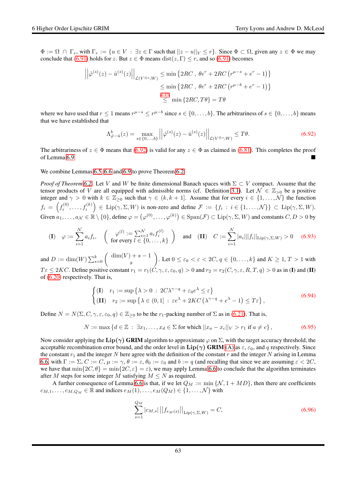$\Phi := \Omega \cap \Gamma_r$ , with  $\Gamma_r := \{u \in V : \exists z \in \Gamma \text{ such that } ||z - u||_V \le r\}$ . Since  $\Phi \subset \Omega$ , given any  $z \in \Phi$  we may conclude that [\(6.91\)](#page-61-6) holds for z. But  $z \in \Phi$  means  $dist(z, \Gamma) \le r$ , and so (6.91) becomes

$$
\left| \left| \hat{\varphi}^{(s)}(z) - \hat{u}^{(s)}(z) \right| \right|_{\mathcal{L}(V^{\otimes s}; W)} \le \min \left\{ 2RC \, , \, \theta e^r + 2RC \left( r^{\mu - s} + e^r - 1 \right) \right\}
$$

$$
\le \min \left\{ 2RC \, , \, \theta e^r + 2RC \left( r^{\mu - b} + e^r - 1 \right) \right\}
$$

$$
\le \min \left\{ 2RC, T\theta \right\} = T\theta
$$

where we have used that  $r \leq 1$  means  $r^{\mu-s} \leq r^{\mu-b}$  since  $s \in \{0, \ldots, b\}$ . The arbitrariness of  $s \in \{0, \ldots, b\}$  means that we have established that

<span id="page-62-0"></span>
$$
\Lambda_{\hat{\varphi}-\hat{u}}^b(z) = \max_{s \in \{0, \ldots, b\}} \left| \left| \hat{\varphi}^{(s)}(z) - \hat{u}^{(s)}(z) \right| \right|_{\mathcal{L}(V^{\otimes s}; W)} \le T\theta. \tag{6.92}
$$

The arbitrariness of  $z \in \Phi$  means that [\(6.92\)](#page-62-0) is valid for any  $z \in \Phi$  as claimed in [\(6.81\)](#page-60-3). This completes the proof of Lemma 6.9 of Lemma [6.9](#page-60-0)

We combine Lemmas [6.5,](#page-55-1) [6.6](#page-57-4) and [6.9](#page-60-0) to prove Theorem [6.2.](#page-50-0)

*Proof of Theorem* [6.2.](#page-50-0) Let V and W be finite dimensional Banach spaces with Σ ⊂ V compact. Assume that the tensor products of V are all equipped with admissible norms (cf. Definition [3.1\)](#page-14-1). Let  $\mathcal{N} \in \mathbb{Z}_{>0}$  be a positive integer and  $\gamma > 0$  with  $k \in \mathbb{Z}_{\geq 0}$  such that  $\gamma \in (k, k + 1]$ . Assume that for every  $i \in \{1, ..., \mathcal{N}\}\$  the function  $f_i = \left(f_i^{(0)}\right)$  $\mathcal{F}_{i}^{(0)},\ldots,f_{i}^{(k)}\Big) \in \text{Lip}(\gamma,\Sigma,W)$  is non-zero and define  $\mathcal{F} := \{f_i : i \in \{1,\ldots,N\}\} \subset \text{Lip}(\gamma,\Sigma,W).$ Given  $a_1,\ldots,a_\mathcal{N}\in\mathbb{R}\setminus\{0\}$ , define  $\varphi=\left(\varphi^{(0)},\ldots,\varphi^{(k)}\right)\in\mathrm{Span}(\mathcal{F})\subset\mathrm{Lip}(\gamma,\Sigma,W)$  and constants  $C,D>0$  by

$$
\text{(I)} \quad \varphi := \sum_{i=1}^{N} a_i f_i, \quad \left( \begin{array}{c} \varphi^{(l)} := \sum_{i=1}^{N} a_i f_i^{(l)} \\ \text{for every } l \in \{0, \dots, k\} \end{array} \right) \quad \text{and} \quad \text{(II)} \quad C := \sum_{i=1}^{N} |a_i| ||f_i||_{\text{Lip}(\gamma, \Sigma, W)} > 0 \quad \text{(6.93)}
$$

and  $D := \dim(W) \sum_{s=0}^{k} {\dim(V) + s - 1}$ s ). Let  $0 \le \varepsilon_0 < \varepsilon < 2C$ ,  $q \in \{0, \ldots, k\}$  and  $K \ge 1, T > 1$  with  $T\epsilon \leq 2KC$ . Define positive constant  $r_1 = r_1(C, \gamma, \epsilon, \epsilon_0, q) > 0$  and  $r_2 = r_2(C, \gamma, \epsilon, R, T, q) > 0$  as in (I) and (II) of [\(6.20\)](#page-51-1) respectively. That is,

$$
\begin{cases}\n(\mathbf{I}) & r_1 := \sup \{ \lambda > 0 : 2C\lambda^{\gamma - q} + \varepsilon_0 e^{\lambda} \le \varepsilon \} \\
(\mathbf{II}) & r_2 := \sup \{ \lambda \in (0, 1] : \varepsilon e^{\lambda} + 2KC\left(\lambda^{\gamma - q} + e^{\lambda} - 1\right) \le T\varepsilon \},\n\end{cases}\n\tag{6.94}
$$

Define  $N = N(\Sigma, C, \gamma, \varepsilon, \varepsilon_0, q) \in \mathbb{Z}_{\geq 0}$  to be the  $r_1$ -packing number of  $\Sigma$  as in [\(6.21\)](#page-51-2). That is,

$$
N := \max \{ d \in \mathbb{Z} : \exists x_1, \dots, x_d \in \Sigma \text{ for which } ||x_a - x_c||_V > r_1 \text{ if } a \neq c \},
$$
\n(6.95)

Now consider applying the Lip( $\gamma$ ) GRIM algorithm to approximate  $\varphi$  on  $\Sigma$ , with the target accuracy threshold, the acceptable recombination error bound, and the order level in  $\text{Lip}(\gamma)$  GRIM [\(A\)](#page-50-2) as  $\varepsilon$ ,  $\varepsilon_0$ , and q respectively. Since the constant  $r_1$  and the integer N here agree with the definition of the constant r and the integer N arising in Lemma [6.6,](#page-57-4) with  $\Gamma := \Sigma, C := C, \mu := \gamma, \theta := \varepsilon, \theta_0 := \varepsilon_0$  and  $b := q$  (and recalling that since we are assuming  $\varepsilon < 2C$ , we have that  $\min\{2C, \theta\} = \min\{2C, \varepsilon\} = \varepsilon$ , we may apply Lemma [6.6](#page-57-4) to conclude that the algorithm terminates after M steps for some integer M satisfying  $M \leq N$  as required.

A further consequence of Lemma [6.6](#page-57-4) is that, if we let  $Q_M := \min \{ \mathcal{N}, 1 + MD \}$ , then there are coefficients  $c_{M,1}, \ldots, c_{M,Q_M} \in \mathbb{R}$  and indices  $e_M(1), \ldots, e_M(Q_M) \in \{1, \ldots, N\}$  with

<span id="page-62-1"></span>
$$
\sum_{s=1}^{Q_M} |c_{M,s}| ||f_{e_M(s)}||_{\text{Lip}(\gamma,\Sigma,W)} = C,
$$
\n(6.96)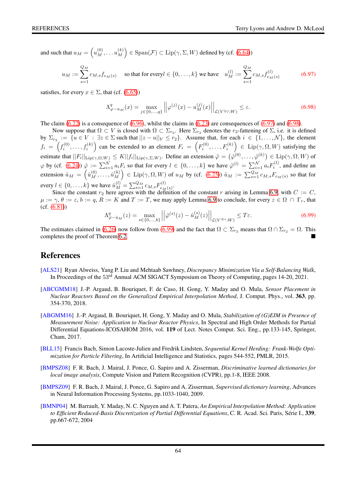and such that  $u_M = \left(u_M^{(0)}, \ldots u_M^{(k)}\right)$  $\binom{(k)}{M} \in \text{Span}(\mathcal{F}) \subset \text{Lip}(\gamma, \Sigma, W)$  defined by (cf. [\(6.64\)](#page-58-2))

<span id="page-63-6"></span>
$$
u_M := \sum_{s=1}^{Q_M} c_{M,s} f_{e_M(s)} \quad \text{ so that for every } l \in \{0, \dots, k\} \text{ we have } \quad u_M^{(l)} := \sum_{s=1}^{Q_M} c_{M,s} f_{e_M(s)}^{(l)} \tag{6.97}
$$

satisfies, for every  $x \in \Sigma$ , that (cf. [\(6.65\)](#page-58-1))

<span id="page-63-7"></span>
$$
\Lambda_{\varphi-u_M}^q(x) = \max_{j \in \{0,\dots,q\}} \left| \left| \varphi^{(j)}(x) - u_M^{(j)}(x) \right| \right|_{\mathcal{L}(V^{\otimes j};W)} \le \varepsilon. \tag{6.98}
$$

The claim  $(6.22)$  is a consequence of  $(6.96)$ , whilst the claims in  $(6.23)$  are consequences of  $(6.97)$  and  $(6.98)$ .

Now suppose that  $\Omega \subset V$  is closed with  $\Omega \subset \Sigma_{r_2}$ . Here  $\Sigma_{r_2}$  denotes the  $r_2$ -fattening of  $\Sigma$ , i.e. it is defined by  $\Sigma_{r_2} := \{u \in V : \exists z \in \Sigma \text{ such that } ||z - u||_V \leq r_2\}$ . Assume that, for each  $i \in \{1, ..., N\}$ , the element  $f_i = \left(f_i^{(0)}\right)$  $\left( \mathbf{F}_i^{(0)}, \ldots, \mathbf{f}_i^{(k)} \right)$  can be extended to an element  $F_i = \left( F_i^{(0)} \right)$  $\left( \mathcal{F}_i^{(0)}, \ldots, \mathcal{F}_i^{(k)} \right) \in \text{Lip}(\gamma, \Omega, W)$  satisfying the estimate that  $||F_i||_{\text{Lip}(\gamma,\Omega,W)} \le K||f_i||_{\text{Lip}(\gamma,\Sigma,W)}$ . Define an extension  $\hat{\varphi} = (\hat{\varphi}^{(0)}, \dots, \hat{\varphi}^{(k)}) \in \text{Lip}(\gamma,\Omega,W)$  of  $\varphi$  by (cf. [\(6.24\)](#page-51-4))  $\hat{\varphi} := \sum_{i=1}^{N} a_i F_i$  so that for every  $l \in \{0, \ldots, k\}$  we have  $\hat{\varphi}^{(l)} = \sum_{i=1}^{N} a_i F_i^{(l)}$ , and define an extension  $\hat{u}_M = \left(\hat{u}_M^{(0)}, \dots, \hat{u}_M^{(k)}\right)$  $\begin{pmatrix} (k) \ M \end{pmatrix} \in \text{Lip}(\gamma,\Omega,W)$  of  $u_M$  by (cf. [\(6.25\)](#page-51-5))  $\hat{u}_M := \sum_{s=1}^{Q_M} c_{M,s} F_{e_M(s)}$  so that for every  $l \in \{0, \ldots, k\}$  we have  $\hat{u}_M^{(l)} = \sum_{s=1}^{Q_M} c_{M,s} F_{e_M}^{(l)}$  $e_M(s)$  .

Since the constant  $r_2$  here agrees with the definition of the constant r arising in Lemma [6.9,](#page-60-0) with  $C := C$ ,  $\mu := \gamma$ ,  $\theta := \varepsilon$ ,  $b := q$ ,  $R := K$  and  $T := T$ , we may apply Lemma [6.9](#page-60-0) to conclude, for every  $z \in \Omega \cap \Gamma_r$ , that (cf. [\(6.81\)](#page-60-3))

<span id="page-63-8"></span>
$$
\Lambda_{\hat{\varphi}-\hat{u}_M}^q(z) = \max_{s \in \{0,\ldots,b\}} \left| \left| \hat{\varphi}^{(s)}(z) - \hat{u}_M^{(s)}(z) \right| \right|_{\mathcal{L}(V^{\otimes s};W)} \le T\varepsilon. \tag{6.99}
$$

The estimates claimed in [\(6.26\)](#page-52-2) now follow from [\(6.99\)](#page-63-8) and the fact that  $\Omega \subset \Sigma_{r_2}$  means that  $\Omega \cap \Sigma_{r_2} = \Omega$ . This completes the proof of Theorem [6.2.](#page-50-0)

### References

- [ALS21] Ryan Alweiss, Yang P. Liu and Mehtaab Sawhney, *Discrepancy Minimization Via a Self-Balancing Walk*, In Proceedings of the 53rd Annual ACM SIGACT Symposium on Theory of Computing, pages 14-20, 2021.
- <span id="page-63-3"></span>[ABCGMM18] J.-P. Argaud, B. Bouriquet, F. de Caso, H. Gong, Y. Maday and O. Mula, *Sensor Placement in Nuclear Reactors Based on the Generalized Empirical Interpolation Method*, J. Comput. Phys., vol. 363, pp. 354-370, 2018.
- <span id="page-63-2"></span>[ABGMM16] J.-P. Argaud, B. Bouriquet, H. Gong, Y. Maday and O. Mula, *Stabilization of (G)EIM in Presence of Measurement Noise: Application to Nuclear Reactor Physics*, In Spectral and High Order Methods for Partial Differential Equations-ICOSAHOM 2016, vol. 119 of Lect. Notes Comput. Sci. Eng., pp.133-145, Springer, Cham, 2017.
- <span id="page-63-5"></span>[BLL15] Francis Bach, Simon Lacoste-Julien and Fredrik Lindsten, *Sequential Kernel Herding: Frank-Wolfe Optimization for Particle Filtering*, In Artificial Intelligence and Statistics, pages 544-552, PMLR, 2015.
- <span id="page-63-0"></span>[BMPSZ08] F. R. Bach, J. Mairal, J. Ponce, G. Sapiro and A. Zisserman, *Discriminative learned dictionaries for local image analysis*, Compute Vision and Pattern Recognition (CVPR), pp.1-8, IEEE 2008.
- <span id="page-63-1"></span>[BMPSZ09] F. R. Bach, J. Mairal, J. Ponce, G. Sapiro and A. Zisserman, *Supervised dictionary learning*, Advances in Neural Information Processing Systems, pp.1033-1040, 2009.
- <span id="page-63-4"></span>[BMNP04] M. Barrault, Y. Maday, N. C. Nguyen and A. T. Patera, *An Empirical Interpolation Method: Application* to Efficient Reduced-Basis Discretization of Partial Differential Equations, C. R. Acad. Sci. Paris, Série I., 339, pp.667-672, 2004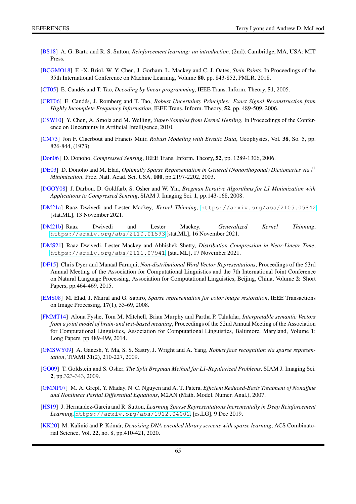- <span id="page-64-8"></span>[BS18] A. G. Barto and R. S. Sutton, *Reinforcement learning: an introduction*, (2nd). Cambridge, MA, USA: MIT Press.
- <span id="page-64-16"></span>[BCGMO18] F. -X. Briol, W. Y. Chen, J. Gorham, L. Mackey and C. J. Oates, *Stein Points*, In Proceedings of the 35th International Conference on Machine Learning, Volume 80, pp. 843-852, PMLR, 2018.
- <span id="page-64-1"></span>[CT05] E. Candés and T. Tao, *Decoding by linear programming*, IEEE Trans. Inform. Theory, **51**, 2005.
- <span id="page-64-3"></span>[CRT06] E. Cand´es, J. Romberg and T. Tao, *Robust Uncertainty Principles: Exact Signal Reconstruction from Highly Incomplete Frequency Information*, IEEE Trans. Inform. Theory, 52, pp. 489-509, 2006.
- <span id="page-64-15"></span>[CSW10] Y. Chen, A. Smola and M. Welling, *Super-Samples from Kernel Herding*, In Proceedings of the Conference on Uncertainty in Artificial Intelligence, 2010.
- <span id="page-64-11"></span>[CM73] Jon F. Claerbout and Francis Muir, *Robust Modeling with Erratic Data*, Geophysics, Vol. 38, So. 5, pp. 826-844, (1973)
- <span id="page-64-2"></span>[Don06] D. Donoho, *Compressed Sensing*, IEEE Trans. Inform. Theory, 52, pp. 1289-1306, 2006.
- <span id="page-64-0"></span>[DE03] D. Donoho and M. Elad, *Optimally Sparse Representation in General (Nonorthogonal) Dictionaries via* l<sup>1</sup> *Minimization*, Proc. Natl. Acad. Sci. USA, 100, pp.2197-2202, 2003.
- <span id="page-64-12"></span>[DGOY08] J. Darbon, D. Goldfarb, S. Osher and W. Yin, *Bregman Iterative Algorithms for L1 Minimization with Applications to Compressed Sensing*, SIAM J. Imaging Sci. 1, pp.143-168, 2008.
- <span id="page-64-17"></span>[DM21a] Raaz Dwivedi and Lester Mackey, *Kernel Thinning*, <https://arxiv.org/abs/2105.05842> [stat.ML], 13 November 2021.
- <span id="page-64-18"></span>[DM21b] Raaz Dwivedi and Lester Mackey, *Generalized Kernel Thinning*, <https://arxiv.org/abs/2110.01593> [stat.ML], 16 November 2021.
- <span id="page-64-19"></span>[DMS21] Raaz Dwivedi, Lester Mackey and Abhishek Shetty, *Distribution Compression in Near-Linear Time*, <https://arxiv.org/abs/2111.07941>. [stat.ML], 17 November 2021.
- <span id="page-64-7"></span>[DF15] Chris Dyer and Manaal Faruqui, *Non-distributional Word Vector Representations*, Proceedings of the 53rd Annual Meeting of the Association for Computational Linguistics and the 7th International Joint Conference on Natural Language Processing, Association for Computational Linguistics, Beijing, China, Volume 2: Short Papers, pp.464-469, 2015.
- <span id="page-64-4"></span>[EMS08] M. Elad, J. Mairal and G. Sapiro, *Sparse representation for color image restoration*, IEEE Transactions on Image Processing, 17(1), 53-69, 2008.
- <span id="page-64-6"></span>[FMMT14] Alona Fyshe, Tom M. Mitchell, Brian Murphy and Partha P. Talukdar, *Interpretable semantic Vectors from a joint model of brain-and text-based meaning*, Proceedings of the 52nd Annual Meeting of the Association for Computational Linguistics, Association for Computational Linguistics, Baltimore, Maryland, Volume 1: Long Papers, pp.489-499, 2014.
- <span id="page-64-5"></span>[GMSWY09] A. Ganesh, Y. Ma, S. S. Sastry, J. Wright and A. Yang, *Robust face recognition via sparse representation*, TPAMI 31(2), 210-227, 2009.
- <span id="page-64-13"></span>[GO09] T. Goldstein and S. Osher, *The Split Bregman Method for L1-Regularized Problems*, SIAM J. Imaging Sci. 2, pp.323-343, 2009.
- <span id="page-64-14"></span>[GMNP07] M. A. Grepl, Y. Maday, N. C. Nguyen and A. T. Patera, *Efficient Reduced-Basis Treatment of Nonaffine and Nonlinear Partial Differential Equations*, M2AN (Math. Model. Numer. Anal.), 2007.
- <span id="page-64-9"></span>[HS19] J. Hernandez-Garcia and R. Sutton, *Learning Sparse Representations Incrementally in Deep Reinforcement Learning*, <https://arxiv.org/abs/1912.04002>, [cs.LG], 9 Dec 2019.
- <span id="page-64-10"></span>[KK20] M. Kalinić and P. Kómár, *Denoising DNA encoded library screens with sparse learning*, ACS Combinatorial Science, Vol. 22, no. 8, pp.410-421, 2020.